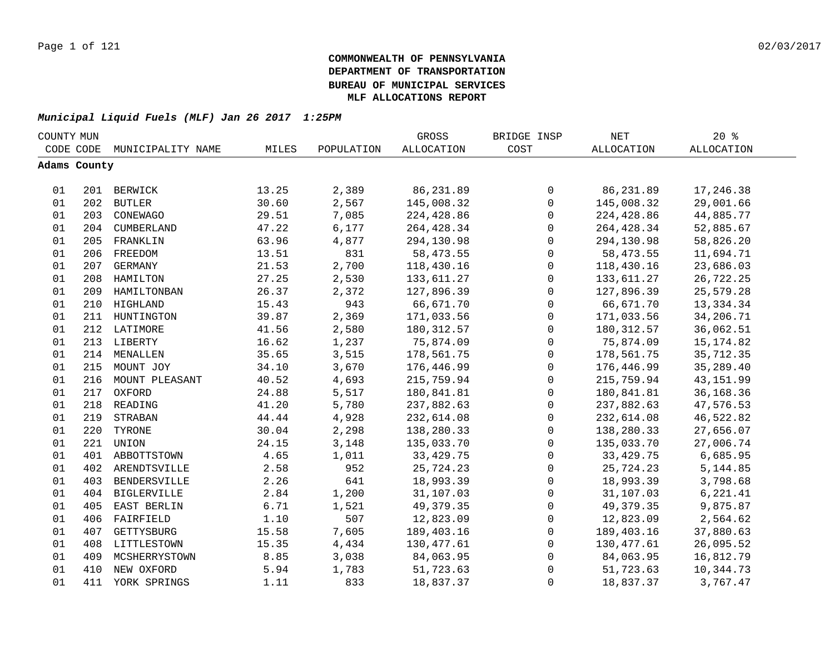| COUNTY MUN |              |                    |       |            | GROSS             | BRIDGE INSP         | NET         | $20*$             |  |
|------------|--------------|--------------------|-------|------------|-------------------|---------------------|-------------|-------------------|--|
|            | CODE CODE    | MUNICIPALITY NAME  | MILES | POPULATION | <b>ALLOCATION</b> | COST                | ALLOCATION  | <b>ALLOCATION</b> |  |
|            | Adams County |                    |       |            |                   |                     |             |                   |  |
|            |              |                    |       |            |                   |                     |             |                   |  |
| 01         |              | 201 BERWICK        | 13.25 | 2,389      | 86,231.89         | 0                   | 86,231.89   | 17,246.38         |  |
| 01         |              | 202 BUTLER         | 30.60 | 2,567      | 145,008.32        | $\mathbf 0$         | 145,008.32  | 29,001.66         |  |
| 01         | 203          | CONEWAGO           | 29.51 | 7,085      | 224,428.86        | $\mathsf{O}$        | 224,428.86  | 44,885.77         |  |
| 01         | 204          | CUMBERLAND         | 47.22 | 6,177      | 264, 428.34       | 0                   | 264, 428.34 | 52,885.67         |  |
| 01         | 205          | FRANKLIN           | 63.96 | 4,877      | 294,130.98        | $\mathsf{O}$        | 294,130.98  | 58,826.20         |  |
| 01         | 206          | FREEDOM            | 13.51 | 831        | 58, 473.55        | $\mathbf 0$         | 58,473.55   | 11,694.71         |  |
| 01         | 207          | GERMANY            | 21.53 | 2,700      | 118,430.16        | $\mathbf 0$         | 118,430.16  | 23,686.03         |  |
| 01         | 208          | HAMILTON           | 27.25 | 2,530      | 133,611.27        | $\mathsf{O}$        | 133,611.27  | 26,722.25         |  |
| 01         | 209          | HAMILTONBAN        | 26.37 | 2,372      | 127,896.39        | $\mathbf 0$         | 127,896.39  | 25,579.28         |  |
| 01         | 210          | HIGHLAND           | 15.43 | 943        | 66,671.70         | $\mathsf 0$         | 66,671.70   | 13,334.34         |  |
| 01         | 211          | HUNTINGTON         | 39.87 | 2,369      | 171,033.56        | 0                   | 171,033.56  | 34,206.71         |  |
| 01         | 212          | LATIMORE           | 41.56 | 2,580      | 180, 312.57       | 0                   | 180, 312.57 | 36,062.51         |  |
| 01         |              | 213 LIBERTY        | 16.62 | 1,237      | 75,874.09         | 0                   | 75,874.09   | 15, 174.82        |  |
| 01         |              | 214 MENALLEN       | 35.65 | 3,515      | 178,561.75        | $\mathsf 0$         | 178,561.75  | 35,712.35         |  |
| 01         |              | 215 MOUNT JOY      | 34.10 | 3,670      | 176,446.99        | 0                   | 176,446.99  | 35,289.40         |  |
| 01         |              | 216 MOUNT PLEASANT | 40.52 | 4,693      | 215,759.94        | 0                   | 215,759.94  | 43, 151.99        |  |
| 01         | 217          | OXFORD             | 24.88 | 5,517      | 180,841.81        | 0                   | 180,841.81  | 36,168.36         |  |
| 01         |              | 218 READING        | 41.20 | 5,780      | 237,882.63        | 0                   | 237,882.63  | 47,576.53         |  |
| 01         | 219          | STRABAN            | 44.44 | 4,928      | 232,614.08        | 0                   | 232,614.08  | 46,522.82         |  |
| 01         | 220          | TYRONE             | 30.04 | 2,298      | 138,280.33        | 0                   | 138,280.33  | 27,656.07         |  |
| 01         | 221          | UNION              | 24.15 | 3,148      | 135,033.70        | $\mathbf 0$         | 135,033.70  | 27,006.74         |  |
| 01         | 401          | ABBOTTSTOWN        | 4.65  | 1,011      | 33, 429. 75       | $\mathbf 0$         | 33, 429. 75 | 6,685.95          |  |
| 01         | 402          | ARENDTSVILLE       | 2.58  | 952        | 25,724.23         | 0                   | 25,724.23   | 5, 144.85         |  |
| 01         | 403          | BENDERSVILLE       | 2.26  | 641        | 18,993.39         | $\mathbf 0$         | 18,993.39   | 3,798.68          |  |
| 01         | 404          | BIGLERVILLE        | 2.84  | 1,200      | 31,107.03         | 0                   | 31,107.03   | 6,221.41          |  |
| 01         | 405          | EAST BERLIN        | 6.71  | 1,521      | 49, 379. 35       | 0                   | 49,379.35   | 9,875.87          |  |
| 01         | 406          | FAIRFIELD          | 1.10  | 507        | 12,823.09         | 0                   | 12,823.09   | 2,564.62          |  |
| 01         | 407          | GETTYSBURG         | 15.58 | 7,605      | 189,403.16        | 0                   | 189,403.16  | 37,880.63         |  |
| 01         |              | 408 LITTLESTOWN    | 15.35 | 4,434      | 130,477.61        | $\mathsf{O}\xspace$ | 130,477.61  | 26,095.52         |  |
| 01         | 409          | MCSHERRYSTOWN      | 8.85  | 3,038      | 84,063.95         | 0                   | 84,063.95   | 16,812.79         |  |
| 01         | 410          | NEW OXFORD         | 5.94  | 1,783      | 51,723.63         | $\mathsf 0$         | 51,723.63   | 10,344.73         |  |
| 01         | 411          | YORK SPRINGS       | 1.11  | 833        | 18,837.37         | $\mathbf 0$         | 18,837.37   | 3,767.47          |  |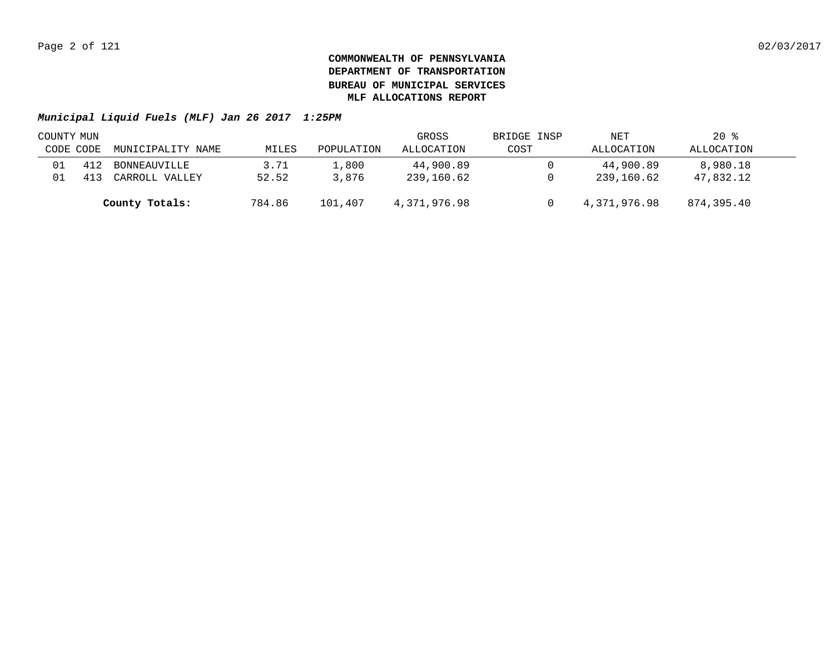| COUNTY MUN |     |                   |        |            | GROSS        | BRIDGE INSP | NET          | $20*$      |  |
|------------|-----|-------------------|--------|------------|--------------|-------------|--------------|------------|--|
| CODE CODE  |     | MUNICIPALITY NAME | MILES  | POPULATION | ALLOCATION   | COST        | ALLOCATION   | ALLOCATION |  |
| 01         | 412 | BONNEAUVILLE      | 3.71   | 1,800      | 44,900.89    |             | 44,900.89    | 8,980.18   |  |
| 01         | 413 | CARROLL VALLEY    | 52.52  | 3,876      | 239,160.62   |             | 239,160.62   | 47,832.12  |  |
|            |     | County Totals:    | 784.86 | 101,407    | 4,371,976.98 |             | 4,371,976.98 | 874,395.40 |  |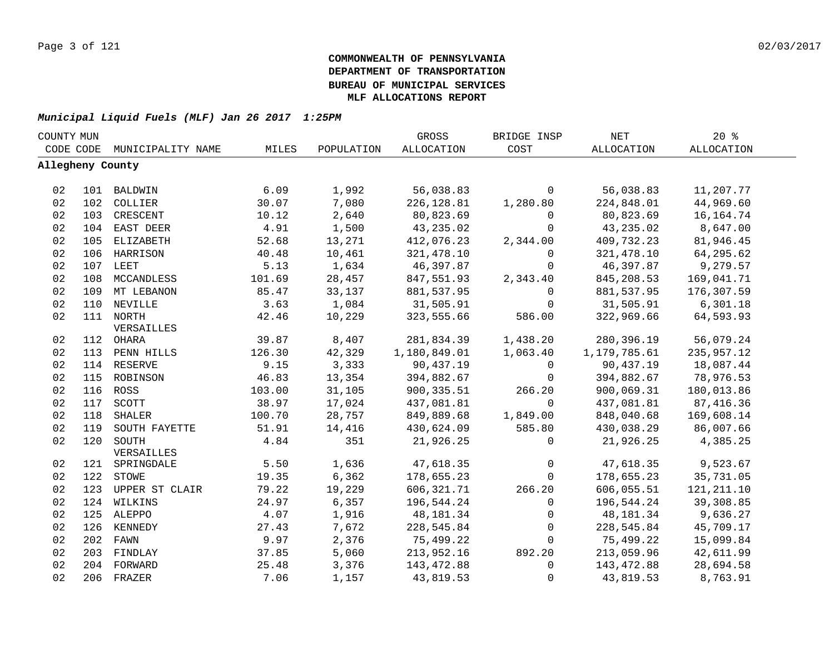| COUNTY MUN       |     |                    |        |            | GROSS        | BRIDGE INSP | <b>NET</b>        | 20%               |  |
|------------------|-----|--------------------|--------|------------|--------------|-------------|-------------------|-------------------|--|
| CODE CODE        |     | MUNICIPALITY NAME  | MILES  | POPULATION | ALLOCATION   | COST        | <b>ALLOCATION</b> | <b>ALLOCATION</b> |  |
| Allegheny County |     |                    |        |            |              |             |                   |                   |  |
|                  |     |                    |        |            |              |             |                   |                   |  |
| 02               |     | 101 BALDWIN        | 6.09   | 1,992      | 56,038.83    | $\mathbf 0$ | 56,038.83         | 11,207.77         |  |
| 02               | 102 | COLLIER            | 30.07  | 7,080      | 226, 128.81  | 1,280.80    | 224,848.01        | 44,969.60         |  |
| 02               | 103 | CRESCENT           | 10.12  | 2,640      | 80,823.69    | $\mathbf 0$ | 80,823.69         | 16, 164. 74       |  |
| 02               | 104 | EAST DEER          | 4.91   | 1,500      | 43,235.02    | $\mathbf 0$ | 43,235.02         | 8,647.00          |  |
| 02               | 105 | ELIZABETH          | 52.68  | 13,271     | 412,076.23   | 2,344.00    | 409,732.23        | 81,946.45         |  |
| 02               | 106 | HARRISON           | 40.48  | 10,461     | 321, 478.10  | 0           | 321, 478.10       | 64,295.62         |  |
| 02               | 107 | LEET               | 5.13   | 1,634      | 46,397.87    | $\mathbf 0$ | 46,397.87         | 9,279.57          |  |
| 02               | 108 | MCCANDLESS         | 101.69 | 28,457     | 847,551.93   | 2,343.40    | 845,208.53        | 169,041.71        |  |
| 02               | 109 | MT LEBANON         | 85.47  | 33,137     | 881,537.95   | 0           | 881,537.95        | 176,307.59        |  |
| 02               | 110 | NEVILLE            | 3.63   | 1,084      | 31,505.91    | 0           | 31,505.91         | 6,301.18          |  |
| 02               |     | 111 NORTH          | 42.46  | 10,229     | 323,555.66   | 586.00      | 322,969.66        | 64,593.93         |  |
|                  |     | VERSAILLES         |        |            |              |             |                   |                   |  |
| 02               |     | 112 OHARA          | 39.87  | 8,407      | 281,834.39   | 1,438.20    | 280,396.19        | 56,079.24         |  |
| 02               | 113 | PENN HILLS         | 126.30 | 42,329     | 1,180,849.01 | 1,063.40    | 1,179,785.61      | 235,957.12        |  |
| 02               |     | 114 RESERVE        | 9.15   | 3,333      | 90,437.19    | 0           | 90,437.19         | 18,087.44         |  |
| 02               |     | 115 ROBINSON       | 46.83  | 13,354     | 394,882.67   | $\Omega$    | 394,882.67        | 78,976.53         |  |
| 02               |     | 116 ROSS           | 103.00 | 31,105     | 900, 335.51  | 266.20      | 900,069.31        | 180,013.86        |  |
| 02               | 117 | SCOTT              | 38.97  | 17,024     | 437,081.81   | 0           | 437,081.81        | 87, 416.36        |  |
| 02               | 118 | <b>SHALER</b>      | 100.70 | 28,757     | 849,889.68   | 1,849.00    | 848,040.68        | 169,608.14        |  |
| 02               | 119 | SOUTH FAYETTE      | 51.91  | 14,416     | 430,624.09   | 585.80      | 430,038.29        | 86,007.66         |  |
| 02               | 120 | SOUTH              | 4.84   | 351        | 21,926.25    | 0           | 21,926.25         | 4,385.25          |  |
|                  |     | VERSAILLES         |        |            |              |             |                   |                   |  |
| 02               |     | 121 SPRINGDALE     | 5.50   | 1,636      | 47,618.35    | $\mathsf 0$ | 47,618.35         | 9,523.67          |  |
| 02               |     | 122 STOWE          | 19.35  | 6,362      | 178,655.23   | $\mathbf 0$ | 178,655.23        | 35,731.05         |  |
| 02               |     | 123 UPPER ST CLAIR | 79.22  | 19,229     | 606, 321.71  | 266.20      | 606,055.51        | 121, 211.10       |  |
| 02               |     | 124 WILKINS        | 24.97  | 6,357      | 196,544.24   | $\mathbf 0$ | 196,544.24        | 39,308.85         |  |
| 02               |     | 125 ALEPPO         | 4.07   | 1,916      | 48,181.34    | $\mathbf 0$ | 48, 181. 34       | 9,636.27          |  |
| 02               |     | 126 KENNEDY        | 27.43  | 7,672      | 228,545.84   | $\mathbf 0$ | 228,545.84        | 45,709.17         |  |
| 02               |     | 202 FAWN           | 9.97   | 2,376      | 75,499.22    | 0           | 75,499.22         | 15,099.84         |  |
| 02               |     | 203 FINDLAY        | 37.85  | 5,060      | 213,952.16   | 892.20      | 213,059.96        | 42,611.99         |  |
| 02               | 204 | FORWARD            | 25.48  | 3,376      | 143, 472.88  | $\mathbf 0$ | 143,472.88        | 28,694.58         |  |
| 02               |     | 206 FRAZER         | 7.06   | 1,157      | 43,819.53    | 0           | 43,819.53         | 8,763.91          |  |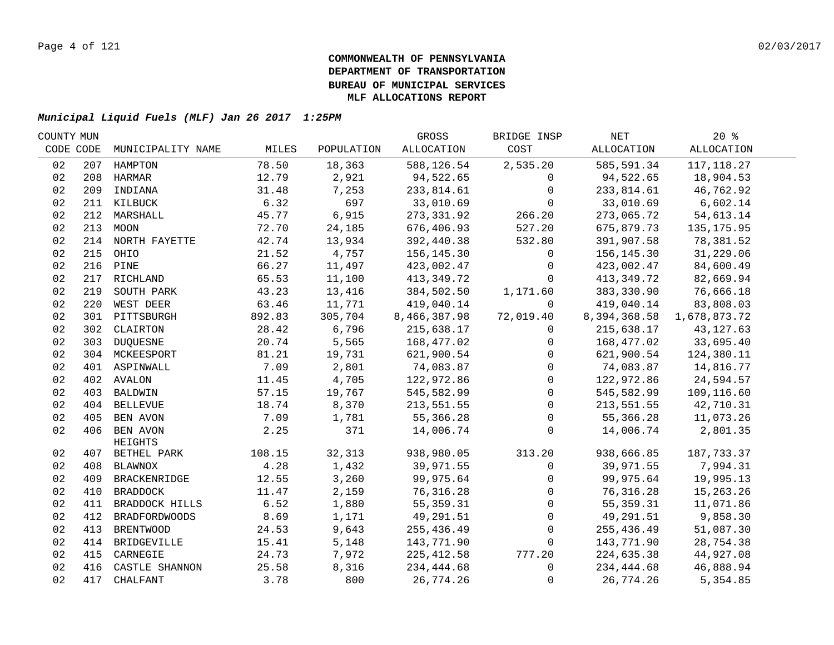| COUNTY MUN |     |                         |        |            | GROSS        | BRIDGE INSP | NET          | $20*$        |  |
|------------|-----|-------------------------|--------|------------|--------------|-------------|--------------|--------------|--|
| CODE CODE  |     | MUNICIPALITY NAME       | MILES  | POPULATION | ALLOCATION   | COST        | ALLOCATION   | ALLOCATION   |  |
| 02         | 207 | HAMPTON                 | 78.50  | 18,363     | 588,126.54   | 2,535.20    | 585,591.34   | 117, 118.27  |  |
| 02         | 208 | HARMAR                  | 12.79  | 2,921      | 94,522.65    | 0           | 94,522.65    | 18,904.53    |  |
| 02         | 209 | INDIANA                 | 31.48  | 7,253      | 233,814.61   | $\mathbf 0$ | 233,814.61   | 46,762.92    |  |
| 02         |     | 211 KILBUCK             | 6.32   | 697        | 33,010.69    | $\Omega$    | 33,010.69    | 6,602.14     |  |
| 02         |     | 212 MARSHALL            | 45.77  | 6,915      | 273,331.92   | 266.20      | 273,065.72   | 54,613.14    |  |
| 02         |     | 213 MOON                | 72.70  | 24,185     | 676,406.93   | 527.20      | 675,879.73   | 135, 175.95  |  |
| 02         |     | 214 NORTH FAYETTE       | 42.74  | 13,934     | 392,440.38   | 532.80      | 391,907.58   | 78,381.52    |  |
| 02         |     | 215 OHIO                | 21.52  | 4,757      | 156,145.30   | 0           | 156,145.30   | 31,229.06    |  |
| 02         |     | 216 PINE                | 66.27  | 11,497     | 423,002.47   | 0           | 423,002.47   | 84,600.49    |  |
| 02         | 217 | RICHLAND                | 65.53  | 11,100     | 413,349.72   | $\mathbf 0$ | 413, 349. 72 | 82,669.94    |  |
| 02         | 219 | SOUTH PARK              | 43.23  | 13,416     | 384,502.50   | 1,171.60    | 383,330.90   | 76,666.18    |  |
| 02         | 220 | WEST DEER               | 63.46  | 11,771     | 419,040.14   | $\Omega$    | 419,040.14   | 83,808.03    |  |
| 02         | 301 | PITTSBURGH              | 892.83 | 305,704    | 8,466,387.98 | 72,019.40   | 8,394,368.58 | 1,678,873.72 |  |
| 02         | 302 | CLAIRTON                | 28.42  | 6,796      | 215,638.17   | 0           | 215,638.17   | 43, 127.63   |  |
| 02         | 303 | DUQUESNE                | 20.74  | 5,565      | 168,477.02   | $\Omega$    | 168,477.02   | 33,695.40    |  |
| 02         |     | 304 MCKEESPORT          | 81.21  | 19,731     | 621,900.54   | $\Omega$    | 621,900.54   | 124,380.11   |  |
| 02         |     | 401 ASPINWALL           | 7.09   | 2,801      | 74,083.87    | 0           | 74,083.87    | 14,816.77    |  |
| 02         |     | 402 AVALON              | 11.45  | 4,705      | 122,972.86   | 0           | 122,972.86   | 24,594.57    |  |
| 02         |     | 403 BALDWIN             | 57.15  | 19,767     | 545,582.99   | 0           | 545,582.99   | 109,116.60   |  |
| 02         |     | 404 BELLEVUE            | 18.74  | 8,370      | 213,551.55   | 0           | 213,551.55   | 42,710.31    |  |
| 02         |     | 405 BEN AVON            | 7.09   | 1,781      | 55,366.28    | 0           | 55,366.28    | 11,073.26    |  |
| 02         |     | 406 BEN AVON<br>HEIGHTS | 2.25   | 371        | 14,006.74    | $\mathbf 0$ | 14,006.74    | 2,801.35     |  |
| 02         |     | 407 BETHEL PARK         | 108.15 | 32,313     | 938,980.05   | 313.20      | 938,666.85   | 187,733.37   |  |
| 02         |     | 408 BLAWNOX             | 4.28   | 1,432      | 39,971.55    | 0           | 39,971.55    | 7,994.31     |  |
| 02         |     | 409 BRACKENRIDGE        | 12.55  | 3,260      | 99,975.64    | 0           | 99,975.64    | 19,995.13    |  |
| 02         |     | 410 BRADDOCK            | 11.47  | 2,159      | 76,316.28    | 0           | 76, 316.28   | 15,263.26    |  |
| 02         |     | 411 BRADDOCK HILLS      | 6.52   | 1,880      | 55, 359. 31  | $\Omega$    | 55, 359. 31  | 11,071.86    |  |
| 02         | 412 | BRADFORDWOODS           | 8.69   | 1,171      | 49,291.51    | $\mathbf 0$ | 49,291.51    | 9,858.30     |  |
| 02         | 413 | <b>BRENTWOOD</b>        | 24.53  | 9,643      | 255,436.49   | 0           | 255,436.49   | 51,087.30    |  |
| 02         |     | 414 BRIDGEVILLE         | 15.41  | 5,148      | 143,771.90   | $\mathbf 0$ | 143,771.90   | 28,754.38    |  |
| 02         | 415 | CARNEGIE                | 24.73  | 7,972      | 225, 412.58  | 777.20      | 224,635.38   | 44,927.08    |  |
| 02         |     | 416 CASTLE SHANNON      | 25.58  | 8,316      | 234,444.68   | $\mathbf 0$ | 234,444.68   | 46,888.94    |  |
| 02         | 417 | CHALFANT                | 3.78   | 800        | 26,774.26    | 0           | 26,774.26    | 5,354.85     |  |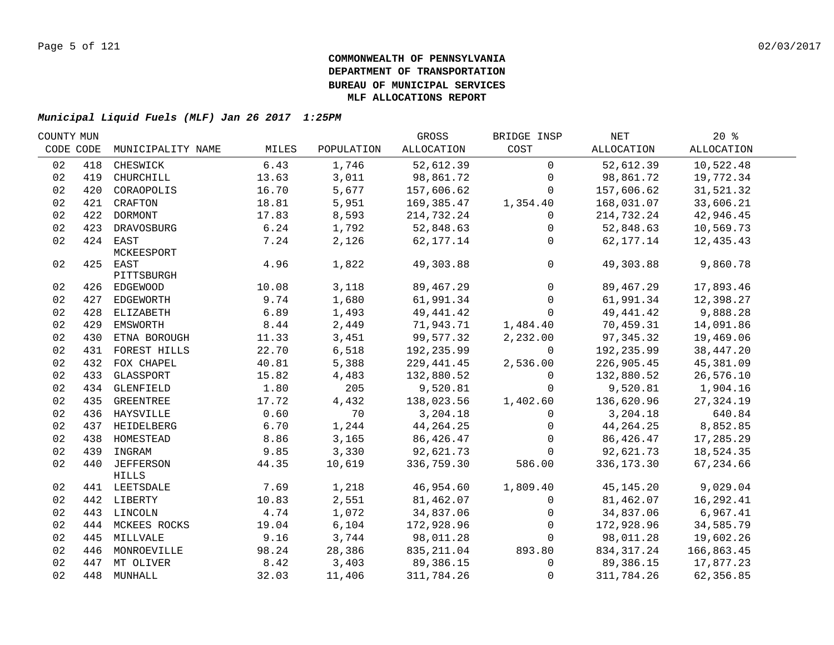| COUNTY MUN |     |                   |       |            | GROSS       | BRIDGE INSP         | NET          | $20*$      |  |
|------------|-----|-------------------|-------|------------|-------------|---------------------|--------------|------------|--|
| CODE CODE  |     | MUNICIPALITY NAME | MILES | POPULATION | ALLOCATION  | COST                | ALLOCATION   | ALLOCATION |  |
| 02         | 418 | CHESWICK          | 6.43  | 1,746      | 52,612.39   | $\mathbf 0$         | 52,612.39    | 10,522.48  |  |
| 02         | 419 | CHURCHILL         | 13.63 | 3,011      | 98,861.72   | $\mathbf 0$         | 98,861.72    | 19,772.34  |  |
| 02         | 420 | CORAOPOLIS        | 16.70 | 5,677      | 157,606.62  | $\Omega$            | 157,606.62   | 31,521.32  |  |
| 02         |     | 421 CRAFTON       | 18.81 | 5,951      | 169,385.47  | 1,354.40            | 168,031.07   | 33,606.21  |  |
| 02         |     | 422 DORMONT       | 17.83 | 8,593      | 214,732.24  | $\mathbf 0$         | 214,732.24   | 42,946.45  |  |
| 02         |     | 423 DRAVOSBURG    | 6.24  | 1,792      | 52,848.63   | 0                   | 52,848.63    | 10,569.73  |  |
| 02         |     | 424 EAST          | 7.24  | 2,126      | 62,177.14   | $\mathbf 0$         | 62,177.14    | 12,435.43  |  |
|            |     | MCKEESPORT        |       |            |             |                     |              |            |  |
| 02         |     | 425 EAST          | 4.96  | 1,822      | 49,303.88   | $\mathsf{O}\xspace$ | 49,303.88    | 9,860.78   |  |
|            |     | PITTSBURGH        |       |            |             |                     |              |            |  |
| 02         |     | 426 EDGEWOOD      | 10.08 | 3,118      | 89,467.29   | $\mathbf 0$         | 89,467.29    | 17,893.46  |  |
| 02         |     | 427 EDGEWORTH     | 9.74  | 1,680      | 61,991.34   | $\mathbf 0$         | 61,991.34    | 12,398.27  |  |
| 02         |     | 428 ELIZABETH     | 6.89  | 1,493      | 49,441.42   | $\mathbf 0$         | 49, 441.42   | 9,888.28   |  |
| 02         |     | 429 EMSWORTH      | 8.44  | 2,449      | 71,943.71   | 1,484.40            | 70,459.31    | 14,091.86  |  |
| 02         | 430 | ETNA BOROUGH      | 11.33 | 3,451      | 99,577.32   | 2,232.00            | 97,345.32    | 19,469.06  |  |
| 02         |     | 431 FOREST HILLS  | 22.70 | 6,518      | 192,235.99  | $\Omega$            | 192,235.99   | 38,447.20  |  |
| 02         | 432 | FOX CHAPEL        | 40.81 | 5,388      | 229,441.45  | 2,536.00            | 226,905.45   | 45,381.09  |  |
| 02         | 433 | GLASSPORT         | 15.82 | 4,483      | 132,880.52  | $\Omega$            | 132,880.52   | 26,576.10  |  |
| 02         |     | 434 GLENFIELD     | 1.80  | 205        | 9,520.81    | $\Omega$            | 9,520.81     | 1,904.16   |  |
| 02         | 435 | GREENTREE         | 17.72 | 4,432      | 138,023.56  | 1,402.60            | 136,620.96   | 27, 324.19 |  |
| 02         |     | 436 HAYSVILLE     | 0.60  | 70         | 3,204.18    | $\Omega$            | 3,204.18     | 640.84     |  |
| 02         |     | 437 HEIDELBERG    | 6.70  | 1,244      | 44, 264. 25 | $\mathbf{0}$        | 44, 264. 25  | 8,852.85   |  |
| 02         |     | 438 HOMESTEAD     | 8.86  | 3,165      | 86,426.47   | $\mathbf{0}$        | 86,426.47    | 17,285.29  |  |
| 02         |     | 439 INGRAM        | 9.85  | 3,330      | 92,621.73   | $\mathbf{0}$        | 92,621.73    | 18,524.35  |  |
| 02         |     | 440 JEFFERSON     | 44.35 | 10,619     | 336,759.30  | 586.00              | 336, 173.30  | 67,234.66  |  |
|            |     | HILLS             |       |            |             |                     |              |            |  |
| 02         |     | 441 LEETSDALE     | 7.69  | 1,218      | 46,954.60   | 1,809.40            | 45, 145. 20  | 9,029.04   |  |
| 02         |     | 442 LIBERTY       | 10.83 | 2,551      | 81,462.07   | $\mathsf{O}$        | 81,462.07    | 16,292.41  |  |
| 02         |     | 443 LINCOLN       | 4.74  | 1,072      | 34,837.06   | 0                   | 34,837.06    | 6,967.41   |  |
| 02         |     | 444 MCKEES ROCKS  | 19.04 | 6,104      | 172,928.96  | $\Omega$            | 172,928.96   | 34,585.79  |  |
| 02         |     | 445 MILLVALE      | 9.16  | 3,744      | 98,011.28   | $\mathbf 0$         | 98,011.28    | 19,602.26  |  |
| 02         |     | 446 MONROEVILLE   | 98.24 | 28,386     | 835,211.04  | 893.80              | 834, 317. 24 | 166,863.45 |  |
| 02         |     | 447 MT OLIVER     | 8.42  | 3,403      | 89,386.15   | $\mathbf 0$         | 89,386.15    | 17,877.23  |  |
| 02         |     | 448 MUNHALL       | 32.03 | 11,406     | 311,784.26  | $\mathbf 0$         | 311,784.26   | 62,356.85  |  |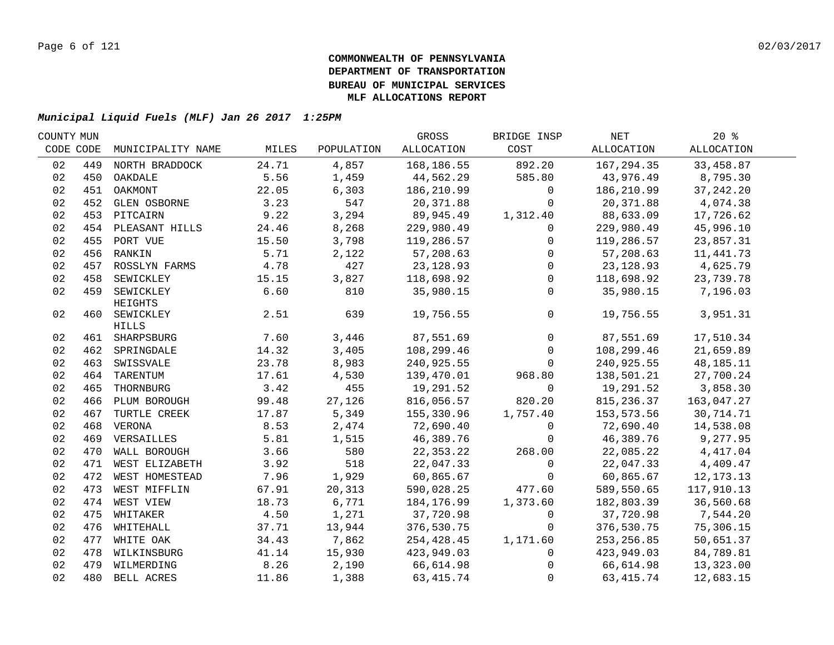| COUNTY MUN |     |                    |       |            | GROSS      | BRIDGE INSP  | NET         | $20*$       |  |
|------------|-----|--------------------|-------|------------|------------|--------------|-------------|-------------|--|
| CODE CODE  |     | MUNICIPALITY NAME  | MILES | POPULATION | ALLOCATION | COST         | ALLOCATION  | ALLOCATION  |  |
| 02         | 449 | NORTH BRADDOCK     | 24.71 | 4,857      | 168,186.55 | 892.20       | 167,294.35  | 33,458.87   |  |
| 02         |     | 450 OAKDALE        | 5.56  | 1,459      | 44,562.29  | 585.80       | 43,976.49   | 8,795.30    |  |
| 02         |     | 451 OAKMONT        | 22.05 | 6,303      | 186,210.99 | $\mathbf 0$  | 186,210.99  | 37, 242. 20 |  |
| 02         |     | 452 GLEN OSBORNE   | 3.23  | 547        | 20,371.88  | $\Omega$     | 20,371.88   | 4,074.38    |  |
| 02         |     | 453 PITCAIRN       | 9.22  | 3,294      | 89,945.49  | 1,312.40     | 88,633.09   | 17,726.62   |  |
| 02         |     | 454 PLEASANT HILLS | 24.46 | 8,268      | 229,980.49 | 0            | 229,980.49  | 45,996.10   |  |
| 02         |     | 455 PORT VUE       | 15.50 | 3,798      | 119,286.57 | $\mathbf 0$  | 119,286.57  | 23,857.31   |  |
| 02         |     | 456 RANKIN         | 5.71  | 2,122      | 57,208.63  | 0            | 57,208.63   | 11, 441.73  |  |
| 02         | 457 | ROSSLYN FARMS      | 4.78  | 427        | 23, 128.93 | $\mathbf 0$  | 23, 128.93  | 4,625.79    |  |
| 02         | 458 | SEWICKLEY          | 15.15 | 3,827      | 118,698.92 | $\mathbf 0$  | 118,698.92  | 23,739.78   |  |
| 02         | 459 | SEWICKLEY          | 6.60  | 810        | 35,980.15  | $\mathbf 0$  | 35,980.15   | 7,196.03    |  |
|            |     | HEIGHTS            |       |            |            |              |             |             |  |
| 02         |     | 460 SEWICKLEY      | 2.51  | 639        | 19,756.55  | $\mathbf 0$  | 19,756.55   | 3,951.31    |  |
|            |     | <b>HILLS</b>       |       |            |            |              |             |             |  |
| 02         |     | 461 SHARPSBURG     | 7.60  | 3,446      | 87,551.69  | $\mathbf 0$  | 87,551.69   | 17,510.34   |  |
| 02         |     | 462 SPRINGDALE     | 14.32 | 3,405      | 108,299.46 | $\mathbf 0$  | 108,299.46  | 21,659.89   |  |
| 02         | 463 | SWISSVALE          | 23.78 | 8,983      | 240,925.55 | $\mathbf 0$  | 240,925.55  | 48,185.11   |  |
| 02         | 464 | TARENTUM           | 17.61 | 4,530      | 139,470.01 | 968.80       | 138,501.21  | 27,700.24   |  |
| 02         | 465 | THORNBURG          | 3.42  | 455        | 19,291.52  | $\mathbf 0$  | 19,291.52   | 3,858.30    |  |
| 02         | 466 | PLUM BOROUGH       | 99.48 | 27,126     | 816,056.57 | 820.20       | 815, 236.37 | 163,047.27  |  |
| 02         | 467 | TURTLE CREEK       | 17.87 | 5,349      | 155,330.96 | 1,757.40     | 153,573.56  | 30,714.71   |  |
| 02         | 468 | VERONA             | 8.53  | 2,474      | 72,690.40  | $\mathbf 0$  | 72,690.40   | 14,538.08   |  |
| 02         |     | 469 VERSAILLES     | 5.81  | 1,515      | 46,389.76  | $\Omega$     | 46,389.76   | 9,277.95    |  |
| 02         |     | 470 WALL BOROUGH   | 3.66  | 580        | 22,353.22  | 268.00       | 22,085.22   | 4,417.04    |  |
| 02         |     | 471 WEST ELIZABETH | 3.92  | 518        | 22,047.33  | $\mathsf{O}$ | 22,047.33   | 4,409.47    |  |
| 02         |     | 472 WEST HOMESTEAD | 7.96  | 1,929      | 60,865.67  | $\mathbf 0$  | 60,865.67   | 12, 173. 13 |  |
| 02         |     | 473 WEST MIFFLIN   | 67.91 | 20,313     | 590,028.25 | 477.60       | 589,550.65  | 117,910.13  |  |
| 02         |     | 474 WEST VIEW      | 18.73 | 6,771      | 184,176.99 | 1,373.60     | 182,803.39  | 36,560.68   |  |
| 02         |     | 475 WHITAKER       | 4.50  | 1,271      | 37,720.98  | 0            | 37,720.98   | 7,544.20    |  |
| 02         |     | 476 WHITEHALL      | 37.71 | 13,944     | 376,530.75 | $\mathbf 0$  | 376,530.75  | 75,306.15   |  |
| 02         |     | 477 WHITE OAK      | 34.43 | 7,862      | 254,428.45 | 1,171.60     | 253, 256.85 | 50,651.37   |  |
| 02         |     | 478 WILKINSBURG    | 41.14 | 15,930     | 423,949.03 | 0            | 423,949.03  | 84,789.81   |  |
| 02         |     | 479 WILMERDING     | 8.26  | 2,190      | 66,614.98  | $\Omega$     | 66,614.98   | 13,323.00   |  |
| 02         |     | 480 BELL ACRES     | 11.86 | 1,388      | 63, 415.74 | $\mathbf 0$  | 63, 415.74  | 12,683.15   |  |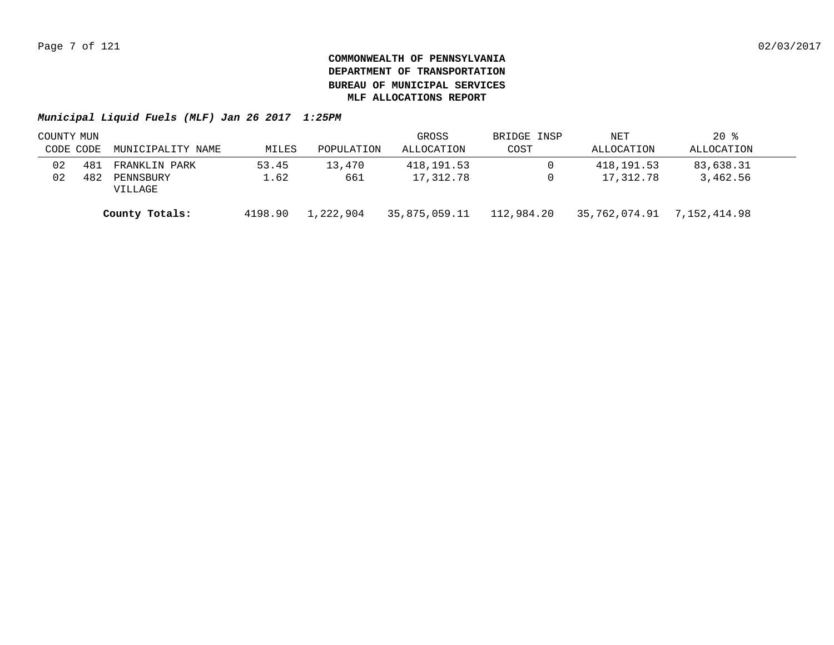|           | COUNTY MUN |                      |         |            | GROSS         | BRIDGE INSP | NET           | $20$ %       |  |
|-----------|------------|----------------------|---------|------------|---------------|-------------|---------------|--------------|--|
| CODE CODE |            | MUNICIPALITY NAME    | MILES   | POPULATION | ALLOCATION    | COST        | ALLOCATION    | ALLOCATION   |  |
| 02        | 481        | FRANKLIN PARK        | 53.45   | 13,470     | 418,191.53    |             | 418,191.53    | 83,638.31    |  |
| 02        | 482        | PENNSBURY<br>VILLAGE | 1.62    | 661        | 17,312.78     |             | 17,312.78     | 3,462.56     |  |
|           |            | County Totals:       | 4198.90 | 1,222,904  | 35,875,059.11 | 112,984.20  | 35,762,074.91 | 7,152,414.98 |  |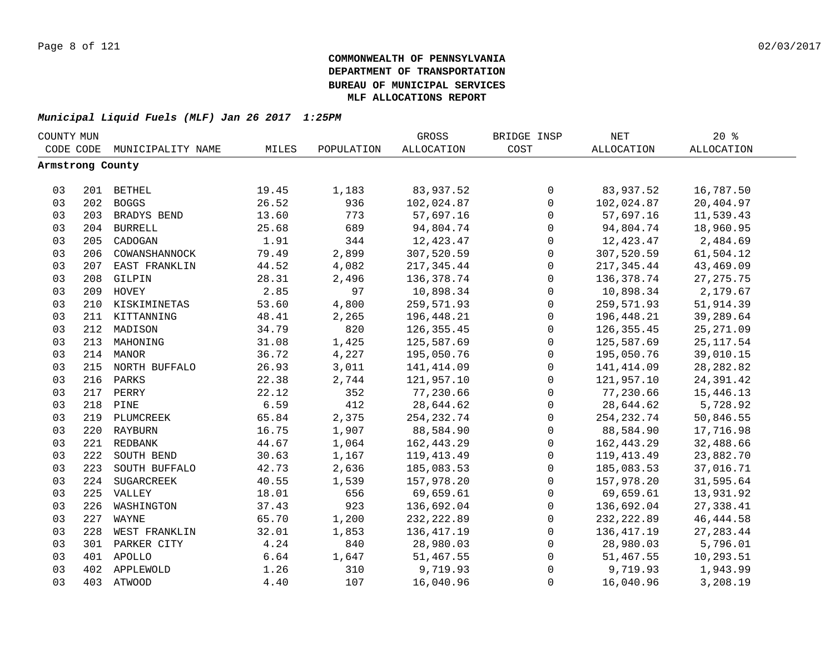| COUNTY MUN       |     |                   |       |            | GROSS             | BRIDGE INSP         | NET               | 20%               |  |
|------------------|-----|-------------------|-------|------------|-------------------|---------------------|-------------------|-------------------|--|
| CODE CODE        |     | MUNICIPALITY NAME | MILES | POPULATION | <b>ALLOCATION</b> | COST                | <b>ALLOCATION</b> | <b>ALLOCATION</b> |  |
| Armstrong County |     |                   |       |            |                   |                     |                   |                   |  |
|                  |     |                   |       |            |                   |                     |                   |                   |  |
| 03               |     | 201 BETHEL        | 19.45 | 1,183      | 83,937.52         | $\mathsf{O}$        | 83,937.52         | 16,787.50         |  |
| 03               |     | 202 BOGGS         | 26.52 | 936        | 102,024.87        | $\mathbf 0$         | 102,024.87        | 20,404.97         |  |
| 03               |     | 203 BRADYS BEND   | 13.60 | 773        | 57,697.16         | $\mathsf{O}$        | 57,697.16         | 11,539.43         |  |
| 03               |     | 204 BURRELL       | 25.68 | 689        | 94,804.74         | 0                   | 94,804.74         | 18,960.95         |  |
| 03               | 205 | CADOGAN           | 1.91  | 344        | 12,423.47         | 0                   | 12,423.47         | 2,484.69          |  |
| 03               | 206 | COWANSHANNOCK     | 79.49 | 2,899      | 307,520.59        | $\mathsf{O}$        | 307,520.59        | 61,504.12         |  |
| 03               | 207 | EAST FRANKLIN     | 44.52 | 4,082      | 217,345.44        | $\mathbf 0$         | 217,345.44        | 43,469.09         |  |
| 03               | 208 | GILPIN            | 28.31 | 2,496      | 136, 378.74       | $\mathbf 0$         | 136,378.74        | 27, 275. 75       |  |
| 03               | 209 | HOVEY             | 2.85  | 97         | 10,898.34         | $\mathbf 0$         | 10,898.34         | 2,179.67          |  |
| 03               | 210 | KISKIMINETAS      | 53.60 | 4,800      | 259,571.93        | $\mathsf{O}\xspace$ | 259,571.93        | 51,914.39         |  |
| 03               | 211 | KITTANNING        | 48.41 | 2,265      | 196,448.21        | $\mathbf 0$         | 196,448.21        | 39,289.64         |  |
| 03               | 212 | MADISON           | 34.79 | 820        | 126, 355.45       | 0                   | 126,355.45        | 25, 271.09        |  |
| 03               | 213 | MAHONING          | 31.08 | 1,425      | 125,587.69        | $\mathsf 0$         | 125,587.69        | 25, 117.54        |  |
| 03               |     | 214 MANOR         | 36.72 | 4,227      | 195,050.76        | $\mathbf 0$         | 195,050.76        | 39,010.15         |  |
| 03               |     | 215 NORTH BUFFALO | 26.93 | 3,011      | 141, 414.09       | 0                   | 141,414.09        | 28, 282.82        |  |
| 03               | 216 | PARKS             | 22.38 | 2,744      | 121,957.10        | 0                   | 121,957.10        | 24,391.42         |  |
| 03               |     | 217 PERRY         | 22.12 | 352        | 77,230.66         | 0                   | 77,230.66         | 15,446.13         |  |
| 03               | 218 | PINE              | 6.59  | 412        | 28,644.62         | $\mathbf 0$         | 28,644.62         | 5,728.92          |  |
| 03               |     | 219 PLUMCREEK     | 65.84 | 2,375      | 254, 232.74       | $\mathsf{O}$        | 254, 232.74       | 50,846.55         |  |
| 03               |     | 220 RAYBURN       | 16.75 | 1,907      | 88,584.90         | $\mathsf{O}$        | 88,584.90         | 17,716.98         |  |
| 03               |     | 221 REDBANK       | 44.67 | 1,064      | 162,443.29        | $\mathbf 0$         | 162,443.29        | 32,488.66         |  |
| 03               | 222 | SOUTH BEND        | 30.63 | 1,167      | 119, 413. 49      | $\mathbf 0$         | 119,413.49        | 23,882.70         |  |
| 03               | 223 | SOUTH BUFFALO     | 42.73 | 2,636      | 185,083.53        | $\mathbf 0$         | 185,083.53        | 37,016.71         |  |
| 03               | 224 | SUGARCREEK        | 40.55 | 1,539      | 157,978.20        | $\mathbf 0$         | 157,978.20        | 31,595.64         |  |
| 03               |     | 225 VALLEY        | 18.01 | 656        | 69,659.61         | $\mathsf{O}$        | 69,659.61         | 13,931.92         |  |
| 03               | 226 | WASHINGTON        | 37.43 | 923        | 136,692.04        | $\mathsf{O}$        | 136,692.04        | 27,338.41         |  |
| 03               | 227 | WAYNE             | 65.70 | 1,200      | 232, 222.89       | 0                   | 232, 222.89       | 46, 444.58        |  |
| 03               | 228 | WEST FRANKLIN     | 32.01 | 1,853      | 136, 417.19       | $\mathsf{O}$        | 136,417.19        | 27, 283.44        |  |
| 03               | 301 | PARKER CITY       | 4.24  | 840        | 28,980.03         | $\mathbf 0$         | 28,980.03         | 5,796.01          |  |
| 03               |     | 401 APOLLO        | 6.64  | 1,647      | 51,467.55         | 0                   | 51,467.55         | 10,293.51         |  |
| 03               | 402 | APPLEWOLD         | 1.26  | 310        | 9,719.93          | 0                   | 9,719.93          | 1,943.99          |  |
| 03               |     | 403 ATWOOD        | 4.40  | 107        | 16,040.96         | $\mathbf 0$         | 16,040.96         | 3,208.19          |  |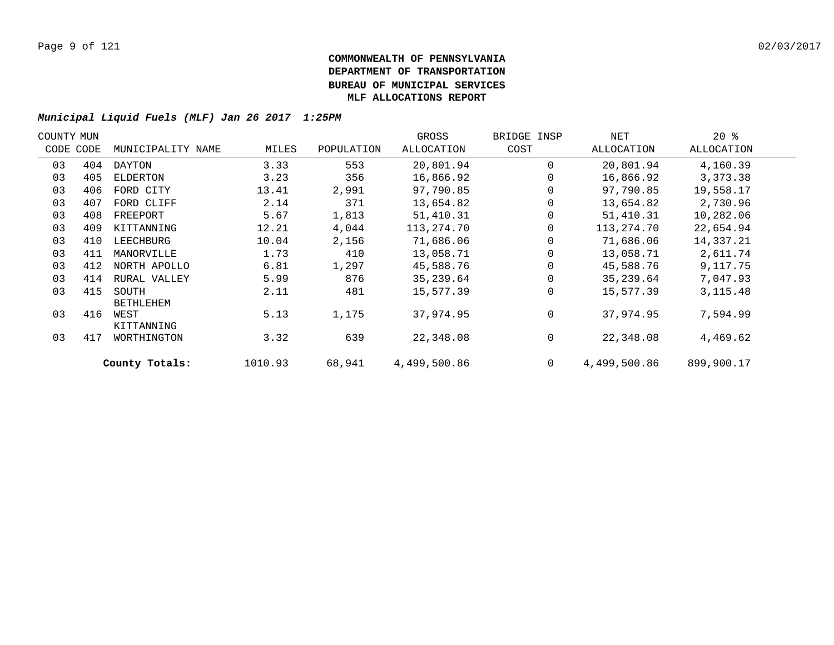| COUNTY MUN |           |                   |         |            | GROSS        | BRIDGE INSP    | NET          | $20*$      |  |
|------------|-----------|-------------------|---------|------------|--------------|----------------|--------------|------------|--|
|            | CODE CODE | MUNICIPALITY NAME | MILES   | POPULATION | ALLOCATION   | COST           | ALLOCATION   | ALLOCATION |  |
| 03         | 404       | DAYTON            | 3.33    | 553        | 20,801.94    | $\Omega$       | 20,801.94    | 4,160.39   |  |
| 03         | 405       | ELDERTON          | 3.23    | 356        | 16,866.92    | 0              | 16,866.92    | 3,373.38   |  |
| 03         | 406       | FORD CITY         | 13.41   | 2,991      | 97,790.85    | 0              | 97,790.85    | 19,558.17  |  |
| 03         | 407       | FORD CLIFF        | 2.14    | 371        | 13,654.82    | 0              | 13,654.82    | 2,730.96   |  |
| 03         | 408       | FREEPORT          | 5.67    | 1,813      | 51,410.31    |                | 51,410.31    | 10,282.06  |  |
| 03         | 409       | KITTANNING        | 12.21   | 4,044      | 113,274.70   | 0              | 113,274.70   | 22,654.94  |  |
| 03         | 410       | LEECHBURG         | 10.04   | 2,156      | 71,686.06    | 0              | 71,686.06    | 14,337.21  |  |
| 03         | 411       | MANORVILLE        | 1.73    | 410        | 13,058.71    | 0              | 13,058.71    | 2,611.74   |  |
| 03         | 412       | NORTH APOLLO      | 6.81    | 1,297      | 45,588.76    | $\Omega$       | 45,588.76    | 9,117.75   |  |
| 03         | 414       | RURAL VALLEY      | 5.99    | 876        | 35,239.64    | $\Omega$       | 35,239.64    | 7,047.93   |  |
| 03         | 415       | SOUTH             | 2.11    | 481        | 15,577.39    | $\Omega$       | 15,577.39    | 3, 115. 48 |  |
|            |           | <b>BETHLEHEM</b>  |         |            |              |                |              |            |  |
| 03         | 416       | WEST              | 5.13    | 1,175      | 37,974.95    | $\mathbf 0$    | 37,974.95    | 7,594.99   |  |
|            |           | KITTANNING        |         |            |              |                |              |            |  |
| 03         | 417       | WORTHINGTON       | 3.32    | 639        | 22,348.08    | 0              | 22,348.08    | 4,469.62   |  |
|            |           | County Totals:    | 1010.93 | 68,941     | 4,499,500.86 | $\overline{0}$ | 4,499,500.86 | 899,900.17 |  |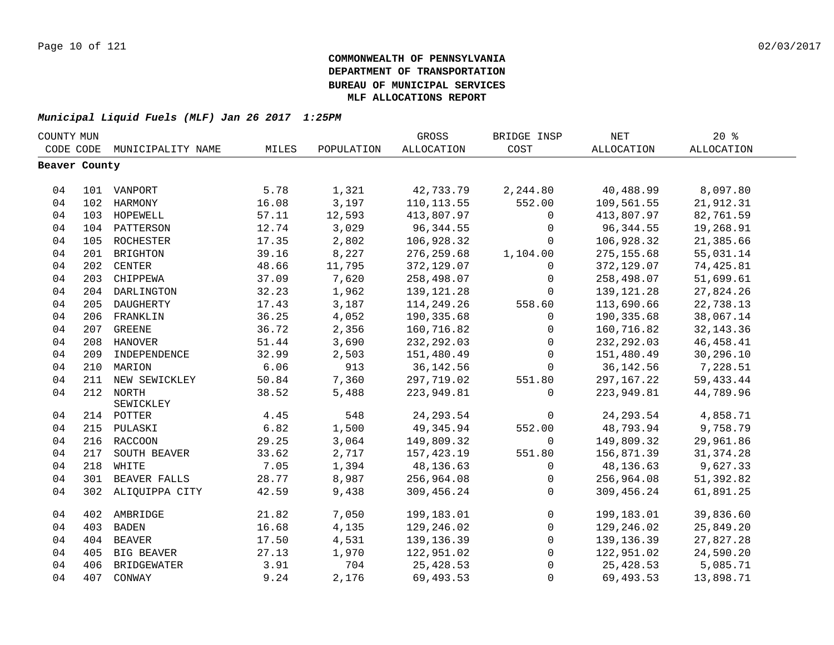| COUNTY MUN    |     |                    |       |            | GROSS       | BRIDGE INSP  | <b>NET</b>   | 20%         |
|---------------|-----|--------------------|-------|------------|-------------|--------------|--------------|-------------|
| CODE CODE     |     | MUNICIPALITY NAME  | MILES | POPULATION | ALLOCATION  | COST         | ALLOCATION   | ALLOCATION  |
| Beaver County |     |                    |       |            |             |              |              |             |
|               |     |                    |       |            |             |              |              |             |
| 04            |     | 101 VANPORT        | 5.78  | 1,321      | 42,733.79   | 2,244.80     | 40,488.99    | 8,097.80    |
| 04            |     | 102 HARMONY        | 16.08 | 3,197      | 110, 113.55 | 552.00       | 109,561.55   | 21,912.31   |
| 04            |     | 103 HOPEWELL       | 57.11 | 12,593     | 413,807.97  | $\mathbf 0$  | 413,807.97   | 82,761.59   |
| 04            |     | 104 PATTERSON      | 12.74 | 3,029      | 96, 344.55  | $\mathbf 0$  | 96, 344.55   | 19,268.91   |
| 04            | 105 | ROCHESTER          | 17.35 | 2,802      | 106,928.32  | 0            | 106,928.32   | 21,385.66   |
| 04            | 201 | <b>BRIGHTON</b>    | 39.16 | 8,227      | 276, 259.68 | 1,104.00     | 275, 155.68  | 55,031.14   |
| 04            | 202 | <b>CENTER</b>      | 48.66 | 11,795     | 372,129.07  | $\Omega$     | 372,129.07   | 74,425.81   |
| 04            | 203 | CHIPPEWA           | 37.09 | 7,620      | 258,498.07  | $\mathbf 0$  | 258,498.07   | 51,699.61   |
| 04            | 204 | DARLINGTON         | 32.23 | 1,962      | 139,121.28  | $\mathbf 0$  | 139, 121. 28 | 27,824.26   |
| 04            | 205 | DAUGHERTY          | 17.43 | 3,187      | 114,249.26  | 558.60       | 113,690.66   | 22,738.13   |
| 04            |     | 206 FRANKLIN       | 36.25 | 4,052      | 190,335.68  | $\mathbf 0$  | 190,335.68   | 38,067.14   |
| 04            |     | 207 GREENE         | 36.72 | 2,356      | 160,716.82  | $\mathbf 0$  | 160,716.82   | 32, 143. 36 |
| 04            |     | 208 HANOVER        | 51.44 | 3,690      | 232, 292.03 | 0            | 232, 292.03  | 46, 458.41  |
| 04            |     | 209 INDEPENDENCE   | 32.99 | 2,503      | 151,480.49  | 0            | 151,480.49   | 30,296.10   |
| 04            |     | 210 MARION         | 6.06  | 913        | 36, 142.56  | $\mathbf 0$  | 36, 142.56   | 7,228.51    |
| 04            |     | 211 NEW SEWICKLEY  | 50.84 | 7,360      | 297,719.02  | 551.80       | 297, 167. 22 | 59, 433. 44 |
| 04            |     | 212 NORTH          | 38.52 | 5,488      | 223,949.81  | $\Omega$     | 223,949.81   | 44,789.96   |
|               |     | SEWICKLEY          |       |            |             |              |              |             |
| 04            |     | 214 POTTER         | 4.45  | 548        | 24, 293.54  | $\mathbf 0$  | 24, 293.54   | 4,858.71    |
| 04            |     | 215 PULASKI        | 6.82  | 1,500      | 49,345.94   | 552.00       | 48,793.94    | 9,758.79    |
| 04            |     | 216 RACCOON        | 29.25 | 3,064      | 149,809.32  | $\mathbf 0$  | 149,809.32   | 29,961.86   |
| 04            | 217 | SOUTH BEAVER       | 33.62 | 2,717      | 157, 423.19 | 551.80       | 156,871.39   | 31, 374.28  |
| 04            |     | 218 WHITE          | 7.05  | 1,394      | 48,136.63   | $\mathbf 0$  | 48,136.63    | 9,627.33    |
| 04            |     | 301 BEAVER FALLS   | 28.77 | 8,987      | 256,964.08  | $\mathbf 0$  | 256,964.08   | 51,392.82   |
| 04            |     | 302 ALIQUIPPA CITY | 42.59 | 9,438      | 309,456.24  | $\Omega$     | 309,456.24   | 61,891.25   |
|               |     |                    |       |            |             |              |              |             |
| 04            |     | 402 AMBRIDGE       | 21.82 | 7,050      | 199,183.01  | $\mathbf 0$  | 199,183.01   | 39,836.60   |
| 04            | 403 | <b>BADEN</b>       | 16.68 | 4,135      | 129,246.02  | $\mathbf{0}$ | 129,246.02   | 25,849.20   |
| 04            | 404 | <b>BEAVER</b>      | 17.50 | 4,531      | 139, 136.39 | $\mathbf 0$  | 139, 136.39  | 27,827.28   |
| 04            | 405 | BIG BEAVER         | 27.13 | 1,970      | 122,951.02  | $\mathbf 0$  | 122,951.02   | 24,590.20   |
| 04            | 406 | <b>BRIDGEWATER</b> | 3.91  | 704        | 25,428.53   | $\mathbf 0$  | 25,428.53    | 5,085.71    |
| 04            | 407 | CONWAY             | 9.24  | 2,176      | 69,493.53   | $\mathbf 0$  | 69,493.53    | 13,898.71   |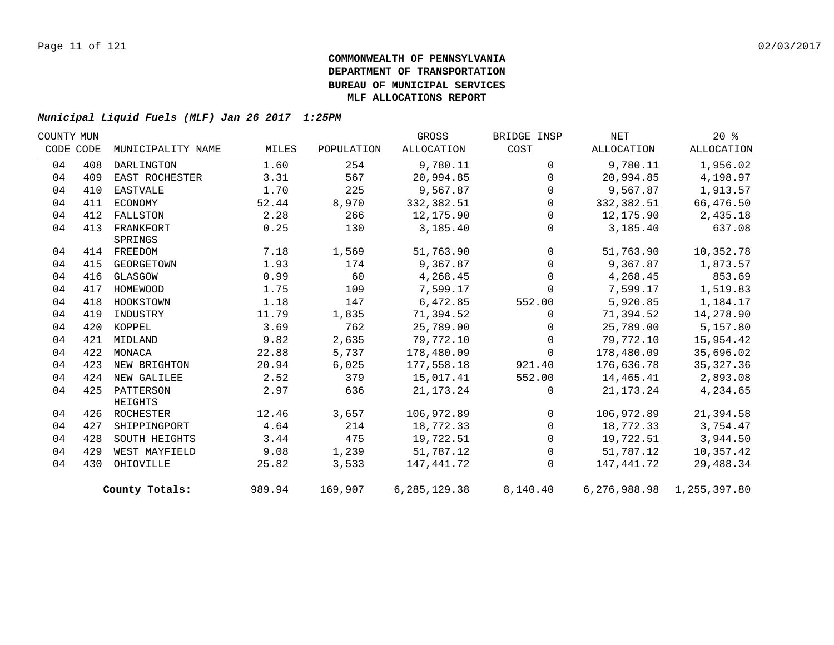| COUNTY MUN |     |                   |        |            | GROSS        | BRIDGE INSP    | NET        | $20*$                         |  |
|------------|-----|-------------------|--------|------------|--------------|----------------|------------|-------------------------------|--|
| CODE CODE  |     | MUNICIPALITY NAME | MILES  | POPULATION | ALLOCATION   | COST           | ALLOCATION | ALLOCATION                    |  |
| 04         | 408 | DARLINGTON        | 1.60   | 254        | 9,780.11     | $\Omega$       | 9,780.11   | 1,956.02                      |  |
| 04         | 409 | EAST ROCHESTER    | 3.31   | 567        | 20,994.85    | $\mathsf{O}$   | 20,994.85  | 4,198.97                      |  |
| 04         | 410 | EASTVALE          | 1.70   | 225        | 9,567.87     | $\mathbf 0$    | 9,567.87   | 1,913.57                      |  |
| 04         | 411 | ECONOMY           | 52.44  | 8,970      | 332,382.51   | $\mathbf 0$    | 332,382.51 | 66,476.50                     |  |
| 04         | 412 | FALLSTON          | 2.28   | 266        | 12,175.90    | $\mathbf 0$    | 12,175.90  | 2,435.18                      |  |
| 04         | 413 | FRANKFORT         | 0.25   | 130        | 3,185.40     | $\mathbf 0$    | 3,185.40   | 637.08                        |  |
|            |     | SPRINGS           |        |            |              |                |            |                               |  |
| 04         |     | 414 FREEDOM       | 7.18   | 1,569      | 51,763.90    | $\mathbf 0$    | 51,763.90  | 10,352.78                     |  |
| 04         | 415 | GEORGETOWN        | 1.93   | 174        | 9,367.87     | $\mathsf{O}$   | 9,367.87   | 1,873.57                      |  |
| 04         | 416 | GLASGOW           | 0.99   | 60         | 4,268.45     | $\mathbf 0$    | 4,268.45   | 853.69                        |  |
| 04         | 417 | HOMEWOOD          | 1.75   | 109        | 7,599.17     | $\Omega$       | 7,599.17   | 1,519.83                      |  |
| 04         | 418 | HOOKSTOWN         | 1.18   | 147        | 6,472.85     | 552.00         | 5,920.85   | 1,184.17                      |  |
| 04         | 419 | INDUSTRY          | 11.79  | 1,835      | 71,394.52    | $\Omega$       | 71,394.52  | 14,278.90                     |  |
| 04         | 420 | KOPPEL            | 3.69   | 762        | 25,789.00    | $\mathbf 0$    | 25,789.00  | 5,157.80                      |  |
| 04         | 421 | MIDLAND           | 9.82   | 2,635      | 79,772.10    | $\mathbf 0$    | 79,772.10  | 15,954.42                     |  |
| 04         | 422 | MONACA            | 22.88  | 5,737      | 178,480.09   | $\Omega$       | 178,480.09 | 35,696.02                     |  |
| 04         | 423 | NEW BRIGHTON      | 20.94  | 6,025      | 177,558.18   | 921.40         | 176,636.78 | 35, 327. 36                   |  |
| 04         | 424 | NEW GALILEE       | 2.52   | 379        | 15,017.41    | 552.00         | 14,465.41  | 2,893.08                      |  |
| 04         |     | 425 PATTERSON     | 2.97   | 636        | 21, 173. 24  | $\mathbf 0$    | 21,173.24  | 4,234.65                      |  |
|            |     | HEIGHTS           |        |            |              |                |            |                               |  |
| 04         |     | 426 ROCHESTER     | 12.46  | 3,657      | 106,972.89   | $\overline{0}$ | 106,972.89 | 21,394.58                     |  |
| 04         | 427 | SHIPPINGPORT      | 4.64   | 214        | 18,772.33    | $\mathbf 0$    | 18,772.33  | 3,754.47                      |  |
| 04         | 428 | SOUTH HEIGHTS     | 3.44   | 475        | 19,722.51    | $\mathsf{O}$   | 19,722.51  | 3,944.50                      |  |
| 04         | 429 | WEST MAYFIELD     | 9.08   | 1,239      | 51,787.12    | $\mathbf 0$    | 51,787.12  | 10,357.42                     |  |
| 04         | 430 | OHIOVILLE         | 25.82  | 3,533      | 147,441.72   | $\Omega$       | 147,441.72 | 29,488.34                     |  |
|            |     | County Totals:    | 989.94 | 169,907    | 6,285,129.38 | 8,140.40       |            | 6, 276, 988.98 1, 255, 397.80 |  |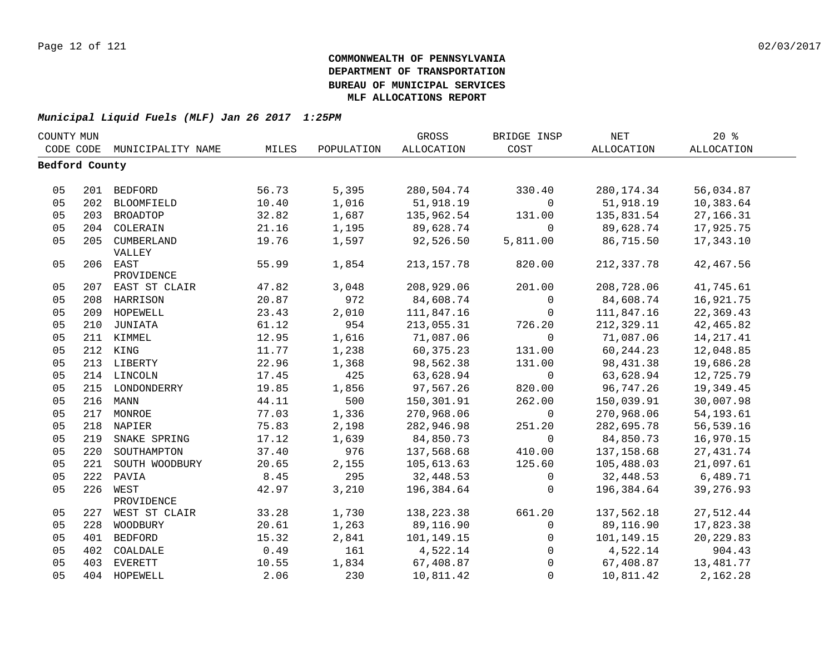| COUNTY MUN     |     |                             |       | GROSS        | BRIDGE INSP  | NET                   | 20%         |             |  |
|----------------|-----|-----------------------------|-------|--------------|--------------|-----------------------|-------------|-------------|--|
|                |     | CODE CODE MUNICIPALITY NAME | MILES | POPULATION   | ALLOCATION   | COST                  | ALLOCATION  | ALLOCATION  |  |
| Bedford County |     |                             |       |              |              |                       |             |             |  |
|                |     |                             |       |              |              |                       |             |             |  |
| 05             |     | 201 BEDFORD                 | 56.73 | 5,395        | 280,504.74   | 330.40                | 280, 174.34 | 56,034.87   |  |
| 05             |     | 202 BLOOMFIELD              | 10.40 | 1,016        | 51,918.19    | $\overline{0}$        | 51,918.19   | 10,383.64   |  |
| 05             |     | 203 BROADTOP                | 32.82 | 1,687        | 135,962.54   | 131.00                | 135,831.54  | 27, 166. 31 |  |
| 05             |     | 204 COLERAIN                | 21.16 | 1,195        | 89,628.74    | $\overline{0}$        | 89,628.74   | 17,925.75   |  |
| 05             |     | 205 CUMBERLAND              | 19.76 | 1,597        | 92,526.50    | 5,811.00              | 86,715.50   | 17,343.10   |  |
|                |     | VALLEY                      |       |              |              |                       |             |             |  |
| 05             |     | 206 EAST                    | 55.99 | 1,854        | 213, 157. 78 | 820.00                | 212,337.78  | 42, 467.56  |  |
|                |     | PROVIDENCE                  |       |              |              |                       |             |             |  |
| 05             |     | 207 EAST ST CLAIR           | 47.82 | 3,048<br>972 | 208,929.06   | 201.00<br>$\mathbf 0$ | 208,728.06  | 41,745.61   |  |
| 05             |     | 208 HARRISON                | 20.87 |              | 84,608.74    |                       | 84,608.74   | 16,921.75   |  |
| 05             |     | 209 HOPEWELL                | 23.43 | 2,010        | 111,847.16   | $\overline{0}$        | 111,847.16  | 22,369.43   |  |
| 05             | 210 | JUNIATA                     | 61.12 | 954          | 213,055.31   | 726.20                | 212,329.11  | 42, 465.82  |  |
| 05             |     | 211 KIMMEL                  | 12.95 | 1,616        | 71,087.06    | $\overline{0}$        | 71,087.06   | 14, 217.41  |  |
| 05             |     | 212 KING                    | 11.77 | 1,238        | 60,375.23    | 131.00                | 60, 244.23  | 12,048.85   |  |
| 05             |     | 213 LIBERTY                 | 22.96 | 1,368        | 98,562.38    | 131.00                | 98,431.38   | 19,686.28   |  |
| 05             |     | 214 LINCOLN                 | 17.45 | 425          | 63,628.94    | $\overline{0}$        | 63,628.94   | 12,725.79   |  |
| 05             |     | 215 LONDONDERRY             | 19.85 | 1,856        | 97,567.26    | 820.00                | 96,747.26   | 19,349.45   |  |
| 05             |     | 216 MANN                    | 44.11 | 500          | 150,301.91   | 262.00                | 150,039.91  | 30,007.98   |  |
| 05             |     | 217 MONROE                  | 77.03 | 1,336        | 270,968.06   | $\overline{0}$        | 270,968.06  | 54, 193.61  |  |
| 05             |     | 218 NAPIER                  | 75.83 | 2,198        | 282,946.98   | 251.20                | 282,695.78  | 56,539.16   |  |
| 05             | 219 | SNAKE SPRING                | 17.12 | 1,639        | 84,850.73    | $\mathbf 0$           | 84,850.73   | 16,970.15   |  |
| 05             | 220 | SOUTHAMPTON                 | 37.40 | 976          | 137,568.68   | 410.00                | 137,158.68  | 27, 431.74  |  |
| 05             | 221 | SOUTH WOODBURY              | 20.65 | 2,155        | 105,613.63   | 125.60                | 105,488.03  | 21,097.61   |  |
| 05             | 222 | PAVIA                       | 8.45  | 295          | 32,448.53    | $\mathbf 0$           | 32,448.53   | 6,489.71    |  |
| 05             | 226 | WEST                        | 42.97 | 3,210        | 196,384.64   | $\Omega$              | 196,384.64  | 39,276.93   |  |
|                |     | PROVIDENCE                  |       |              |              |                       |             |             |  |
| 05             |     | 227 WEST ST CLAIR           | 33.28 | 1,730        | 138,223.38   | 661.20                | 137,562.18  | 27,512.44   |  |
| 05             | 228 | WOODBURY                    | 20.61 | 1,263        | 89,116.90    | $\mathbf{0}$          | 89,116.90   | 17,823.38   |  |
| 05             |     | 401 BEDFORD                 | 15.32 | 2,841        | 101,149.15   | $\mathbf 0$           | 101,149.15  | 20, 229.83  |  |
| 05             |     | 402 COALDALE                | 0.49  | 161          | 4,522.14     | $\overline{0}$        | 4,522.14    | 904.43      |  |
| 05             | 403 | EVERETT                     | 10.55 | 1,834        | 67,408.87    | $\Omega$              | 67,408.87   | 13,481.77   |  |
| 05             |     | 404 HOPEWELL                | 2.06  | 230          | 10,811.42    | $\Omega$              | 10,811.42   | 2,162.28    |  |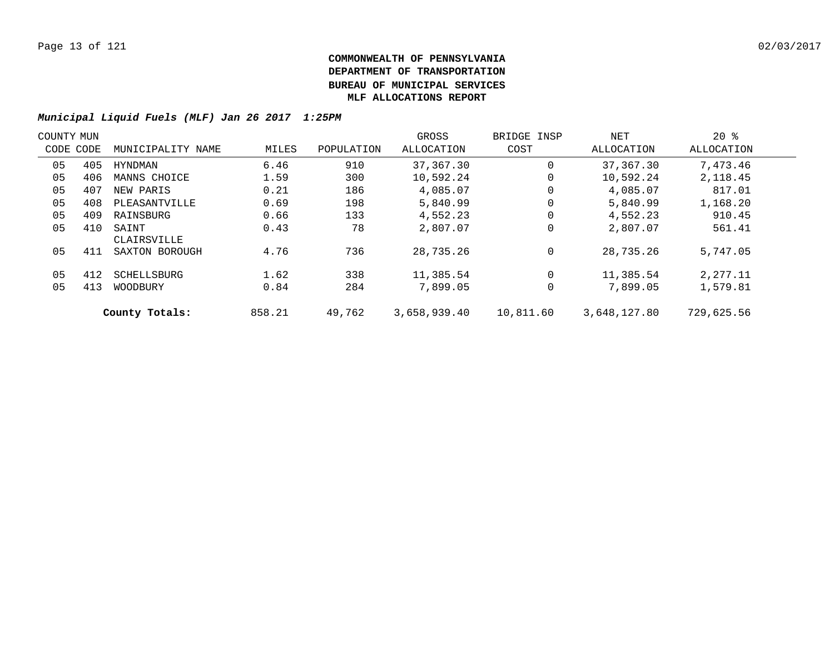| COUNTY MUN |     |                      |        |            | GROSS        | BRIDGE INSP | NET          | $20*$      |  |
|------------|-----|----------------------|--------|------------|--------------|-------------|--------------|------------|--|
| CODE CODE  |     | MUNICIPALITY NAME    | MILES  | POPULATION | ALLOCATION   | COST        | ALLOCATION   | ALLOCATION |  |
| 05         | 405 | HYNDMAN              | 6.46   | 910        | 37,367.30    | 0           | 37,367.30    | 7,473.46   |  |
| 05         | 406 | MANNS CHOICE         | 1.59   | 300        | 10,592.24    | 0           | 10,592.24    | 2,118.45   |  |
| 05         | 407 | NEW PARIS            | 0.21   | 186        | 4,085.07     | 0           | 4,085.07     | 817.01     |  |
| 05         | 408 | PLEASANTVILLE        | 0.69   | 198        | 5,840.99     | 0           | 5,840.99     | 1,168.20   |  |
| 05         | 409 | RAINSBURG            | 0.66   | 133        | 4,552.23     | 0           | 4,552.23     | 910.45     |  |
| 05         | 410 | SAINT<br>CLAIRSVILLE | 0.43   | 78         | 2,807.07     | 0           | 2,807.07     | 561.41     |  |
| 05         | 411 | SAXTON BOROUGH       | 4.76   | 736        | 28,735.26    | 0           | 28,735.26    | 5,747.05   |  |
| 05         | 412 | SCHELLSBURG          | 1.62   | 338        | 11,385.54    | 0           | 11,385.54    | 2,277.11   |  |
| 05         | 413 | WOODBURY             | 0.84   | 284        | 7,899.05     | 0           | 7,899.05     | 1,579.81   |  |
|            |     | County Totals:       | 858.21 | 49,762     | 3,658,939.40 | 10,811.60   | 3,648,127.80 | 729,625.56 |  |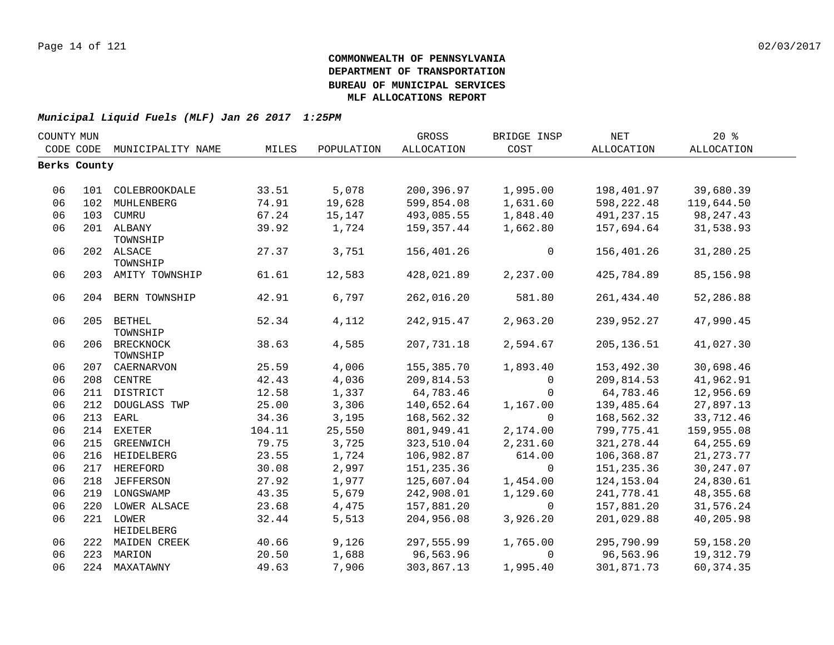| COUNTY MUN |              |                    |        |            | GROSS      | BRIDGE INSP  | <b>NET</b>  | 20%         |  |
|------------|--------------|--------------------|--------|------------|------------|--------------|-------------|-------------|--|
| CODE CODE  |              | MUNICIPALITY NAME  | MILES  | POPULATION | ALLOCATION | COST         | ALLOCATION  | ALLOCATION  |  |
|            | Berks County |                    |        |            |            |              |             |             |  |
|            |              |                    |        |            |            |              |             |             |  |
| 06         |              | 101 COLEBROOKDALE  | 33.51  | 5,078      | 200,396.97 | 1,995.00     | 198,401.97  | 39,680.39   |  |
| 06         | 102          | MUHLENBERG         | 74.91  | 19,628     | 599,854.08 | 1,631.60     | 598,222.48  | 119,644.50  |  |
| 06         | 103          | CUMRU              | 67.24  | 15,147     | 493,085.55 | 1,848.40     | 491,237.15  | 98,247.43   |  |
| 06         |              | 201 ALBANY         | 39.92  | 1,724      | 159,357.44 | 1,662.80     | 157,694.64  | 31,538.93   |  |
|            |              | TOWNSHIP           |        |            |            |              |             |             |  |
| 06         |              | 202 ALSACE         | 27.37  | 3,751      | 156,401.26 | 0            | 156,401.26  | 31,280.25   |  |
|            |              | TOWNSHIP           |        |            |            |              |             |             |  |
| 06         |              | 203 AMITY TOWNSHIP | 61.61  | 12,583     | 428,021.89 | 2,237.00     | 425,784.89  | 85,156.98   |  |
| 06         |              | 204 BERN TOWNSHIP  | 42.91  | 6,797      | 262,016.20 | 581.80       | 261, 434.40 | 52,286.88   |  |
| 06         |              | 205 BETHEL         | 52.34  | 4,112      | 242,915.47 | 2,963.20     | 239,952.27  | 47,990.45   |  |
|            |              | TOWNSHIP           |        |            |            |              |             |             |  |
| 06         |              | 206 BRECKNOCK      | 38.63  | 4,585      | 207,731.18 | 2,594.67     | 205, 136.51 | 41,027.30   |  |
|            |              | TOWNSHIP           |        |            |            |              |             |             |  |
| 06         |              | 207 CAERNARVON     | 25.59  | 4,006      | 155,385.70 | 1,893.40     | 153,492.30  | 30,698.46   |  |
| 06         |              | 208 CENTRE         | 42.43  | 4,036      | 209,814.53 | 0            | 209,814.53  | 41,962.91   |  |
| 06         | 211          | DISTRICT           | 12.58  | 1,337      | 64,783.46  | $\mathbf{0}$ | 64,783.46   | 12,956.69   |  |
| 06         | 212          | DOUGLASS TWP       | 25.00  | 3,306      | 140,652.64 | 1,167.00     | 139,485.64  | 27,897.13   |  |
| 06         | 213          | EARL               | 34.36  | 3,195      | 168,562.32 | $\Omega$     | 168,562.32  | 33,712.46   |  |
| 06         | 214          | EXETER             | 104.11 | 25,550     | 801,949.41 | 2,174.00     | 799,775.41  | 159,955.08  |  |
| 06         | 215          | <b>GREENWICH</b>   | 79.75  | 3,725      | 323,510.04 | 2,231.60     | 321, 278.44 | 64,255.69   |  |
| 06         |              | 216 HEIDELBERG     | 23.55  | 1,724      | 106,982.87 | 614.00       | 106,368.87  | 21, 273. 77 |  |
| 06         |              | 217 HEREFORD       | 30.08  | 2,997      | 151,235.36 | $\mathbf 0$  | 151, 235.36 | 30, 247.07  |  |
| 06         |              | 218 JEFFERSON      | 27.92  | 1,977      | 125,607.04 | 1,454.00     | 124,153.04  | 24,830.61   |  |
| 06         |              | 219 LONGSWAMP      | 43.35  | 5,679      | 242,908.01 | 1,129.60     | 241,778.41  | 48, 355.68  |  |
| 06         |              | 220 LOWER ALSACE   | 23.68  | 4,475      | 157,881.20 | $\mathbf{0}$ | 157,881.20  | 31,576.24   |  |
| 06         |              | 221 LOWER          | 32.44  | 5,513      | 204,956.08 | 3,926.20     | 201,029.88  | 40,205.98   |  |
|            |              | <b>HEIDELBERG</b>  |        |            |            |              |             |             |  |
| 06         |              | 222 MAIDEN CREEK   | 40.66  | 9,126      | 297,555.99 | 1,765.00     | 295,790.99  | 59,158.20   |  |
| 06         |              | 223 MARION         | 20.50  | 1,688      | 96,563.96  | $\Omega$     | 96,563.96   | 19,312.79   |  |
| 06         |              | 224 MAXATAWNY      | 49.63  | 7,906      | 303,867.13 | 1,995.40     | 301,871.73  | 60, 374.35  |  |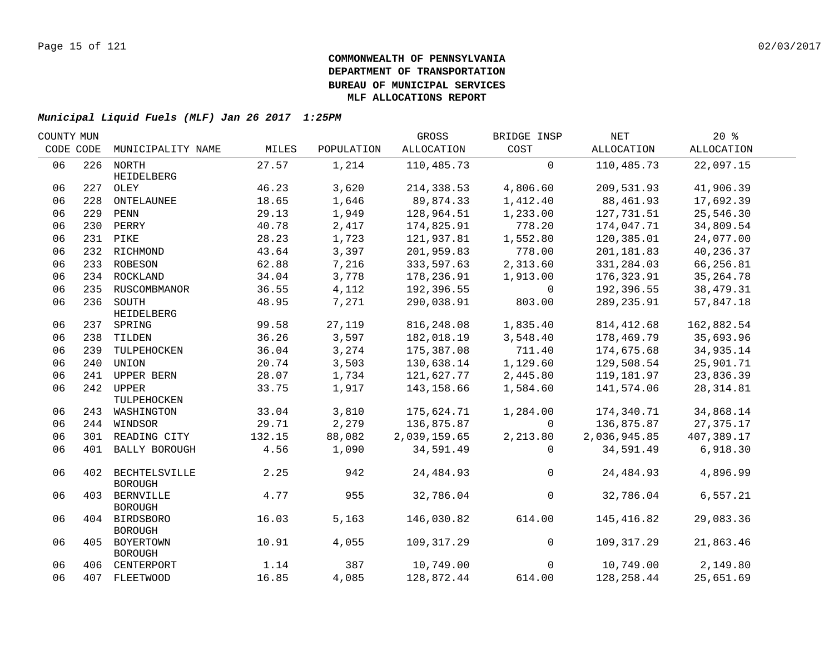| COUNTY MUN |           |                                     |        |            | GROSS        | BRIDGE INSP    | NET          | 20%         |  |
|------------|-----------|-------------------------------------|--------|------------|--------------|----------------|--------------|-------------|--|
|            | CODE CODE | MUNICIPALITY NAME                   | MILES  | POPULATION | ALLOCATION   | COST           | ALLOCATION   | ALLOCATION  |  |
| 06         |           | 226 NORTH                           | 27.57  | 1,214      | 110,485.73   | $\mathbf 0$    | 110,485.73   | 22,097.15   |  |
|            |           | HEIDELBERG                          |        |            |              |                |              |             |  |
| 06         |           | 227 OLEY                            | 46.23  | 3,620      | 214,338.53   | 4,806.60       | 209,531.93   | 41,906.39   |  |
| 06         | 228       | ONTELAUNEE                          | 18.65  | 1,646      | 89,874.33    | 1,412.40       | 88,461.93    | 17,692.39   |  |
| 06         |           | 229 PENN                            | 29.13  | 1,949      | 128,964.51   | 1,233.00       | 127,731.51   | 25,546.30   |  |
| 06         |           | 230 PERRY                           | 40.78  | 2,417      | 174,825.91   | 778.20         | 174,047.71   | 34,809.54   |  |
| 06         |           | 231 PIKE                            | 28.23  | 1,723      | 121,937.81   | 1,552.80       | 120,385.01   | 24,077.00   |  |
| 06         |           | 232 RICHMOND                        | 43.64  | 3,397      | 201,959.83   | 778.00         | 201,181.83   | 40,236.37   |  |
| 06         |           | 233 ROBESON                         | 62.88  | 7,216      | 333,597.63   | 2,313.60       | 331,284.03   | 66,256.81   |  |
| 06         |           | 234 ROCKLAND                        | 34.04  | 3,778      | 178,236.91   | 1,913.00       | 176,323.91   | 35, 264. 78 |  |
| 06         |           | 235 RUSCOMBMANOR                    | 36.55  | 4,112      | 192,396.55   | $\Omega$       | 192,396.55   | 38,479.31   |  |
| 06         |           | 236 SOUTH                           | 48.95  | 7,271      | 290,038.91   | 803.00         | 289, 235.91  | 57,847.18   |  |
|            |           | HEIDELBERG                          |        |            |              |                |              |             |  |
| 06         |           | 237 SPRING                          | 99.58  | 27,119     | 816, 248.08  | 1,835.40       | 814, 412.68  | 162,882.54  |  |
| 06         |           | 238 TILDEN                          | 36.26  | 3,597      | 182,018.19   | 3,548.40       | 178,469.79   | 35,693.96   |  |
| 06         |           | 239 TULPEHOCKEN                     | 36.04  | 3,274      | 175,387.08   | 711.40         | 174,675.68   | 34,935.14   |  |
| 06         | 240       | UNION                               | 20.74  | 3,503      | 130,638.14   | 1,129.60       | 129,508.54   | 25,901.71   |  |
| 06         | 241       | UPPER BERN                          | 28.07  | 1,734      | 121,627.77   | 2,445.80       | 119,181.97   | 23,836.39   |  |
| 06         |           | 242 UPPER                           | 33.75  | 1,917      | 143,158.66   | 1,584.60       | 141,574.06   | 28, 314.81  |  |
|            |           | TULPEHOCKEN                         |        |            |              |                |              |             |  |
| 06         |           | 243 WASHINGTON                      | 33.04  | 3,810      | 175,624.71   | 1,284.00       | 174,340.71   | 34,868.14   |  |
| 06         |           | 244 WINDSOR                         | 29.71  | 2,279      | 136,875.87   | $\Omega$       | 136,875.87   | 27, 375. 17 |  |
| 06         |           | 301 READING CITY                    | 132.15 | 88,082     | 2,039,159.65 | 2,213.80       | 2,036,945.85 | 407,389.17  |  |
| 06         | 401       | <b>BALLY BOROUGH</b>                | 4.56   | 1,090      | 34,591.49    | $\Omega$       | 34,591.49    | 6,918.30    |  |
| 06         |           | 402 BECHTELSVILLE<br><b>BOROUGH</b> | 2.25   | 942        | 24,484.93    | $\overline{0}$ | 24,484.93    | 4,896.99    |  |
| 06         | 403       | <b>BERNVILLE</b><br><b>BOROUGH</b>  | 4.77   | 955        | 32,786.04    | $\mathbf 0$    | 32,786.04    | 6, 557.21   |  |
| 06         |           | 404 BIRDSBORO<br><b>BOROUGH</b>     | 16.03  | 5,163      | 146,030.82   | 614.00         | 145,416.82   | 29,083.36   |  |
| 06         |           | 405 BOYERTOWN<br><b>BOROUGH</b>     | 10.91  | 4,055      | 109,317.29   | $\overline{0}$ | 109,317.29   | 21,863.46   |  |
| 06         |           | 406 CENTERPORT                      | 1.14   | 387        | 10,749.00    | $\Omega$       | 10,749.00    | 2,149.80    |  |
| 06         |           | 407 FLEETWOOD                       | 16.85  | 4,085      | 128,872.44   | 614.00         | 128,258.44   | 25,651.69   |  |
|            |           |                                     |        |            |              |                |              |             |  |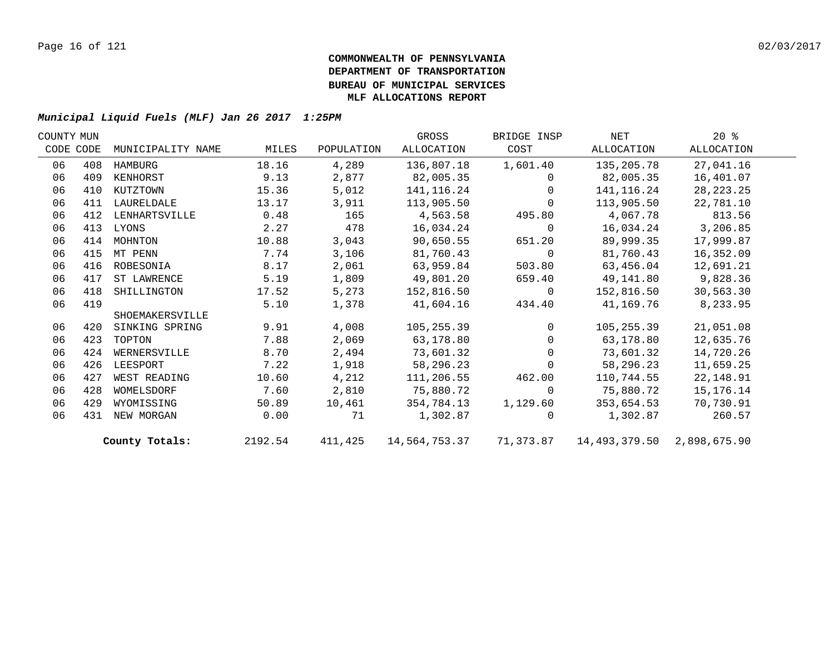| COUNTY MUN |           |                   |         |            | GROSS      | BRIDGE INSP | NET                                                | $20*$       |  |
|------------|-----------|-------------------|---------|------------|------------|-------------|----------------------------------------------------|-------------|--|
|            | CODE CODE | MUNICIPALITY NAME | MILES   | POPULATION | ALLOCATION | COST        | ALLOCATION                                         | ALLOCATION  |  |
| 06         | 408       | HAMBURG           | 18.16   | 4,289      | 136,807.18 | 1,601.40    | 135,205.78                                         | 27,041.16   |  |
| 06         | 409       | KENHORST          | 9.13    | 2,877      | 82,005.35  | 0           | 82,005.35                                          | 16,401.07   |  |
| 06         | 410       | KUTZTOWN          | 15.36   | 5,012      | 141,116.24 | 0           | 141,116.24                                         | 28, 223. 25 |  |
| 06         | 411       | LAURELDALE        | 13.17   | 3,911      | 113,905.50 | $\mathbf 0$ | 113,905.50                                         | 22,781.10   |  |
| 06         | 412       | LENHARTSVILLE     | 0.48    | 165        | 4,563.58   | 495.80      | 4,067.78                                           | 813.56      |  |
| 06         | 413       | LYONS             | 2.27    | 478        | 16,034.24  | $\mathbf 0$ | 16,034.24                                          | 3,206.85    |  |
| 06         | 414       | MOHNTON           | 10.88   | 3,043      | 90,650.55  | 651.20      | 89,999.35                                          | 17,999.87   |  |
| 06         | 415       | MT PENN           | 7.74    | 3,106      | 81,760.43  | 0           | 81,760.43                                          | 16,352.09   |  |
| 06         | 416       | ROBESONIA         | 8.17    | 2,061      | 63,959.84  | 503.80      | 63,456.04                                          | 12,691.21   |  |
| 06         | 417       | ST LAWRENCE       | 5.19    | 1,809      | 49,801.20  | 659.40      | 49,141.80                                          | 9,828.36    |  |
| 06         | 418       | SHILLINGTON       | 17.52   | 5,273      | 152,816.50 | 0           | 152,816.50                                         | 30,563.30   |  |
| 06         | 419       |                   | 5.10    | 1,378      | 41,604.16  | 434.40      | 41,169.76                                          | 8,233.95    |  |
|            |           | SHOEMAKERSVILLE   |         |            |            |             |                                                    |             |  |
| 06         | 420       | SINKING SPRING    | 9.91    | 4,008      | 105,255.39 | $\Omega$    | 105,255.39                                         | 21,051.08   |  |
| 06         | 423       | TOPTON            | 7.88    | 2,069      | 63,178.80  | $\Omega$    | 63,178.80                                          | 12,635.76   |  |
| 06         | 424       | WERNERSVILLE      | 8.70    | 2,494      | 73,601.32  | $\Omega$    | 73,601.32                                          | 14,720.26   |  |
| 06         | 426       | LEESPORT          | 7.22    | 1,918      | 58,296.23  | $\Omega$    | 58,296.23                                          | 11,659.25   |  |
| 06         | 427       | WEST READING      | 10.60   | 4,212      | 111,206.55 | 462.00      | 110,744.55                                         | 22,148.91   |  |
| 06         | 428       | WOMELSDORF        | 7.60    | 2,810      | 75,880.72  | $\Omega$    | 75,880.72                                          | 15,176.14   |  |
| 06         | 429       | WYOMISSING        | 50.89   | 10,461     | 354,784.13 | 1,129.60    | 353,654.53                                         | 70,730.91   |  |
| 06         | 431       | NEW MORGAN        | 0.00    | 71         | 1,302.87   | $\Omega$    | 1,302.87                                           | 260.57      |  |
|            |           | County Totals:    | 2192.54 | 411,425    |            |             | 14,564,753.37 71,373.87 14,493,379.50 2,898,675.90 |             |  |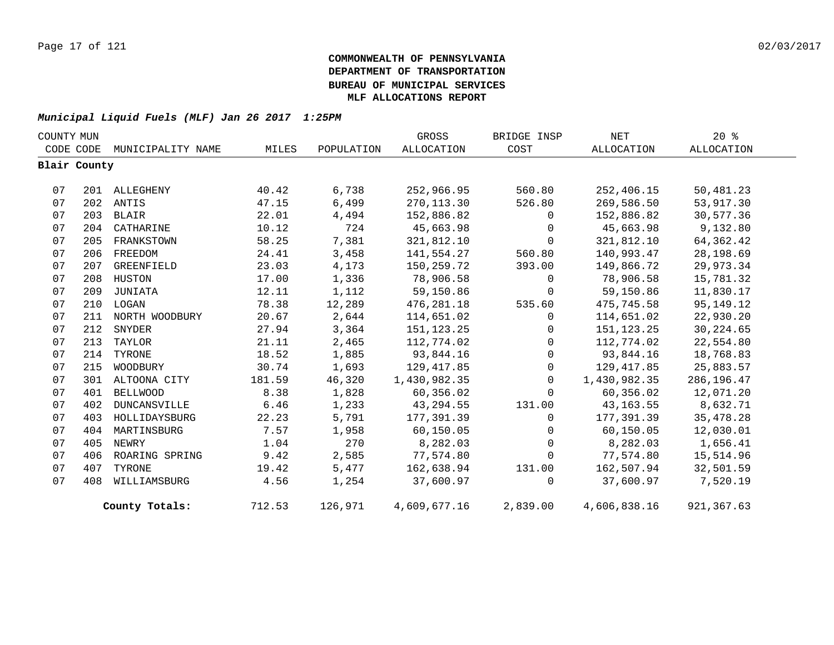| COUNTY MUN |              |                   |        |            | GROSS             | BRIDGE INSP | <b>NET</b>        | $20*$       |  |
|------------|--------------|-------------------|--------|------------|-------------------|-------------|-------------------|-------------|--|
|            | CODE CODE    | MUNICIPALITY NAME | MILES  | POPULATION | <b>ALLOCATION</b> | COST        | <b>ALLOCATION</b> | ALLOCATION  |  |
|            | Blair County |                   |        |            |                   |             |                   |             |  |
|            |              |                   |        |            |                   |             |                   |             |  |
| 07         | 201          | ALLEGHENY         | 40.42  | 6,738      | 252,966.95        | 560.80      | 252,406.15        | 50,481.23   |  |
| 07         |              | 202 ANTIS         | 47.15  | 6,499      | 270,113.30        | 526.80      | 269,586.50        | 53,917.30   |  |
| 07         | 203          | BLAIR             | 22.01  | 4,494      | 152,886.82        | $\mathbf 0$ | 152,886.82        | 30,577.36   |  |
| 07         |              | 204 CATHARINE     | 10.12  | 724        | 45,663.98         | $\Omega$    | 45,663.98         | 9,132.80    |  |
| 07         | 205          | FRANKSTOWN        | 58.25  | 7,381      | 321,812.10        | 0           | 321,812.10        | 64, 362.42  |  |
| 07         | 206          | FREEDOM           | 24.41  | 3,458      | 141,554.27        | 560.80      | 140,993.47        | 28,198.69   |  |
| 07         | 207          | GREENFIELD        | 23.03  | 4,173      | 150,259.72        | 393.00      | 149,866.72        | 29,973.34   |  |
| 07         |              | 208 HUSTON        | 17.00  | 1,336      | 78,906.58         | $\mathbf 0$ | 78,906.58         | 15,781.32   |  |
| 07         | 209          | JUNIATA           | 12.11  | 1,112      | 59,150.86         | 0           | 59,150.86         | 11,830.17   |  |
| 07         | 210          | LOGAN             | 78.38  | 12,289     | 476,281.18        | 535.60      | 475,745.58        | 95, 149. 12 |  |
| 07         | 211          | NORTH WOODBURY    | 20.67  | 2,644      | 114,651.02        | 0           | 114,651.02        | 22,930.20   |  |
| 07         | 212          | SNYDER            | 27.94  | 3,364      | 151, 123. 25      | 0           | 151, 123. 25      | 30, 224.65  |  |
| 07         | 213          | TAYLOR            | 21.11  | 2,465      | 112,774.02        | $\mathbf 0$ | 112,774.02        | 22,554.80   |  |
| 07         | 214          | TYRONE            | 18.52  | 1,885      | 93,844.16         | $\mathbf 0$ | 93,844.16         | 18,768.83   |  |
| 07         | 215          | WOODBURY          | 30.74  | 1,693      | 129,417.85        | $\mathbf 0$ | 129,417.85        | 25,883.57   |  |
| 07         |              | 301 ALTOONA CITY  | 181.59 | 46,320     | 1,430,982.35      | $\mathbf 0$ | 1,430,982.35      | 286, 196.47 |  |
| 07         | 401          | <b>BELLWOOD</b>   | 8.38   | 1,828      | 60,356.02         | $\Omega$    | 60,356.02         | 12,071.20   |  |
| 07         | 402          | DUNCANSVILLE      | 6.46   | 1,233      | 43, 294.55        | 131.00      | 43, 163. 55       | 8,632.71    |  |
| 07         | 403          | HOLLIDAYSBURG     | 22.23  | 5,791      | 177,391.39        | $\Omega$    | 177,391.39        | 35, 478.28  |  |
| 07         | 404          | MARTINSBURG       | 7.57   | 1,958      | 60,150.05         | $\mathbf 0$ | 60,150.05         | 12,030.01   |  |
| 07         | 405          | NEWRY             | 1.04   | 270        | 8,282.03          | $\Omega$    | 8,282.03          | 1,656.41    |  |
| 07         | 406          | ROARING SPRING    | 9.42   | 2,585      | 77,574.80         | 0           | 77,574.80         | 15,514.96   |  |
| 07         | 407          | TYRONE            | 19.42  | 5,477      | 162,638.94        | 131.00      | 162,507.94        | 32,501.59   |  |
| 07         | 408          | WILLIAMSBURG      | 4.56   | 1,254      | 37,600.97         | $\Omega$    | 37,600.97         | 7,520.19    |  |
|            |              | County Totals:    | 712.53 | 126,971    | 4,609,677.16      | 2,839.00    | 4,606,838.16      | 921, 367.63 |  |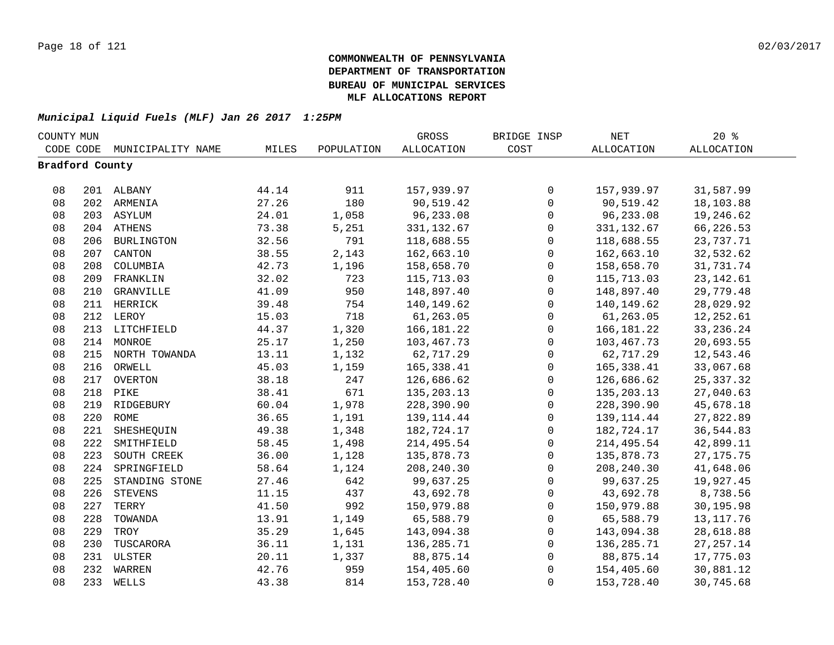| COUNTY MUN      |     |                   |       |            | GROSS             | BRIDGE INSP         | $\operatorname{NET}$ | 20%               |  |
|-----------------|-----|-------------------|-------|------------|-------------------|---------------------|----------------------|-------------------|--|
| CODE CODE       |     | MUNICIPALITY NAME | MILES | POPULATION | <b>ALLOCATION</b> | COST                | <b>ALLOCATION</b>    | <b>ALLOCATION</b> |  |
| Bradford County |     |                   |       |            |                   |                     |                      |                   |  |
|                 |     |                   |       |            |                   |                     |                      |                   |  |
| 08              |     | 201 ALBANY        | 44.14 | 911        | 157,939.97        | $\mathsf{O}$        | 157,939.97           | 31,587.99         |  |
| 08              |     | 202 ARMENIA       | 27.26 | 180        | 90,519.42         | $\mathbf 0$         | 90,519.42            | 18,103.88         |  |
| 08              |     | 203 ASYLUM        | 24.01 | 1,058      | 96,233.08         | $\mathsf{O}\xspace$ | 96,233.08            | 19,246.62         |  |
| 08              |     | 204 ATHENS        | 73.38 | 5,251      | 331,132.67        | 0                   | 331, 132.67          | 66,226.53         |  |
| 08              | 206 | <b>BURLINGTON</b> | 32.56 | 791        | 118,688.55        | $\mathsf{O}$        | 118,688.55           | 23,737.71         |  |
| 08              | 207 | CANTON            | 38.55 | 2,143      | 162,663.10        | $\mathsf{O}$        | 162,663.10           | 32,532.62         |  |
| 08              | 208 | COLUMBIA          | 42.73 | 1,196      | 158,658.70        | $\mathbf 0$         | 158,658.70           | 31,731.74         |  |
| 08              | 209 | FRANKLIN          | 32.02 | 723        | 115,713.03        | $\mathbf 0$         | 115,713.03           | 23, 142.61        |  |
| 08              | 210 | GRANVILLE         | 41.09 | 950        | 148,897.40        | $\mathbf 0$         | 148,897.40           | 29,779.48         |  |
| 08              | 211 | HERRICK           | 39.48 | 754        | 140,149.62        | $\mathbf 0$         | 140,149.62           | 28,029.92         |  |
| 08              | 212 | LEROY             | 15.03 | 718        | 61,263.05         | $\mathsf 0$         | 61,263.05            | 12,252.61         |  |
| 08              | 213 | LITCHFIELD        | 44.37 | 1,320      | 166, 181. 22      | 0                   | 166,181.22           | 33, 236. 24       |  |
| 08              | 214 | MONROE            | 25.17 | 1,250      | 103,467.73        | $\mathsf 0$         | 103,467.73           | 20,693.55         |  |
| 08              |     | 215 NORTH TOWANDA | 13.11 | 1,132      | 62,717.29         | $\mathsf 0$         | 62,717.29            | 12,543.46         |  |
| 08              | 216 | ORWELL            | 45.03 | 1,159      | 165, 338.41       | 0                   | 165,338.41           | 33,067.68         |  |
| 08              |     | 217 OVERTON       | 38.18 | 247        | 126,686.62        | 0                   | 126,686.62           | 25, 337.32        |  |
| 08              | 218 | PIKE              | 38.41 | 671        | 135, 203. 13      | $\mathsf 0$         | 135, 203. 13         | 27,040.63         |  |
| 08              |     | 219 RIDGEBURY     | 60.04 | 1,978      | 228,390.90        | $\mathbf 0$         | 228,390.90           | 45,678.18         |  |
| 08              | 220 | ROME              | 36.65 | 1,191      | 139, 114.44       | $\mathsf{O}$        | 139, 114.44          | 27,822.89         |  |
| 08              | 221 | SHESHEQUIN        | 49.38 | 1,348      | 182,724.17        | $\mathsf{O}$        | 182,724.17           | 36,544.83         |  |
| 08              | 222 | SMITHFIELD        | 58.45 | 1,498      | 214,495.54        | $\mathbf 0$         | 214, 495.54          | 42,899.11         |  |
| 08              | 223 | SOUTH CREEK       | 36.00 | 1,128      | 135,878.73        | $\mathbf 0$         | 135,878.73           | 27, 175. 75       |  |
| 08              | 224 | SPRINGFIELD       | 58.64 | 1,124      | 208,240.30        | $\mathbf 0$         | 208, 240.30          | 41,648.06         |  |
| 08              | 225 | STANDING STONE    | 27.46 | 642        | 99,637.25         | $\mathbf 0$         | 99,637.25            | 19,927.45         |  |
| 08              | 226 | <b>STEVENS</b>    | 11.15 | 437        | 43,692.78         | 0                   | 43,692.78            | 8,738.56          |  |
| 08              | 227 | TERRY             | 41.50 | 992        | 150,979.88        | $\mathsf{O}$        | 150,979.88           | 30,195.98         |  |
| 08              | 228 | TOWANDA           | 13.91 | 1,149      | 65,588.79         | 0                   | 65,588.79            | 13, 117.76        |  |
| 08              | 229 | TROY              | 35.29 | 1,645      | 143,094.38        | 0                   | 143,094.38           | 28,618.88         |  |
| 08              | 230 | TUSCARORA         | 36.11 | 1,131      | 136,285.71        | $\mathbf 0$         | 136,285.71           | 27, 257.14        |  |
| 08              |     | 231 ULSTER        | 20.11 | 1,337      | 88,875.14         | $\mathsf{O}\xspace$ | 88,875.14            | 17,775.03         |  |
| 08              | 232 | WARREN            | 42.76 | 959        | 154,405.60        | 0                   | 154,405.60           | 30,881.12         |  |
| 08              | 233 | WELLS             | 43.38 | 814        | 153,728.40        | $\mathbf 0$         | 153,728.40           | 30,745.68         |  |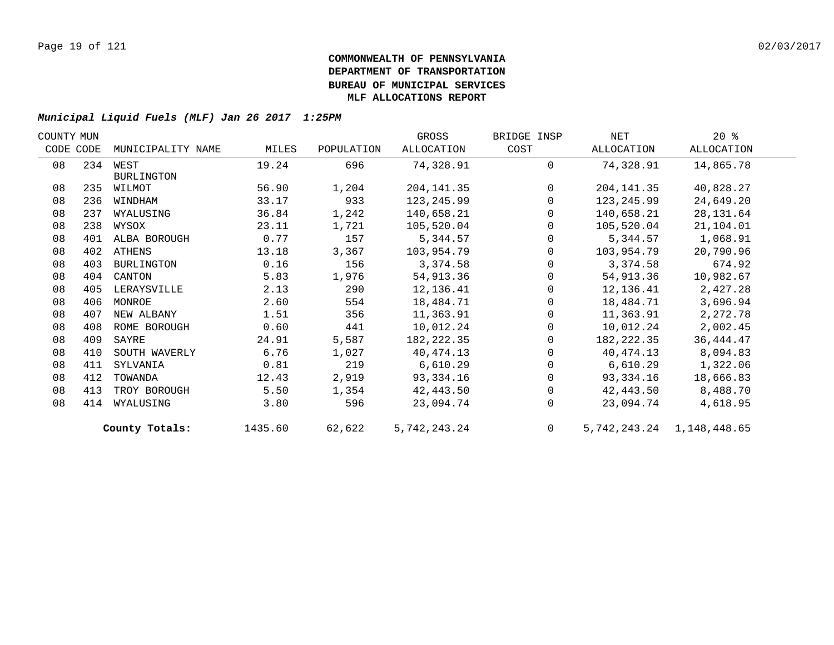| COUNTY MUN |     |                   |         |            | GROSS        | BRIDGE INSP    | NET         | $20*$                     |  |
|------------|-----|-------------------|---------|------------|--------------|----------------|-------------|---------------------------|--|
| CODE CODE  |     | MUNICIPALITY NAME | MILES   | POPULATION | ALLOCATION   | COST           | ALLOCATION  | ALLOCATION                |  |
| 08         |     | 234 WEST          | 19.24   | 696        | 74,328.91    | $\Omega$       | 74,328.91   | 14,865.78                 |  |
|            |     | <b>BURLINGTON</b> |         |            |              |                |             |                           |  |
| 08         | 235 | WILMOT            | 56.90   | 1,204      | 204, 141.35  | $\Omega$       | 204, 141.35 | 40,828.27                 |  |
| 08         | 236 | WINDHAM           | 33.17   | 933        | 123,245.99   | $\mathbf 0$    | 123,245.99  | 24,649.20                 |  |
| 08         | 237 | WYALUSING         | 36.84   | 1,242      | 140,658.21   | $\mathbf 0$    | 140,658.21  | 28,131.64                 |  |
| 08         | 238 | WYSOX             | 23.11   | 1,721      | 105,520.04   | $\Omega$       | 105,520.04  | 21,104.01                 |  |
| 08         | 401 | ALBA BOROUGH      | 0.77    | 157        | 5,344.57     | $\Omega$       | 5,344.57    | 1,068.91                  |  |
| 08         |     | 402 ATHENS        | 13.18   | 3,367      | 103,954.79   | $\Omega$       | 103,954.79  | 20,790.96                 |  |
| 08         | 403 | BURLINGTON        | 0.16    | 156        | 3,374.58     | $\Omega$       | 3,374.58    | 674.92                    |  |
| 08         | 404 | CANTON            | 5.83    | 1,976      | 54,913.36    | $\Omega$       | 54,913.36   | 10,982.67                 |  |
| 08         | 405 | LERAYSVILLE       | 2.13    | 290        | 12,136.41    | $\mathbf 0$    | 12,136.41   | 2,427.28                  |  |
| 08         | 406 | MONROE            | 2.60    | 554        | 18,484.71    | 0              | 18,484.71   | 3,696.94                  |  |
| 08         | 407 | NEW ALBANY        | 1.51    | 356        | 11,363.91    | 0              | 11,363.91   | 2,272.78                  |  |
| 08         | 408 | ROME BOROUGH      | 0.60    | 441        | 10,012.24    | 0              | 10,012.24   | 2,002.45                  |  |
| 08         | 409 | SAYRE             | 24.91   | 5,587      | 182,222.35   | $\Omega$       | 182,222.35  | 36, 444. 47               |  |
| 08         | 410 | SOUTH WAVERLY     | 6.76    | 1,027      | 40,474.13    | $\Omega$       | 40,474.13   | 8,094.83                  |  |
| 08         | 411 | SYLVANIA          | 0.81    | 219        | 6,610.29     | $\Omega$       | 6,610.29    | 1,322.06                  |  |
| 08         | 412 | TOWANDA           | 12.43   | 2,919      | 93,334.16    | $\Omega$       | 93,334.16   | 18,666.83                 |  |
| 08         | 413 | TROY BOROUGH      | 5.50    | 1,354      | 42,443.50    | $\mathbf 0$    | 42,443.50   | 8,488.70                  |  |
| 08         | 414 | WYALUSING         | 3.80    | 596        | 23,094.74    | $\Omega$       | 23,094.74   | 4,618.95                  |  |
|            |     | County Totals:    | 1435.60 | 62,622     | 5,742,243.24 | $\overline{0}$ |             | 5,742,243.24 1,148,448.65 |  |
|            |     |                   |         |            |              |                |             |                           |  |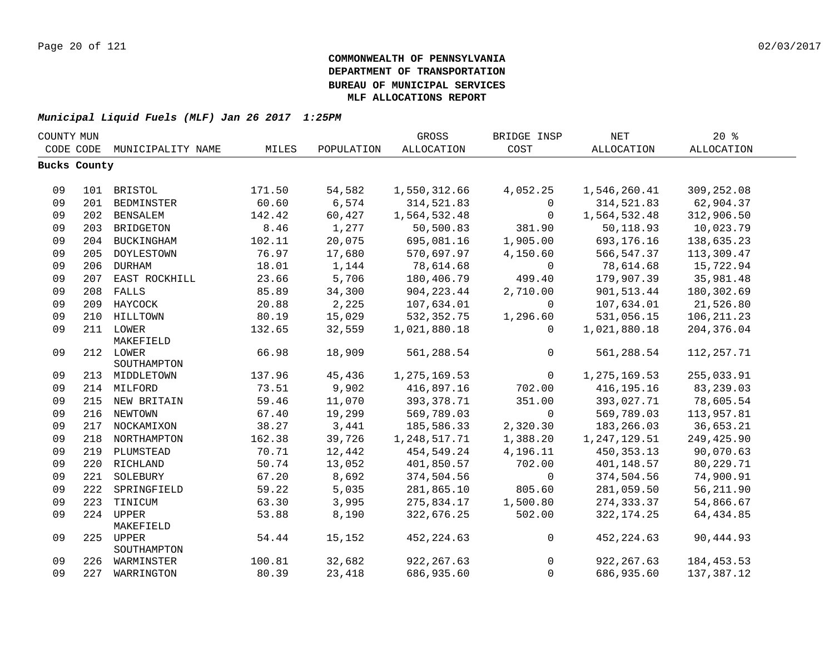| COUNTY MUN |                     |                                  |                 |                 | GROSS                        | BRIDGE INSP            | $\operatorname{NET}$         | $20*$                   |  |
|------------|---------------------|----------------------------------|-----------------|-----------------|------------------------------|------------------------|------------------------------|-------------------------|--|
|            | CODE CODE           | MUNICIPALITY NAME                | MILES           | POPULATION      | ALLOCATION                   | COST                   | ALLOCATION                   | ALLOCATION              |  |
|            | <b>Bucks County</b> |                                  |                 |                 |                              |                        |                              |                         |  |
|            |                     |                                  |                 |                 |                              |                        |                              |                         |  |
| 09         |                     | 101 BRISTOL                      | 171.50          | 54,582          | 1,550,312.66                 | 4,052.25               | 1,546,260.41                 | 309,252.08              |  |
| 09         |                     | 201 BEDMINSTER                   | 60.60           | 6,574           | 314,521.83                   | 0                      | 314,521.83                   | 62,904.37               |  |
| 09         |                     | 202 BENSALEM                     | 142.42          | 60,427          | 1,564,532.48                 | $\mathbf 0$            | 1,564,532.48                 | 312,906.50              |  |
| 09         |                     | 203 BRIDGETON                    | 8.46            | 1,277           | 50,500.83                    | 381.90                 | 50,118.93                    | 10,023.79               |  |
| 09         |                     | 204 BUCKINGHAM                   | 102.11          | 20,075          | 695,081.16                   | 1,905.00               | 693,176.16                   | 138,635.23              |  |
| 09         | 205                 | DOYLESTOWN                       | 76.97           | 17,680          | 570,697.97                   | 4,150.60               | 566, 547.37                  | 113,309.47              |  |
| 09         | 206                 | DURHAM                           | 18.01           | 1,144           | 78,614.68                    | $\mathbf 0$            | 78,614.68                    | 15,722.94               |  |
| 09         |                     | 207 EAST ROCKHILL                | 23.66           | 5,706           | 180,406.79                   | 499.40                 | 179,907.39                   | 35,981.48               |  |
| 09         |                     | 208 FALLS                        | 85.89           | 34,300          | 904, 223.44                  | 2,710.00               | 901, 513.44                  | 180,302.69              |  |
| 09         |                     | 209 HAYCOCK                      | 20.88           | 2,225           | 107,634.01                   | $\mathbf 0$            | 107,634.01                   | 21,526.80               |  |
| 09         |                     | 210 HILLTOWN                     | 80.19           | 15,029          | 532, 352. 75                 | 1,296.60               | 531,056.15                   | 106, 211.23             |  |
| 09         |                     | 211 LOWER                        | 132.65          | 32,559          | 1,021,880.18                 | $\Omega$               | 1,021,880.18                 | 204, 376.04             |  |
|            |                     | MAKEFIELD                        |                 |                 |                              |                        |                              |                         |  |
| 09         |                     | 212 LOWER                        | 66.98           | 18,909          | 561,288.54                   | $\mathbf 0$            | 561,288.54                   | 112, 257.71             |  |
|            |                     | SOUTHAMPTON                      |                 |                 |                              |                        |                              |                         |  |
| 09         |                     | 213 MIDDLETOWN                   | 137.96<br>73.51 | 45,436<br>9,902 | 1, 275, 169.53<br>416,897.16 | $\mathsf{O}$<br>702.00 | 1,275,169.53<br>416, 195. 16 | 255,033.91              |  |
| 09         |                     | 214 MILFORD                      |                 |                 |                              |                        |                              | 83,239.03               |  |
| 09<br>09   |                     | 215 NEW BRITAIN<br>216 NEWTOWN   | 59.46           | 11,070          | 393, 378.71                  | 351.00<br>$\mathbf 0$  | 393,027.71                   | 78,605.54<br>113,957.81 |  |
| 09         |                     |                                  | 67.40<br>38.27  | 19,299<br>3,441 | 569,789.03                   | 2,320.30               | 569,789.03<br>183, 266.03    | 36,653.21               |  |
| 09         |                     | 217 NOCKAMIXON                   | 162.38          | 39,726          | 185,586.33<br>1,248,517.71   |                        | 1,247,129.51                 | 249,425.90              |  |
| 09         |                     | 218 NORTHAMPTON<br>219 PLUMSTEAD | 70.71           | 12,442          | 454,549.24                   | 1,388.20<br>4,196.11   | 450, 353. 13                 | 90,070.63               |  |
| 09         |                     | 220 RICHLAND                     | 50.74           | 13,052          | 401,850.57                   | 702.00                 | 401,148.57                   | 80,229.71               |  |
| 09         | 221                 | SOLEBURY                         | 67.20           | 8,692           | 374,504.56                   | $\mathbf 0$            | 374,504.56                   | 74,900.91               |  |
| 09         | 222                 | SPRINGFIELD                      | 59.22           | 5,035           | 281,865.10                   | 805.60                 | 281,059.50                   | 56,211.90               |  |
| 09         |                     | 223 TINICUM                      | 63.30           | 3,995           | 275,834.17                   | 1,500.80               | 274, 333.37                  | 54,866.67               |  |
| 09         |                     | 224 UPPER                        | 53.88           | 8,190           | 322,676.25                   | 502.00                 | 322, 174. 25                 | 64, 434.85              |  |
|            |                     | MAKEFIELD                        |                 |                 |                              |                        |                              |                         |  |
| 09         |                     | 225 UPPER                        | 54.44           | 15,152          | 452, 224.63                  | $\mathsf{O}$           | 452, 224.63                  | 90,444.93               |  |
|            |                     | SOUTHAMPTON                      |                 |                 |                              |                        |                              |                         |  |
| 09         |                     | 226 WARMINSTER                   | 100.81          | 32,682          | 922, 267.63                  | $\mathbf 0$            | 922, 267.63                  | 184, 453.53             |  |
| 09         |                     | 227 WARRINGTON                   | 80.39           | 23,418          | 686,935.60                   | $\mathbf 0$            | 686,935.60                   | 137,387.12              |  |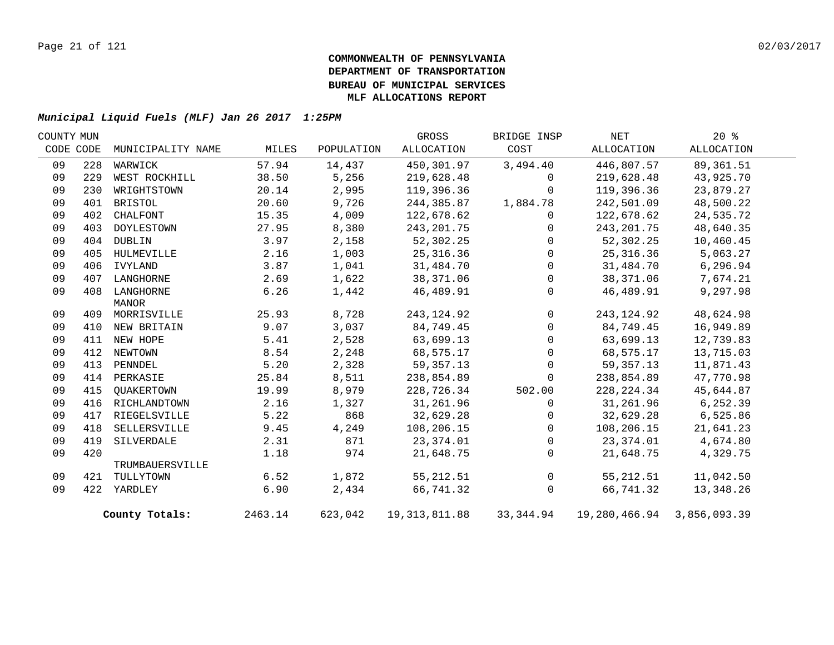| COUNTY MUN |           |                   |         |            | GROSS           | BRIDGE INSP  | NET                                           | 20%        |  |
|------------|-----------|-------------------|---------|------------|-----------------|--------------|-----------------------------------------------|------------|--|
|            | CODE CODE | MUNICIPALITY NAME | MILES   | POPULATION | ALLOCATION      | COST         | ALLOCATION                                    | ALLOCATION |  |
| 09         | 228       | WARWICK           | 57.94   | 14,437     | 450,301.97      | 3,494.40     | 446,807.57                                    | 89,361.51  |  |
| 09         | 229       | WEST ROCKHILL     | 38.50   | 5,256      | 219,628.48      | 0            | 219,628.48                                    | 43,925.70  |  |
| 09         | 230       | WRIGHTSTOWN       | 20.14   | 2,995      | 119,396.36      | $\Omega$     | 119,396.36                                    | 23,879.27  |  |
| 09         | 401       | BRISTOL           | 20.60   | 9,726      | 244,385.87      | 1,884.78     | 242,501.09                                    | 48,500.22  |  |
| 09         | 402       | CHALFONT          | 15.35   | 4,009      | 122,678.62      | $\mathbf{0}$ | 122,678.62                                    | 24,535.72  |  |
| 09         | 403       | DOYLESTOWN        | 27.95   | 8,380      | 243, 201.75     | $\Omega$     | 243, 201.75                                   | 48,640.35  |  |
| 09         | 404       | DUBLIN            | 3.97    | 2,158      | 52,302.25       | $\Omega$     | 52,302.25                                     | 10,460.45  |  |
| 09         | 405       | HULMEVILLE        | 2.16    | 1,003      | 25,316.36       | $\Omega$     | 25, 316.36                                    | 5,063.27   |  |
| 09         | 406       | IVYLAND           | 3.87    | 1,041      | 31,484.70       | $\Omega$     | 31,484.70                                     | 6, 296.94  |  |
| 09         | 407       | LANGHORNE         | 2.69    | 1,622      | 38,371.06       | $\mathbf 0$  | 38,371.06                                     | 7,674.21   |  |
| 09         | 408       | LANGHORNE         | 6.26    | 1,442      | 46,489.91       | $\Omega$     | 46,489.91                                     | 9,297.98   |  |
|            |           | MANOR             |         |            |                 |              |                                               |            |  |
| 09         |           | 409 MORRISVILLE   | 25.93   | 8,728      | 243, 124.92     | $\mathbf 0$  | 243, 124.92                                   | 48,624.98  |  |
| 09         |           | 410 NEW BRITAIN   | 9.07    | 3,037      | 84,749.45       | $\Omega$     | 84,749.45                                     | 16,949.89  |  |
| 09         |           | 411 NEW HOPE      | 5.41    | 2,528      | 63,699.13       | $\Omega$     | 63,699.13                                     | 12,739.83  |  |
| 09         | 412       | NEWTOWN           | 8.54    | 2,248      | 68,575.17       | 0            | 68,575.17                                     | 13,715.03  |  |
| 09         | 413       | PENNDEL           | 5.20    | 2,328      | 59, 357. 13     | $\Omega$     | 59, 357. 13                                   | 11,871.43  |  |
| 09         |           | 414 PERKASIE      | 25.84   | 8,511      | 238,854.89      | $\mathbf 0$  | 238,854.89                                    | 47,770.98  |  |
| 09         | 415       | QUAKERTOWN        | 19.99   | 8,979      | 228,726.34      | 502.00       | 228, 224.34                                   | 45,644.87  |  |
| 09         | 416       | RICHLANDTOWN      | 2.16    | 1,327      | 31,261.96       | $\mathbf{0}$ | 31,261.96                                     | 6,252.39   |  |
| 09         | 417       | RIEGELSVILLE      | 5.22    | 868        | 32,629.28       | $\Omega$     | 32,629.28                                     | 6,525.86   |  |
| 09         | 418       | SELLERSVILLE      | 9.45    | 4,249      | 108,206.15      | $\Omega$     | 108,206.15                                    | 21,641.23  |  |
| 09         | 419       | SILVERDALE        | 2.31    | 871        | 23,374.01       | $\mathbf 0$  | 23,374.01                                     | 4,674.80   |  |
| 09         | 420       |                   | 1.18    | 974        | 21,648.75       | $\mathbf{0}$ | 21,648.75                                     | 4,329.75   |  |
|            |           | TRUMBAUERSVILLE   |         |            |                 |              |                                               |            |  |
| 09         | 421       | TULLYTOWN         | 6.52    | 1,872      | 55, 212.51      | $\mathsf{O}$ | 55, 212.51                                    | 11,042.50  |  |
| 09         |           | 422 YARDLEY       | 6.90    | 2,434      | 66,741.32       | $\mathbf 0$  | 66,741.32                                     | 13,348.26  |  |
|            |           | County Totals:    | 2463.14 | 623,042    | 19, 313, 811.88 |              | 33, 344.94   19, 280, 466.94   3, 856, 093.39 |            |  |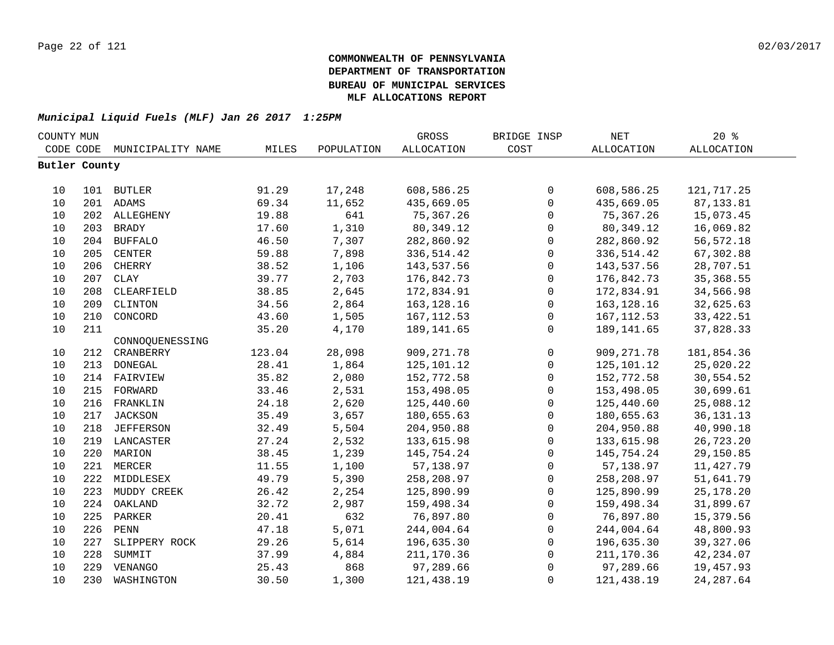| COUNTY MUN           |     |                   |        |            | GROSS             | BRIDGE INSP         | NET          | 20%         |
|----------------------|-----|-------------------|--------|------------|-------------------|---------------------|--------------|-------------|
| CODE CODE            |     | MUNICIPALITY NAME | MILES  | POPULATION | <b>ALLOCATION</b> | COST                | ALLOCATION   | ALLOCATION  |
| <b>Butler County</b> |     |                   |        |            |                   |                     |              |             |
|                      |     |                   |        |            |                   |                     |              |             |
| 10                   |     | 101 BUTLER        | 91.29  | 17,248     | 608,586.25        | $\mathsf{O}$        | 608,586.25   | 121,717.25  |
| 10                   |     | 201 ADAMS         | 69.34  | 11,652     | 435,669.05        | $\mathsf{O}\xspace$ | 435,669.05   | 87, 133.81  |
| 10                   |     | 202 ALLEGHENY     | 19.88  | 641        | 75, 367.26        | $\mathsf{O}$        | 75,367.26    | 15,073.45   |
| 10                   | 203 | <b>BRADY</b>      | 17.60  | 1,310      | 80, 349.12        | $\mathsf{O}$        | 80,349.12    | 16,069.82   |
| 10                   | 204 | <b>BUFFALO</b>    | 46.50  | 7,307      | 282,860.92        | $\mathsf{O}$        | 282,860.92   | 56, 572.18  |
| 10                   | 205 | CENTER            | 59.88  | 7,898      | 336,514.42        | $\mathsf{O}$        | 336, 514.42  | 67,302.88   |
| 10                   | 206 | CHERRY            | 38.52  | 1,106      | 143,537.56        | $\mathsf{O}$        | 143,537.56   | 28,707.51   |
| 10                   | 207 | <b>CLAY</b>       | 39.77  | 2,703      | 176,842.73        | $\mathsf{O}$        | 176,842.73   | 35, 368.55  |
| 10                   | 208 | CLEARFIELD        | 38.85  | 2,645      | 172,834.91        | $\mathsf{O}$        | 172,834.91   | 34,566.98   |
| 10                   | 209 | CLINTON           | 34.56  | 2,864      | 163, 128. 16      | $\mathsf{O}$        | 163, 128. 16 | 32,625.63   |
| 10                   | 210 | CONCORD           | 43.60  | 1,505      | 167, 112.53       | $\mathsf{O}$        | 167, 112.53  | 33, 422.51  |
| 10                   | 211 |                   | 35.20  | 4,170      | 189, 141.65       | $\mathbf{0}$        | 189, 141.65  | 37,828.33   |
|                      |     | CONNOQUENESSING   |        |            |                   |                     |              |             |
| $10$                 | 212 | CRANBERRY         | 123.04 | 28,098     | 909, 271.78       | $\mathsf{O}$        | 909, 271.78  | 181,854.36  |
| 10                   | 213 | <b>DONEGAL</b>    | 28.41  | 1,864      | 125,101.12        | $\mathsf{O}$        | 125, 101. 12 | 25,020.22   |
| 10                   | 214 | FAIRVIEW          | 35.82  | 2,080      | 152,772.58        | $\mathsf{O}$        | 152,772.58   | 30,554.52   |
| 10                   | 215 | FORWARD           | 33.46  | 2,531      | 153,498.05        | $\mathsf{O}$        | 153,498.05   | 30,699.61   |
| 10                   | 216 | FRANKLIN          | 24.18  | 2,620      | 125,440.60        | $\mathsf{O}$        | 125,440.60   | 25,088.12   |
| 10                   | 217 | JACKSON           | 35.49  | 3,657      | 180,655.63        | $\mathsf{O}$        | 180,655.63   | 36, 131. 13 |
| 10                   |     | 218 JEFFERSON     | 32.49  | 5,504      | 204,950.88        | $\mathsf{O}$        | 204,950.88   | 40,990.18   |
| 10                   |     | 219 LANCASTER     | 27.24  | 2,532      | 133,615.98        | $\mathsf{O}$        | 133,615.98   | 26,723.20   |
| 10                   |     | 220 MARION        | 38.45  | 1,239      | 145,754.24        | $\mathsf{O}$        | 145,754.24   | 29,150.85   |
| 10                   |     | 221 MERCER        | 11.55  | 1,100      | 57,138.97         | $\mathsf{O}$        | 57,138.97    | 11,427.79   |
| 10                   |     | 222 MIDDLESEX     | 49.79  | 5,390      | 258,208.97        | $\mathsf{O}\xspace$ | 258,208.97   | 51,641.79   |
| 10                   | 223 | MUDDY CREEK       | 26.42  | 2,254      | 125,890.99        | $\mathsf{O}$        | 125,890.99   | 25, 178. 20 |
| 10                   | 224 | OAKLAND           | 32.72  | 2,987      | 159,498.34        | 0                   | 159,498.34   | 31,899.67   |
| 10                   | 225 | PARKER            | 20.41  | 632        | 76,897.80         | $\mathbf 0$         | 76,897.80    | 15,379.56   |
| 10                   | 226 | ${\tt PENN}$      | 47.18  | 5,071      | 244,004.64        | $\mathbf{0}$        | 244,004.64   | 48,800.93   |
| 10                   | 227 | SLIPPERY ROCK     | 29.26  | 5,614      | 196,635.30        | $\mathbf{0}$        | 196,635.30   | 39, 327.06  |
| 10                   | 228 | SUMMIT            | 37.99  | 4,884      | 211,170.36        | 0                   | 211,170.36   | 42,234.07   |
| 10                   | 229 | VENANGO           | 25.43  | 868        | 97,289.66         | $\mathbf 0$         | 97,289.66    | 19,457.93   |
| 10                   | 230 | WASHINGTON        | 30.50  | 1,300      | 121,438.19        | 0                   | 121,438.19   | 24, 287.64  |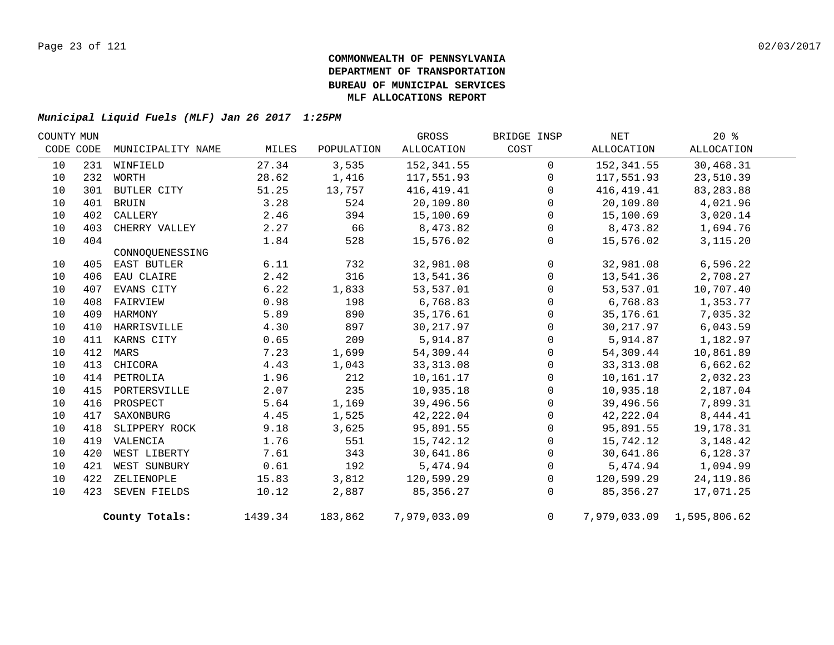| COUNTY MUN |     |                   |         |            | GROSS        | BRIDGE INSP    | NET        | 20%                       |  |
|------------|-----|-------------------|---------|------------|--------------|----------------|------------|---------------------------|--|
| CODE CODE  |     | MUNICIPALITY NAME | MILES   | POPULATION | ALLOCATION   | COST           | ALLOCATION | ALLOCATION                |  |
| 10         |     | 231 WINFIELD      | 27.34   | 3,535      | 152,341.55   | $\mathbf 0$    | 152,341.55 | 30,468.31                 |  |
| 10         | 232 | WORTH             | 28.62   | 1,416      | 117,551.93   | $\Omega$       | 117,551.93 | 23,510.39                 |  |
| 10         | 301 | BUTLER CITY       | 51.25   | 13,757     | 416,419.41   | $\Omega$       | 416,419.41 | 83, 283.88                |  |
| 10         | 401 | <b>BRUIN</b>      | 3.28    | 524        | 20,109.80    | $\Omega$       | 20,109.80  | 4,021.96                  |  |
| 10         | 402 | CALLERY           | 2.46    | 394        | 15,100.69    | $\mathbf{0}$   | 15,100.69  | 3,020.14                  |  |
| 10         | 403 | CHERRY VALLEY     | 2.27    | 66         | 8,473.82     | $\Omega$       | 8,473.82   | 1,694.76                  |  |
| 10         | 404 |                   | 1.84    | 528        | 15,576.02    | $\mathbf{0}$   | 15,576.02  | 3, 115. 20                |  |
|            |     | CONNOOUENESSING   |         |            |              |                |            |                           |  |
| 10         |     | 405 EAST BUTLER   | 6.11    | 732        | 32,981.08    | $\mathbf 0$    | 32,981.08  | 6,596.22                  |  |
| 10         | 406 | EAU CLAIRE        | 2.42    | 316        | 13,541.36    | $\Omega$       | 13,541.36  | 2,708.27                  |  |
| 10         | 407 | EVANS CITY        | 6.22    | 1,833      | 53,537.01    | $\mathbf{0}$   | 53,537.01  | 10,707.40                 |  |
| 10         | 408 | FAIRVIEW          | 0.98    | 198        | 6,768.83     | $\Omega$       | 6,768.83   | 1,353.77                  |  |
| 10         | 409 | HARMONY           | 5.89    | 890        | 35,176.61    | $\Omega$       | 35,176.61  | 7,035.32                  |  |
| 10         | 410 | HARRISVILLE       | 4.30    | 897        | 30,217.97    | $\Omega$       | 30,217.97  | 6,043.59                  |  |
| 10         |     | 411 KARNS CITY    | 0.65    | 209        | 5,914.87     | $\Omega$       | 5,914.87   | 1,182.97                  |  |
| 10         |     | 412 MARS          | 7.23    | 1,699      | 54,309.44    | 0              | 54,309.44  | 10,861.89                 |  |
| 10         | 413 | CHICORA           | 4.43    | 1,043      | 33, 313.08   | $\Omega$       | 33, 313.08 | 6,662.62                  |  |
| 10         |     | 414 PETROLIA      | 1.96    | 212        | 10,161.17    | $\Omega$       | 10,161.17  | 2,032.23                  |  |
| 10         |     | 415 PORTERSVILLE  | 2.07    | 235        | 10,935.18    | $\Omega$       | 10,935.18  | 2,187.04                  |  |
| 10         |     | 416 PROSPECT      | 5.64    | 1,169      | 39,496.56    | $\Omega$       | 39,496.56  | 7,899.31                  |  |
| 10         | 417 | SAXONBURG         | 4.45    | 1,525      | 42,222.04    | $\mathbf{0}$   | 42,222.04  | 8,444.41                  |  |
| 10         | 418 | SLIPPERY ROCK     | 9.18    | 3,625      | 95,891.55    | $\Omega$       | 95,891.55  | 19,178.31                 |  |
| 10         | 419 | VALENCIA          | 1.76    | 551        | 15,742.12    | $\Omega$       | 15,742.12  | 3, 148. 42                |  |
| 10         | 420 | WEST LIBERTY      | 7.61    | 343        | 30,641.86    | $\mathbf 0$    | 30,641.86  | 6,128.37                  |  |
| 10         | 421 | WEST SUNBURY      | 0.61    | 192        | 5,474.94     | $\Omega$       | 5,474.94   | 1,094.99                  |  |
| 10         |     | 422 ZELIENOPLE    | 15.83   | 3,812      | 120,599.29   | 0              | 120,599.29 | 24, 119.86                |  |
| 10         |     | 423 SEVEN FIELDS  | 10.12   | 2,887      | 85, 356. 27  | $\Omega$       | 85,356.27  | 17,071.25                 |  |
|            |     | County Totals:    | 1439.34 | 183,862    | 7,979,033.09 | $\overline{0}$ |            | 7,979,033.09 1,595,806.62 |  |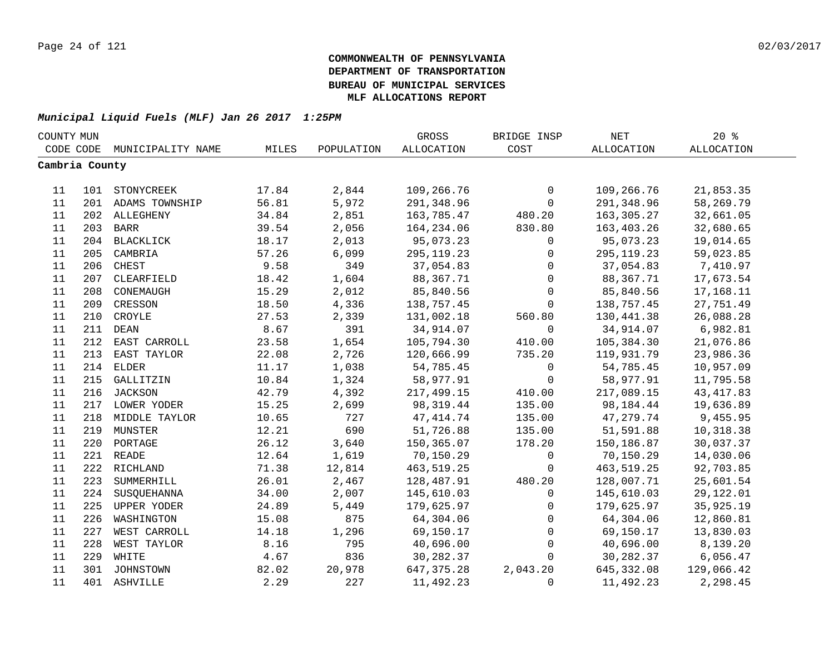| COUNTY MUN     |     |                    |       |            | GROSS        | BRIDGE INSP  | NET         | 20%        |  |
|----------------|-----|--------------------|-------|------------|--------------|--------------|-------------|------------|--|
| CODE CODE      |     | MUNICIPALITY NAME  | MILES | POPULATION | ALLOCATION   | COST         | ALLOCATION  | ALLOCATION |  |
| Cambria County |     |                    |       |            |              |              |             |            |  |
|                |     |                    |       |            |              |              |             |            |  |
| 11             |     | 101 STONYCREEK     | 17.84 | 2,844      | 109,266.76   | $\mathsf{O}$ | 109,266.76  | 21,853.35  |  |
| 11             |     | 201 ADAMS TOWNSHIP | 56.81 | 5,972      | 291,348.96   | $\mathsf{O}$ | 291,348.96  | 58,269.79  |  |
| 11             |     | 202 ALLEGHENY      | 34.84 | 2,851      | 163,785.47   | 480.20       | 163,305.27  | 32,661.05  |  |
| 11             | 203 | BARR               | 39.54 | 2,056      | 164,234.06   | 830.80       | 163,403.26  | 32,680.65  |  |
| 11             | 204 | BLACKLICK          | 18.17 | 2,013      | 95,073.23    | $\mathsf{O}$ | 95,073.23   | 19,014.65  |  |
| 11             | 205 | CAMBRIA            | 57.26 | 6,099      | 295, 119. 23 | 0            | 295, 119.23 | 59,023.85  |  |
| 11             | 206 | CHEST              | 9.58  | 349        | 37,054.83    | $\mathbf 0$  | 37,054.83   | 7,410.97   |  |
| 11             | 207 | CLEARFIELD         | 18.42 | 1,604      | 88,367.71    | $\mathbf 0$  | 88,367.71   | 17,673.54  |  |
| 11             | 208 | CONEMAUGH          | 15.29 | 2,012      | 85,840.56    | $\mathbf 0$  | 85,840.56   | 17,168.11  |  |
| 11             | 209 | CRESSON            | 18.50 | 4,336      | 138,757.45   | $\mathbf 0$  | 138,757.45  | 27,751.49  |  |
| 11             | 210 | CROYLE             | 27.53 | 2,339      | 131,002.18   | 560.80       | 130,441.38  | 26,088.28  |  |
| 11             | 211 | DEAN               | 8.67  | 391        | 34,914.07    | $\mathbf 0$  | 34,914.07   | 6,982.81   |  |
| 11             | 212 | EAST CARROLL       | 23.58 | 1,654      | 105,794.30   | 410.00       | 105,384.30  | 21,076.86  |  |
| 11             | 213 | EAST TAYLOR        | 22.08 | 2,726      | 120,666.99   | 735.20       | 119,931.79  | 23,986.36  |  |
| 11             | 214 | ELDER              | 11.17 | 1,038      | 54,785.45    | 0            | 54,785.45   | 10,957.09  |  |
| 11             |     | 215 GALLITZIN      | 10.84 | 1,324      | 58,977.91    | 0            | 58,977.91   | 11,795.58  |  |
| 11             |     | 216 JACKSON        | 42.79 | 4,392      | 217,499.15   | 410.00       | 217,089.15  | 43, 417.83 |  |
| 11             |     | 217 LOWER YODER    | 15.25 | 2,699      | 98, 319.44   | 135.00       | 98,184.44   | 19,636.89  |  |
| 11             |     | 218 MIDDLE TAYLOR  | 10.65 | 727        | 47, 414.74   | 135.00       | 47,279.74   | 9,455.95   |  |
| 11             | 219 | MUNSTER            | 12.21 | 690        | 51,726.88    | 135.00       | 51,591.88   | 10,318.38  |  |
| 11             | 220 | PORTAGE            | 26.12 | 3,640      | 150,365.07   | 178.20       | 150,186.87  | 30,037.37  |  |
| 11             |     | 221 READE          | 12.64 | 1,619      | 70,150.29    | $\mathbf{0}$ | 70,150.29   | 14,030.06  |  |
| 11             | 222 | RICHLAND           | 71.38 | 12,814     | 463,519.25   | $\mathbf 0$  | 463,519.25  | 92,703.85  |  |
| 11             | 223 | SUMMERHILL         | 26.01 | 2,467      | 128,487.91   | 480.20       | 128,007.71  | 25,601.54  |  |
| 11             | 224 | SUSQUEHANNA        | 34.00 | 2,007      | 145,610.03   | $\mathbf{0}$ | 145,610.03  | 29,122.01  |  |
| 11             | 225 | UPPER YODER        | 24.89 | 5,449      | 179,625.97   | $\mathbf 0$  | 179,625.97  | 35,925.19  |  |
| 11             | 226 | WASHINGTON         | 15.08 | 875        | 64,304.06    | $\mathbf 0$  | 64,304.06   | 12,860.81  |  |
| 11             | 227 | WEST CARROLL       | 14.18 | 1,296      | 69,150.17    | 0            | 69,150.17   | 13,830.03  |  |
| 11             | 228 | WEST TAYLOR        | 8.16  | 795        | 40,696.00    | 0            | 40,696.00   | 8,139.20   |  |
| 11             | 229 | WHITE              | 4.67  | 836        | 30,282.37    | $\mathsf{O}$ | 30,282.37   | 6,056.47   |  |
| 11             |     | 301 JOHNSTOWN      | 82.02 | 20,978     | 647, 375.28  | 2,043.20     | 645, 332.08 | 129,066.42 |  |
| 11             |     | 401 ASHVILLE       | 2.29  | 227        | 11,492.23    | $\mathbf 0$  | 11,492.23   | 2,298.45   |  |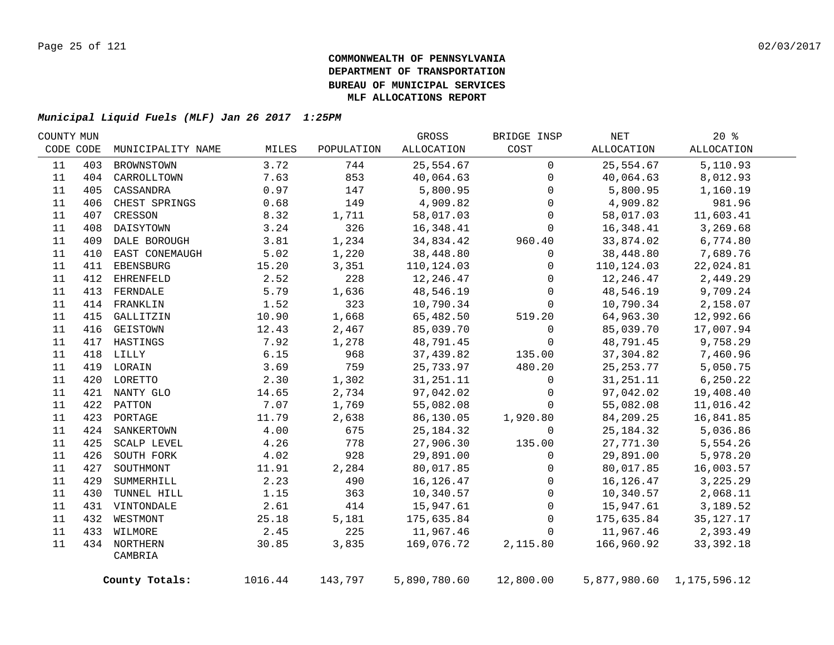| COUNTY MUN |                  |                                                                                                                                                                                                                                                              |            | GROSS        | BRIDGE INSP  | NET         | $20*$       |                                                                                                                                                                                                                                                                         |
|------------|------------------|--------------------------------------------------------------------------------------------------------------------------------------------------------------------------------------------------------------------------------------------------------------|------------|--------------|--------------|-------------|-------------|-------------------------------------------------------------------------------------------------------------------------------------------------------------------------------------------------------------------------------------------------------------------------|
|            |                  | MILES                                                                                                                                                                                                                                                        | POPULATION | ALLOCATION   | COST         | ALLOCATION  | ALLOCATION  |                                                                                                                                                                                                                                                                         |
| 403        | BROWNSTOWN       | 3.72                                                                                                                                                                                                                                                         | 744        | 25,554.67    | $\mathbf 0$  | 25,554.67   | 5,110.93    |                                                                                                                                                                                                                                                                         |
|            | CARROLLTOWN      | 7.63                                                                                                                                                                                                                                                         | 853        | 40,064.63    | $\mathbf 0$  | 40,064.63   | 8,012.93    |                                                                                                                                                                                                                                                                         |
| 405        | CASSANDRA        | 0.97                                                                                                                                                                                                                                                         | 147        | 5,800.95     | 0            | 5,800.95    | 1,160.19    |                                                                                                                                                                                                                                                                         |
| 406        | CHEST SPRINGS    | 0.68                                                                                                                                                                                                                                                         | 149        | 4,909.82     | 0            | 4,909.82    | 981.96      |                                                                                                                                                                                                                                                                         |
| 407        | CRESSON          | 8.32                                                                                                                                                                                                                                                         | 1,711      | 58,017.03    | 0            |             | 11,603.41   |                                                                                                                                                                                                                                                                         |
| 408        | DAISYTOWN        | 3.24                                                                                                                                                                                                                                                         | 326        | 16,348.41    | 0            |             | 3,269.68    |                                                                                                                                                                                                                                                                         |
| 409        | DALE BOROUGH     | 3.81                                                                                                                                                                                                                                                         | 1,234      | 34,834.42    | 960.40       | 33,874.02   | 6,774.80    |                                                                                                                                                                                                                                                                         |
| 410        | EAST CONEMAUGH   | 5.02                                                                                                                                                                                                                                                         | 1,220      | 38,448.80    | 0            |             | 7,689.76    |                                                                                                                                                                                                                                                                         |
| 411        | EBENSBURG        | 15.20                                                                                                                                                                                                                                                        | 3,351      | 110,124.03   | 0            |             | 22,024.81   |                                                                                                                                                                                                                                                                         |
| 412        | <b>EHRENFELD</b> | 2.52                                                                                                                                                                                                                                                         | 228        | 12,246.47    | 0            |             | 2,449.29    |                                                                                                                                                                                                                                                                         |
| 413        | FERNDALE         | 5.79                                                                                                                                                                                                                                                         | 1,636      | 48,546.19    | $\mathbf 0$  |             | 9,709.24    |                                                                                                                                                                                                                                                                         |
|            |                  | 1.52                                                                                                                                                                                                                                                         | 323        | 10,790.34    | 0            |             | 2,158.07    |                                                                                                                                                                                                                                                                         |
| 415        | GALLITZIN        | 10.90                                                                                                                                                                                                                                                        | 1,668      | 65,482.50    | 519.20       |             | 12,992.66   |                                                                                                                                                                                                                                                                         |
|            | GEISTOWN         | 12.43                                                                                                                                                                                                                                                        | 2,467      | 85,039.70    | $\mathbf{0}$ | 85,039.70   | 17,007.94   |                                                                                                                                                                                                                                                                         |
|            |                  | 7.92                                                                                                                                                                                                                                                         | 1,278      | 48,791.45    | $\mathbf 0$  | 48,791.45   | 9,758.29    |                                                                                                                                                                                                                                                                         |
|            |                  | 6.15                                                                                                                                                                                                                                                         | 968        | 37,439.82    | 135.00       | 37,304.82   | 7,460.96    |                                                                                                                                                                                                                                                                         |
|            |                  | 3.69                                                                                                                                                                                                                                                         | 759        | 25,733.97    | 480.20       |             | 5,050.75    |                                                                                                                                                                                                                                                                         |
|            |                  | 2.30                                                                                                                                                                                                                                                         | 1,302      | 31, 251. 11  | 0            | 31, 251. 11 | 6, 250.22   |                                                                                                                                                                                                                                                                         |
|            |                  | 14.65                                                                                                                                                                                                                                                        | 2,734      | 97,042.02    | 0            | 97,042.02   | 19,408.40   |                                                                                                                                                                                                                                                                         |
|            |                  | 7.07                                                                                                                                                                                                                                                         | 1,769      | 55,082.08    | 0            | 55,082.08   | 11,016.42   |                                                                                                                                                                                                                                                                         |
|            |                  | 11.79                                                                                                                                                                                                                                                        | 2,638      | 86,130.05    | 1,920.80     | 84,209.25   | 16,841.85   |                                                                                                                                                                                                                                                                         |
|            |                  | 4.00                                                                                                                                                                                                                                                         | 675        | 25, 184. 32  | $\Omega$     | 25, 184. 32 | 5,036.86    |                                                                                                                                                                                                                                                                         |
| 425        | SCALP LEVEL      | 4.26                                                                                                                                                                                                                                                         | 778        | 27,906.30    | 135.00       |             | 5,554.26    |                                                                                                                                                                                                                                                                         |
| 426        | SOUTH FORK       | 4.02                                                                                                                                                                                                                                                         | 928        | 29,891.00    | $\mathbf 0$  |             | 5,978.20    |                                                                                                                                                                                                                                                                         |
| 427        | SOUTHMONT        | 11.91                                                                                                                                                                                                                                                        | 2,284      | 80,017.85    | $\mathbf 0$  |             | 16,003.57   |                                                                                                                                                                                                                                                                         |
| 429        | SUMMERHILL       | 2.23                                                                                                                                                                                                                                                         | 490        | 16,126.47    | 0            |             | 3,225.29    |                                                                                                                                                                                                                                                                         |
| 430        | TUNNEL HILL      | 1.15                                                                                                                                                                                                                                                         | 363        | 10,340.57    | 0            |             | 2,068.11    |                                                                                                                                                                                                                                                                         |
|            |                  | 2.61                                                                                                                                                                                                                                                         | 414        | 15,947.61    | 0            |             | 3,189.52    |                                                                                                                                                                                                                                                                         |
|            |                  | 25.18                                                                                                                                                                                                                                                        |            | 175,635.84   | 0            |             | 35, 127. 17 |                                                                                                                                                                                                                                                                         |
|            |                  | 2.45                                                                                                                                                                                                                                                         |            | 11,967.46    | $\mathbf 0$  |             | 2,393.49    |                                                                                                                                                                                                                                                                         |
|            |                  | 30.85                                                                                                                                                                                                                                                        | 3,835      | 169,076.72   | 2,115.80     |             | 33, 392. 18 |                                                                                                                                                                                                                                                                         |
|            | CAMBRIA          |                                                                                                                                                                                                                                                              |            |              |              |             |             |                                                                                                                                                                                                                                                                         |
|            |                  |                                                                                                                                                                                                                                                              | 143,797    | 5,890,780.60 |              |             |             |                                                                                                                                                                                                                                                                         |
|            | CODE CODE        | MUNICIPALITY NAME<br>404<br>414 FRANKLIN<br>416<br>417 HASTINGS<br>418 LILLY<br>419 LORAIN<br>420 LORETTO<br>421 NANTY GLO<br>422 PATTON<br>423 PORTAGE<br>424 SANKERTOWN<br>431 VINTONDALE<br>432 WESTMONT<br>433 WILMORE<br>434 NORTHERN<br>County Totals: | 1016.44    | 5,181<br>225 |              | 12,800.00   |             | 58,017.03<br>16,348.41<br>38,448.80<br>110,124.03<br>12,246.47<br>48,546.19<br>10,790.34<br>64,963.30<br>25, 253.77<br>27,771.30<br>29,891.00<br>80,017.85<br>16,126.47<br>10,340.57<br>15,947.61<br>175,635.84<br>11,967.46<br>166,960.92<br>5,877,980.60 1,175,596.12 |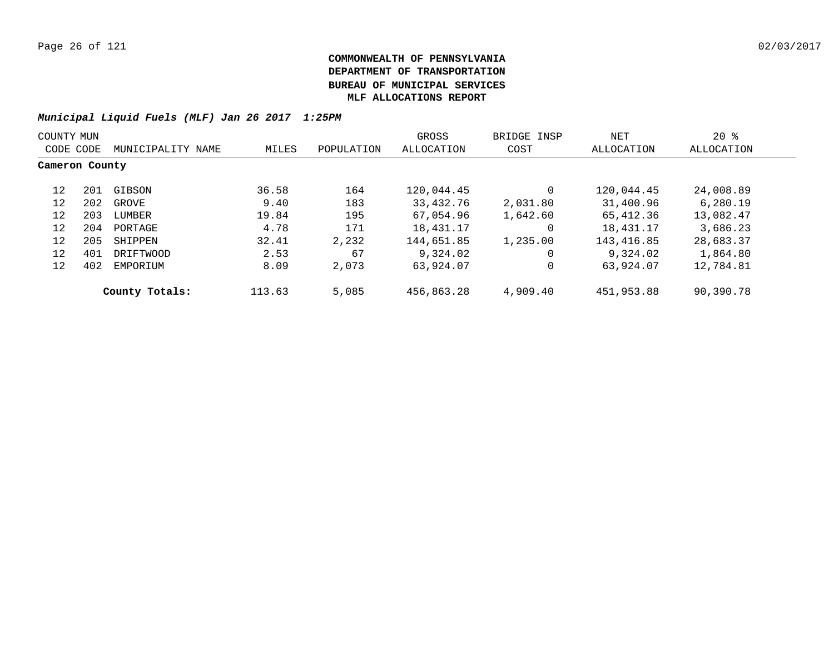| COUNTY MUN     |     |                   |        |            | GROSS      | BRIDGE INSP | NET        | $20*$      |
|----------------|-----|-------------------|--------|------------|------------|-------------|------------|------------|
| CODE CODE      |     | MUNICIPALITY NAME | MILES  | POPULATION | ALLOCATION | COST        | ALLOCATION | ALLOCATION |
| Cameron County |     |                   |        |            |            |             |            |            |
| 12             | 201 | GIBSON            | 36.58  | 164        | 120,044.45 |             | 120,044.45 | 24,008.89  |
| 12             | 202 | GROVE             | 9.40   | 183        | 33,432.76  | 2,031.80    | 31,400.96  | 6,280.19   |
| 12             | 203 | LUMBER            | 19.84  | 195        | 67,054.96  | 1,642.60    | 65,412.36  | 13,082.47  |
| 12             | 204 | PORTAGE           | 4.78   | 171        | 18,431.17  | $\Omega$    | 18,431.17  | 3,686.23   |
| 12             | 205 | SHIPPEN           | 32.41  | 2,232      | 144,651.85 | 1,235.00    | 143,416.85 | 28,683.37  |
| 12             | 401 | DRIFTWOOD         | 2.53   | 67         | 9,324.02   | 0           | 9,324.02   | 1,864.80   |
| 12             | 402 | EMPORIUM          | 8.09   | 2,073      | 63,924.07  |             | 63,924.07  | 12,784.81  |
|                |     | County Totals:    | 113.63 | 5,085      | 456,863.28 | 4,909.40    | 451,953.88 | 90,390.78  |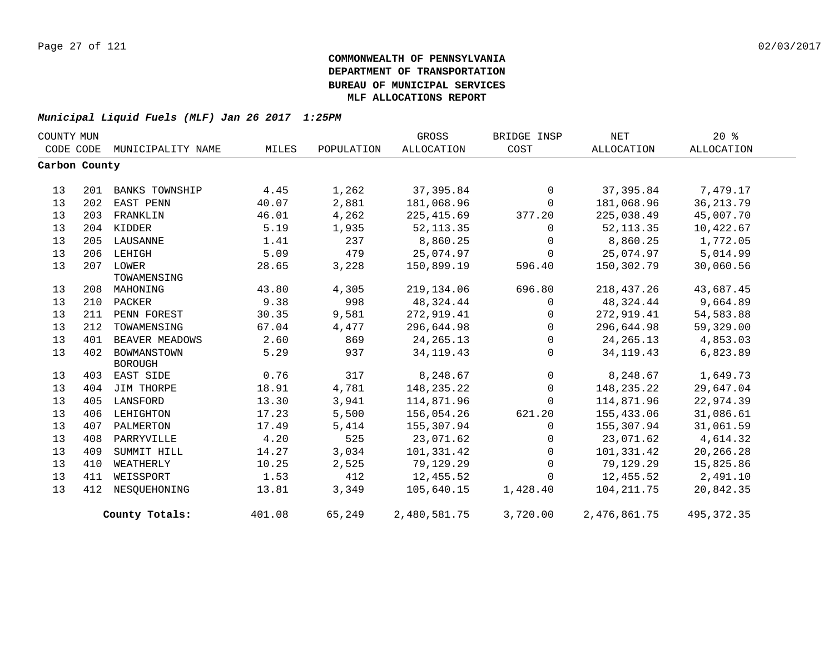| COUNTY MUN    |     |                       |        |            | GROSS             | BRIDGE INSP | NET               | $20*$       |
|---------------|-----|-----------------------|--------|------------|-------------------|-------------|-------------------|-------------|
| CODE CODE     |     | MUNICIPALITY NAME     | MILES  | POPULATION | <b>ALLOCATION</b> | COST        | <b>ALLOCATION</b> | ALLOCATION  |
| Carbon County |     |                       |        |            |                   |             |                   |             |
|               |     |                       |        |            |                   |             |                   |             |
| 13            | 201 | <b>BANKS TOWNSHIP</b> | 4.45   | 1,262      | 37, 395.84        | $\mathbf 0$ | 37,395.84         | 7,479.17    |
| 13            | 202 | EAST PENN             | 40.07  | 2,881      | 181,068.96        | 0           | 181,068.96        | 36, 213.79  |
| 13            | 203 | FRANKLIN              | 46.01  | 4,262      | 225, 415.69       | 377.20      | 225,038.49        | 45,007.70   |
| 13            |     | 204 KIDDER            | 5.19   | 1,935      | 52, 113.35        | $\mathbf 0$ | 52, 113.35        | 10,422.67   |
| 13            | 205 | LAUSANNE              | 1.41   | 237        | 8,860.25          | $\Omega$    | 8,860.25          | 1,772.05    |
| 13            | 206 | LEHIGH                | 5.09   | 479        | 25,074.97         | $\Omega$    | 25,074.97         | 5,014.99    |
| 13            |     | 207 LOWER             | 28.65  | 3,228      | 150,899.19        | 596.40      | 150,302.79        | 30,060.56   |
|               |     | TOWAMENSING           |        |            |                   |             |                   |             |
| 13            | 208 | MAHONING              | 43.80  | 4,305      | 219, 134.06       | 696.80      | 218,437.26        | 43,687.45   |
| 13            | 210 | PACKER                | 9.38   | 998        | 48, 324. 44       | 0           | 48,324.44         | 9,664.89    |
| 13            | 211 | PENN FOREST           | 30.35  | 9,581      | 272,919.41        | $\Omega$    | 272,919.41        | 54, 583.88  |
| 13            | 212 | TOWAMENSING           | 67.04  | 4,477      | 296,644.98        | $\mathbf 0$ | 296,644.98        | 59,329.00   |
| 13            | 401 | BEAVER MEADOWS        | 2.60   | 869        | 24, 265. 13       | $\mathbf 0$ | 24, 265. 13       | 4,853.03    |
| 13            | 402 | BOWMANSTOWN           | 5.29   | 937        | 34, 119. 43       | $\Omega$    | 34, 119. 43       | 6,823.89    |
|               |     | <b>BOROUGH</b>        |        |            |                   |             |                   |             |
| 13            | 403 | EAST SIDE             | 0.76   | 317        | 8,248.67          | 0           | 8,248.67          | 1,649.73    |
| 13            |     | 404 JIM THORPE        | 18.91  | 4,781      | 148, 235. 22      | $\Omega$    | 148,235.22        | 29,647.04   |
| 13            | 405 | LANSFORD              | 13.30  | 3,941      | 114,871.96        | 0           | 114,871.96        | 22,974.39   |
| 13            | 406 | LEHIGHTON             | 17.23  | 5,500      | 156,054.26        | 621.20      | 155,433.06        | 31,086.61   |
| 13            | 407 | PALMERTON             | 17.49  | 5,414      | 155,307.94        | $\Omega$    | 155,307.94        | 31,061.59   |
| 13            | 408 | PARRYVILLE            | 4.20   | 525        | 23,071.62         | 0           | 23,071.62         | 4,614.32    |
| 13            | 409 | SUMMIT HILL           | 14.27  | 3,034      | 101,331.42        | $\mathbf 0$ | 101,331.42        | 20,266.28   |
| 13            | 410 | WEATHERLY             | 10.25  | 2,525      | 79,129.29         | $\mathbf 0$ | 79,129.29         | 15,825.86   |
| 13            | 411 | WEISSPORT             | 1.53   | 412        | 12,455.52         | $\Omega$    | 12,455.52         | 2,491.10    |
| 13            | 412 | NESQUEHONING          | 13.81  | 3,349      | 105,640.15        | 1,428.40    | 104,211.75        | 20,842.35   |
|               |     | County Totals:        | 401.08 | 65,249     | 2,480,581.75      | 3,720.00    | 2,476,861.75      | 495, 372.35 |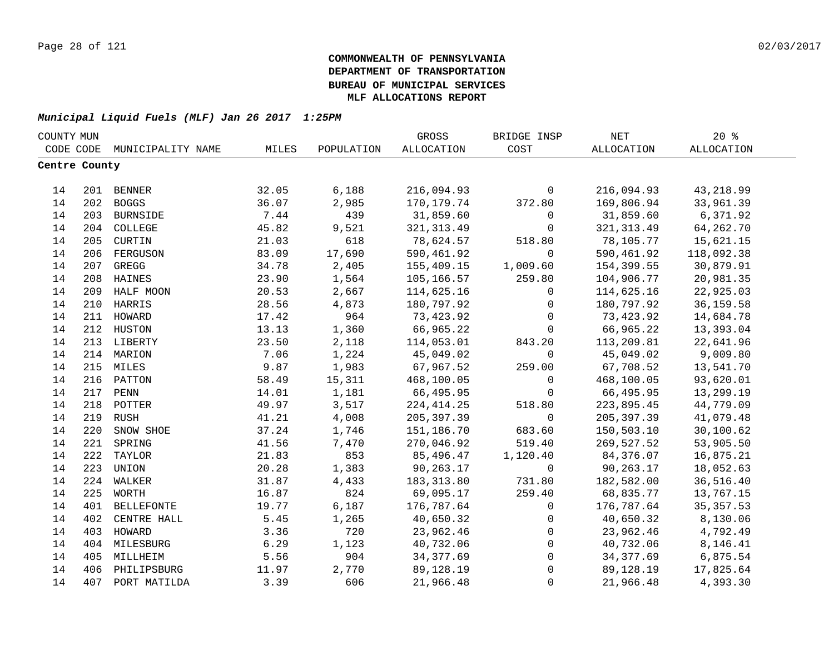| COUNTY MUN    |     |                   |       |            | GROSS       | BRIDGE INSP         | NET         | 20%               |  |
|---------------|-----|-------------------|-------|------------|-------------|---------------------|-------------|-------------------|--|
| CODE CODE     |     | MUNICIPALITY NAME | MILES | POPULATION | ALLOCATION  | COST                | ALLOCATION  | <b>ALLOCATION</b> |  |
| Centre County |     |                   |       |            |             |                     |             |                   |  |
|               |     |                   |       |            |             |                     |             |                   |  |
| 14            |     | 201 BENNER        | 32.05 | 6,188      | 216,094.93  | $\mathsf{O}$        | 216,094.93  | 43, 218.99        |  |
| 14            |     | 202 BOGGS         | 36.07 | 2,985      | 170,179.74  | 372.80              | 169,806.94  | 33,961.39         |  |
| 14            | 203 | <b>BURNSIDE</b>   | 7.44  | 439        | 31,859.60   | $\mathbf 0$         | 31,859.60   | 6,371.92          |  |
| 14            | 204 | COLLEGE           | 45.82 | 9,521      | 321, 313.49 | $\mathbf 0$         | 321, 313.49 | 64,262.70         |  |
| 14            | 205 | CURTIN            | 21.03 | 618        | 78,624.57   | 518.80              | 78,105.77   | 15,621.15         |  |
| 14            | 206 | FERGUSON          | 83.09 | 17,690     | 590,461.92  | $\mathbf 0$         | 590,461.92  | 118,092.38        |  |
| 14            | 207 | GREGG             | 34.78 | 2,405      | 155,409.15  | 1,009.60            | 154,399.55  | 30,879.91         |  |
| 14            | 208 | HAINES            | 23.90 | 1,564      | 105,166.57  | 259.80              | 104,906.77  | 20,981.35         |  |
| 14            | 209 | HALF MOON         | 20.53 | 2,667      | 114,625.16  | $\mathbf 0$         | 114,625.16  | 22,925.03         |  |
| 14            | 210 | HARRIS            | 28.56 | 4,873      | 180,797.92  | $\mathbf 0$         | 180,797.92  | 36, 159.58        |  |
| 14            | 211 | HOWARD            | 17.42 | 964        | 73,423.92   | $\mathbf 0$         | 73,423.92   | 14,684.78         |  |
| 14            | 212 | HUSTON            | 13.13 | 1,360      | 66,965.22   | $\mathbf 0$         | 66,965.22   | 13,393.04         |  |
| 14            |     | 213 LIBERTY       | 23.50 | 2,118      | 114,053.01  | 843.20              | 113,209.81  | 22,641.96         |  |
| 14            |     | 214 MARION        | 7.06  | 1,224      | 45,049.02   | 0                   | 45,049.02   | 9,009.80          |  |
| 14            |     | 215 MILES         | 9.87  | 1,983      | 67,967.52   | 259.00              | 67,708.52   | 13,541.70         |  |
| 14            |     | 216 PATTON        | 58.49 | 15,311     | 468,100.05  | $\mathbf 0$         | 468,100.05  | 93,620.01         |  |
| 14            |     | 217 PENN          | 14.01 | 1,181      | 66,495.95   | $\mathsf{O}$        | 66,495.95   | 13,299.19         |  |
| 14            |     | 218 POTTER        | 49.97 | 3,517      | 224, 414.25 | 518.80              | 223,895.45  | 44,779.09         |  |
| 14            | 219 | <b>RUSH</b>       | 41.21 | 4,008      | 205, 397.39 | $\mathsf{O}$        | 205, 397.39 | 41,079.48         |  |
| 14            | 220 | SNOW SHOE         | 37.24 | 1,746      | 151,186.70  | 683.60              | 150,503.10  | 30,100.62         |  |
| 14            | 221 | SPRING            | 41.56 | 7,470      | 270,046.92  | 519.40              | 269,527.52  | 53,905.50         |  |
| 14            | 222 | TAYLOR            | 21.83 | 853        | 85,496.47   | 1,120.40            | 84,376.07   | 16,875.21         |  |
| 14            | 223 | UNION             | 20.28 | 1,383      | 90,263.17   | $\mathbf 0$         | 90,263.17   | 18,052.63         |  |
| 14            | 224 | WALKER            | 31.87 | 4,433      | 183, 313.80 | 731.80              | 182,582.00  | 36,516.40         |  |
| 14            | 225 | WORTH             | 16.87 | 824        | 69,095.17   | 259.40              | 68,835.77   | 13,767.15         |  |
| 14            | 401 | <b>BELLEFONTE</b> | 19.77 | 6,187      | 176,787.64  | $\mathbf{0}$        | 176,787.64  | 35, 357.53        |  |
| 14            | 402 | CENTRE HALL       | 5.45  | 1,265      | 40,650.32   | 0                   | 40,650.32   | 8,130.06          |  |
| 14            | 403 | HOWARD            | 3.36  | 720        | 23,962.46   | 0                   | 23,962.46   | 4,792.49          |  |
| 14            |     | 404 MILESBURG     | 6.29  | 1,123      | 40,732.06   | 0                   | 40,732.06   | 8,146.41          |  |
| 14            | 405 | MILLHEIM          | 5.56  | 904        | 34, 377.69  | $\mathsf{O}\xspace$ | 34,377.69   | 6,875.54          |  |
| 14            | 406 | PHILIPSBURG       | 11.97 | 2,770      | 89,128.19   | $\mathsf{O}\xspace$ | 89,128.19   | 17,825.64         |  |
| 14            | 407 | PORT MATILDA      | 3.39  | 606        | 21,966.48   | $\mathbf{0}$        | 21,966.48   | 4,393.30          |  |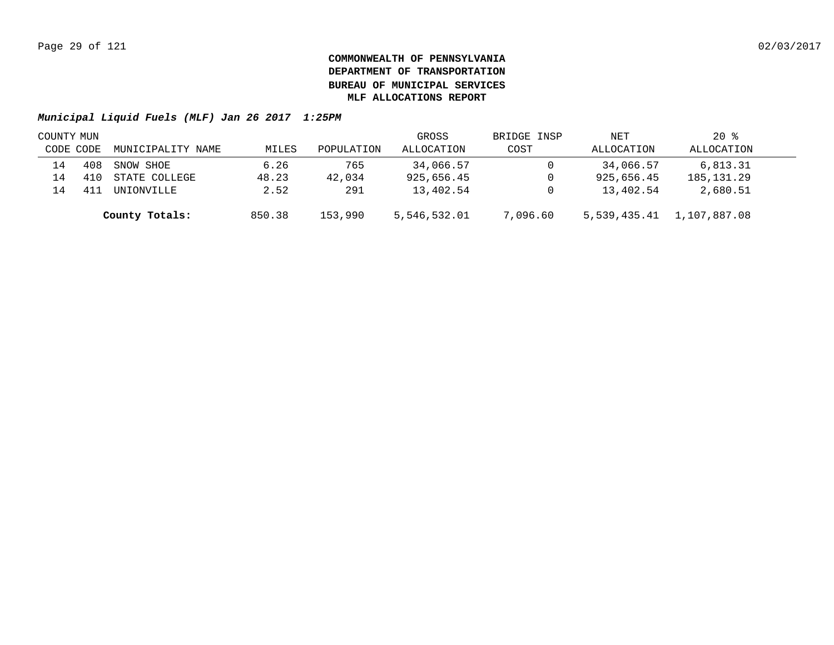| COUNTY MUN |     |                   |        |            | GROSS        | BRIDGE INSP | NET          | $20*$        |  |
|------------|-----|-------------------|--------|------------|--------------|-------------|--------------|--------------|--|
| CODE CODE  |     | MUNICIPALITY NAME | MILES  | POPULATION | ALLOCATION   | COST        | ALLOCATION   | ALLOCATION   |  |
| 14         | 408 | SNOW SHOE         | 6.26   | 765        | 34,066.57    |             | 34,066.57    | 6,813.31     |  |
| 14         |     | STATE COLLEGE     | 48.23  | 42,034     | 925,656.45   |             | 925,656.45   | 185, 131. 29 |  |
| l 4        |     | UNIONVILLE        | 2.52   | 291        | 13,402.54    |             | 13,402.54    | 2,680.51     |  |
|            |     | County Totals:    | 850.38 | 153,990    | 5,546,532.01 | 7,096.60    | 5,539,435.41 | 1,107,887.08 |  |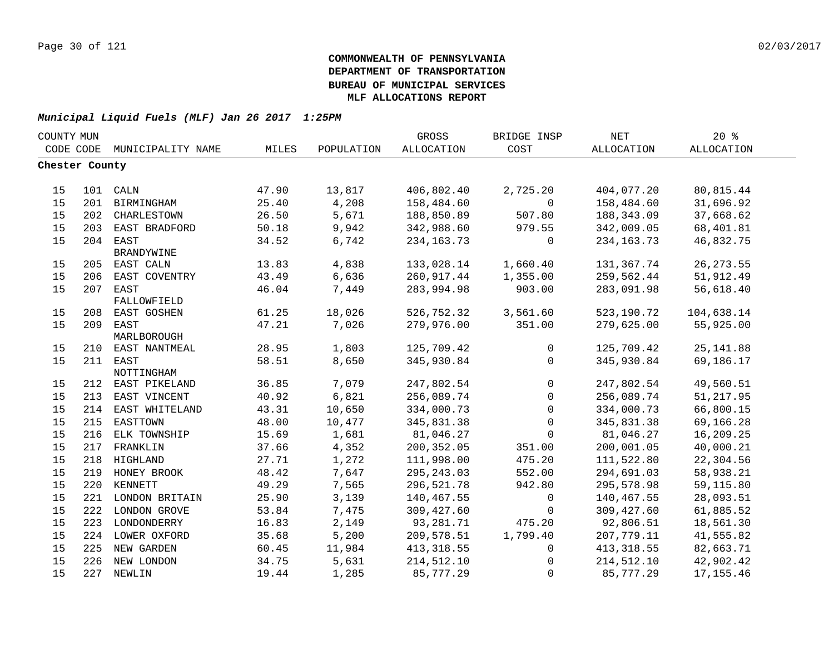| COUNTY MUN     |     |                                 |                |            | GROSS             | BRIDGE INSP      | <b>NET</b>   | 20%        |  |
|----------------|-----|---------------------------------|----------------|------------|-------------------|------------------|--------------|------------|--|
| CODE CODE      |     | MUNICIPALITY NAME               | MILES          | POPULATION | <b>ALLOCATION</b> | COST             | ALLOCATION   | ALLOCATION |  |
| Chester County |     |                                 |                |            |                   |                  |              |            |  |
|                |     |                                 |                |            |                   |                  |              |            |  |
| 15             |     | 101 CALN                        | 47.90          | 13,817     | 406,802.40        | 2,725.20         | 404,077.20   | 80,815.44  |  |
| 15             |     | 201 BIRMINGHAM                  | 25.40          | 4,208      | 158,484.60        | $\mathbf{0}$     | 158,484.60   | 31,696.92  |  |
| 15             |     | 202 CHARLESTOWN                 | 26.50          | 5,671      | 188,850.89        | 507.80           | 188, 343.09  | 37,668.62  |  |
| 15             | 203 | EAST BRADFORD                   | 50.18          | 9,942      | 342,988.60        | 979.55           | 342,009.05   | 68,401.81  |  |
| 15             | 204 | EAST                            | 34.52          | 6,742      | 234, 163. 73      | $\mathbf 0$      | 234, 163. 73 | 46,832.75  |  |
|                |     | BRANDYWINE                      |                |            |                   |                  |              |            |  |
| 15             |     | 205 EAST CALN                   | 13.83          | 4,838      | 133,028.14        | 1,660.40         | 131,367.74   | 26, 273.55 |  |
| 15             | 206 | EAST COVENTRY                   | 43.49          | 6,636      | 260,917.44        | 1,355.00         | 259,562.44   | 51,912.49  |  |
| 15             | 207 | EAST                            | 46.04          | 7,449      | 283,994.98        | 903.00           | 283,091.98   | 56,618.40  |  |
|                |     | FALLOWFIELD                     |                |            |                   |                  |              |            |  |
| 15             | 208 | EAST GOSHEN                     | 61.25          | 18,026     | 526,752.32        | 3,561.60         | 523,190.72   | 104,638.14 |  |
| 15             | 209 | EAST                            | 47.21          | 7,026      | 279,976.00        | 351.00           | 279,625.00   | 55,925.00  |  |
|                |     | MARLBOROUGH                     |                |            |                   |                  |              |            |  |
| 15             | 210 | EAST NANTMEAL                   | 28.95          | 1,803      | 125,709.42        | $\mathbf{0}$     | 125,709.42   | 25, 141.88 |  |
| 15             |     | 211 EAST                        | 58.51          | 8,650      | 345,930.84        | $\Omega$         | 345,930.84   | 69,186.17  |  |
| 15             |     | NOTTINGHAM<br>212 EAST PIKELAND | 36.85          | 7,079      | 247,802.54        | $\mathsf{O}$     | 247,802.54   | 49,560.51  |  |
| 15             | 213 | EAST VINCENT                    | 40.92          | 6,821      | 256,089.74        | $\mathbf 0$      | 256,089.74   | 51, 217.95 |  |
| 15             | 214 | EAST WHITELAND                  | 43.31          | 10,650     | 334,000.73        | $\mathbf{0}$     | 334,000.73   | 66,800.15  |  |
| 15             | 215 | EASTTOWN                        | 48.00          | 10,477     | 345,831.38        | $\mathbf 0$      | 345,831.38   | 69,166.28  |  |
| 15             | 216 | ELK TOWNSHIP                    | 15.69          | 1,681      | 81,046.27         | $\Omega$         | 81,046.27    | 16,209.25  |  |
| 15             |     |                                 |                | 4,352      | 200,352.05        |                  | 200,001.05   | 40,000.21  |  |
| 15             | 217 | FRANKLIN<br>218 HIGHLAND        | 37.66<br>27.71 | 1,272      | 111,998.00        | 351.00<br>475.20 | 111,522.80   | 22,304.56  |  |
| 15             |     |                                 | 48.42          | 7,647      |                   |                  | 294,691.03   | 58,938.21  |  |
|                |     | 219 HONEY BROOK                 |                |            | 295, 243.03       | 552.00           |              |            |  |
| 15             |     | 220 KENNETT                     | 49.29          | 7,565      | 296,521.78        | 942.80           | 295,578.98   | 59,115.80  |  |
| 15             |     | 221 LONDON BRITAIN              | 25.90          | 3,139      | 140,467.55        | $\mathbf 0$      | 140,467.55   | 28,093.51  |  |
| 15             |     | 222 LONDON GROVE                | 53.84          | 7,475      | 309,427.60        | $\mathbf 0$      | 309,427.60   | 61,885.52  |  |
| 15             |     | 223 LONDONDERRY                 | 16.83          | 2,149      | 93,281.71         | 475.20           | 92,806.51    | 18,561.30  |  |
| 15             |     | 224 LOWER OXFORD                | 35.68          | 5,200      | 209,578.51        | 1,799.40         | 207,779.11   | 41,555.82  |  |
| 15             |     | 225 NEW GARDEN                  | 60.45          | 11,984     | 413, 318.55       | $\mathbf 0$      | 413, 318.55  | 82,663.71  |  |
| 15             |     | 226 NEW LONDON                  | 34.75          | 5,631      | 214,512.10        | 0                | 214,512.10   | 42,902.42  |  |
| 15             |     | 227 NEWLIN                      | 19.44          | 1,285      | 85,777.29         | $\Omega$         | 85,777.29    | 17, 155.46 |  |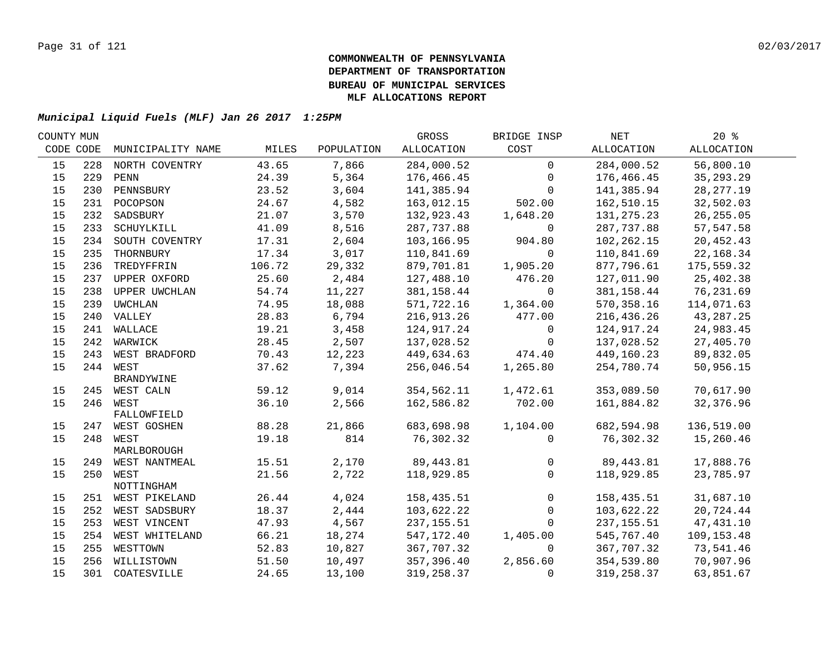| COUNTY MUN |     |                         |                |               | GROSS       | BRIDGE INSP  | NET          | $20*$        |  |
|------------|-----|-------------------------|----------------|---------------|-------------|--------------|--------------|--------------|--|
| CODE CODE  |     | MUNICIPALITY NAME       | MILES          | POPULATION    | ALLOCATION  | COST         | ALLOCATION   | ALLOCATION   |  |
| 15         | 228 | NORTH COVENTRY          | 43.65          | 7,866         | 284,000.52  | $\mathbf 0$  | 284,000.52   | 56,800.10    |  |
| 15         | 229 | PENN                    | 24.39          | 5,364         | 176,466.45  | 0            | 176,466.45   | 35, 293. 29  |  |
| 15         | 230 | PENNSBURY               | 23.52          | 3,604         | 141,385.94  | $\Omega$     | 141,385.94   | 28, 277. 19  |  |
| 15         |     | 231 POCOPSON            | 24.67          | 4,582         | 163,012.15  | 502.00       | 162,510.15   | 32,502.03    |  |
| 15         | 232 | SADSBURY                | 21.07          | 3,570         | 132,923.43  | 1,648.20     | 131, 275. 23 | 26, 255.05   |  |
| 15         | 233 | SCHUYLKILL              | 41.09          | 8,516         | 287,737.88  | 0            | 287,737.88   | 57,547.58    |  |
| 15         | 234 | SOUTH COVENTRY          | 17.31          | 2,604         | 103,166.95  | 904.80       | 102, 262. 15 | 20,452.43    |  |
| 15         | 235 | THORNBURY               | 17.34          | 3,017         | 110,841.69  | $\mathbf 0$  | 110,841.69   | 22,168.34    |  |
| 15         | 236 | TREDYFFRIN              | 106.72         | 29,332        | 879,701.81  | 1,905.20     | 877,796.61   | 175,559.32   |  |
| 15         |     | 237 UPPER OXFORD        | 25.60          | 2,484         | 127,488.10  | 476.20       | 127,011.90   | 25,402.38    |  |
| 15         | 238 | UPPER UWCHLAN           | 54.74          | 11,227        | 381,158.44  | $\Omega$     | 381,158.44   | 76,231.69    |  |
| 15         | 239 | UWCHLAN                 | 74.95          | 18,088        | 571,722.16  | 1,364.00     | 570,358.16   | 114,071.63   |  |
| 15         |     | 240 VALLEY              | 28.83          | 6,794         | 216,913.26  | 477.00       | 216,436.26   | 43,287.25    |  |
| 15         |     | 241 WALLACE             | 19.21          | 3,458         | 124,917.24  | $\mathbf 0$  | 124,917.24   | 24,983.45    |  |
| 15         |     | 242 WARWICK             | 28.45          | 2,507         | 137,028.52  | $\mathbf 0$  | 137,028.52   | 27,405.70    |  |
| 15         |     | 243 WEST BRADFORD       | 70.43          | 12,223        | 449,634.63  | 474.40       | 449,160.23   | 89,832.05    |  |
| 15         |     | 244 WEST                | 37.62          | 7,394         | 256,046.54  | 1,265.80     | 254,780.74   | 50,956.15    |  |
|            |     | <b>BRANDYWINE</b>       |                |               |             |              |              |              |  |
| 15         |     | 245 WEST CALN           | 59.12          | 9,014         | 354,562.11  | 1,472.61     | 353,089.50   | 70,617.90    |  |
| 15         |     | 246 WEST                | 36.10          | 2,566         | 162,586.82  | 702.00       | 161,884.82   | 32,376.96    |  |
|            |     | FALLOWFIELD             |                |               |             |              |              |              |  |
| 15         |     | 247 WEST GOSHEN         | 88.28<br>19.18 | 21,866<br>814 | 683,698.98  | 1,104.00     | 682,594.98   | 136,519.00   |  |
| 15         |     | 248 WEST<br>MARLBOROUGH |                |               | 76,302.32   | $\Omega$     | 76,302.32    | 15,260.46    |  |
| 15         |     | 249 WEST NANTMEAL       | 15.51          | 2,170         | 89,443.81   | $\mathbf 0$  | 89,443.81    | 17,888.76    |  |
| 15         |     | 250 WEST                | 21.56          | 2,722         | 118,929.85  | $\mathbf 0$  | 118,929.85   | 23,785.97    |  |
|            |     | NOTTINGHAM              |                |               |             |              |              |              |  |
| 15         |     | 251 WEST PIKELAND       | 26.44          | 4,024         | 158,435.51  | $\mathbf 0$  | 158,435.51   | 31,687.10    |  |
| 15         |     | 252 WEST SADSBURY       | 18.37          | 2,444         | 103,622.22  | $\mathsf{O}$ | 103,622.22   | 20,724.44    |  |
| 15         |     | 253 WEST VINCENT        | 47.93          | 4,567         | 237, 155.51 | $\Omega$     | 237, 155.51  | 47, 431.10   |  |
| 15         |     | 254 WEST WHITELAND      | 66.21          | 18,274        | 547,172.40  | 1,405.00     | 545,767.40   | 109, 153. 48 |  |
| 15         | 255 | WESTTOWN                | 52.83          | 10,827        | 367,707.32  | 0            | 367,707.32   | 73,541.46    |  |
| 15         |     | 256 WILLISTOWN          | 51.50          | 10,497        | 357,396.40  | 2,856.60     | 354,539.80   | 70,907.96    |  |
| 15         |     | 301 COATESVILLE         | 24.65          | 13,100        | 319,258.37  | 0            | 319,258.37   | 63,851.67    |  |
|            |     |                         |                |               |             |              |              |              |  |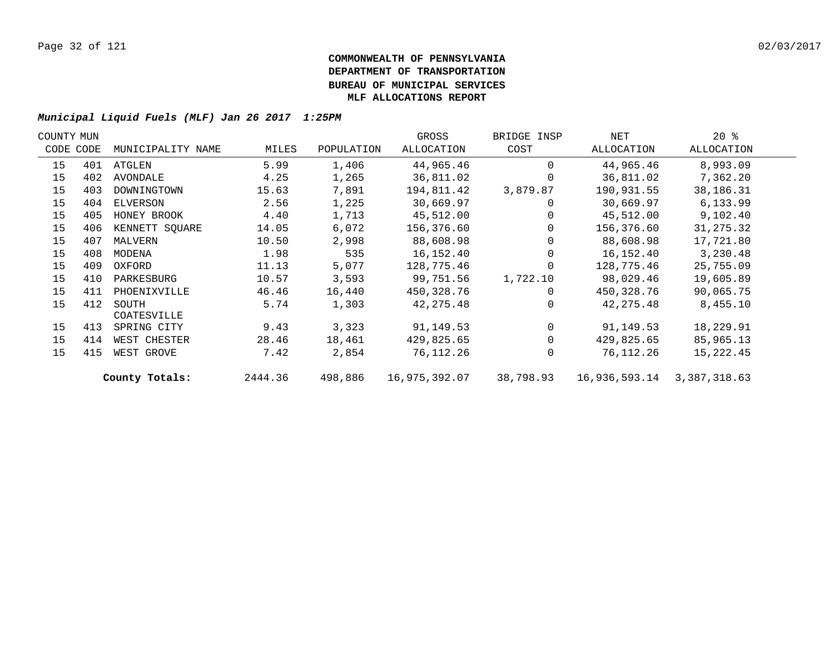| COUNTY MUN |           |                   |         |            | GROSS         | BRIDGE INSP | NET           | $20*$        |  |
|------------|-----------|-------------------|---------|------------|---------------|-------------|---------------|--------------|--|
|            | CODE CODE | MUNICIPALITY NAME | MILES   | POPULATION | ALLOCATION    | COST        | ALLOCATION    | ALLOCATION   |  |
| 15         | 401       | ATGLEN            | 5.99    | 1,406      | 44,965.46     | $\Omega$    | 44,965.46     | 8,993.09     |  |
| 15         | 402       | AVONDALE          | 4.25    | 1,265      | 36,811.02     | $\Omega$    | 36,811.02     | 7,362.20     |  |
| 15         | 403       | DOWNINGTOWN       | 15.63   | 7,891      | 194,811.42    | 3,879.87    | 190,931.55    | 38,186.31    |  |
| 15         | 404       | ELVERSON          | 2.56    | 1,225      | 30,669.97     | $\Omega$    | 30,669.97     | 6,133.99     |  |
| 15         | 405       | HONEY BROOK       | 4.40    | 1,713      | 45,512.00     | $\Omega$    | 45,512.00     | 9,102.40     |  |
| 15         | 406       | KENNETT SQUARE    | 14.05   | 6,072      | 156,376.60    | $\Omega$    | 156,376.60    | 31, 275.32   |  |
| 15         | 407       | MALVERN           | 10.50   | 2,998      | 88,608.98     | $\Omega$    | 88,608.98     | 17,721.80    |  |
| 15         | 408       | MODENA            | 1.98    | 535        | 16,152.40     | $\Omega$    | 16,152.40     | 3,230.48     |  |
| 15         | 409       | OXFORD            | 11.13   | 5,077      | 128,775.46    | $\Omega$    | 128,775.46    | 25,755.09    |  |
| 15         | 410       | PARKESBURG        | 10.57   | 3,593      | 99,751.56     | 1,722.10    | 98,029.46     | 19,605.89    |  |
| 15         | 411       | PHOENIXVILLE      | 46.46   | 16,440     | 450,328.76    | $\Omega$    | 450,328.76    | 90,065.75    |  |
| 15         | 412       | SOUTH             | 5.74    | 1,303      | 42, 275.48    | $\Omega$    | 42,275.48     | 8,455.10     |  |
|            |           | COATESVILLE       |         |            |               |             |               |              |  |
| 15         | 413       | SPRING CITY       | 9.43    | 3,323      | 91,149.53     | $\Omega$    | 91,149.53     | 18,229.91    |  |
| 15         | 414       | WEST CHESTER      | 28.46   | 18,461     | 429,825.65    | $\Omega$    | 429,825.65    | 85,965.13    |  |
| 15         | 415       | WEST GROVE        | 7.42    | 2,854      | 76,112.26     | $\Omega$    | 76,112.26     | 15,222.45    |  |
|            |           | County Totals:    | 2444.36 | 498,886    | 16,975,392.07 | 38,798.93   | 16,936,593.14 | 3,387,318.63 |  |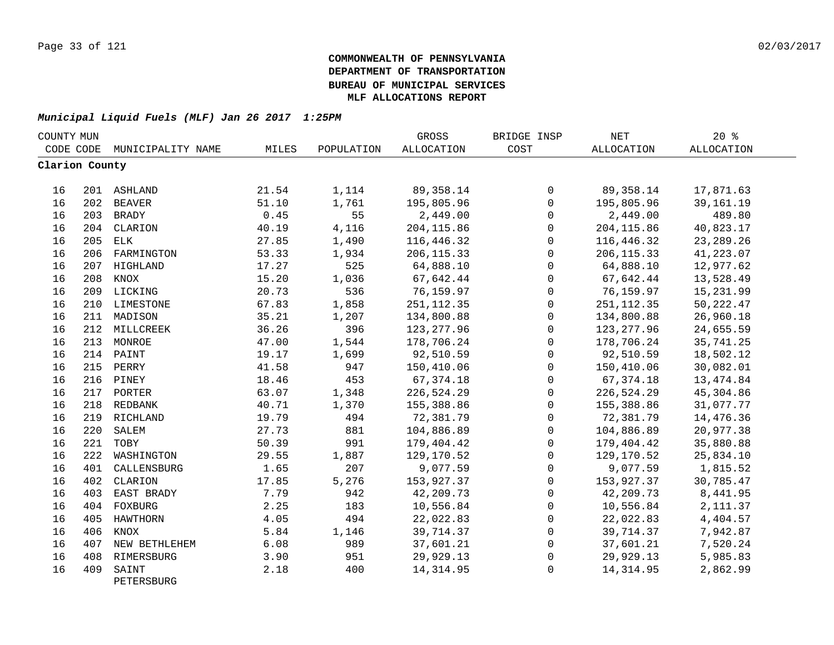| COUNTY MUN     |     |                     |       |            | GROSS       | BRIDGE INSP  | <b>NET</b>        | 20%         |  |
|----------------|-----|---------------------|-------|------------|-------------|--------------|-------------------|-------------|--|
| CODE CODE      |     | MUNICIPALITY NAME   | MILES | POPULATION | ALLOCATION  | COST         | <b>ALLOCATION</b> | ALLOCATION  |  |
| Clarion County |     |                     |       |            |             |              |                   |             |  |
| 16             |     | 201 ASHLAND         | 21.54 | 1,114      | 89,358.14   | 0            | 89,358.14         | 17,871.63   |  |
| 16             |     | 202 BEAVER          | 51.10 | 1,761      | 195,805.96  | $\mathsf{O}$ | 195,805.96        | 39, 161. 19 |  |
| 16             | 203 | <b>BRADY</b>        | 0.45  | 55         | 2,449.00    | $\mathbf 0$  | 2,449.00          | 489.80      |  |
| 16             | 204 | CLARION             | 40.19 | 4,116      | 204, 115.86 | $\mathbf 0$  | 204, 115.86       | 40,823.17   |  |
| 16             | 205 | ELK                 | 27.85 | 1,490      | 116,446.32  | $\Omega$     | 116,446.32        | 23, 289. 26 |  |
| 16             | 206 | FARMINGTON          | 53.33 | 1,934      | 206, 115.33 | $\mathbf 0$  | 206, 115.33       | 41,223.07   |  |
| 16             | 207 | HIGHLAND            | 17.27 | 525        | 64,888.10   | $\Omega$     | 64,888.10         | 12,977.62   |  |
| 16             | 208 | KNOX                | 15.20 | 1,036      | 67,642.44   | $\mathbf 0$  | 67,642.44         | 13,528.49   |  |
| 16             |     | 209 LICKING         | 20.73 | 536        | 76,159.97   | 0            | 76,159.97         | 15,231.99   |  |
| 16             | 210 | LIMESTONE           | 67.83 | 1,858      | 251, 112.35 | $\mathbf 0$  | 251, 112.35       | 50, 222.47  |  |
| 16             |     | 211 MADISON         | 35.21 | 1,207      | 134,800.88  | $\mathbf 0$  | 134,800.88        | 26,960.18   |  |
| 16             |     | 212 MILLCREEK       | 36.26 | 396        | 123, 277.96 | 0            | 123, 277.96       | 24,655.59   |  |
| 16             |     | 213 MONROE          | 47.00 | 1,544      | 178,706.24  | $\mathsf 0$  | 178,706.24        | 35,741.25   |  |
| 16             |     | 214 PAINT           | 19.17 | 1,699      | 92,510.59   | $\mathsf{O}$ | 92,510.59         | 18,502.12   |  |
| 16             | 215 | PERRY               | 41.58 | 947        | 150,410.06  | 0            | 150,410.06        | 30,082.01   |  |
| 16             |     | 216 PINEY           | 18.46 | 453        | 67, 374. 18 | 0            | 67, 374. 18       | 13, 474.84  |  |
| 16             |     | 217 PORTER          | 63.07 | 1,348      | 226,524.29  | $\mathbf 0$  | 226,524.29        | 45,304.86   |  |
| 16             |     | 218 REDBANK         | 40.71 | 1,370      | 155,388.86  | $\Omega$     | 155,388.86        | 31,077.77   |  |
| 16             |     | 219 RICHLAND        | 19.79 | 494        | 72,381.79   | $\mathbf 0$  | 72,381.79         | 14,476.36   |  |
| 16             | 220 | SALEM               | 27.73 | 881        | 104,886.89  | $\mathbf 0$  | 104,886.89        | 20,977.38   |  |
| 16             | 221 | TOBY                | 50.39 | 991        | 179,404.42  | $\Omega$     | 179,404.42        | 35,880.88   |  |
| 16             | 222 | WASHINGTON          | 29.55 | 1,887      | 129,170.52  | $\mathbf 0$  | 129,170.52        | 25,834.10   |  |
| 16             | 401 | CALLENSBURG         | 1.65  | 207        | 9,077.59    | $\mathbf 0$  | 9,077.59          | 1,815.52    |  |
| 16             | 402 | CLARION             | 17.85 | 5,276      | 153,927.37  | $\mathsf{O}$ | 153,927.37        | 30,785.47   |  |
| 16             | 403 | EAST BRADY          | 7.79  | 942        | 42,209.73   | $\mathsf{O}$ | 42,209.73         | 8,441.95    |  |
| 16             | 404 | FOXBURG             | 2.25  | 183        | 10,556.84   | $\mathsf{O}$ | 10,556.84         | 2, 111.37   |  |
| 16             | 405 | HAWTHORN            | 4.05  | 494        | 22,022.83   | 0            | 22,022.83         | 4,404.57    |  |
| 16             | 406 | KNOX                | 5.84  | 1,146      | 39,714.37   | 0            | 39,714.37         | 7,942.87    |  |
| 16             | 407 | NEW BETHLEHEM       | 6.08  | 989        | 37,601.21   | $\mathbf 0$  | 37,601.21         | 7,520.24    |  |
| 16             | 408 | RIMERSBURG          | 3.90  | 951        | 29,929.13   | 0            | 29,929.13         | 5,985.83    |  |
| 16             | 409 | SAINT<br>PETERSBURG | 2.18  | 400        | 14, 314.95  | $\mathbf 0$  | 14, 314.95        | 2,862.99    |  |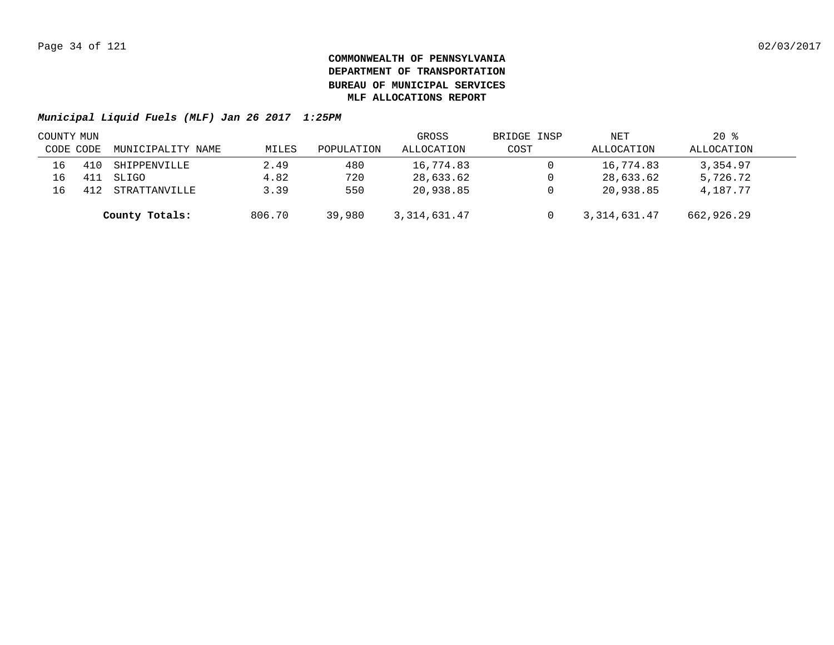| COUNTY MUN |           |                   |        |            | GROSS          | BRIDGE INSP | NET            | $20*$      |  |
|------------|-----------|-------------------|--------|------------|----------------|-------------|----------------|------------|--|
|            | CODE CODE | MUNICIPALITY NAME | MILES  | POPULATION | ALLOCATION     | COST        | ALLOCATION     | ALLOCATION |  |
| 16         |           | SHIPPENVILLE      | 2.49   | 480        | 16,774.83      |             | 16,774.83      | 3,354.97   |  |
| 16         |           | SLIGO             | 4.82   | 720        | 28,633.62      |             | 28,633.62      | 5,726.72   |  |
| 16         |           | STRATTANVILLE     | 3.39   | 550        | 20,938.85      |             | 20,938.85      | 4,187.77   |  |
|            |           | County Totals:    | 806.70 | 39,980     | 3, 314, 631.47 |             | 3, 314, 631.47 | 662,926.29 |  |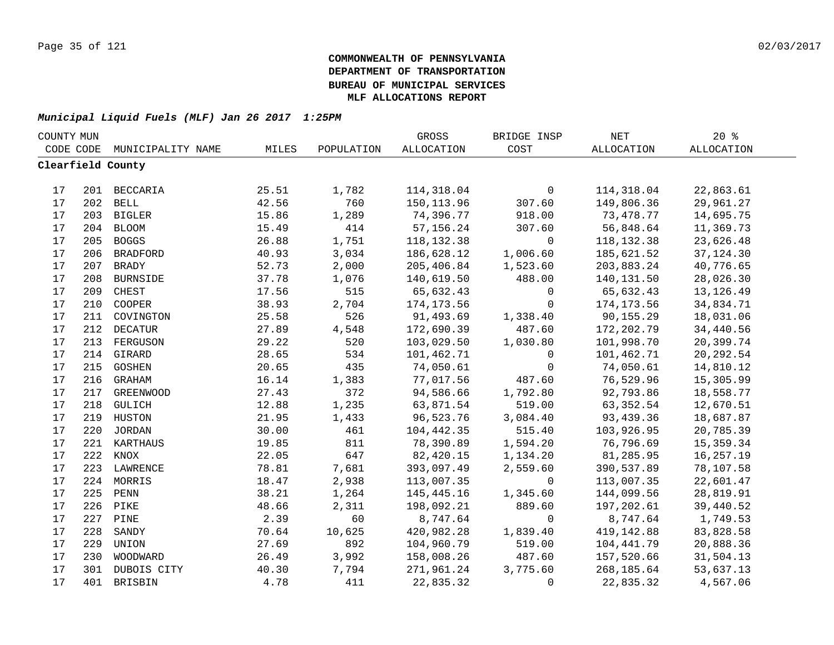| COUNTY MUN |     |                   |       |            | GROSS       | BRIDGE INSP  | $\operatorname{NET}$ | 20%               |  |
|------------|-----|-------------------|-------|------------|-------------|--------------|----------------------|-------------------|--|
| CODE CODE  |     | MUNICIPALITY NAME | MILES | POPULATION | ALLOCATION  | COST         | <b>ALLOCATION</b>    | <b>ALLOCATION</b> |  |
|            |     | Clearfield County |       |            |             |              |                      |                   |  |
|            |     |                   |       |            |             |              |                      |                   |  |
| 17         |     | 201 BECCARIA      | 25.51 | 1,782      | 114,318.04  | $\mathsf{O}$ | 114,318.04           | 22,863.61         |  |
| 17         |     | 202 BELL          | 42.56 | 760        | 150, 113.96 | 307.60       | 149,806.36           | 29,961.27         |  |
| 17         |     | 203 BIGLER        | 15.86 | 1,289      | 74,396.77   | 918.00       | 73,478.77            | 14,695.75         |  |
| 17         | 204 | <b>BLOOM</b>      | 15.49 | 414        | 57, 156. 24 | 307.60       | 56,848.64            | 11,369.73         |  |
| 17         | 205 | <b>BOGGS</b>      | 26.88 | 1,751      | 118, 132.38 | $\mathsf{O}$ | 118, 132.38          | 23,626.48         |  |
| 17         | 206 | <b>BRADFORD</b>   | 40.93 | 3,034      | 186,628.12  | 1,006.60     | 185,621.52           | 37, 124.30        |  |
| 17         | 207 | <b>BRADY</b>      | 52.73 | 2,000      | 205,406.84  | 1,523.60     | 203,883.24           | 40,776.65         |  |
| 17         | 208 | <b>BURNSIDE</b>   | 37.78 | 1,076      | 140,619.50  | 488.00       | 140,131.50           | 28,026.30         |  |
| 17         | 209 | CHEST             | 17.56 | 515        | 65,632.43   | $\mathbf 0$  | 65,632.43            | 13, 126. 49       |  |
| 17         | 210 | COOPER            | 38.93 | 2,704      | 174, 173.56 | $\mathbf 0$  | 174,173.56           | 34,834.71         |  |
| 17         | 211 | COVINGTON         | 25.58 | 526        | 91,493.69   | 1,338.40     | 90,155.29            | 18,031.06         |  |
| 17         | 212 | <b>DECATUR</b>    | 27.89 | 4,548      | 172,690.39  | 487.60       | 172,202.79           | 34,440.56         |  |
| 17         | 213 | FERGUSON          | 29.22 | 520        | 103,029.50  | 1,030.80     | 101,998.70           | 20,399.74         |  |
| 17         | 214 | GIRARD            | 28.65 | 534        | 101,462.71  | $\mathbf{0}$ | 101,462.71           | 20, 292.54        |  |
| 17         | 215 | GOSHEN            | 20.65 | 435        | 74,050.61   | $\mathbf 0$  | 74,050.61            | 14,810.12         |  |
| 17         |     | 216 GRAHAM        | 16.14 | 1,383      | 77,017.56   | 487.60       | 76,529.96            | 15,305.99         |  |
| 17         | 217 | <b>GREENWOOD</b>  | 27.43 | 372        | 94,586.66   | 1,792.80     | 92,793.86            | 18,558.77         |  |
| 17         | 218 | GULICH            | 12.88 | 1,235      | 63,871.54   | 519.00       | 63, 352.54           | 12,670.51         |  |
| 17         | 219 | HUSTON            | 21.95 | 1,433      | 96,523.76   | 3,084.40     | 93,439.36            | 18,687.87         |  |
| 17         | 220 | <b>JORDAN</b>     | 30.00 | 461        | 104,442.35  | 515.40       | 103,926.95           | 20,785.39         |  |
| 17         | 221 | KARTHAUS          | 19.85 | 811        | 78,390.89   | 1,594.20     | 76,796.69            | 15,359.34         |  |
| 17         | 222 | KNOX              | 22.05 | 647        | 82,420.15   | 1,134.20     | 81,285.95            | 16,257.19         |  |
| 17         | 223 | LAWRENCE          | 78.81 | 7,681      | 393,097.49  | 2,559.60     | 390,537.89           | 78,107.58         |  |
| 17         | 224 | MORRIS            | 18.47 | 2,938      | 113,007.35  | $\mathbf 0$  | 113,007.35           | 22,601.47         |  |
| 17         | 225 | PENN              | 38.21 | 1,264      | 145,445.16  | 1,345.60     | 144,099.56           | 28,819.91         |  |
| 17         | 226 | PIKE              | 48.66 | 2,311      | 198,092.21  | 889.60       | 197,202.61           | 39,440.52         |  |
| 17         | 227 | PINE              | 2.39  | 60         | 8,747.64    | $\mathbf{0}$ | 8,747.64             | 1,749.53          |  |
| 17         | 228 | SANDY             | 70.64 | 10,625     | 420,982.28  | 1,839.40     | 419,142.88           | 83,828.58         |  |
| 17         | 229 | UNION             | 27.69 | 892        | 104,960.79  | 519.00       | 104,441.79           | 20,888.36         |  |
| 17         | 230 | WOODWARD          | 26.49 | 3,992      | 158,008.26  | 487.60       | 157,520.66           | 31,504.13         |  |
| 17         | 301 | DUBOIS CITY       | 40.30 | 7,794      | 271,961.24  | 3,775.60     | 268,185.64           | 53,637.13         |  |
| 17         | 401 | BRISBIN           | 4.78  | 411        | 22,835.32   | $\Omega$     | 22,835.32            | 4,567.06          |  |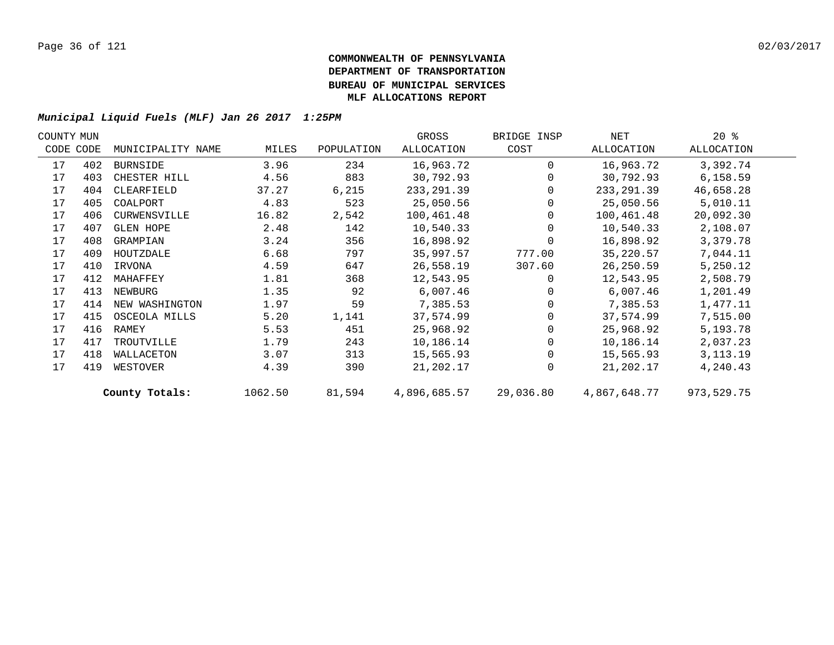| COUNTY MUN |           |                   |         |            | GROSS        | BRIDGE INSP | NET          | $20*$      |  |
|------------|-----------|-------------------|---------|------------|--------------|-------------|--------------|------------|--|
|            | CODE CODE | MUNICIPALITY NAME | MILES   | POPULATION | ALLOCATION   | COST        | ALLOCATION   | ALLOCATION |  |
| 17         | 402       | BURNSIDE          | 3.96    | 234        | 16,963.72    | $\Omega$    | 16,963.72    | 3,392.74   |  |
| 17         | 403       | CHESTER HILL      | 4.56    | 883        | 30,792.93    | $\Omega$    | 30,792.93    | 6,158.59   |  |
| 17         | 404       | CLEARFIELD        | 37.27   | 6,215      | 233, 291.39  | 0           | 233, 291.39  | 46,658.28  |  |
| 17         | 405       | COALPORT          | 4.83    | 523        | 25,050.56    |             | 25,050.56    | 5,010.11   |  |
| 17         | 406       | CURWENSVILLE      | 16.82   | 2,542      | 100,461.48   |             | 100,461.48   | 20,092.30  |  |
| 17         | 407       | <b>GLEN HOPE</b>  | 2.48    | 142        | 10,540.33    |             | 10,540.33    | 2,108.07   |  |
| 17         | 408       | GRAMPIAN          | 3.24    | 356        | 16,898.92    | 0           | 16,898.92    | 3,379.78   |  |
| 17         | 409       | HOUTZDALE         | 6.68    | 797        | 35,997.57    | 777.00      | 35,220.57    | 7,044.11   |  |
| 17         | 410       | IRVONA            | 4.59    | 647        | 26,558.19    | 307.60      | 26,250.59    | 5,250.12   |  |
| 17         | 412       | MAHAFFEY          | 1.81    | 368        | 12,543.95    | $\Omega$    | 12,543.95    | 2,508.79   |  |
| 17         | 413       | NEWBURG           | 1.35    | 92         | 6,007.46     | 0           | 6,007.46     | 1,201.49   |  |
| 17         | 414       | NEW WASHINGTON    | 1.97    | 59         | 7,385.53     | 0           | 7,385.53     | 1,477.11   |  |
| 17         | 415       | OSCEOLA MILLS     | 5.20    | 1,141      | 37,574.99    | 0           | 37,574.99    | 7,515.00   |  |
| 17         | 416       | RAMEY             | 5.53    | 451        | 25,968.92    |             | 25,968.92    | 5,193.78   |  |
| 17         | 417       | TROUTVILLE        | 1.79    | 243        | 10,186.14    | 0           | 10,186.14    | 2,037.23   |  |
| 17         | 418       | WALLACETON        | 3.07    | 313        | 15,565.93    | $\Omega$    | 15,565.93    | 3, 113. 19 |  |
| 17         | 419       | WESTOVER          | 4.39    | 390        | 21,202.17    | $\mathbf 0$ | 21,202.17    | 4,240.43   |  |
|            |           | County Totals:    | 1062.50 | 81,594     | 4,896,685.57 | 29,036.80   | 4,867,648.77 | 973,529.75 |  |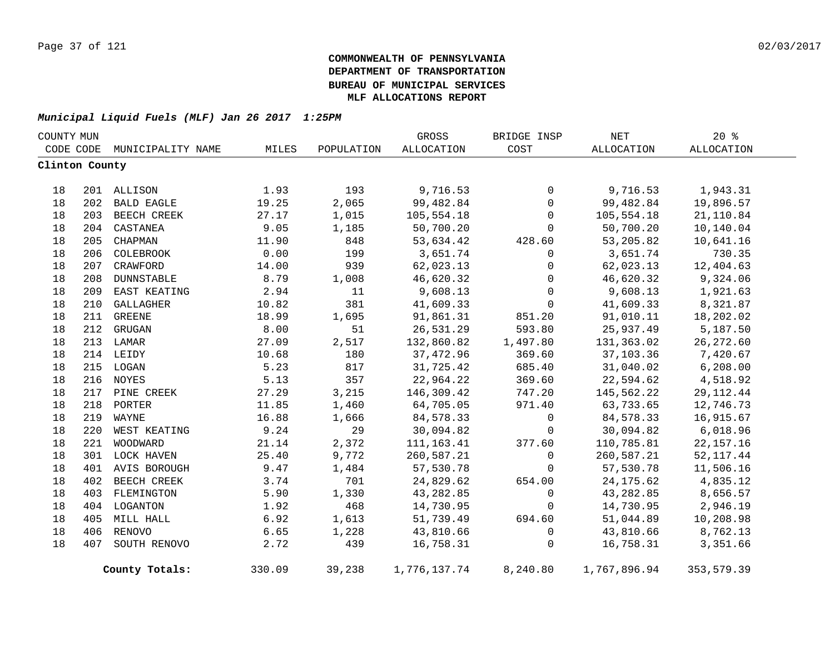| COUNTY MUN     |     |                   |        |            | GROSS             | BRIDGE INSP | $\operatorname{NET}$ | $20*$       |  |
|----------------|-----|-------------------|--------|------------|-------------------|-------------|----------------------|-------------|--|
| CODE CODE      |     | MUNICIPALITY NAME | MILES  | POPULATION | <b>ALLOCATION</b> | COST        | <b>ALLOCATION</b>    | ALLOCATION  |  |
| Clinton County |     |                   |        |            |                   |             |                      |             |  |
|                |     |                   |        |            |                   |             |                      |             |  |
| 18             |     | 201 ALLISON       | 1.93   | 193        | 9,716.53          | 0           | 9,716.53             | 1,943.31    |  |
| 18             | 202 | <b>BALD EAGLE</b> | 19.25  | 2,065      | 99,482.84         | $\mathbf 0$ | 99,482.84            | 19,896.57   |  |
| 18             | 203 | BEECH CREEK       | 27.17  | 1,015      | 105,554.18        | $\mathbf 0$ | 105,554.18           | 21,110.84   |  |
| 18             | 204 | CASTANEA          | 9.05   | 1,185      | 50,700.20         | $\Omega$    | 50,700.20            | 10,140.04   |  |
| 18             | 205 | CHAPMAN           | 11.90  | 848        | 53,634.42         | 428.60      | 53,205.82            | 10,641.16   |  |
| 18             |     | 206 COLEBROOK     | 0.00   | 199        | 3,651.74          | 0           | 3,651.74             | 730.35      |  |
| 18             |     | 207 CRAWFORD      | 14.00  | 939        | 62,023.13         | 0           | 62,023.13            | 12,404.63   |  |
| 18             |     | 208 DUNNSTABLE    | 8.79   | 1,008      | 46,620.32         | 0           | 46,620.32            | 9,324.06    |  |
| 18             | 209 | EAST KEATING      | 2.94   | 11         | 9,608.13          | $\mathbf 0$ | 9,608.13             | 1,921.63    |  |
| 18             | 210 | GALLAGHER         | 10.82  | 381        | 41,609.33         | $\mathbf 0$ | 41,609.33            | 8,321.87    |  |
| 18             |     | 211 GREENE        | 18.99  | 1,695      | 91,861.31         | 851.20      | 91,010.11            | 18,202.02   |  |
| 18             |     | 212 GRUGAN        | 8.00   | 51         | 26,531.29         | 593.80      | 25,937.49            | 5,187.50    |  |
| 18             |     | 213 LAMAR         | 27.09  | 2,517      | 132,860.82        | 1,497.80    | 131,363.02           | 26, 272.60  |  |
| 18             |     | 214 LEIDY         | 10.68  | 180        | 37,472.96         | 369.60      | 37,103.36            | 7,420.67    |  |
| 18             |     | 215 LOGAN         | 5.23   | 817        | 31,725.42         | 685.40      | 31,040.02            | 6, 208.00   |  |
| 18             |     | 216 NOYES         | 5.13   | 357        | 22,964.22         | 369.60      | 22,594.62            | 4,518.92    |  |
| 18             | 217 | PINE CREEK        | 27.29  | 3,215      | 146,309.42        | 747.20      | 145,562.22           | 29, 112. 44 |  |
| 18             | 218 | PORTER            | 11.85  | 1,460      | 64,705.05         | 971.40      | 63,733.65            | 12,746.73   |  |
| 18             | 219 | WAYNE             | 16.88  | 1,666      | 84,578.33         | $\mathbf 0$ | 84,578.33            | 16,915.67   |  |
| 18             | 220 | WEST KEATING      | 9.24   | 29         | 30,094.82         | 0           | 30,094.82            | 6,018.96    |  |
| 18             | 221 | WOODWARD          | 21.14  | 2,372      | 111, 163.41       | 377.60      | 110,785.81           | 22, 157. 16 |  |
| 18             |     | 301 LOCK HAVEN    | 25.40  | 9,772      | 260,587.21        | 0           | 260,587.21           | 52, 117.44  |  |
| 18             |     | 401 AVIS BOROUGH  | 9.47   | 1,484      | 57,530.78         | 0           | 57,530.78            | 11,506.16   |  |
| 18             |     | 402 BEECH CREEK   | 3.74   | 701        | 24,829.62         | 654.00      | 24, 175.62           | 4,835.12    |  |
| 18             |     | 403 FLEMINGTON    | 5.90   | 1,330      | 43,282.85         | $\mathbf 0$ | 43, 282.85           | 8,656.57    |  |
| 18             |     | 404 LOGANTON      | 1.92   | 468        | 14,730.95         | $\mathbf 0$ | 14,730.95            | 2,946.19    |  |
| 18             |     | 405 MILL HALL     | 6.92   | 1,613      | 51,739.49         | 694.60      | 51,044.89            | 10,208.98   |  |
| 18             |     | 406 RENOVO        | 6.65   | 1,228      | 43,810.66         | 0           | 43,810.66            | 8,762.13    |  |
| 18             | 407 | SOUTH RENOVO      | 2.72   | 439        | 16,758.31         | 0           | 16,758.31            | 3,351.66    |  |
|                |     | County Totals:    | 330.09 | 39,238     | 1,776,137.74      | 8,240.80    | 1,767,896.94         | 353,579.39  |  |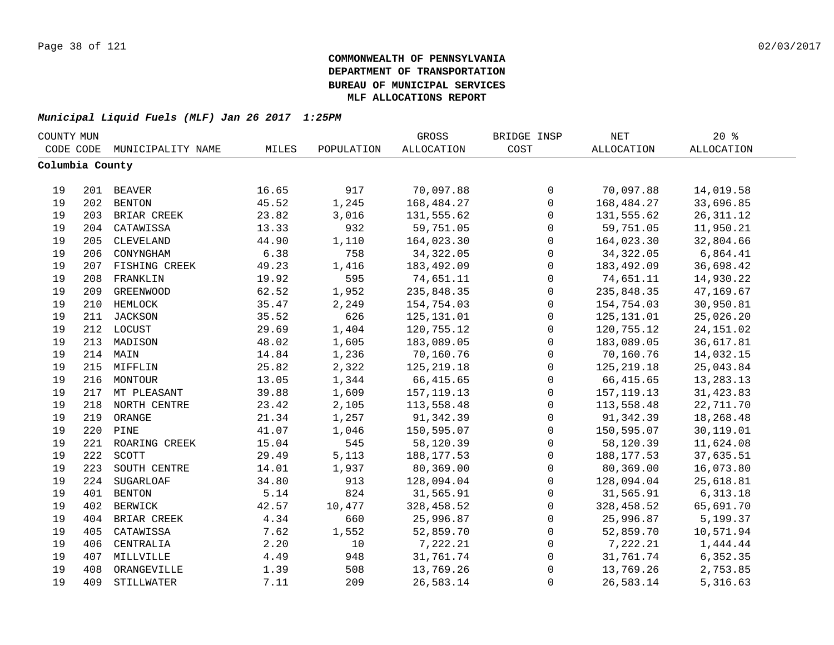| COUNTY MUN      |     |                   |       |            | GROSS             | BRIDGE INSP  | NET               | $20*$             |  |
|-----------------|-----|-------------------|-------|------------|-------------------|--------------|-------------------|-------------------|--|
| CODE CODE       |     | MUNICIPALITY NAME | MILES | POPULATION | <b>ALLOCATION</b> | COST         | <b>ALLOCATION</b> | <b>ALLOCATION</b> |  |
| Columbia County |     |                   |       |            |                   |              |                   |                   |  |
|                 |     |                   |       |            |                   |              |                   |                   |  |
| 19              |     | 201 BEAVER        | 16.65 | 917        | 70,097.88         | $\mathsf{O}$ | 70,097.88         | 14,019.58         |  |
| 19              |     | 202 BENTON        | 45.52 | 1,245      | 168,484.27        | $\mathbf 0$  | 168,484.27        | 33,696.85         |  |
| 19              |     | 203 BRIAR CREEK   | 23.82 | 3,016      | 131,555.62        | $\mathsf{O}$ | 131,555.62        | 26, 311.12        |  |
| 19              | 204 | CATAWISSA         | 13.33 | 932        | 59,751.05         | 0            | 59,751.05         | 11,950.21         |  |
| 19              | 205 | CLEVELAND         | 44.90 | 1,110      | 164,023.30        | 0            | 164,023.30        | 32,804.66         |  |
| 19              | 206 | CONYNGHAM         | 6.38  | 758        | 34, 322.05        | $\mathbf 0$  | 34, 322.05        | 6,864.41          |  |
| 19              | 207 | FISHING CREEK     | 49.23 | 1,416      | 183,492.09        | $\mathbf 0$  | 183,492.09        | 36,698.42         |  |
| 19              | 208 | FRANKLIN          | 19.92 | 595        | 74,651.11         | $\mathbf 0$  | 74,651.11         | 14,930.22         |  |
| 19              | 209 | <b>GREENWOOD</b>  | 62.52 | 1,952      | 235,848.35        | $\mathbf 0$  | 235,848.35        | 47,169.67         |  |
| 19              | 210 | HEMLOCK           | 35.47 | 2,249      | 154,754.03        | $\mathbf 0$  | 154,754.03        | 30,950.81         |  |
| 19              | 211 | <b>JACKSON</b>    | 35.52 | 626        | 125, 131.01       | $\mathsf 0$  | 125,131.01        | 25,026.20         |  |
| 19              | 212 | LOCUST            | 29.69 | 1,404      | 120,755.12        | 0            | 120,755.12        | 24, 151.02        |  |
| 19              | 213 | MADISON           | 48.02 | 1,605      | 183,089.05        | $\mathsf 0$  | 183,089.05        | 36,617.81         |  |
| 19              |     | 214 MAIN          | 14.84 | 1,236      | 70,160.76         | $\mathsf 0$  | 70,160.76         | 14,032.15         |  |
| 19              |     | 215 MIFFLIN       | 25.82 | 2,322      | 125, 219.18       | 0            | 125,219.18        | 25,043.84         |  |
| 19              |     | 216 MONTOUR       | 13.05 | 1,344      | 66,415.65         | 0            | 66, 415.65        | 13,283.13         |  |
| 19              |     | 217 MT PLEASANT   | 39.88 | 1,609      | 157, 119. 13      | 0            | 157, 119. 13      | 31, 423.83        |  |
| 19              | 218 | NORTH CENTRE      | 23.42 | 2,105      | 113,558.48        | $\mathbf 0$  | 113,558.48        | 22,711.70         |  |
| 19              | 219 | ORANGE            | 21.34 | 1,257      | 91,342.39         | 0            | 91,342.39         | 18,268.48         |  |
| 19              | 220 | PINE              | 41.07 | 1,046      | 150,595.07        | $\mathsf{O}$ | 150,595.07        | 30,119.01         |  |
| 19              | 221 | ROARING CREEK     | 15.04 | 545        | 58,120.39         | $\mathbf 0$  | 58,120.39         | 11,624.08         |  |
| 19              | 222 | SCOTT             | 29.49 | 5,113      | 188, 177.53       | $\mathbf 0$  | 188, 177.53       | 37,635.51         |  |
| 19              | 223 | SOUTH CENTRE      | 14.01 | 1,937      | 80,369.00         | $\mathbf 0$  | 80,369.00         | 16,073.80         |  |
| 19              | 224 | SUGARLOAF         | 34.80 | 913        | 128,094.04        | $\mathbf 0$  | 128,094.04        | 25,618.81         |  |
| 19              | 401 | <b>BENTON</b>     | 5.14  | 824        | 31,565.91         | 0            | 31,565.91         | 6,313.18          |  |
| 19              | 402 | BERWICK           | 42.57 | 10,477     | 328,458.52        | 0            | 328,458.52        | 65,691.70         |  |
| 19              | 404 | BRIAR CREEK       | 4.34  | 660        | 25,996.87         | 0            | 25,996.87         | 5,199.37          |  |
| 19              | 405 | CATAWISSA         | 7.62  | 1,552      | 52,859.70         | 0            | 52,859.70         | 10,571.94         |  |
| 19              | 406 | CENTRALIA         | 2.20  | 10         | 7,222.21          | $\mathsf 0$  | 7,222.21          | 1,444.44          |  |
| 19              | 407 | MILLVILLE         | 4.49  | 948        | 31,761.74         | $\mathsf 0$  | 31,761.74         | 6,352.35          |  |
| 19              | 408 | ORANGEVILLE       | 1.39  | 508        | 13,769.26         | 0            | 13,769.26         | 2,753.85          |  |
| 19              | 409 | STILLWATER        | 7.11  | 209        | 26,583.14         | $\mathbf 0$  | 26,583.14         | 5,316.63          |  |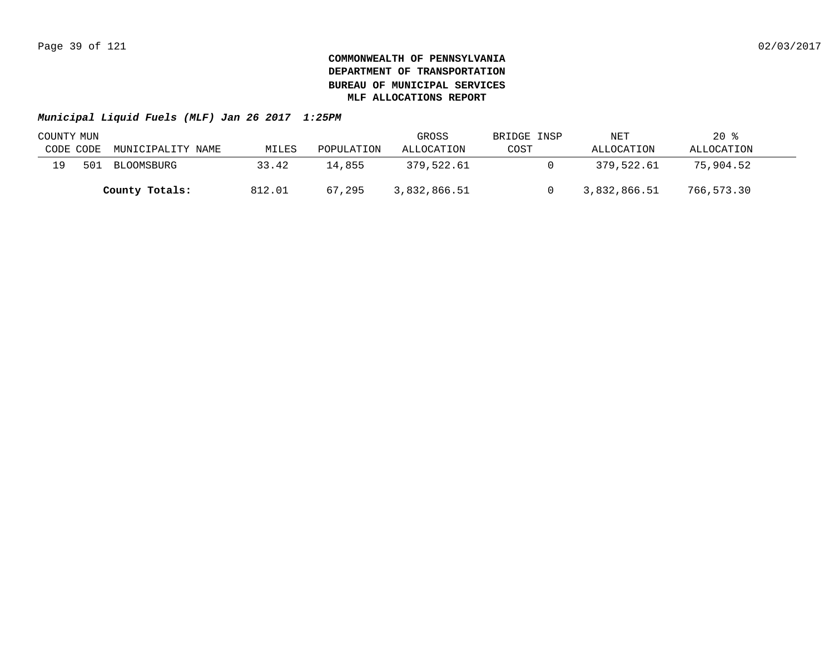| COUNTY MUN |     |                   |        |            | GROSS        | BRIDGE INSP | NET          | $20*$      |  |
|------------|-----|-------------------|--------|------------|--------------|-------------|--------------|------------|--|
| CODE CODE  |     | MUNICIPALITY NAME | MILES  | POPULATION | ALLOCATION   | COST        | ALLOCATION   | ALLOCATION |  |
| 1 Q        | 501 | BLOOMSBURG        | 33.42  | 14.855     | 379,522.61   |             | 379,522.61   | 75,904.52  |  |
|            |     | County Totals:    | 812.01 | 67,295     | 3,832,866.51 |             | 3,832,866.51 | 766,573.30 |  |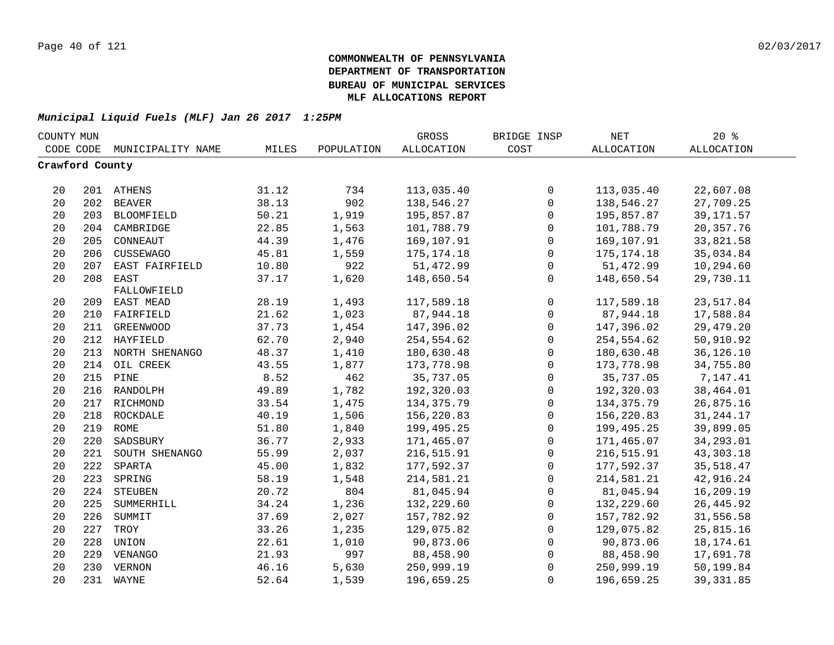| COUNTY MUN      |     |                   |       |            | GROSS             | BRIDGE INSP  | NET               | 20%               |  |
|-----------------|-----|-------------------|-------|------------|-------------------|--------------|-------------------|-------------------|--|
| CODE CODE       |     | MUNICIPALITY NAME | MILES | POPULATION | <b>ALLOCATION</b> | COST         | <b>ALLOCATION</b> | <b>ALLOCATION</b> |  |
| Crawford County |     |                   |       |            |                   |              |                   |                   |  |
|                 |     |                   |       |            |                   |              |                   |                   |  |
| 20              |     | 201 ATHENS        | 31.12 | 734        | 113,035.40        | $\mathsf{O}$ | 113,035.40        | 22,607.08         |  |
| 20              |     | 202 BEAVER        | 38.13 | 902        | 138,546.27        | $\mathsf 0$  | 138,546.27        | 27,709.25         |  |
| 20              | 203 | BLOOMFIELD        | 50.21 | 1,919      | 195,857.87        | 0            | 195,857.87        | 39, 171.57        |  |
| 20              | 204 | CAMBRIDGE         | 22.85 | 1,563      | 101,788.79        | 0            | 101,788.79        | 20, 357. 76       |  |
| 20              | 205 | CONNEAUT          | 44.39 | 1,476      | 169,107.91        | $\mathbf 0$  | 169,107.91        | 33,821.58         |  |
| 20              | 206 | CUSSEWAGO         | 45.81 | 1,559      | 175, 174. 18      | $\mathbf 0$  | 175, 174. 18      | 35,034.84         |  |
| 20              | 207 | EAST FAIRFIELD    | 10.80 | 922        | 51,472.99         | 0            | 51,472.99         | 10,294.60         |  |
| 20              | 208 | EAST              | 37.17 | 1,620      | 148,650.54        | $\mathbf 0$  | 148,650.54        | 29,730.11         |  |
|                 |     | FALLOWFIELD       |       |            |                   |              |                   |                   |  |
| 20              | 209 | EAST MEAD         | 28.19 | 1,493      | 117,589.18        | $\mathsf{O}$ | 117,589.18        | 23,517.84         |  |
| 20              | 210 | FAIRFIELD         | 21.62 | 1,023      | 87,944.18         | $\mathsf{O}$ | 87,944.18         | 17,588.84         |  |
| 20              | 211 | <b>GREENWOOD</b>  | 37.73 | 1,454      | 147,396.02        | $\mathsf{O}$ | 147,396.02        | 29,479.20         |  |
| 20              |     | 212 HAYFIELD      | 62.70 | 2,940      | 254,554.62        | $\mathbf 0$  | 254,554.62        | 50,910.92         |  |
| 20              | 213 | NORTH SHENANGO    | 48.37 | 1,410      | 180,630.48        | $\mathbf 0$  | 180,630.48        | 36,126.10         |  |
| 20              | 214 | OIL CREEK         | 43.55 | 1,877      | 173,778.98        | $\mathsf 0$  | 173,778.98        | 34,755.80         |  |
| 20              | 215 | PINE              | 8.52  | 462        | 35,737.05         | 0            | 35,737.05         | 7,147.41          |  |
| 20              | 216 | RANDOLPH          | 49.89 | 1,782      | 192,320.03        | $\mathsf 0$  | 192,320.03        | 38,464.01         |  |
| 20              |     | 217 RICHMOND      | 33.54 | 1,475      | 134, 375. 79      | $\mathsf 0$  | 134, 375. 79      | 26,875.16         |  |
| 20              |     | 218 ROCKDALE      | 40.19 | 1,506      | 156,220.83        | $\mathsf 0$  | 156,220.83        | 31, 244. 17       |  |
| 20              |     | 219 ROME          | 51.80 | 1,840      | 199,495.25        | $\mathsf 0$  | 199,495.25        | 39,899.05         |  |
| 20              | 220 | SADSBURY          | 36.77 | 2,933      | 171,465.07        | $\mathsf 0$  | 171,465.07        | 34,293.01         |  |
| 20              | 221 | SOUTH SHENANGO    | 55.99 | 2,037      | 216,515.91        | $\mathsf{O}$ | 216,515.91        | 43, 303. 18       |  |
| 20              | 222 | SPARTA            | 45.00 | 1,832      | 177,592.37        | 0            | 177,592.37        | 35,518.47         |  |
| 20              | 223 | SPRING            | 58.19 | 1,548      | 214,581.21        | 0            | 214,581.21        | 42,916.24         |  |
| 20              | 224 | <b>STEUBEN</b>    | 20.72 | 804        | 81,045.94         | $\mathsf{O}$ | 81,045.94         | 16,209.19         |  |
| 20              | 225 | SUMMERHILL        | 34.24 | 1,236      | 132,229.60        | $\mathsf{O}$ | 132,229.60        | 26, 445.92        |  |
| 20              | 226 | SUMMIT            | 37.69 | 2,027      | 157,782.92        | $\mathbf 0$  | 157,782.92        | 31,556.58         |  |
| 20              | 227 | TROY              | 33.26 | 1,235      | 129,075.82        | $\mathbf 0$  | 129,075.82        | 25,815.16         |  |
| 20              | 228 | UNION             | 22.61 | 1,010      | 90,873.06         | $\mathbf 0$  | 90,873.06         | 18, 174.61        |  |
| 20              |     | 229 VENANGO       | 21.93 | 997        | 88,458.90         | 0            | 88,458.90         | 17,691.78         |  |
| 20              | 230 | VERNON            | 46.16 | 5,630      | 250,999.19        | $\mathbf 0$  | 250,999.19        | 50,199.84         |  |
| 20              |     | 231 WAYNE         | 52.64 | 1,539      | 196,659.25        | $\mathbf{0}$ | 196,659.25        | 39, 331.85        |  |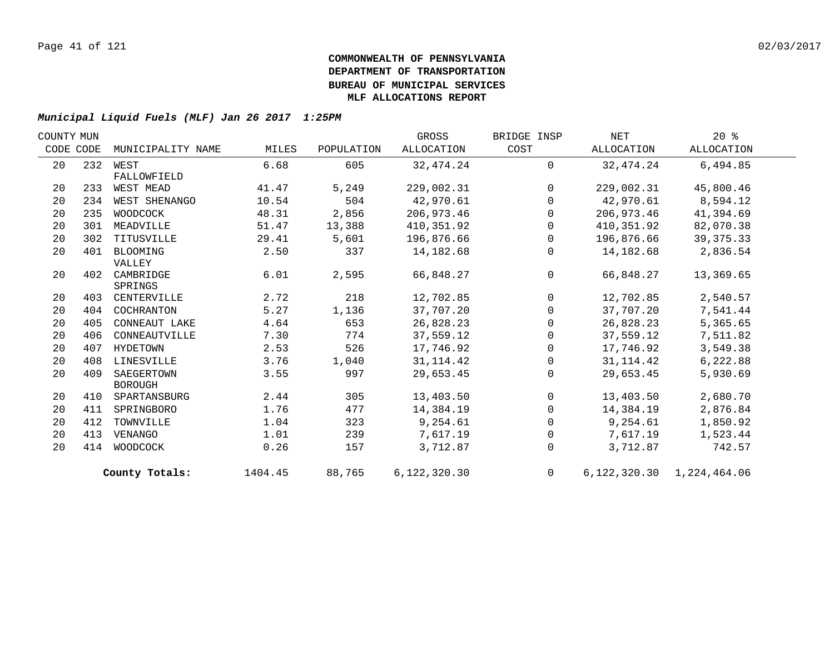| COUNTY MUN |     |                   |         |            | GROSS        | BRIDGE INSP    | NET        | $20*$                         |  |
|------------|-----|-------------------|---------|------------|--------------|----------------|------------|-------------------------------|--|
| CODE CODE  |     | MUNICIPALITY NAME | MILES   | POPULATION | ALLOCATION   | COST           | ALLOCATION | ALLOCATION                    |  |
| 20         |     | 232 WEST          | 6.68    | 605        | 32, 474.24   | $\Omega$       | 32, 474.24 | 6,494.85                      |  |
|            |     | FALLOWFIELD       |         |            |              |                |            |                               |  |
| 20         | 233 | WEST MEAD         | 41.47   | 5,249      | 229,002.31   | $\mathsf{O}$   | 229,002.31 | 45,800.46                     |  |
| 20         | 234 | WEST SHENANGO     | 10.54   | 504        | 42,970.61    | $\mathbf 0$    | 42,970.61  | 8,594.12                      |  |
| 20         | 235 | WOODCOCK          | 48.31   | 2,856      | 206,973.46   | $\mathbf 0$    | 206,973.46 | 41,394.69                     |  |
| 20         | 301 | MEADVILLE         | 51.47   | 13,388     | 410,351.92   | $\Omega$       | 410,351.92 | 82,070.38                     |  |
| 20         | 302 | TITUSVILLE        | 29.41   | 5,601      | 196,876.66   | $\mathbf 0$    | 196,876.66 | 39, 375. 33                   |  |
| 20         | 401 | BLOOMING          | 2.50    | 337        | 14,182.68    | $\mathbf 0$    | 14,182.68  | 2,836.54                      |  |
|            |     | VALLEY            |         |            |              |                |            |                               |  |
| 20         | 402 | CAMBRIDGE         | 6.01    | 2,595      | 66,848.27    | $\mathbf 0$    | 66,848.27  | 13,369.65                     |  |
|            |     | SPRINGS           |         |            |              |                |            |                               |  |
| 20         | 403 | CENTERVILLE       | 2.72    | 218        | 12,702.85    | 0              | 12,702.85  | 2,540.57                      |  |
| 20         | 404 | COCHRANTON        | 5.27    | 1,136      | 37,707.20    | $\Omega$       | 37,707.20  | 7,541.44                      |  |
| 20         | 405 | CONNEAUT LAKE     | 4.64    | 653        | 26,828.23    | $\mathbf 0$    | 26,828.23  | 5,365.65                      |  |
| 20         | 406 | CONNEAUTVILLE     | 7.30    | 774        | 37,559.12    | 0              | 37,559.12  | 7,511.82                      |  |
| 20         | 407 | HYDETOWN          | 2.53    | 526        | 17,746.92    | $\mathbf 0$    | 17,746.92  | 3,549.38                      |  |
| 20         | 408 | LINESVILLE        | 3.76    | 1,040      | 31, 114.42   | $\mathbf 0$    | 31, 114.42 | 6,222.88                      |  |
| 20         | 409 | SAEGERTOWN        | 3.55    | 997        | 29,653.45    | $\mathbf 0$    | 29,653.45  | 5,930.69                      |  |
|            |     | <b>BOROUGH</b>    |         |            |              |                |            |                               |  |
| 20         | 410 | SPARTANSBURG      | 2.44    | 305        | 13,403.50    | $\overline{0}$ | 13,403.50  | 2,680.70                      |  |
| 20         | 411 | SPRINGBORO        | 1.76    | 477        | 14,384.19    | 0              | 14,384.19  | 2,876.84                      |  |
| 20         | 412 | TOWNVILLE         | 1.04    | 323        | 9,254.61     | $\mathbf 0$    | 9,254.61   | 1,850.92                      |  |
| 20         | 413 | VENANGO           | 1.01    | 239        | 7,617.19     | $\mathbf 0$    | 7,617.19   | 1,523.44                      |  |
| 20         | 414 | WOODCOCK          | 0.26    | 157        | 3,712.87     | $\mathbf 0$    | 3,712.87   | 742.57                        |  |
|            |     | County Totals:    | 1404.45 | 88,765     | 6,122,320.30 | $\Omega$       |            | 6, 122, 320.30 1, 224, 464.06 |  |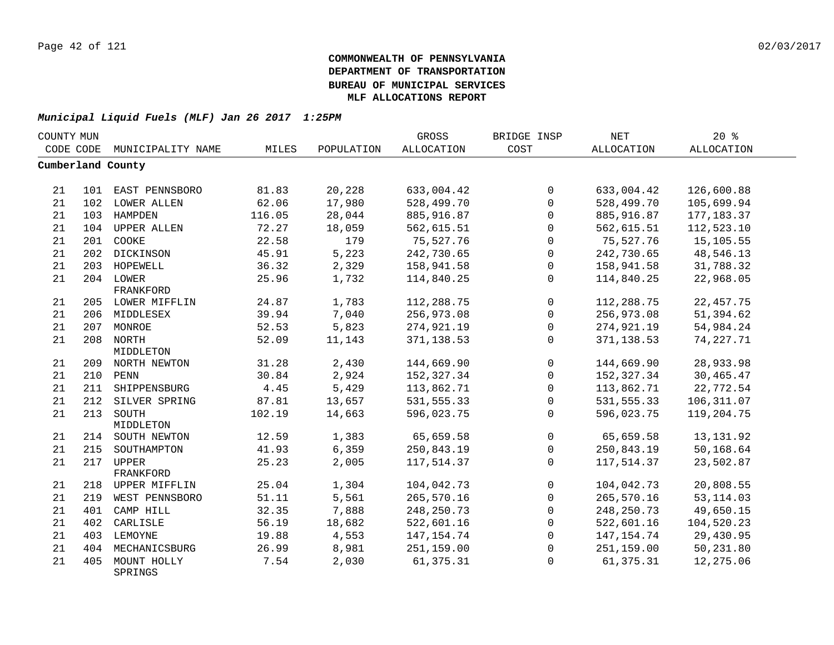| COUNTY MUN |     |                        |        |            | GROSS             | BRIDGE INSP  | NET          | 20%               |  |
|------------|-----|------------------------|--------|------------|-------------------|--------------|--------------|-------------------|--|
| CODE CODE  |     | MUNICIPALITY NAME      | MILES  | POPULATION | <b>ALLOCATION</b> | COST         | ALLOCATION   | <b>ALLOCATION</b> |  |
|            |     | Cumberland County      |        |            |                   |              |              |                   |  |
| 21         |     | 101 EAST PENNSBORO     | 81.83  | 20,228     | 633,004.42        | $\mathbf 0$  | 633,004.42   | 126,600.88        |  |
| 21         |     | 102 LOWER ALLEN        | 62.06  | 17,980     | 528,499.70        | $\Omega$     | 528,499.70   | 105,699.94        |  |
| 21         |     | 103 HAMPDEN            | 116.05 | 28,044     | 885,916.87        | $\Omega$     | 885,916.87   | 177, 183.37       |  |
| 21         |     | 104 UPPER ALLEN        | 72.27  | 18,059     | 562,615.51        | $\Omega$     | 562,615.51   | 112,523.10        |  |
| 21         | 201 | COOKE                  | 22.58  | 179        | 75,527.76         | $\Omega$     | 75,527.76    | 15,105.55         |  |
| 21         |     | 202 DICKINSON          | 45.91  | 5,223      | 242,730.65        | $\mathbf 0$  | 242,730.65   | 48,546.13         |  |
| 21         |     | 203 HOPEWELL           | 36.32  | 2,329      | 158,941.58        | $\mathbf 0$  | 158,941.58   | 31,788.32         |  |
| 21         |     | 204 LOWER              | 25.96  | 1,732      | 114,840.25        | $\mathbf{0}$ | 114,840.25   | 22,968.05         |  |
|            |     | FRANKFORD              |        |            |                   |              |              |                   |  |
| 21         |     | 205 LOWER MIFFLIN      | 24.87  | 1,783      | 112,288.75        | $\mathbf 0$  | 112,288.75   | 22, 457.75        |  |
| 21         |     | 206 MIDDLESEX          | 39.94  | 7,040      | 256,973.08        | $\mathbf 0$  | 256,973.08   | 51,394.62         |  |
| 21         |     | 207 MONROE             | 52.53  | 5,823      | 274,921.19        | $\mathbf 0$  | 274,921.19   | 54,984.24         |  |
| 21         |     | 208 NORTH              | 52.09  | 11,143     | 371, 138.53       | $\mathbf{0}$ | 371, 138.53  | 74, 227. 71       |  |
|            |     | MIDDLETON              |        |            |                   |              |              |                   |  |
| 21         |     | 209 NORTH NEWTON       | 31.28  | 2,430      | 144,669.90        | $\mathbf 0$  | 144,669.90   | 28,933.98         |  |
| 21         |     | 210 PENN               | 30.84  | 2,924      | 152,327.34        | $\Omega$     | 152,327.34   | 30,465.47         |  |
| 21         |     | 211 SHIPPENSBURG       | 4.45   | 5,429      | 113,862.71        | $\Omega$     | 113,862.71   | 22,772.54         |  |
| 21         |     | 212 SILVER SPRING      | 87.81  | 13,657     | 531, 555.33       | $\Omega$     | 531, 555.33  | 106, 311.07       |  |
| 21         | 213 | SOUTH                  | 102.19 | 14,663     | 596,023.75        | $\mathbf{0}$ | 596,023.75   | 119,204.75        |  |
|            |     | MIDDLETON              |        |            |                   |              |              |                   |  |
| 21         |     | 214 SOUTH NEWTON       | 12.59  | 1,383      | 65,659.58         | $\mathbf 0$  | 65,659.58    | 13, 131.92        |  |
| 21         | 215 | SOUTHAMPTON            | 41.93  | 6,359      | 250,843.19        | 0            | 250,843.19   | 50,168.64         |  |
| 21         | 217 | <b>UPPER</b>           | 25.23  | 2,005      | 117,514.37        | $\mathbf{0}$ | 117,514.37   | 23,502.87         |  |
|            |     | FRANKFORD              |        |            |                   |              |              |                   |  |
| 21         |     | 218 UPPER MIFFLIN      | 25.04  | 1,304      | 104,042.73        | $\mathbf{0}$ | 104,042.73   | 20,808.55         |  |
| 21         | 219 | WEST PENNSBORO         | 51.11  | 5,561      | 265,570.16        | $\mathbf{0}$ | 265,570.16   | 53, 114.03        |  |
| 21         | 401 | CAMP HILL              | 32.35  | 7,888      | 248, 250. 73      | $\Omega$     | 248, 250. 73 | 49,650.15         |  |
| 21         | 402 | CARLISLE               | 56.19  | 18,682     | 522,601.16        | $\mathbf 0$  | 522,601.16   | 104,520.23        |  |
| 21         |     | 403 LEMOYNE            | 19.88  | 4,553      | 147, 154. 74      | $\mathbf 0$  | 147, 154.74  | 29,430.95         |  |
| 21         | 404 | MECHANICSBURG          | 26.99  | 8,981      | 251,159.00        | $\mathbf{0}$ | 251,159.00   | 50,231.80         |  |
| 21         | 405 | MOUNT HOLLY<br>SPRINGS | 7.54   | 2,030      | 61, 375.31        | $\Omega$     | 61,375.31    | 12,275.06         |  |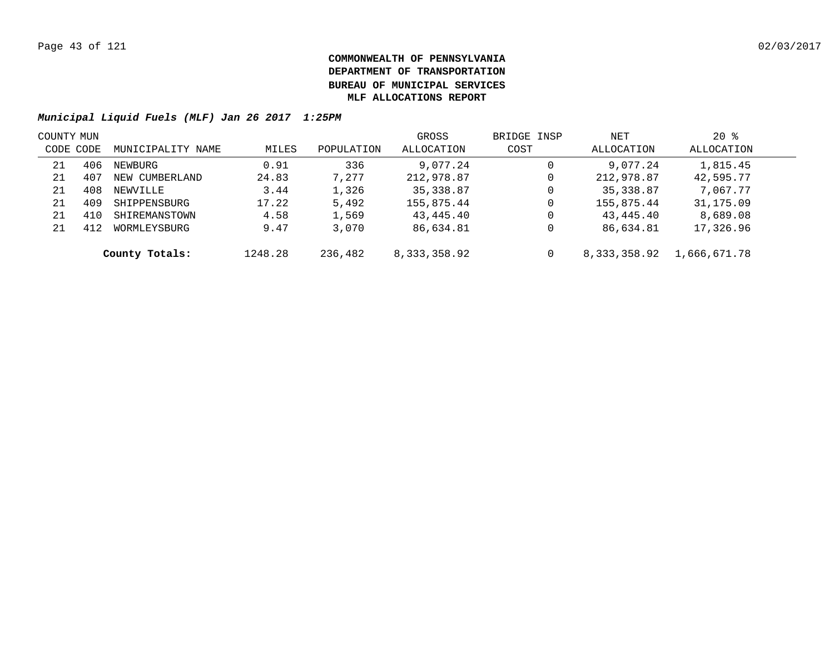| COUNTY MUN |     |                   |         |            | GROSS        | BRIDGE INSP | NET            | $20*$        |  |
|------------|-----|-------------------|---------|------------|--------------|-------------|----------------|--------------|--|
| CODE CODE  |     | MUNICIPALITY NAME | MILES   | POPULATION | ALLOCATION   | COST        | ALLOCATION     | ALLOCATION   |  |
| 21         | 406 | NEWBURG           | 0.91    | 336        | 9,077.24     | 0           | 9,077.24       | 1,815.45     |  |
| 21         | 407 | NEW CUMBERLAND    | 24.83   | 7,277      | 212,978.87   | 0           | 212,978.87     | 42,595.77    |  |
| 21         | 408 | NEWVILLE          | 3.44    | 1,326      | 35,338.87    | 0           | 35, 338.87     | 7,067.77     |  |
| 21         | 409 | SHIPPENSBURG      | 17.22   | 5,492      | 155,875.44   | 0           | 155,875.44     | 31,175.09    |  |
| 21         | 410 | SHIREMANSTOWN     | 4.58    | 1,569      | 43,445.40    | 0           | 43,445.40      | 8,689.08     |  |
| 21         | 412 | WORMLEYSBURG      | 9.47    | 3,070      | 86,634.81    | 0           | 86,634.81      | 17,326.96    |  |
|            |     | County Totals:    | 1248.28 | 236,482    | 8,333,358.92 | 0           | 8, 333, 358.92 | 1,666,671.78 |  |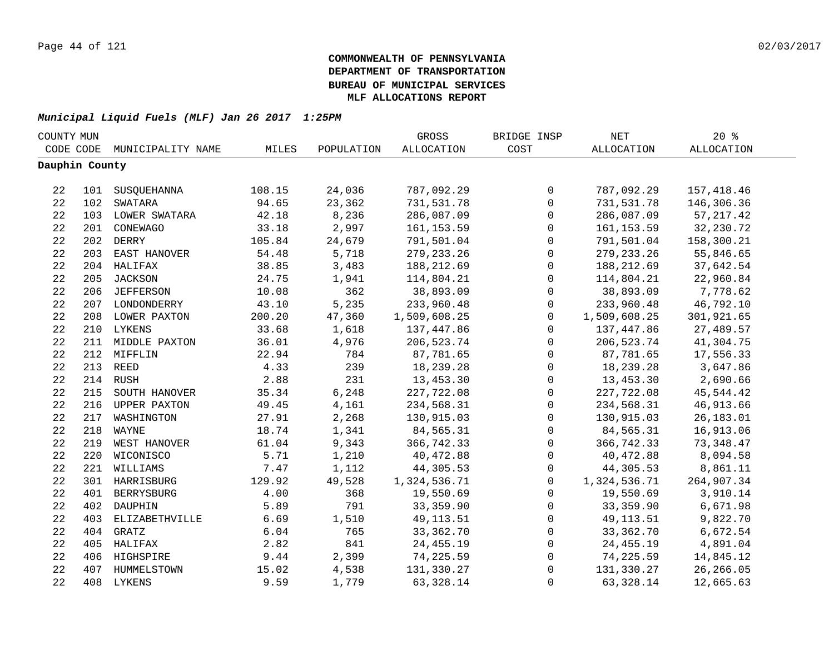| COUNTY MUN     |     |                   |        |            | GROSS             | BRIDGE INSP  | $\operatorname{NET}$ | $20*$             |  |
|----------------|-----|-------------------|--------|------------|-------------------|--------------|----------------------|-------------------|--|
| CODE CODE      |     | MUNICIPALITY NAME | MILES  | POPULATION | <b>ALLOCATION</b> | COST         | ALLOCATION           | <b>ALLOCATION</b> |  |
| Dauphin County |     |                   |        |            |                   |              |                      |                   |  |
|                |     |                   |        |            |                   |              |                      |                   |  |
| 22             |     | 101 SUSQUEHANNA   | 108.15 | 24,036     | 787,092.29        | $\mathbf 0$  | 787,092.29           | 157,418.46        |  |
| 22             | 102 | SWATARA           | 94.65  | 23,362     | 731,531.78        | $\mathbf 0$  | 731,531.78           | 146,306.36        |  |
| 22             |     | 103 LOWER SWATARA | 42.18  | 8,236      | 286,087.09        | $\mathbf 0$  | 286,087.09           | 57, 217.42        |  |
| 22             | 201 | CONEWAGO          | 33.18  | 2,997      | 161, 153.59       | $\mathbf 0$  | 161, 153.59          | 32, 230. 72       |  |
| 22             | 202 | DERRY             | 105.84 | 24,679     | 791,501.04        | $\mathsf{O}$ | 791,501.04           | 158,300.21        |  |
| 22             |     | 203 EAST HANOVER  | 54.48  | 5,718      | 279, 233. 26      | $\mathbf 0$  | 279, 233. 26         | 55,846.65         |  |
| 22             |     | 204 HALIFAX       | 38.85  | 3,483      | 188,212.69        | $\mathsf{O}$ | 188,212.69           | 37,642.54         |  |
| 22             |     | 205 JACKSON       | 24.75  | 1,941      | 114,804.21        | $\mathbf 0$  | 114,804.21           | 22,960.84         |  |
| 22             |     | 206 JEFFERSON     | 10.08  | 362        | 38,893.09         | $\mathbf 0$  | 38,893.09            | 7,778.62          |  |
| 22             |     | 207 LONDONDERRY   | 43.10  | 5,235      | 233,960.48        | $\mathsf{O}$ | 233,960.48           | 46,792.10         |  |
| 22             |     | 208 LOWER PAXTON  | 200.20 | 47,360     | 1,509,608.25      | $\mathbf 0$  | 1,509,608.25         | 301,921.65        |  |
| 22             |     | 210 LYKENS        | 33.68  | 1,618      | 137,447.86        | $\mathbf 0$  | 137,447.86           | 27,489.57         |  |
| 22             |     | 211 MIDDLE PAXTON | 36.01  | 4,976      | 206,523.74        | $\mathbf 0$  | 206,523.74           | 41,304.75         |  |
| 22             |     | 212 MIFFLIN       | 22.94  | 784        | 87,781.65         | $\mathbf 0$  | 87,781.65            | 17,556.33         |  |
| 22             |     | 213 REED          | 4.33   | 239        | 18,239.28         | $\mathbf 0$  | 18,239.28            | 3,647.86          |  |
| 22             |     | 214 RUSH          | 2.88   | 231        | 13,453.30         | $\mathbf 0$  | 13,453.30            | 2,690.66          |  |
| 22             |     | 215 SOUTH HANOVER | 35.34  | 6,248      | 227,722.08        | $\mathsf 0$  | 227,722.08           | 45,544.42         |  |
| 22             |     | 216 UPPER PAXTON  | 49.45  | 4,161      | 234,568.31        | $\mathbf 0$  | 234,568.31           | 46,913.66         |  |
| 22             |     | 217 WASHINGTON    | 27.91  | 2,268      | 130,915.03        | $\mathsf{O}$ | 130,915.03           | 26,183.01         |  |
| 22             |     | 218 WAYNE         | 18.74  | 1,341      | 84,565.31         | $\mathsf{O}$ | 84,565.31            | 16,913.06         |  |
| 22             |     | 219 WEST HANOVER  | 61.04  | 9,343      | 366,742.33        | $\mathbf 0$  | 366,742.33           | 73,348.47         |  |
| 22             |     | 220 WICONISCO     | 5.71   | 1,210      | 40,472.88         | $\mathsf{O}$ | 40,472.88            | 8,094.58          |  |
| 22             |     | 221 WILLIAMS      | 7.47   | 1,112      | 44,305.53         | 0            | 44,305.53            | 8,861.11          |  |
| 22             |     | 301 HARRISBURG    | 129.92 | 49,528     | 1,324,536.71      | $\mathbf 0$  | 1,324,536.71         | 264,907.34        |  |
| 22             |     | 401 BERRYSBURG    | 4.00   | 368        | 19,550.69         | $\mathbf 0$  | 19,550.69            | 3,910.14          |  |
| 22             |     | 402 DAUPHIN       | 5.89   | 791        | 33, 359.90        | 0            | 33,359.90            | 6,671.98          |  |
| 22             | 403 | ELIZABETHVILLE    | 6.69   | 1,510      | 49, 113. 51       | $\mathbf 0$  | 49,113.51            | 9,822.70          |  |
| 22             |     | 404 GRATZ         | 6.04   | 765        | 33, 362. 70       | $\mathbf 0$  | 33,362.70            | 6,672.54          |  |
| 22             |     | 405 HALIFAX       | 2.82   | 841        | 24, 455.19        | $\mathbf 0$  | 24,455.19            | 4,891.04          |  |
| 22             |     | 406 HIGHSPIRE     | 9.44   | 2,399      | 74,225.59         | 0            | 74,225.59            | 14,845.12         |  |
| 22             |     | 407 HUMMELSTOWN   | 15.02  | 4,538      | 131,330.27        | $\mathbf 0$  | 131,330.27           | 26, 266.05        |  |
| 22             |     | 408 LYKENS        | 9.59   | 1,779      | 63, 328.14        | $\mathbf 0$  | 63, 328.14           | 12,665.63         |  |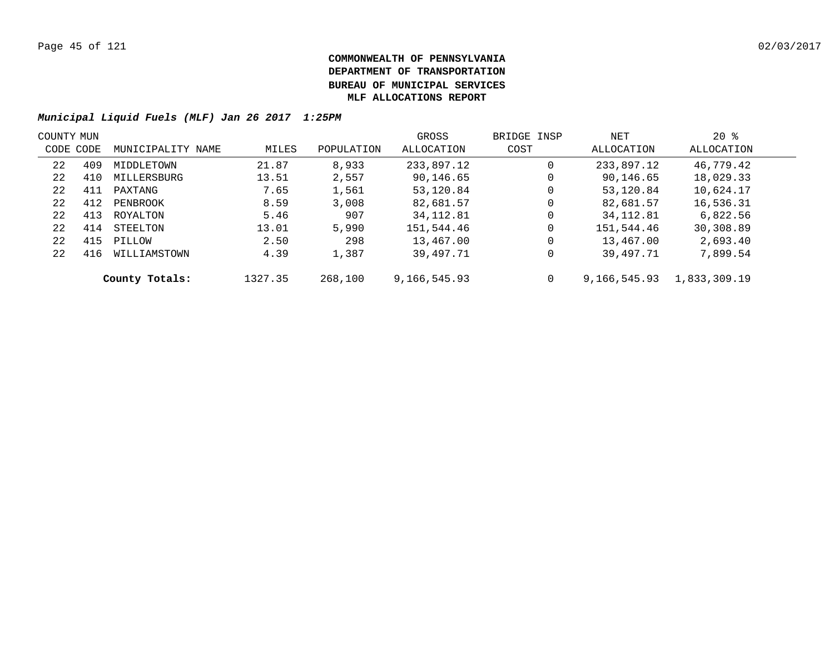| COUNTY MUN |     |                   |         |            | GROSS        | BRIDGE INSP | NET          | $20*$        |  |
|------------|-----|-------------------|---------|------------|--------------|-------------|--------------|--------------|--|
| CODE CODE  |     | MUNICIPALITY NAME | MILES   | POPULATION | ALLOCATION   | COST        | ALLOCATION   | ALLOCATION   |  |
| 22         | 409 | MIDDLETOWN        | 21.87   | 8,933      | 233,897.12   | $\mathbf 0$ | 233,897.12   | 46,779.42    |  |
| 22         | 410 | MILLERSBURG       | 13.51   | 2,557      | 90,146.65    | 0           | 90,146.65    | 18,029.33    |  |
| 22         | 411 | PAXTANG           | 7.65    | 1,561      | 53,120.84    | 0           | 53,120.84    | 10,624.17    |  |
| 22         | 412 | PENBROOK          | 8.59    | 3,008      | 82,681.57    | 0           | 82,681.57    | 16,536.31    |  |
| 22         | 413 | ROYALTON          | 5.46    | 907        | 34, 112.81   | 0           | 34, 112.81   | 6,822.56     |  |
| 22         | 414 | STEELTON          | 13.01   | 5,990      | 151,544.46   | $\mathbf 0$ | 151,544.46   | 30,308.89    |  |
| 22         | 415 | PILLOW            | 2.50    | 298        | 13,467.00    | $\mathbf 0$ | 13,467.00    | 2,693.40     |  |
| 22         | 416 | WILLIAMSTOWN      | 4.39    | 1,387      | 39,497.71    | 0           | 39,497.71    | 7,899.54     |  |
|            |     | County Totals:    | 1327.35 | 268,100    | 9,166,545.93 | 0           | 9,166,545.93 | 1,833,309.19 |  |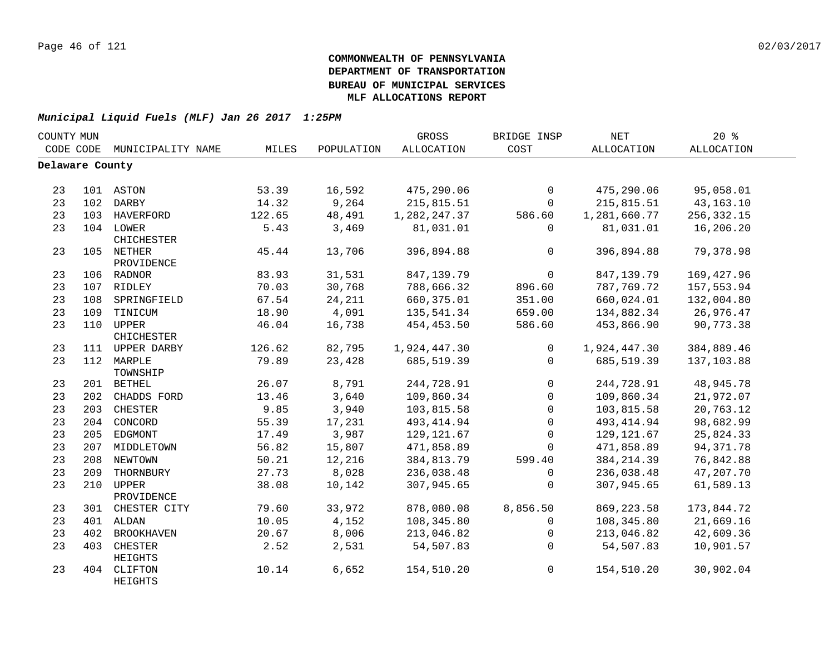| COUNTY MUN      |     |                          |        |            | GROSS        | BRIDGE INSP  | <b>NET</b>        | 20%         |  |
|-----------------|-----|--------------------------|--------|------------|--------------|--------------|-------------------|-------------|--|
| CODE CODE       |     | MUNICIPALITY NAME        | MILES  | POPULATION | ALLOCATION   | COST         | <b>ALLOCATION</b> | ALLOCATION  |  |
| Delaware County |     |                          |        |            |              |              |                   |             |  |
|                 |     |                          |        |            |              |              |                   |             |  |
| 23              |     | 101 ASTON                | 53.39  | 16,592     | 475,290.06   | $\mathbf 0$  | 475,290.06        | 95,058.01   |  |
| 23              |     | 102 DARBY                | 14.32  | 9,264      | 215,815.51   | $\mathbf 0$  | 215,815.51        | 43, 163. 10 |  |
| 23              |     | 103 HAVERFORD            | 122.65 | 48,491     | 1,282,247.37 | 586.60       | 1,281,660.77      | 256, 332.15 |  |
| 23              |     | 104 LOWER<br>CHICHESTER  | 5.43   | 3,469      | 81,031.01    | 0            | 81,031.01         | 16,206.20   |  |
| 23              |     | 105 NETHER<br>PROVIDENCE | 45.44  | 13,706     | 396,894.88   | $\mathsf{O}$ | 396,894.88        | 79,378.98   |  |
| 23              |     | 106 RADNOR               | 83.93  | 31,531     | 847,139.79   | $\mathbf 0$  | 847,139.79        | 169, 427.96 |  |
| 23              |     | 107 RIDLEY               | 70.03  | 30,768     | 788,666.32   | 896.60       | 787,769.72        | 157,553.94  |  |
| 23              |     | 108 SPRINGFIELD          | 67.54  | 24,211     | 660,375.01   | 351.00       | 660,024.01        | 132,004.80  |  |
| 23              |     | 109 TINICUM              | 18.90  | 4,091      | 135,541.34   | 659.00       | 134,882.34        | 26,976.47   |  |
| 23              |     | 110 UPPER<br>CHICHESTER  | 46.04  | 16,738     | 454, 453.50  | 586.60       | 453,866.90        | 90,773.38   |  |
| 23              |     | 111 UPPER DARBY          | 126.62 | 82,795     | 1,924,447.30 | 0            | 1,924,447.30      | 384,889.46  |  |
| 23              |     | 112 MARPLE<br>TOWNSHIP   | 79.89  | 23,428     | 685,519.39   | $\mathbf 0$  | 685,519.39        | 137,103.88  |  |
| 23              |     | 201 BETHEL               | 26.07  | 8,791      | 244,728.91   | $\mathbf 0$  | 244,728.91        | 48,945.78   |  |
| 23              |     | 202 CHADDS FORD          | 13.46  | 3,640      | 109,860.34   | $\mathbf 0$  | 109,860.34        | 21,972.07   |  |
| 23              |     | 203 CHESTER              | 9.85   | 3,940      | 103,815.58   | $\mathbf 0$  | 103,815.58        | 20,763.12   |  |
| 23              |     | 204 CONCORD              | 55.39  | 17,231     | 493, 414.94  | $\mathsf 0$  | 493, 414.94       | 98,682.99   |  |
| 23              |     | 205 EDGMONT              | 17.49  | 3,987      | 129, 121.67  | $\mathbf 0$  | 129, 121.67       | 25,824.33   |  |
| 23              |     | 207 MIDDLETOWN           | 56.82  | 15,807     | 471,858.89   | 0            | 471,858.89        | 94, 371. 78 |  |
| 23              |     | 208 NEWTOWN              | 50.21  | 12,216     | 384, 813.79  | 599.40       | 384, 214.39       | 76,842.88   |  |
| 23              | 209 | THORNBURY                | 27.73  | 8,028      | 236,038.48   | 0            | 236,038.48        | 47,207.70   |  |
| 23              | 210 | UPPER<br>PROVIDENCE      | 38.08  | 10,142     | 307,945.65   | $\mathbf 0$  | 307,945.65        | 61,589.13   |  |
| 23              | 301 | CHESTER CITY             | 79.60  | 33,972     | 878,080.08   | 8,856.50     | 869, 223.58       | 173,844.72  |  |
| 23              | 401 | ALDAN                    | 10.05  | 4,152      | 108,345.80   | $\mathbf 0$  | 108,345.80        | 21,669.16   |  |
| 23              | 402 | <b>BROOKHAVEN</b>        | 20.67  | 8,006      | 213,046.82   | $\mathbf 0$  | 213,046.82        | 42,609.36   |  |
| 23              | 403 | CHESTER<br>HEIGHTS       | 2.52   | 2,531      | 54,507.83    | $\Omega$     | 54,507.83         | 10,901.57   |  |
| 23              |     | 404 CLIFTON<br>HEIGHTS   | 10.14  | 6,652      | 154,510.20   | $\mathsf{O}$ | 154,510.20        | 30,902.04   |  |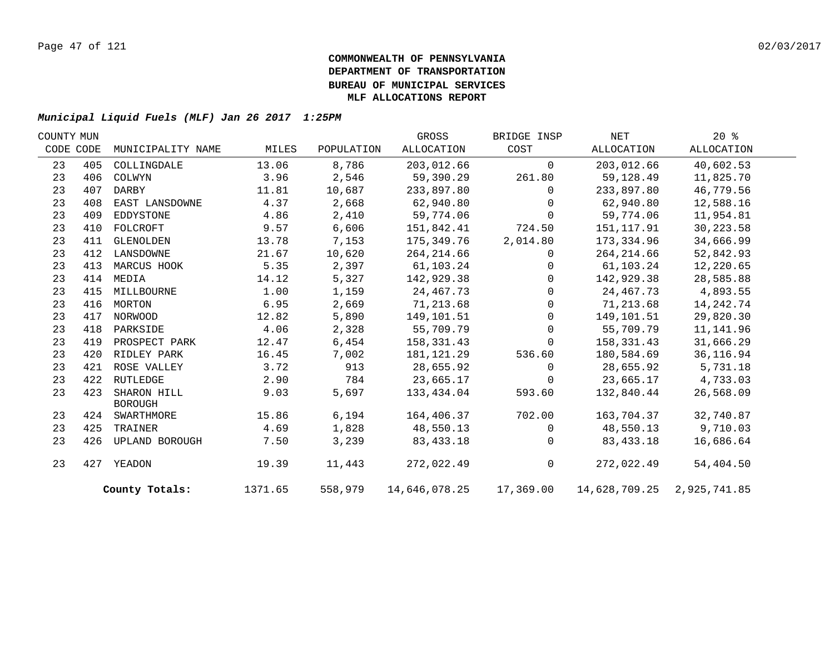| COUNTY MUN |     |                               |         |            | GROSS         | BRIDGE INSP  | NET                                        | $20*$       |  |
|------------|-----|-------------------------------|---------|------------|---------------|--------------|--------------------------------------------|-------------|--|
| CODE CODE  |     | MUNICIPALITY NAME             | MILES   | POPULATION | ALLOCATION    | COST         | ALLOCATION                                 | ALLOCATION  |  |
| 23         | 405 | COLLINGDALE                   | 13.06   | 8,786      | 203,012.66    | $\Omega$     | 203,012.66                                 | 40,602.53   |  |
| 23         | 406 | COLWYN                        | 3.96    | 2,546      | 59,390.29     | 261.80       | 59,128.49                                  | 11,825.70   |  |
| 23         | 407 | DARBY                         | 11.81   | 10,687     | 233,897.80    | $\Omega$     | 233,897.80                                 | 46,779.56   |  |
| 23         | 408 | EAST LANSDOWNE                | 4.37    | 2,668      | 62,940.80     | $\Omega$     | 62,940.80                                  | 12,588.16   |  |
| 23         | 409 | EDDYSTONE                     | 4.86    | 2,410      | 59,774.06     | $\Omega$     | 59,774.06                                  | 11,954.81   |  |
| 23         | 410 | FOLCROFT                      | 9.57    | 6,606      | 151,842.41    | 724.50       | 151,117.91                                 | 30, 223.58  |  |
| 23         | 411 | GLENOLDEN                     | 13.78   | 7,153      | 175,349.76    | 2,014.80     | 173,334.96                                 | 34,666.99   |  |
| 23         | 412 | LANSDOWNE                     | 21.67   | 10,620     | 264, 214.66   | $\mathbf{0}$ | 264, 214.66                                | 52,842.93   |  |
| 23         | 413 | MARCUS HOOK                   | 5.35    | 2,397      | 61,103.24     | $\Omega$     | 61,103.24                                  | 12,220.65   |  |
| 23         | 414 | MEDIA                         | 14.12   | 5,327      | 142,929.38    | $\Omega$     | 142,929.38                                 | 28,585.88   |  |
| 23         | 415 | MILLBOURNE                    | 1.00    | 1,159      | 24, 467. 73   | $\Omega$     | 24, 467. 73                                | 4,893.55    |  |
| 23         |     | 416 MORTON                    | 6.95    | 2,669      | 71,213.68     | $\Omega$     | 71,213.68                                  | 14, 242. 74 |  |
| 23         | 417 | NORWOOD                       | 12.82   | 5,890      | 149,101.51    | $\mathbf{0}$ | 149,101.51                                 | 29,820.30   |  |
| 23         | 418 | PARKSIDE                      | 4.06    | 2,328      | 55,709.79     | $\Omega$     | 55,709.79                                  | 11, 141.96  |  |
| 23         | 419 | PROSPECT PARK                 | 12.47   | 6,454      | 158,331.43    | $\Omega$     | 158,331.43                                 | 31,666.29   |  |
| 23         | 420 | RIDLEY PARK                   | 16.45   | 7,002      | 181,121.29    | 536.60       | 180,584.69                                 | 36,116.94   |  |
| 23         | 421 | ROSE VALLEY                   | 3.72    | 913        | 28,655.92     | $\Omega$     | 28,655.92                                  | 5,731.18    |  |
| 23         | 422 | RUTLEDGE                      | 2.90    | 784        | 23,665.17     | 0            | 23,665.17                                  | 4,733.03    |  |
| 23         | 423 | SHARON HILL<br><b>BOROUGH</b> | 9.03    | 5,697      | 133,434.04    | 593.60       | 132,840.44                                 | 26,568.09   |  |
| 23         |     | 424 SWARTHMORE                | 15.86   | 6,194      | 164,406.37    | 702.00       | 163,704.37                                 | 32,740.87   |  |
| 23         | 425 | TRAINER                       | 4.69    | 1,828      | 48,550.13     | $\Omega$     | 48,550.13                                  | 9,710.03    |  |
| 23         | 426 | UPLAND BOROUGH                | 7.50    | 3,239      | 83, 433. 18   | $\mathbf{0}$ | 83, 433. 18                                | 16,686.64   |  |
| 23         | 427 | YEADON                        | 19.39   | 11,443     | 272,022.49    | $\mathsf{O}$ | 272,022.49                                 | 54,404.50   |  |
|            |     | County Totals:                | 1371.65 | 558,979    | 14,646,078.25 |              | 17,369.00    14,628,709.25    2,925,741.85 |             |  |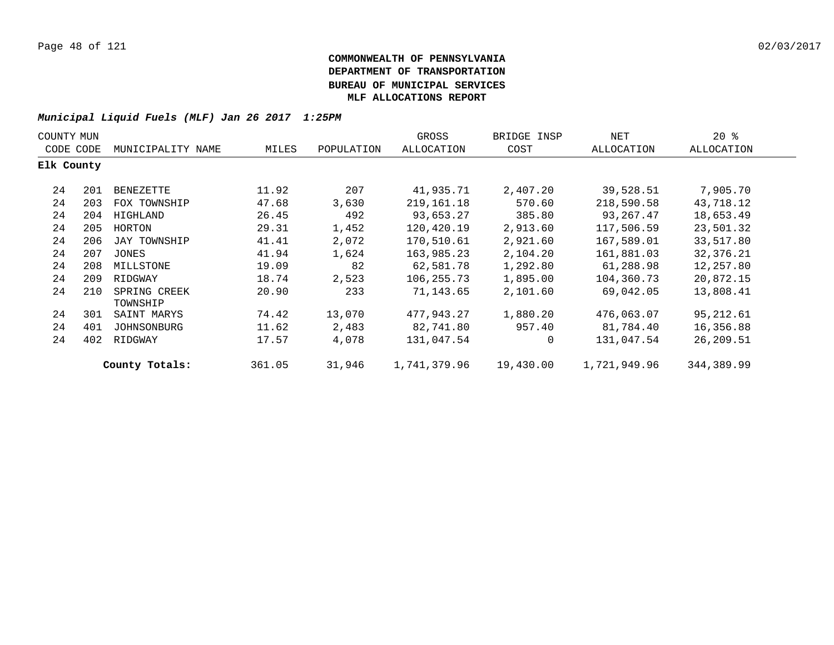| COUNTY MUN |     |                          |        |            | GROSS        | BRIDGE INSP | NET          | $20*$      |  |
|------------|-----|--------------------------|--------|------------|--------------|-------------|--------------|------------|--|
| CODE CODE  |     | MUNICIPALITY NAME        | MILES  | POPULATION | ALLOCATION   | COST        | ALLOCATION   | ALLOCATION |  |
| Elk County |     |                          |        |            |              |             |              |            |  |
| 24         | 201 | BENEZETTE                | 11.92  | 207        | 41,935.71    | 2,407.20    | 39,528.51    | 7,905.70   |  |
| 24         | 203 | FOX TOWNSHIP             | 47.68  | 3,630      | 219, 161. 18 | 570.60      | 218,590.58   | 43,718.12  |  |
| 24         | 204 | HIGHLAND                 | 26.45  | 492        | 93,653.27    | 385.80      | 93,267.47    | 18,653.49  |  |
| 24         | 205 | HORTON                   | 29.31  | 1,452      | 120,420.19   | 2,913.60    | 117,506.59   | 23,501.32  |  |
| 24         | 206 | JAY TOWNSHIP             | 41.41  | 2,072      | 170,510.61   | 2,921.60    | 167,589.01   | 33,517.80  |  |
| 24         | 207 | JONES                    | 41.94  | 1,624      | 163,985.23   | 2,104.20    | 161,881.03   | 32,376.21  |  |
| 24         | 208 | MILLSTONE                | 19.09  | 82         | 62,581.78    | 1,292.80    | 61,288.98    | 12,257.80  |  |
| 24         | 209 | RIDGWAY                  | 18.74  | 2,523      | 106,255.73   | 1,895.00    | 104,360.73   | 20,872.15  |  |
| 24         | 210 | SPRING CREEK<br>TOWNSHIP | 20.90  | 233        | 71,143.65    | 2,101.60    | 69,042.05    | 13,808.41  |  |
| 24         | 301 | SAINT MARYS              | 74.42  | 13,070     | 477,943.27   | 1,880.20    | 476,063.07   | 95,212.61  |  |
| 24         | 401 | JOHNSONBURG              | 11.62  | 2,483      | 82,741.80    | 957.40      | 81,784.40    | 16,356.88  |  |
| 24         | 402 | RIDGWAY                  | 17.57  | 4,078      | 131,047.54   | $\mathbf 0$ | 131,047.54   | 26,209.51  |  |
|            |     | County Totals:           | 361.05 | 31,946     | 1,741,379.96 | 19,430.00   | 1,721,949.96 | 344,389.99 |  |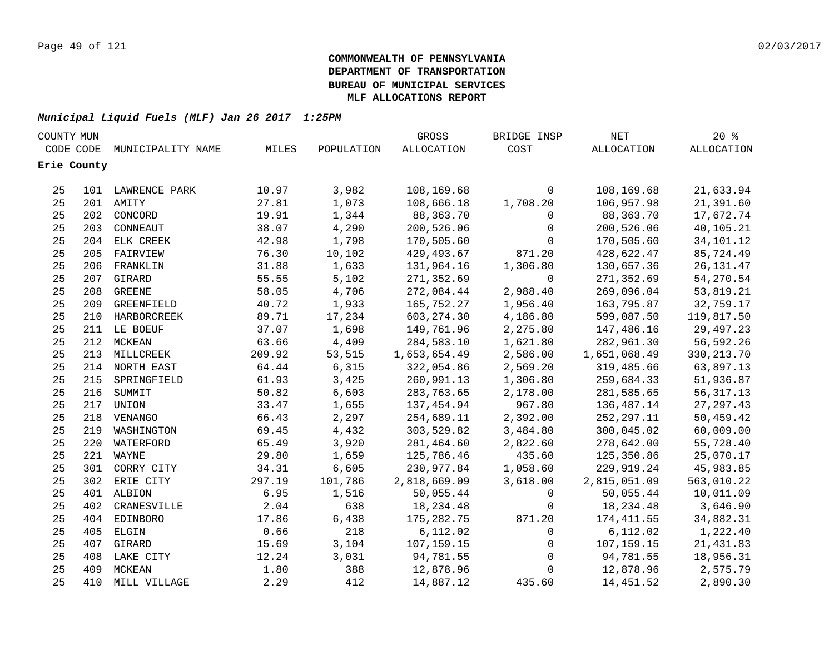| COUNTY MUN |             |                   |        |            | GROSS        | BRIDGE INSP  | NET               | $20*$             |  |
|------------|-------------|-------------------|--------|------------|--------------|--------------|-------------------|-------------------|--|
| CODE CODE  |             | MUNICIPALITY NAME | MILES  | POPULATION | ALLOCATION   | COST         | <b>ALLOCATION</b> | <b>ALLOCATION</b> |  |
|            | Erie County |                   |        |            |              |              |                   |                   |  |
|            |             |                   |        |            |              |              |                   |                   |  |
| 25         |             | 101 LAWRENCE PARK | 10.97  | 3,982      | 108,169.68   | $\mathsf{O}$ | 108,169.68        | 21,633.94         |  |
| 25         |             | 201 AMITY         | 27.81  | 1,073      | 108,666.18   | 1,708.20     | 106,957.98        | 21,391.60         |  |
| 25         | 202         | CONCORD           | 19.91  | 1,344      | 88,363.70    | 0            | 88,363.70         | 17,672.74         |  |
| 25         | 203         | CONNEAUT          | 38.07  | 4,290      | 200,526.06   | 0            | 200,526.06        | 40,105.21         |  |
| 25         | 204         | ELK CREEK         | 42.98  | 1,798      | 170,505.60   | 0            | 170,505.60        | 34,101.12         |  |
| 25         | 205         | FAIRVIEW          | 76.30  | 10,102     | 429, 493.67  | 871.20       | 428,622.47        | 85,724.49         |  |
| 25         | 206         | FRANKLIN          | 31.88  | 1,633      | 131,964.16   | 1,306.80     | 130,657.36        | 26, 131. 47       |  |
| 25         | 207         | GIRARD            | 55.55  | 5,102      | 271,352.69   | $\mathbf 0$  | 271,352.69        | 54,270.54         |  |
| 25         | 208         | <b>GREENE</b>     | 58.05  | 4,706      | 272,084.44   | 2,988.40     | 269,096.04        | 53,819.21         |  |
| 25         | 209         | GREENFIELD        | 40.72  | 1,933      | 165,752.27   | 1,956.40     | 163,795.87        | 32,759.17         |  |
| 25         |             | 210 HARBORCREEK   | 89.71  | 17,234     | 603, 274.30  | 4,186.80     | 599,087.50        | 119,817.50        |  |
| 25         |             | 211 LE BOEUF      | 37.07  | 1,698      | 149,761.96   | 2,275.80     | 147,486.16        | 29,497.23         |  |
| 25         | 212         | MCKEAN            | 63.66  | 4,409      | 284,583.10   | 1,621.80     | 282,961.30        | 56,592.26         |  |
| 25         |             | 213 MILLCREEK     | 209.92 | 53,515     | 1,653,654.49 | 2,586.00     | 1,651,068.49      | 330, 213.70       |  |
| 25         |             | 214 NORTH EAST    | 64.44  | 6,315      | 322,054.86   | 2,569.20     | 319,485.66        | 63,897.13         |  |
| 25         |             | 215 SPRINGFIELD   | 61.93  | 3,425      | 260,991.13   | 1,306.80     | 259,684.33        | 51,936.87         |  |
| 25         |             | 216 SUMMIT        | 50.82  | 6,603      | 283,763.65   | 2,178.00     | 281,585.65        | 56, 317. 13       |  |
| 25         |             | 217 UNION         | 33.47  | 1,655      | 137, 454.94  | 967.80       | 136,487.14        | 27, 297.43        |  |
| 25         |             | 218 VENANGO       | 66.43  | 2,297      | 254,689.11   | 2,392.00     | 252, 297.11       | 50,459.42         |  |
| 25         | 219         | WASHINGTON        | 69.45  | 4,432      | 303,529.82   | 3,484.80     | 300,045.02        | 60,009.00         |  |
| 25         | 220         | WATERFORD         | 65.49  | 3,920      | 281,464.60   | 2,822.60     | 278,642.00        | 55,728.40         |  |
| 25         |             | 221 WAYNE         | 29.80  | 1,659      | 125,786.46   | 435.60       | 125,350.86        | 25,070.17         |  |
| 25         |             | 301 CORRY CITY    | 34.31  | 6,605      | 230,977.84   | 1,058.60     | 229,919.24        | 45,983.85         |  |
| 25         |             | 302 ERIE CITY     | 297.19 | 101,786    | 2,818,669.09 | 3,618.00     | 2,815,051.09      | 563,010.22        |  |
| 25         |             | 401 ALBION        | 6.95   | 1,516      | 50,055.44    | 0            | 50,055.44         | 10,011.09         |  |
| 25         | 402         | CRANESVILLE       | 2.04   | 638        | 18, 234. 48  | 0            | 18,234.48         | 3,646.90          |  |
| 25         | 404         | EDINBORO          | 17.86  | 6,438      | 175, 282. 75 | 871.20       | 174,411.55        | 34,882.31         |  |
| 25         | 405         | ELGIN             | 0.66   | 218        | 6,112.02     | $\mathbf 0$  | 6,112.02          | 1,222.40          |  |
| 25         | 407         | GIRARD            | 15.69  | 3,104      | 107,159.15   | 0            | 107,159.15        | 21,431.83         |  |
| 25         | 408         | LAKE CITY         | 12.24  | 3,031      | 94,781.55    | $\mathbf 0$  | 94,781.55         | 18,956.31         |  |
| 25         | 409         | MCKEAN            | 1.80   | 388        | 12,878.96    | 0            | 12,878.96         | 2,575.79          |  |
| 25         | 410         | MILL VILLAGE      | 2.29   | 412        | 14,887.12    | 435.60       | 14,451.52         | 2,890.30          |  |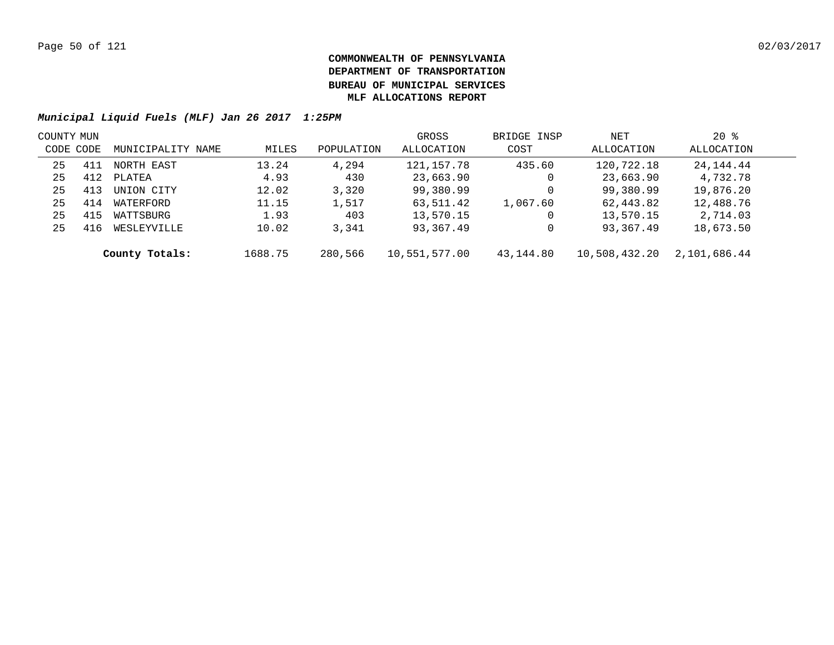| COUNTY MUN |     |                   |         |            | GROSS         | BRIDGE INSP | NET           | $20*$        |  |
|------------|-----|-------------------|---------|------------|---------------|-------------|---------------|--------------|--|
| CODE CODE  |     | MUNICIPALITY NAME | MILES   | POPULATION | ALLOCATION    | COST        | ALLOCATION    | ALLOCATION   |  |
| 25         | 411 | NORTH EAST        | 13.24   | 4,294      | 121,157.78    | 435.60      | 120,722.18    | 24,144.44    |  |
| 25         | 412 | PLATEA            | 4.93    | 430        | 23,663.90     | 0           | 23,663.90     | 4,732.78     |  |
| 25         | 413 | UNION CITY        | 12.02   | 3,320      | 99,380.99     | 0           | 99,380.99     | 19,876.20    |  |
| 25         | 414 | WATERFORD         | 11.15   | 1,517      | 63,511.42     | 1,067.60    | 62,443.82     | 12,488.76    |  |
| 25         | 415 | WATTSBURG         | 1.93    | 403        | 13,570.15     | 0           | 13,570.15     | 2,714.03     |  |
| 25         | 416 | WESLEYVILLE       | 10.02   | 3,341      | 93,367.49     | 0           | 93,367.49     | 18,673.50    |  |
|            |     | County Totals:    | 1688.75 | 280,566    | 10,551,577.00 | 43,144.80   | 10,508,432.20 | 2,101,686.44 |  |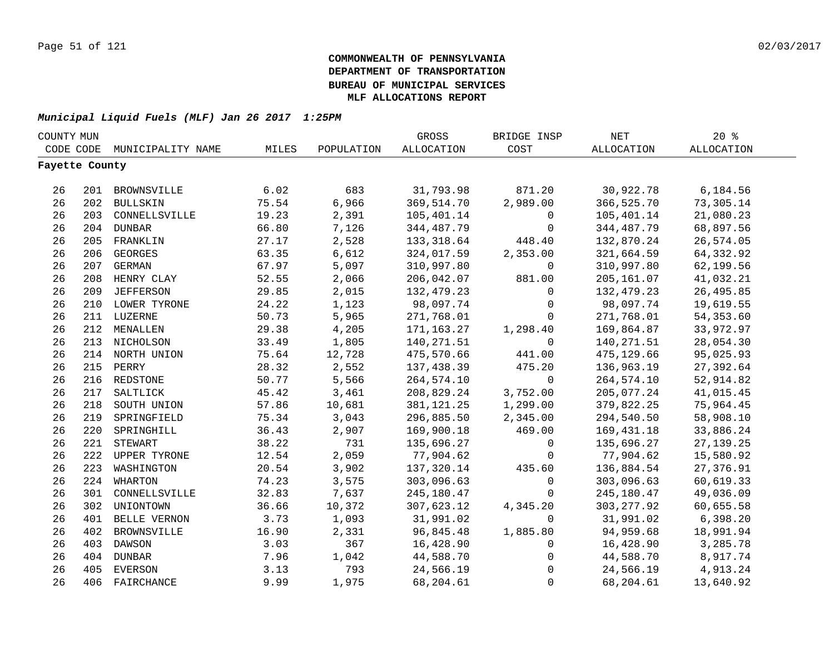| COUNTY MUN     |     |                     |       |            | GROSS             | BRIDGE INSP         | $\operatorname{NET}$ | 20%               |  |
|----------------|-----|---------------------|-------|------------|-------------------|---------------------|----------------------|-------------------|--|
| CODE CODE      |     | MUNICIPALITY NAME   | MILES | POPULATION | <b>ALLOCATION</b> | COST                | ALLOCATION           | <b>ALLOCATION</b> |  |
| Fayette County |     |                     |       |            |                   |                     |                      |                   |  |
|                |     |                     |       |            |                   |                     |                      |                   |  |
| 26             |     | 201 BROWNSVILLE     | 6.02  | 683        | 31,793.98         | 871.20              | 30,922.78            | 6,184.56          |  |
| 26             |     | 202 BULLSKIN        | 75.54 | 6,966      | 369,514.70        | 2,989.00            | 366,525.70           | 73,305.14         |  |
| 26             |     | 203 CONNELLSVILLE   | 19.23 | 2,391      | 105,401.14        | $\mathsf{O}$        | 105,401.14           | 21,080.23         |  |
| 26             |     | 204 DUNBAR          | 66.80 | 7,126      | 344, 487. 79      | 0                   | 344, 487. 79         | 68,897.56         |  |
| 26             | 205 | FRANKLIN            | 27.17 | 2,528      | 133, 318.64       | 448.40              | 132,870.24           | 26,574.05         |  |
| 26             | 206 | <b>GEORGES</b>      | 63.35 | 6,612      | 324,017.59        | 2,353.00            | 321,664.59           | 64, 332.92        |  |
| 26             | 207 | <b>GERMAN</b>       | 67.97 | 5,097      | 310,997.80        | 0                   | 310,997.80           | 62,199.56         |  |
| 26             | 208 | HENRY CLAY          | 52.55 | 2,066      | 206,042.07        | 881.00              | 205,161.07           | 41,032.21         |  |
| 26             | 209 | <b>JEFFERSON</b>    | 29.85 | 2,015      | 132,479.23        | $\Omega$            | 132,479.23           | 26,495.85         |  |
| 26             |     | 210 LOWER TYRONE    | 24.22 | 1,123      | 98,097.74         | $\mathbf 0$         | 98,097.74            | 19,619.55         |  |
| 26             |     | 211 LUZERNE         | 50.73 | 5,965      | 271,768.01        | $\mathbf 0$         | 271,768.01           | 54, 353.60        |  |
| 26             | 212 | MENALLEN            | 29.38 | 4,205      | 171,163.27        | 1,298.40            | 169,864.87           | 33,972.97         |  |
| 26             | 213 | NICHOLSON           | 33.49 | 1,805      | 140, 271.51       | $\Omega$            | 140,271.51           | 28,054.30         |  |
| 26             |     | 214 NORTH UNION     | 75.64 | 12,728     | 475,570.66        | 441.00              | 475,129.66           | 95,025.93         |  |
| 26             | 215 | PERRY               | 28.32 | 2,552      | 137,438.39        | 475.20              | 136,963.19           | 27,392.64         |  |
| 26             |     | 216 REDSTONE        | 50.77 | 5,566      | 264,574.10        | $\mathsf{O}$        | 264,574.10           | 52,914.82         |  |
| 26             | 217 | SALTLICK            | 45.42 | 3,461      | 208,829.24        | 3,752.00            | 205,077.24           | 41,015.45         |  |
| 26             | 218 | SOUTH UNION         | 57.86 | 10,681     | 381, 121. 25      | 1,299.00            | 379,822.25           | 75,964.45         |  |
| 26             | 219 | SPRINGFIELD         | 75.34 | 3,043      | 296,885.50        | 2,345.00            | 294,540.50           | 58,908.10         |  |
| 26             | 220 | SPRINGHILL          | 36.43 | 2,907      | 169,900.18        | 469.00              | 169, 431. 18         | 33,886.24         |  |
| 26             | 221 | <b>STEWART</b>      | 38.22 | 731        | 135,696.27        | $\mathbf 0$         | 135,696.27           | 27, 139. 25       |  |
| 26             | 222 | <b>UPPER TYRONE</b> | 12.54 | 2,059      | 77,904.62         | $\Omega$            | 77,904.62            | 15,580.92         |  |
| 26             | 223 | WASHINGTON          | 20.54 | 3,902      | 137,320.14        | 435.60              | 136,884.54           | 27,376.91         |  |
| 26             | 224 | WHARTON             | 74.23 | 3,575      | 303,096.63        | $\mathbf 0$         | 303,096.63           | 60,619.33         |  |
| 26             | 301 | CONNELLSVILLE       | 32.83 | 7,637      | 245,180.47        | $\Omega$            | 245,180.47           | 49,036.09         |  |
| 26             | 302 | UNIONTOWN           | 36.66 | 10,372     | 307,623.12        | 4,345.20            | 303, 277.92          | 60,655.58         |  |
| 26             | 401 | BELLE VERNON        | 3.73  | 1,093      | 31,991.02         | $\mathbf 0$         | 31,991.02            | 6,398.20          |  |
| 26             | 402 | BROWNSVILLE         | 16.90 | 2,331      | 96,845.48         | 1,885.80            | 94,959.68            | 18,991.94         |  |
| 26             | 403 | DAWSON              | 3.03  | 367        | 16,428.90         | $\mathsf{O}$        | 16,428.90            | 3,285.78          |  |
| 26             | 404 | <b>DUNBAR</b>       | 7.96  | 1,042      | 44,588.70         | 0                   | 44,588.70            | 8,917.74          |  |
| 26             | 405 | <b>EVERSON</b>      | 3.13  | 793        | 24,566.19         | $\mathsf{O}\xspace$ | 24,566.19            | 4,913.24          |  |
| 26             | 406 | FAIRCHANCE          | 9.99  | 1,975      | 68,204.61         | $\mathbf 0$         | 68,204.61            | 13,640.92         |  |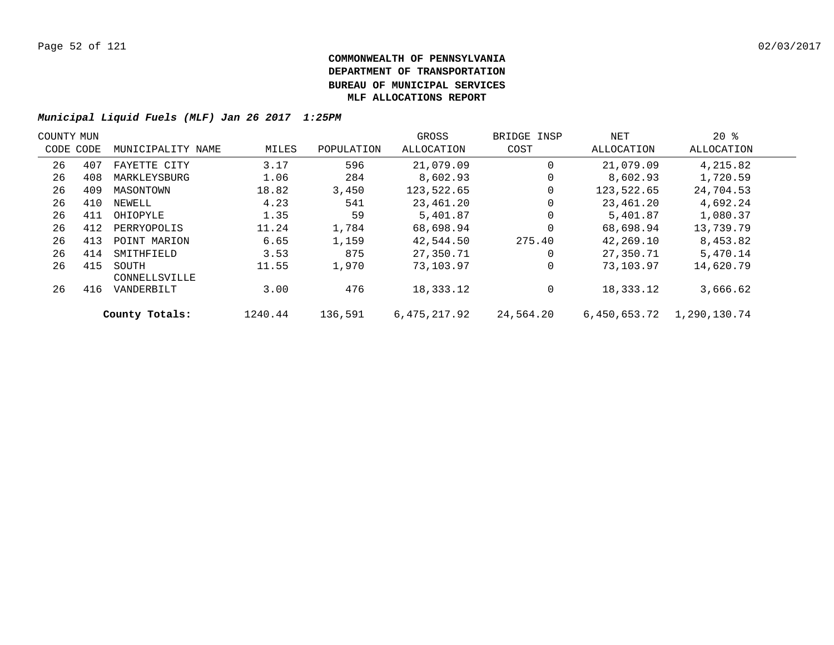| COUNTY MUN |           |                        |         |            | GROSS        | BRIDGE INSP | NET          | $20*$        |  |
|------------|-----------|------------------------|---------|------------|--------------|-------------|--------------|--------------|--|
|            | CODE CODE | MUNICIPALITY NAME      | MILES   | POPULATION | ALLOCATION   | COST        | ALLOCATION   | ALLOCATION   |  |
| 26         | 407       | FAYETTE CITY           | 3.17    | 596        | 21,079.09    |             | 21,079.09    | 4,215.82     |  |
| 26         | 408       | MARKLEYSBURG           | 1.06    | 284        | 8,602.93     | 0           | 8,602.93     | 1,720.59     |  |
| 26         | 409       | MASONTOWN              | 18.82   | 3,450      | 123,522.65   |             | 123,522.65   | 24,704.53    |  |
| 26         | 410       | NEWELL                 | 4.23    | 541        | 23,461.20    | 0           | 23,461.20    | 4,692.24     |  |
| 26         | 411       | OHIOPYLE               | 1.35    | 59         | 5,401.87     |             | 5,401.87     | 1,080.37     |  |
| 26         | 412       | PERRYOPOLIS            | 11.24   | 1,784      | 68,698.94    | $\Omega$    | 68,698.94    | 13,739.79    |  |
| 26         | 413       | POINT MARION           | 6.65    | 1,159      | 42,544.50    | 275.40      | 42,269.10    | 8,453.82     |  |
| 26         | 414       | SMITHFIELD             | 3.53    | 875        | 27,350.71    | 0           | 27,350.71    | 5,470.14     |  |
| 26         | 415       | SOUTH<br>CONNELLSVILLE | 11.55   | 1,970      | 73,103.97    |             | 73,103.97    | 14,620.79    |  |
| 26         | 416       | VANDERBILT             | 3.00    | 476        | 18,333.12    | 0           | 18,333.12    | 3,666.62     |  |
|            |           | County Totals:         | 1240.44 | 136,591    | 6,475,217.92 | 24,564.20   | 6,450,653.72 | 1,290,130.74 |  |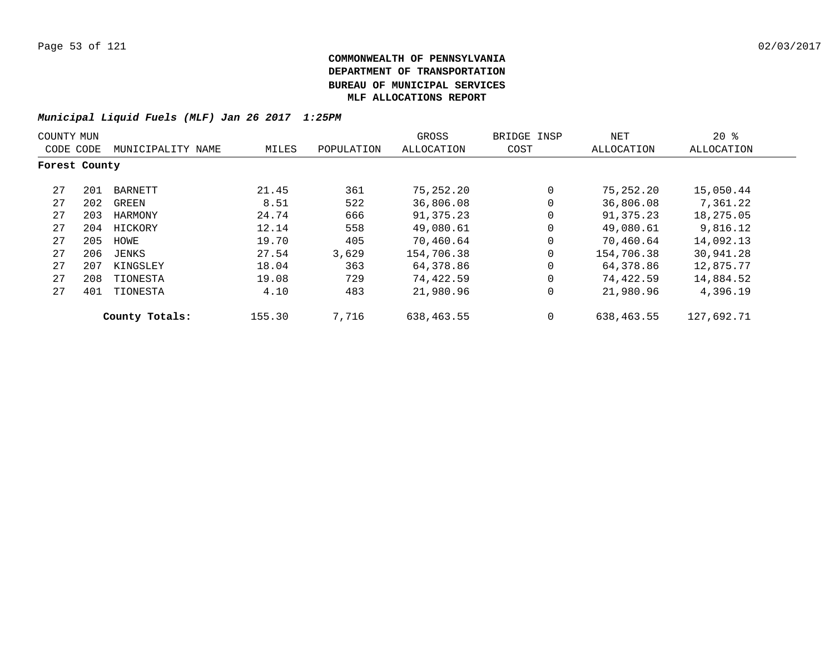| COUNTY MUN    |     |                   |        |            | GROSS      | BRIDGE INSP | NET        | $20*$      |
|---------------|-----|-------------------|--------|------------|------------|-------------|------------|------------|
| CODE CODE     |     | MUNICIPALITY NAME | MILES  | POPULATION | ALLOCATION | COST        | ALLOCATION | ALLOCATION |
| Forest County |     |                   |        |            |            |             |            |            |
| 27            | 201 | BARNETT           | 21.45  | 361        | 75,252.20  | $\Omega$    | 75,252.20  | 15,050.44  |
| 27            | 202 | GREEN             | 8.51   | 522        | 36,806.08  | $\Omega$    | 36,806.08  | 7,361.22   |
| 27            | 203 | HARMONY           | 24.74  | 666        | 91,375.23  | $\Omega$    | 91,375.23  | 18,275.05  |
| 27            | 204 | HICKORY           | 12.14  | 558        | 49,080.61  | $\mathbf 0$ | 49,080.61  | 9,816.12   |
| 27            | 205 | HOWE              | 19.70  | 405        | 70,460.64  | $\Omega$    | 70,460.64  | 14,092.13  |
| 27            | 206 | JENKS             | 27.54  | 3,629      | 154,706.38 | $\mathbf 0$ | 154,706.38 | 30,941.28  |
| 27            | 207 | KINGSLEY          | 18.04  | 363        | 64,378.86  | $\Omega$    | 64,378.86  | 12,875.77  |
| 27            | 208 | TIONESTA          | 19.08  | 729        | 74,422.59  | $\mathbf 0$ | 74,422.59  | 14,884.52  |
| 27            | 401 | TIONESTA          | 4.10   | 483        | 21,980.96  | $\mathbf 0$ | 21,980.96  | 4,396.19   |
|               |     | County Totals:    | 155.30 | 7,716      | 638,463.55 | $\Omega$    | 638,463.55 | 127,692.71 |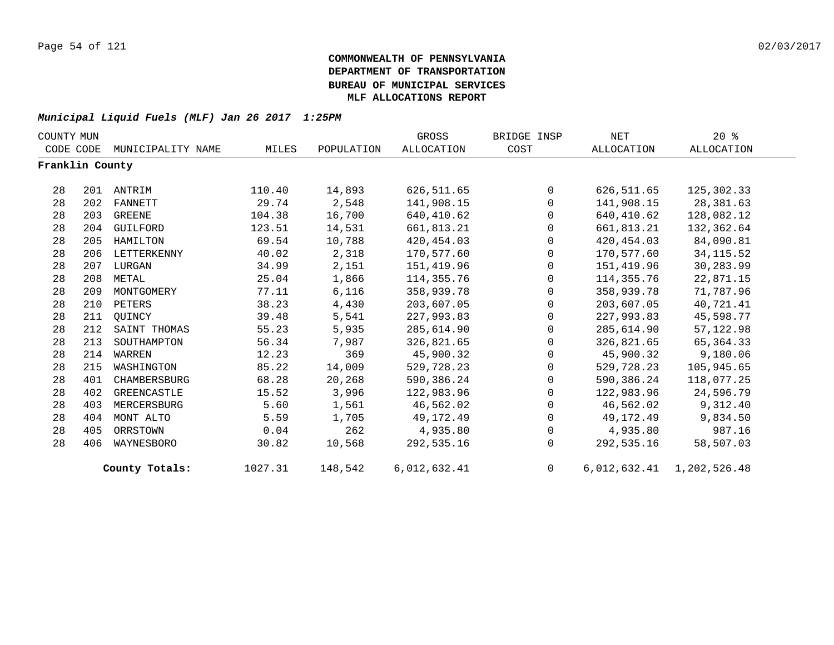| COUNTY MUN      |     |                   |         |            | GROSS             | BRIDGE INSP    | NET        | $20*$                     |  |
|-----------------|-----|-------------------|---------|------------|-------------------|----------------|------------|---------------------------|--|
| CODE CODE       |     | MUNICIPALITY NAME | MILES   | POPULATION | <b>ALLOCATION</b> | COST           | ALLOCATION | ALLOCATION                |  |
| Franklin County |     |                   |         |            |                   |                |            |                           |  |
| 28              | 201 | ANTRIM            | 110.40  | 14,893     | 626,511.65        | $\Omega$       | 626,511.65 | 125,302.33                |  |
| 28              | 202 | FANNETT           | 29.74   | 2,548      | 141,908.15        | $\Omega$       | 141,908.15 | 28,381.63                 |  |
| 28              | 203 | GREENE            | 104.38  | 16,700     | 640,410.62        | $\mathbf 0$    | 640,410.62 | 128,082.12                |  |
| 28              | 204 | GUILFORD          | 123.51  | 14,531     | 661,813.21        | $\Omega$       | 661,813.21 | 132,362.64                |  |
| 28              | 205 | HAMILTON          | 69.54   | 10,788     | 420,454.03        | $\mathbf{0}$   | 420,454.03 | 84,090.81                 |  |
| 28              | 206 | LETTERKENNY       | 40.02   | 2,318      | 170,577.60        | $\mathbf 0$    | 170,577.60 | 34, 115.52                |  |
| 28              | 207 | LURGAN            | 34.99   | 2,151      | 151,419.96        | $\mathbf 0$    | 151,419.96 | 30,283.99                 |  |
| 28              | 208 | METAL             | 25.04   | 1,866      | 114,355.76        | $\mathbf 0$    | 114,355.76 | 22,871.15                 |  |
| 28              | 209 | MONTGOMERY        | 77.11   | 6,116      | 358,939.78        | $\mathbf{0}$   | 358,939.78 | 71,787.96                 |  |
| 28              | 210 | PETERS            | 38.23   | 4,430      | 203,607.05        | $\mathbf 0$    | 203,607.05 | 40,721.41                 |  |
| 28              | 211 | OUINCY            | 39.48   | 5,541      | 227,993.83        | $\mathbf 0$    | 227,993.83 | 45,598.77                 |  |
| 28              | 212 | SAINT THOMAS      | 55.23   | 5,935      | 285,614.90        | $\mathbf 0$    | 285,614.90 | 57, 122.98                |  |
| 28              | 213 | SOUTHAMPTON       | 56.34   | 7,987      | 326,821.65        | $\mathbf{0}$   | 326,821.65 | 65, 364. 33               |  |
| 28              | 214 | WARREN            | 12.23   | 369        | 45,900.32         | $\mathbf{0}$   | 45,900.32  | 9,180.06                  |  |
| 28              | 215 | WASHINGTON        | 85.22   | 14,009     | 529,728.23        | $\mathbf{0}$   | 529,728.23 | 105,945.65                |  |
| 28              | 401 | CHAMBERSBURG      | 68.28   | 20,268     | 590,386.24        | $\mathbf 0$    | 590,386.24 | 118,077.25                |  |
| 28              | 402 | GREENCASTLE       | 15.52   | 3,996      | 122,983.96        | $\Omega$       | 122,983.96 | 24,596.79                 |  |
| 28              | 403 | MERCERSBURG       | 5.60    | 1,561      | 46,562.02         | $\mathbf 0$    | 46,562.02  | 9,312.40                  |  |
| 28              | 404 | MONT ALTO         | 5.59    | 1,705      | 49,172.49         | $\mathbf 0$    | 49,172.49  | 9,834.50                  |  |
| 28              | 405 | ORRSTOWN          | 0.04    | 262        | 4,935.80          | $\mathbf 0$    | 4,935.80   | 987.16                    |  |
| 28              | 406 | WAYNESBORO        | 30.82   | 10,568     | 292,535.16        | $\Omega$       | 292,535.16 | 58,507.03                 |  |
|                 |     | County Totals:    | 1027.31 | 148,542    | 6,012,632.41      | $\overline{0}$ |            | 6,012,632.41 1,202,526.48 |  |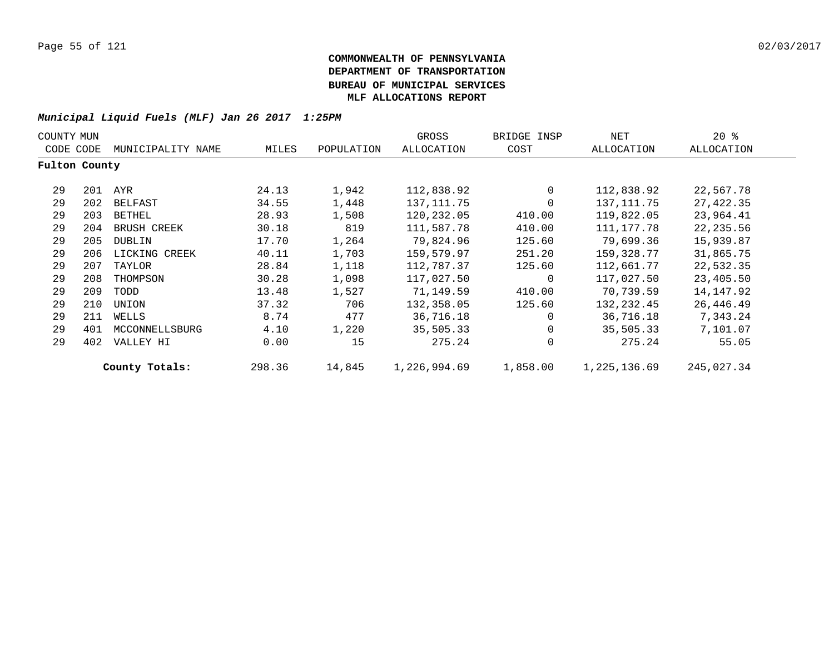| COUNTY MUN    |     |                   |        |            | GROSS        | BRIDGE INSP | NET          | $20*$      |  |
|---------------|-----|-------------------|--------|------------|--------------|-------------|--------------|------------|--|
| CODE CODE     |     | MUNICIPALITY NAME | MILES  | POPULATION | ALLOCATION   | COST        | ALLOCATION   | ALLOCATION |  |
| Fulton County |     |                   |        |            |              |             |              |            |  |
| 29            | 201 | AYR               | 24.13  | 1,942      | 112,838.92   | 0           | 112,838.92   | 22,567.78  |  |
| 29            |     | 202 BELFAST       | 34.55  | 1,448      | 137, 111.75  | 0           | 137,111.75   | 27,422.35  |  |
| 29            | 203 | BETHEL            | 28.93  | 1,508      | 120,232.05   | 410.00      | 119,822.05   | 23,964.41  |  |
| 29            | 204 | BRUSH CREEK       | 30.18  | 819        | 111,587.78   | 410.00      | 111,177.78   | 22, 235.56 |  |
| 29            | 205 | DUBLIN            | 17.70  | 1,264      | 79,824.96    | 125.60      | 79,699.36    | 15,939.87  |  |
| 29            | 206 | LICKING CREEK     | 40.11  | 1,703      | 159,579.97   | 251.20      | 159,328.77   | 31,865.75  |  |
| 29            | 207 | TAYLOR            | 28.84  | 1,118      | 112,787.37   | 125.60      | 112,661.77   | 22,532.35  |  |
| 29            | 208 | THOMPSON          | 30.28  | 1,098      | 117,027.50   | $\mathbf 0$ | 117,027.50   | 23,405.50  |  |
| 29            | 209 | TODD              | 13.48  | 1,527      | 71,149.59    | 410.00      | 70,739.59    | 14,147.92  |  |
| 29            | 210 | UNION             | 37.32  | 706        | 132,358.05   | 125.60      | 132,232.45   | 26,446.49  |  |
| 29            | 211 | WELLS             | 8.74   | 477        | 36,716.18    | $\Omega$    | 36,716.18    | 7,343.24   |  |
| 29            | 401 | MCCONNELLSBURG    | 4.10   | 1,220      | 35,505.33    | $\mathbf 0$ | 35,505.33    | 7,101.07   |  |
| 29            | 402 | VALLEY HI         | 0.00   | 15         | 275.24       | 0           | 275.24       | 55.05      |  |
|               |     | County Totals:    | 298.36 | 14,845     | 1,226,994.69 | 1,858.00    | 1,225,136.69 | 245,027.34 |  |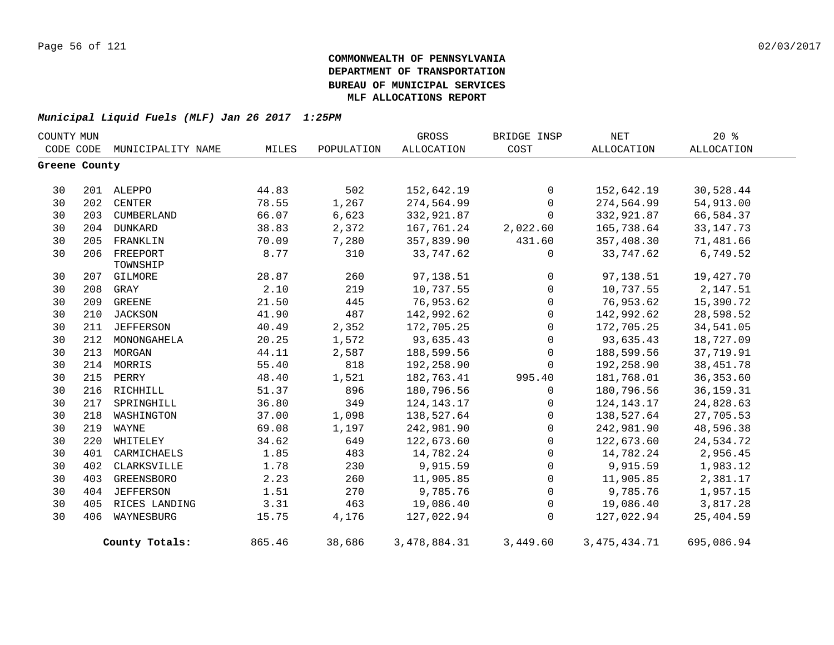| COUNTY MUN    |     |                             |        |            | GROSS        | BRIDGE INSP         | NET            | $20*$       |
|---------------|-----|-----------------------------|--------|------------|--------------|---------------------|----------------|-------------|
|               |     | CODE CODE MUNICIPALITY NAME | MILES  | POPULATION | ALLOCATION   | COST                | ALLOCATION     | ALLOCATION  |
| Greene County |     |                             |        |            |              |                     |                |             |
| 30            |     | 201 ALEPPO                  | 44.83  | 502        | 152,642.19   | 0                   | 152,642.19     | 30,528.44   |
| 30            | 202 | CENTER                      | 78.55  | 1,267      | 274,564.99   | $\mathbf 0$         | 274,564.99     | 54,913.00   |
| 30            | 203 | CUMBERLAND                  | 66.07  | 6,623      | 332,921.87   | $\Omega$            | 332,921.87     | 66,584.37   |
| 30            | 204 | DUNKARD                     | 38.83  | 2,372      | 167,761.24   | 2,022.60            | 165,738.64     | 33, 147. 73 |
| 30            | 205 | FRANKLIN                    | 70.09  | 7,280      | 357,839.90   | 431.60              | 357,408.30     | 71,481.66   |
| 30            | 206 | FREEPORT<br>TOWNSHIP        | 8.77   | 310        | 33,747.62    | $\mathsf{O}$        | 33,747.62      | 6,749.52    |
| 30            | 207 | GILMORE                     | 28.87  | 260        | 97,138.51    | $\overline{0}$      | 97,138.51      | 19,427.70   |
| 30            | 208 | GRAY                        | 2.10   | 219        | 10,737.55    | $\overline{0}$      | 10,737.55      | 2,147.51    |
| 30            | 209 | GREENE                      | 21.50  | 445        | 76,953.62    | $\mathsf{O}$        | 76,953.62      | 15,390.72   |
| 30            |     | 210 JACKSON                 | 41.90  | 487        | 142,992.62   | $\mathsf{O}$        | 142,992.62     | 28,598.52   |
| 30            | 211 | <b>JEFFERSON</b>            | 40.49  | 2,352      | 172,705.25   | $\mathsf{O}$        | 172,705.25     | 34,541.05   |
| 30            | 212 | MONONGAHELA                 | 20.25  | 1,572      | 93,635.43    | $\mathbf 0$         | 93,635.43      | 18,727.09   |
| 30            | 213 | MORGAN                      | 44.11  | 2,587      | 188,599.56   | $\mathbf 0$         | 188,599.56     | 37,719.91   |
| 30            |     | 214 MORRIS                  | 55.40  | 818        | 192,258.90   | $\mathbf 0$         | 192,258.90     | 38,451.78   |
| 30            |     | 215 PERRY                   | 48.40  | 1,521      | 182,763.41   | 995.40              | 181,768.01     | 36, 353.60  |
| 30            | 216 | RICHHILL                    | 51.37  | 896        | 180,796.56   | $\mathbf 0$         | 180,796.56     | 36, 159. 31 |
| 30            | 217 | SPRINGHILL                  | 36.80  | 349        | 124, 143. 17 | $\mathbf 0$         | 124,143.17     | 24,828.63   |
| 30            | 218 | WASHINGTON                  | 37.00  | 1,098      | 138,527.64   | $\mathsf{O}$        | 138,527.64     | 27,705.53   |
| 30            | 219 | WAYNE                       | 69.08  | 1,197      | 242,981.90   | $\mathsf{O}$        | 242,981.90     | 48,596.38   |
| 30            | 220 | WHITELEY                    | 34.62  | 649        | 122,673.60   | $\mathbf 0$         | 122,673.60     | 24,534.72   |
| 30            | 401 | CARMICHAELS                 | 1.85   | 483        | 14,782.24    | $\mathsf{O}$        | 14,782.24      | 2,956.45    |
| 30            | 402 | CLARKSVILLE                 | 1.78   | 230        | 9,915.59     | $\mathsf{O}\xspace$ | 9,915.59       | 1,983.12    |
| 30            | 403 | GREENSBORO                  | 2.23   | 260        | 11,905.85    | $\mathsf{O}$        | 11,905.85      | 2,381.17    |
| 30            | 404 | <b>JEFFERSON</b>            | 1.51   | 270        | 9,785.76     | 0                   | 9,785.76       | 1,957.15    |
| 30            | 405 | RICES LANDING               | 3.31   | 463        | 19,086.40    | 0                   | 19,086.40      | 3,817.28    |
| 30            | 406 | WAYNESBURG                  | 15.75  | 4,176      | 127,022.94   | $\mathbf 0$         | 127,022.94     | 25,404.59   |
|               |     | County Totals:              | 865.46 | 38,686     | 3,478,884.31 | 3,449.60            | 3, 475, 434.71 | 695,086.94  |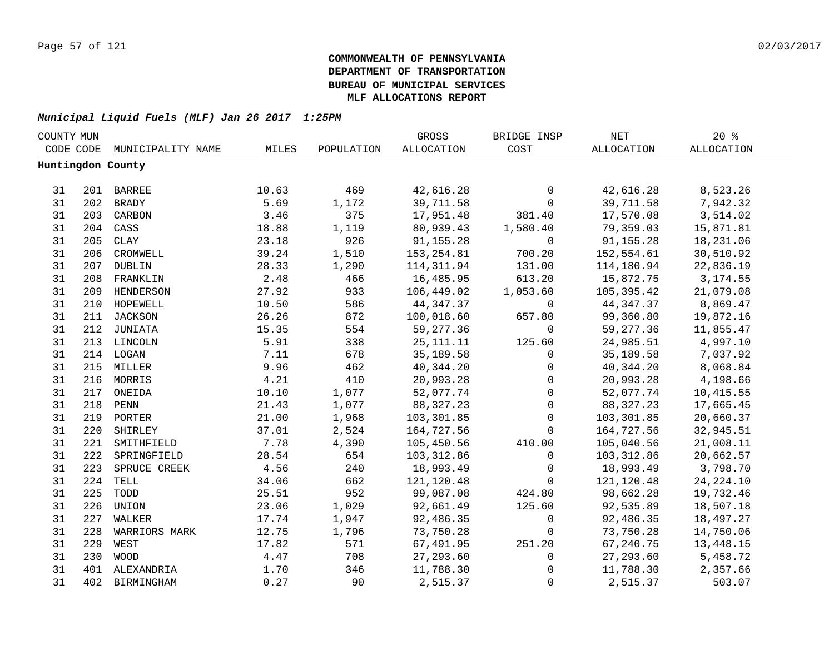| COUNTY MUN |     |                   |       |            | GROSS       | BRIDGE INSP         | NET               | $20*$             |  |
|------------|-----|-------------------|-------|------------|-------------|---------------------|-------------------|-------------------|--|
| CODE CODE  |     | MUNICIPALITY NAME | MILES | POPULATION | ALLOCATION  | COST                | <b>ALLOCATION</b> | <b>ALLOCATION</b> |  |
|            |     | Huntingdon County |       |            |             |                     |                   |                   |  |
|            |     |                   |       |            |             |                     |                   |                   |  |
| 31         |     | 201 BARREE        | 10.63 | 469        | 42,616.28   | 0                   | 42,616.28         | 8,523.26          |  |
| 31         |     | 202 BRADY         | 5.69  | 1,172      | 39,711.58   | 0                   | 39,711.58         | 7,942.32          |  |
| 31         |     | 203 CARBON        | 3.46  | 375        | 17,951.48   | 381.40              | 17,570.08         | 3,514.02          |  |
| 31         | 204 | CASS              | 18.88 | 1,119      | 80,939.43   | 1,580.40            | 79,359.03         | 15,871.81         |  |
| 31         | 205 | CLAY              | 23.18 | 926        | 91,155.28   | 0                   | 91,155.28         | 18,231.06         |  |
| 31         | 206 | CROMWELL          | 39.24 | 1,510      | 153, 254.81 | 700.20              | 152,554.61        | 30,510.92         |  |
| 31         | 207 | <b>DUBLIN</b>     | 28.33 | 1,290      | 114, 311.94 | 131.00              | 114,180.94        | 22,836.19         |  |
| 31         | 208 | FRANKLIN          | 2.48  | 466        | 16,485.95   | 613.20              | 15,872.75         | 3, 174.55         |  |
| 31         | 209 | HENDERSON         | 27.92 | 933        | 106,449.02  | 1,053.60            | 105,395.42        | 21,079.08         |  |
| 31         | 210 | HOPEWELL          | 10.50 | 586        | 44, 347.37  | $\mathsf{O}$        | 44,347.37         | 8,869.47          |  |
| 31         | 211 | JACKSON           | 26.26 | 872        | 100,018.60  | 657.80              | 99,360.80         | 19,872.16         |  |
| 31         | 212 | JUNIATA           | 15.35 | 554        | 59,277.36   | $\mathbf 0$         | 59,277.36         | 11,855.47         |  |
| 31         |     | 213 LINCOLN       | 5.91  | 338        | 25, 111. 11 | 125.60              | 24,985.51         | 4,997.10          |  |
| 31         |     | 214 LOGAN         | 7.11  | 678        | 35,189.58   | 0                   | 35,189.58         | 7,037.92          |  |
| 31         |     | 215 MILLER        | 9.96  | 462        | 40, 344.20  | 0                   | 40,344.20         | 8,068.84          |  |
| 31         |     | 216 MORRIS        | 4.21  | 410        | 20,993.28   | 0                   | 20,993.28         | 4,198.66          |  |
| 31         |     | 217 ONEIDA        | 10.10 | 1,077      | 52,077.74   | $\mathbf 0$         | 52,077.74         | 10,415.55         |  |
| 31         |     | 218 PENN          | 21.43 | 1,077      | 88, 327. 23 | $\mathbf 0$         | 88, 327. 23       | 17,665.45         |  |
| 31         |     | 219 PORTER        | 21.00 | 1,968      | 103,301.85  | $\mathsf{O}$        | 103,301.85        | 20,660.37         |  |
| 31         |     | 220 SHIRLEY       | 37.01 | 2,524      | 164,727.56  | 0                   | 164,727.56        | 32,945.51         |  |
| 31         |     | 221 SMITHFIELD    | 7.78  | 4,390      | 105,450.56  | 410.00              | 105,040.56        | 21,008.11         |  |
| 31         | 222 | SPRINGFIELD       | 28.54 | 654        | 103, 312.86 | $\mathbf 0$         | 103,312.86        | 20,662.57         |  |
| 31         | 223 | SPRUCE CREEK      | 4.56  | 240        | 18,993.49   | $\mathbf 0$         | 18,993.49         | 3,798.70          |  |
| 31         | 224 | TELL              | 34.06 | 662        | 121,120.48  | $\mathbf 0$         | 121,120.48        | 24, 224. 10       |  |
| 31         | 225 | TODD              | 25.51 | 952        | 99,087.08   | 424.80              | 98,662.28         | 19,732.46         |  |
| 31         | 226 | UNION             | 23.06 | 1,029      | 92,661.49   | 125.60              | 92,535.89         | 18,507.18         |  |
| 31         | 227 | WALKER            | 17.74 | 1,947      | 92,486.35   | 0                   | 92,486.35         | 18,497.27         |  |
| 31         | 228 | WARRIORS MARK     | 12.75 | 1,796      | 73,750.28   | 0                   | 73,750.28         | 14,750.06         |  |
| 31         | 229 | WEST              | 17.82 | 571        | 67,491.95   | 251.20              | 67,240.75         | 13,448.15         |  |
| 31         | 230 | <b>WOOD</b>       | 4.47  | 708        | 27, 293.60  | $\mathsf{O}\xspace$ | 27,293.60         | 5,458.72          |  |
| 31         | 401 | ALEXANDRIA        | 1.70  | 346        | 11,788.30   | 0                   | 11,788.30         | 2,357.66          |  |
| 31         | 402 | BIRMINGHAM        | 0.27  | 90         | 2,515.37    | $\mathbf{0}$        | 2,515.37          | 503.07            |  |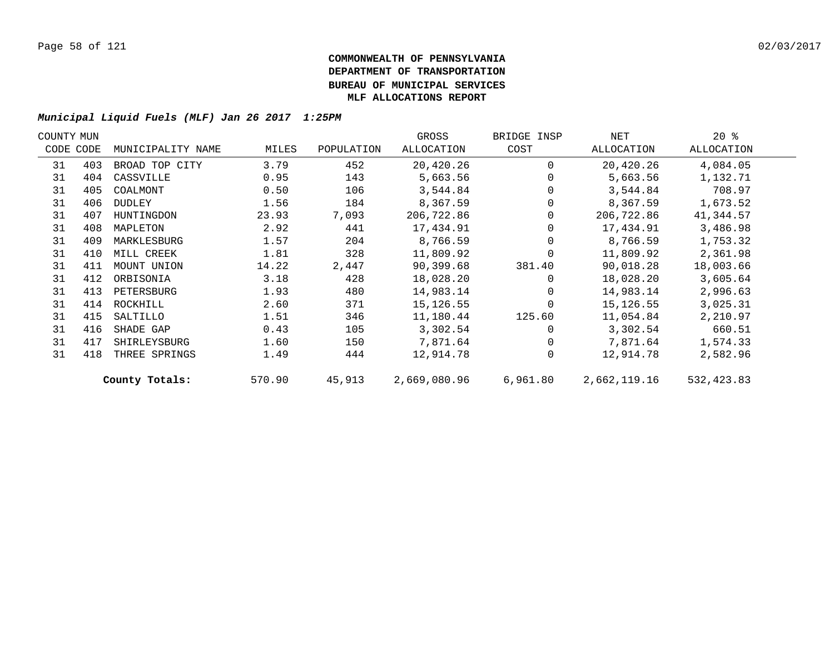| COUNTY MUN |           |                   |        |            | GROSS        | BRIDGE INSP | NET          | $20*$      |  |
|------------|-----------|-------------------|--------|------------|--------------|-------------|--------------|------------|--|
|            | CODE CODE | MUNICIPALITY NAME | MILES  | POPULATION | ALLOCATION   | COST        | ALLOCATION   | ALLOCATION |  |
| 31         | 403       | BROAD TOP CITY    | 3.79   | 452        | 20,420.26    | $\Omega$    | 20,420.26    | 4,084.05   |  |
| 31         | 404       | CASSVILLE         | 0.95   | 143        | 5,663.56     |             | 5,663.56     | 1,132.71   |  |
| 31         | 405       | COALMONT          | 0.50   | 106        | 3,544.84     |             | 3,544.84     | 708.97     |  |
| 31         | 406       | DUDLEY            | 1.56   | 184        | 8,367.59     |             | 8,367.59     | 1,673.52   |  |
| 31         | 407       | HUNTINGDON        | 23.93  | 7,093      | 206,722.86   | 0           | 206,722.86   | 41,344.57  |  |
| 31         | 408       | MAPLETON          | 2.92   | 441        | 17,434.91    |             | 17,434.91    | 3,486.98   |  |
| 31         | 409       | MARKLESBURG       | 1.57   | 204        | 8,766.59     |             | 8,766.59     | 1,753.32   |  |
| 31         | 410       | MILL CREEK        | 1.81   | 328        | 11,809.92    |             | 11,809.92    | 2,361.98   |  |
| 31         | 411       | MOUNT UNION       | 14.22  | 2,447      | 90,399.68    | 381.40      | 90,018.28    | 18,003.66  |  |
| 31         | 412       | ORBISONIA         | 3.18   | 428        | 18,028.20    | $\Omega$    | 18,028.20    | 3,605.64   |  |
| 31         | 413       | PETERSBURG        | 1.93   | 480        | 14,983.14    | $\Omega$    | 14,983.14    | 2,996.63   |  |
| 31         | 414       | ROCKHILL          | 2.60   | 371        | 15,126.55    | $\Omega$    | 15,126.55    | 3,025.31   |  |
| 31         | 415       | SALTILLO          | 1.51   | 346        | 11,180.44    | 125.60      | 11,054.84    | 2,210.97   |  |
| 31         | 416       | SHADE GAP         | 0.43   | 105        | 3,302.54     |             | 3,302.54     | 660.51     |  |
| 31         | 417       | SHIRLEYSBURG      | 1.60   | 150        | 7,871.64     | $\Omega$    | 7,871.64     | 1,574.33   |  |
| 31         | 418       | THREE SPRINGS     | 1.49   | 444        | 12,914.78    | $\Omega$    | 12,914.78    | 2,582.96   |  |
|            |           | County Totals:    | 570.90 | 45,913     | 2,669,080.96 | 6,961.80    | 2,662,119.16 | 532,423.83 |  |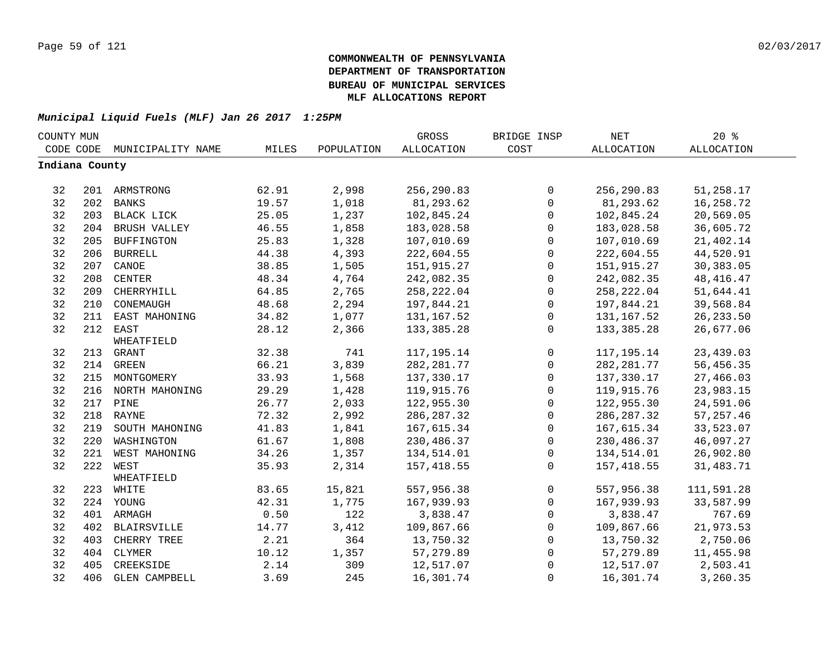| COUNTY MUN     |     |                      |       |            | GROSS             | BRIDGE INSP  | <b>NET</b>   | 20%               |  |
|----------------|-----|----------------------|-------|------------|-------------------|--------------|--------------|-------------------|--|
| CODE CODE      |     | MUNICIPALITY NAME    | MILES | POPULATION | <b>ALLOCATION</b> | COST         | ALLOCATION   | <b>ALLOCATION</b> |  |
| Indiana County |     |                      |       |            |                   |              |              |                   |  |
|                |     |                      |       |            |                   |              |              |                   |  |
| 32             |     | 201 ARMSTRONG        | 62.91 | 2,998      | 256,290.83        | 0            | 256,290.83   | 51,258.17         |  |
| 32             | 202 | <b>BANKS</b>         | 19.57 | 1,018      | 81,293.62         | $\mathsf{O}$ | 81,293.62    | 16,258.72         |  |
| 32             | 203 | BLACK LICK           | 25.05 | 1,237      | 102,845.24        | $\mathbf 0$  | 102,845.24   | 20,569.05         |  |
| 32             | 204 | BRUSH VALLEY         | 46.55 | 1,858      | 183,028.58        | 0            | 183,028.58   | 36,605.72         |  |
| 32             | 205 | <b>BUFFINGTON</b>    | 25.83 | 1,328      | 107,010.69        | $\mathsf{O}$ | 107,010.69   | 21,402.14         |  |
| 32             | 206 | <b>BURRELL</b>       | 44.38 | 4,393      | 222,604.55        | $\mathbf 0$  | 222,604.55   | 44,520.91         |  |
| 32             | 207 | CANOE                | 38.85 | 1,505      | 151,915.27        | 0            | 151,915.27   | 30,383.05         |  |
| 32             | 208 | <b>CENTER</b>        | 48.34 | 4,764      | 242,082.35        | $\mathsf 0$  | 242,082.35   | 48, 416. 47       |  |
| 32             | 209 | CHERRYHILL           | 64.85 | 2,765      | 258, 222.04       | $\mathbf 0$  | 258, 222.04  | 51,644.41         |  |
| 32             | 210 | CONEMAUGH            | 48.68 | 2,294      | 197,844.21        | 0            | 197,844.21   | 39,568.84         |  |
| 32             | 211 | EAST MAHONING        | 34.82 | 1,077      | 131, 167.52       | 0            | 131,167.52   | 26, 233.50        |  |
| 32             |     | 212 EAST             | 28.12 | 2,366      | 133, 385. 28      | $\mathbf 0$  | 133, 385. 28 | 26,677.06         |  |
|                |     | WHEATFIELD           |       |            |                   |              |              |                   |  |
| 32             | 213 | GRANT                | 32.38 | 741        | 117,195.14        | 0            | 117,195.14   | 23, 439.03        |  |
| 32             |     | 214 GREEN            | 66.21 | 3,839      | 282, 281.77       | 0            | 282, 281.77  | 56,456.35         |  |
| 32             |     | 215 MONTGOMERY       | 33.93 | 1,568      | 137,330.17        | $\mathbf 0$  | 137,330.17   | 27,466.03         |  |
| 32             |     | 216 NORTH MAHONING   | 29.29 | 1,428      | 119,915.76        | 0            | 119,915.76   | 23,983.15         |  |
| 32             |     | 217 PINE             | 26.77 | 2,033      | 122,955.30        | 0            | 122,955.30   | 24,591.06         |  |
| 32             |     | 218 RAYNE            | 72.32 | 2,992      | 286, 287.32       | $\mathsf 0$  | 286, 287.32  | 57, 257.46        |  |
| 32             | 219 | SOUTH MAHONING       | 41.83 | 1,841      | 167,615.34        | $\mathbf 0$  | 167,615.34   | 33,523.07         |  |
| 32             | 220 | WASHINGTON           | 61.67 | 1,808      | 230,486.37        | 0            | 230,486.37   | 46,097.27         |  |
| 32             | 221 | WEST MAHONING        | 34.26 | 1,357      | 134,514.01        | $\mathsf{O}$ | 134,514.01   | 26,902.80         |  |
| 32             | 222 | WEST                 | 35.93 | 2,314      | 157, 418.55       | $\Omega$     | 157,418.55   | 31,483.71         |  |
|                |     | WHEATFIELD           |       |            |                   |              |              |                   |  |
| 32             |     | 223 WHITE            | 83.65 | 15,821     | 557,956.38        | $\mathbf 0$  | 557,956.38   | 111,591.28        |  |
| 32             |     | 224 YOUNG            | 42.31 | 1,775      | 167,939.93        | $\mathsf{O}$ | 167,939.93   | 33,587.99         |  |
| 32             |     | 401 ARMAGH           | 0.50  | 122        | 3,838.47          | $\mathbf 0$  | 3,838.47     | 767.69            |  |
| 32             | 402 | <b>BLAIRSVILLE</b>   | 14.77 | 3,412      | 109,867.66        | $\mathbf 0$  | 109,867.66   | 21,973.53         |  |
| 32             | 403 | CHERRY TREE          | 2.21  | 364        | 13,750.32         | $\mathbf 0$  | 13,750.32    | 2,750.06          |  |
| 32             | 404 | CLYMER               | 10.12 | 1,357      | 57,279.89         | $\mathbf 0$  | 57,279.89    | 11,455.98         |  |
| 32             | 405 | CREEKSIDE            | 2.14  | 309        | 12,517.07         | 0            | 12,517.07    | 2,503.41          |  |
| 32             | 406 | <b>GLEN CAMPBELL</b> | 3.69  | 245        | 16,301.74         | 0            | 16,301.74    | 3,260.35          |  |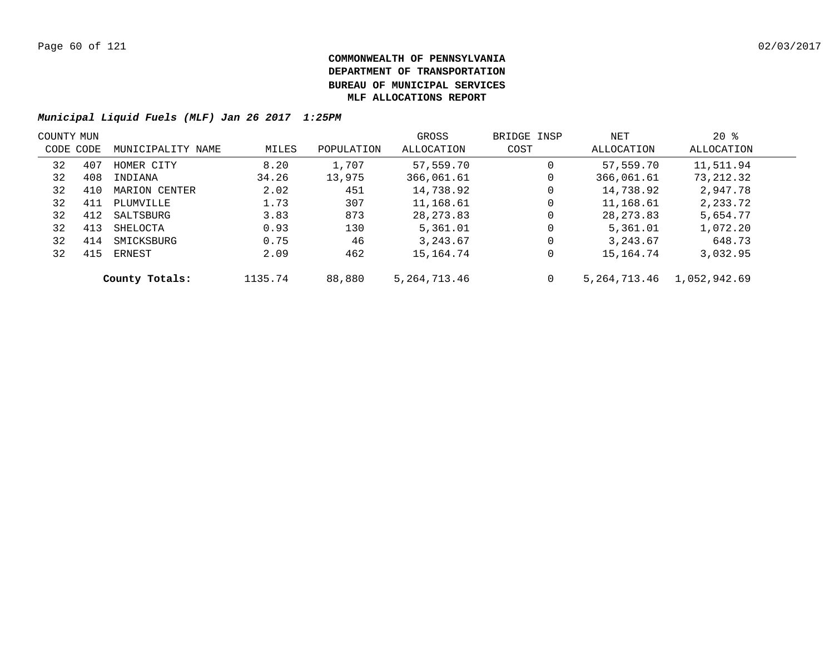|           | COUNTY MUN |                   |         |            | GROSS           | BRIDGE INSP | NET          | $20*$        |  |
|-----------|------------|-------------------|---------|------------|-----------------|-------------|--------------|--------------|--|
| CODE CODE |            | MUNICIPALITY NAME | MILES   | POPULATION | ALLOCATION      | COST        | ALLOCATION   | ALLOCATION   |  |
| 32        | 407        | HOMER CITY        | 8.20    | 1,707      | 57,559.70       | 0           | 57,559.70    | 11,511.94    |  |
| 32        | 408        | INDIANA           | 34.26   | 13,975     | 366,061.61      | 0           | 366,061.61   | 73,212.32    |  |
| 32        | 410        | MARION CENTER     | 2.02    | 451        | 14,738.92       | 0           | 14,738.92    | 2,947.78     |  |
| 32        | 411        | PLUMVILLE         | 1.73    | 307        | 11,168.61       | 0           | 11,168.61    | 2,233.72     |  |
| 32        | 412        | SALTSBURG         | 3.83    | 873        | 28, 273.83      | 0           | 28, 273.83   | 5,654.77     |  |
| 32        | 413        | SHELOCTA          | 0.93    | 130        | 5,361.01        | 0           | 5,361.01     | 1,072.20     |  |
| 32        | 414        | SMICKSBURG        | 0.75    | 46         | 3,243.67        | 0           | 3, 243.67    | 648.73       |  |
| 32        | 415        | ERNEST            | 2.09    | 462        | 15,164.74       | 0           | 15,164.74    | 3,032.95     |  |
|           |            | County Totals:    | 1135.74 | 88,880     | 5, 264, 713. 46 | 0           | 5,264,713.46 | 1,052,942.69 |  |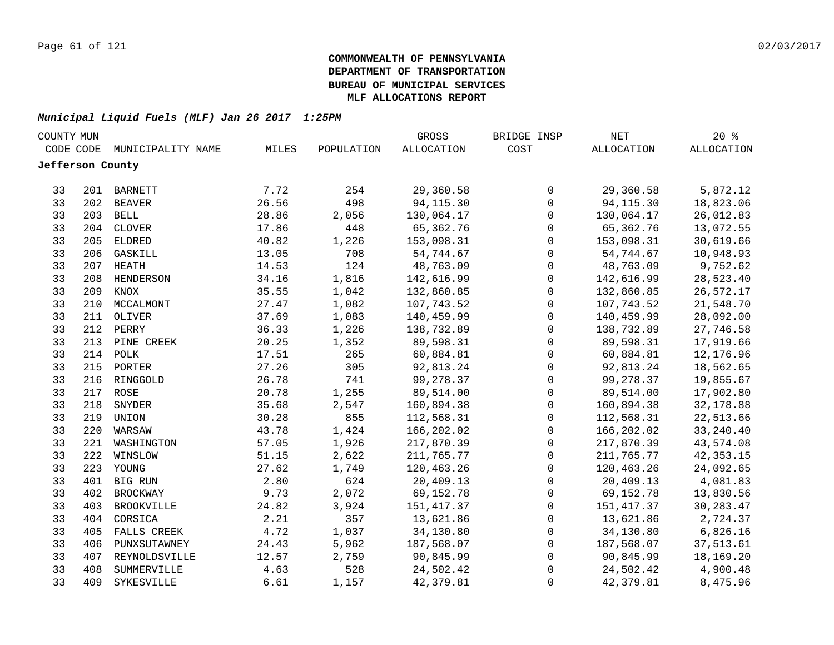| COUNTY MUN       |     |                   |       |            | GROSS             | BRIDGE INSP         | NET        | 20%               |
|------------------|-----|-------------------|-------|------------|-------------------|---------------------|------------|-------------------|
| CODE CODE        |     | MUNICIPALITY NAME | MILES | POPULATION | <b>ALLOCATION</b> | COST                | ALLOCATION | <b>ALLOCATION</b> |
| Jefferson County |     |                   |       |            |                   |                     |            |                   |
|                  |     |                   |       |            |                   |                     |            |                   |
| 33               |     | 201 BARNETT       | 7.72  | 254        | 29,360.58         | 0                   | 29,360.58  | 5,872.12          |
| 33               |     | 202 BEAVER        | 26.56 | 498        | 94, 115.30        | $\mathbf 0$         | 94, 115.30 | 18,823.06         |
| 33               |     | 203 BELL          | 28.86 | 2,056      | 130,064.17        | $\mathsf{O}$        | 130,064.17 | 26,012.83         |
| 33               | 204 | CLOVER            | 17.86 | 448        | 65,362.76         | 0                   | 65,362.76  | 13,072.55         |
| 33               | 205 | <b>ELDRED</b>     | 40.82 | 1,226      | 153,098.31        | $\mathsf{O}$        | 153,098.31 | 30,619.66         |
| 33               | 206 | GASKILL           | 13.05 | 708        | 54,744.67         | $\mathbf 0$         | 54,744.67  | 10,948.93         |
| 33               | 207 | HEATH             | 14.53 | 124        | 48,763.09         | $\mathbf 0$         | 48,763.09  | 9,752.62          |
| 33               | 208 | <b>HENDERSON</b>  | 34.16 | 1,816      | 142,616.99        | $\mathbf 0$         | 142,616.99 | 28,523.40         |
| 33               | 209 | KNOX              | 35.55 | 1,042      | 132,860.85        | $\mathbf 0$         | 132,860.85 | 26,572.17         |
| 33               | 210 | MCCALMONT         | 27.47 | 1,082      | 107,743.52        | $\mathsf{O}$        | 107,743.52 | 21,548.70         |
| 33               | 211 | OLIVER            | 37.69 | 1,083      | 140,459.99        | $\mathsf{O}$        | 140,459.99 | 28,092.00         |
| 33               | 212 | PERRY             | 36.33 | 1,226      | 138,732.89        | 0                   | 138,732.89 | 27,746.58         |
| 33               | 213 | PINE CREEK        | 20.25 | 1,352      | 89,598.31         | 0                   | 89,598.31  | 17,919.66         |
| 33               | 214 | POLK              | 17.51 | 265        | 60,884.81         | $\mathsf 0$         | 60,884.81  | 12,176.96         |
| 33               |     | 215 PORTER        | 27.26 | 305        | 92,813.24         | 0                   | 92,813.24  | 18,562.65         |
| 33               | 216 | RINGGOLD          | 26.78 | 741        | 99,278.37         | 0                   | 99,278.37  | 19,855.67         |
| 33               |     | 217 ROSE          | 20.78 | 1,255      | 89,514.00         | $\mathsf 0$         | 89,514.00  | 17,902.80         |
| 33               | 218 | SNYDER            | 35.68 | 2,547      | 160,894.38        | $\mathsf{O}$        | 160,894.38 | 32,178.88         |
| 33               | 219 | UNION             | 30.28 | 855        | 112,568.31        | 0                   | 112,568.31 | 22,513.66         |
| 33               | 220 | WARSAW            | 43.78 | 1,424      | 166,202.02        | $\mathbf 0$         | 166,202.02 | 33, 240.40        |
| 33               | 221 | WASHINGTON        | 57.05 | 1,926      | 217,870.39        | $\mathbf 0$         | 217,870.39 | 43,574.08         |
| 33               | 222 | WINSLOW           | 51.15 | 2,622      | 211,765.77        | $\mathbf 0$         | 211,765.77 | 42, 353. 15       |
| 33               | 223 | YOUNG             | 27.62 | 1,749      | 120,463.26        | $\mathbf 0$         | 120,463.26 | 24,092.65         |
| 33               |     | 401 BIG RUN       | 2.80  | 624        | 20,409.13         | $\mathbf 0$         | 20,409.13  | 4,081.83          |
| 33               | 402 | <b>BROCKWAY</b>   | 9.73  | 2,072      | 69,152.78         | 0                   | 69,152.78  | 13,830.56         |
| 33               | 403 | BROOKVILLE        | 24.82 | 3,924      | 151,417.37        | 0                   | 151,417.37 | 30, 283. 47       |
| 33               | 404 | CORSICA           | 2.21  | 357        | 13,621.86         | 0                   | 13,621.86  | 2,724.37          |
| 33               | 405 | FALLS CREEK       | 4.72  | 1,037      | 34,130.80         | 0                   | 34,130.80  | 6,826.16          |
| 33               | 406 | PUNXSUTAWNEY      | 24.43 | 5,962      | 187,568.07        | $\mathsf{O}\xspace$ | 187,568.07 | 37,513.61         |
| 33               | 407 | REYNOLDSVILLE     | 12.57 | 2,759      | 90,845.99         | 0                   | 90,845.99  | 18,169.20         |
| 33               | 408 | SUMMERVILLE       | 4.63  | 528        | 24,502.42         | 0                   | 24,502.42  | 4,900.48          |
| 33               | 409 | SYKESVILLE        | 6.61  | 1,157      | 42, 379.81        | $\mathbf 0$         | 42,379.81  | 8,475.96          |
|                  |     |                   |       |            |                   |                     |            |                   |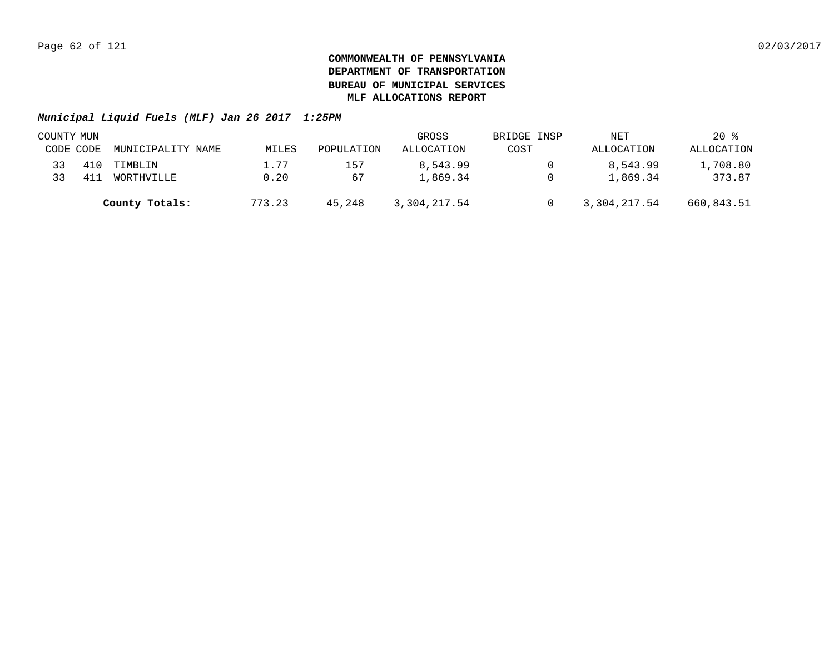| COUNTY MUN |     |                   |        |            | GROSS        | BRIDGE INSP | NET          | $20*$      |  |
|------------|-----|-------------------|--------|------------|--------------|-------------|--------------|------------|--|
| CODE CODE  |     | MUNICIPALITY NAME | MILES  | POPULATION | ALLOCATION   | COST        | ALLOCATION   | ALLOCATION |  |
| 33         | 410 | TIMBLIN           | 1.77   | 157        | 8,543.99     |             | 8,543.99     | 1,708.80   |  |
| 33         | 41  | WORTHVILLE        | 0.20   | 67         | 1,869.34     |             | 1,869.34     | 373.87     |  |
|            |     | County Totals:    | 773.23 | 45,248     | 3,304,217.54 |             | 3,304,217.54 | 660,843.51 |  |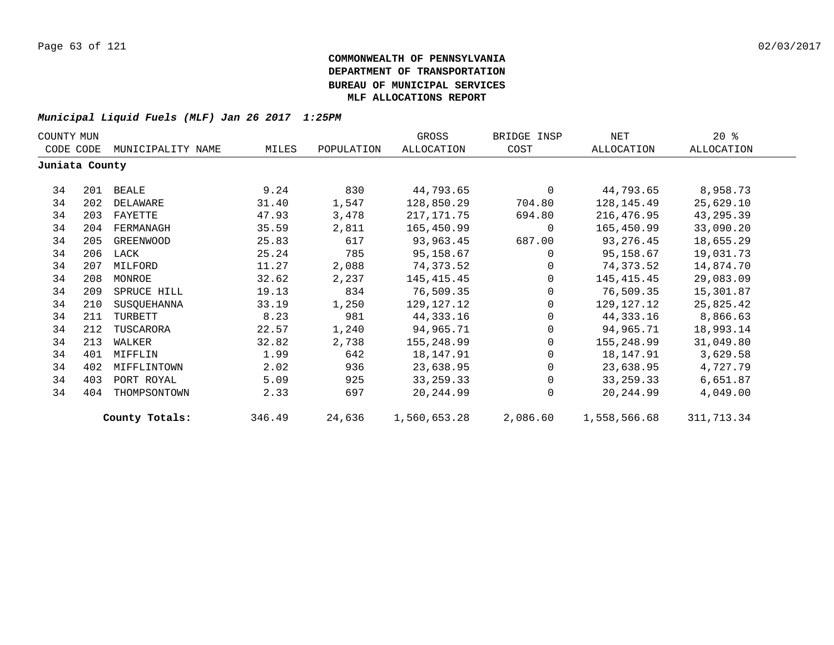| COUNTY MUN     |     |                   |        |            | GROSS        | BRIDGE INSP | NET          | $20*$      |  |
|----------------|-----|-------------------|--------|------------|--------------|-------------|--------------|------------|--|
| CODE CODE      |     | MUNICIPALITY NAME | MILES  | POPULATION | ALLOCATION   | COST        | ALLOCATION   | ALLOCATION |  |
| Juniata County |     |                   |        |            |              |             |              |            |  |
| 34             |     | 201 BEALE         | 9.24   | 830        | 44,793.65    | $\Omega$    | 44,793.65    | 8,958.73   |  |
| 34             | 202 | DELAWARE          | 31.40  | 1,547      | 128,850.29   | 704.80      | 128,145.49   | 25,629.10  |  |
| 34             | 203 | FAYETTE           | 47.93  | 3,478      | 217,171.75   | 694.80      | 216,476.95   | 43,295.39  |  |
| 34             | 204 | FERMANAGH         | 35.59  | 2,811      | 165,450.99   | 0           | 165,450.99   | 33,090.20  |  |
| 34             | 205 | GREENWOOD         | 25.83  | 617        | 93,963.45    | 687.00      | 93,276.45    | 18,655.29  |  |
| 34             |     | 206 LACK          | 25.24  | 785        | 95,158.67    | $\Omega$    | 95,158.67    | 19,031.73  |  |
| 34             | 207 | MILFORD           | 11.27  | 2,088      | 74,373.52    | $\Omega$    | 74,373.52    | 14,874.70  |  |
| 34             | 208 | MONROE            | 32.62  | 2,237      | 145,415.45   | $\Omega$    | 145,415.45   | 29,083.09  |  |
| 34             | 209 | SPRUCE HILL       | 19.13  | 834        | 76,509.35    | $\Omega$    | 76,509.35    | 15,301.87  |  |
| 34             | 210 | SUSQUEHANNA       | 33.19  | 1,250      | 129,127.12   | $\Omega$    | 129,127.12   | 25,825.42  |  |
| 34             | 211 | TURBETT           | 8.23   | 981        | 44,333.16    | $\Omega$    | 44,333.16    | 8,866.63   |  |
| 34             | 212 | TUSCARORA         | 22.57  | 1,240      | 94,965.71    | $\Omega$    | 94,965.71    | 18,993.14  |  |
| 34             | 213 | WALKER            | 32.82  | 2,738      | 155,248.99   | $\mathbf 0$ | 155,248.99   | 31,049.80  |  |
| 34             | 401 | MIFFLIN           | 1.99   | 642        | 18,147.91    | $\Omega$    | 18,147.91    | 3,629.58   |  |
| 34             | 402 | MIFFLINTOWN       | 2.02   | 936        | 23,638.95    | $\Omega$    | 23,638.95    | 4,727.79   |  |
| 34             | 403 | PORT ROYAL        | 5.09   | 925        | 33, 259. 33  | $\Omega$    | 33, 259. 33  | 6,651.87   |  |
| 34             | 404 | THOMPSONTOWN      | 2.33   | 697        | 20, 244.99   | $\Omega$    | 20,244.99    | 4,049.00   |  |
|                |     | County Totals:    | 346.49 | 24,636     | 1,560,653.28 | 2,086.60    | 1,558,566.68 | 311,713.34 |  |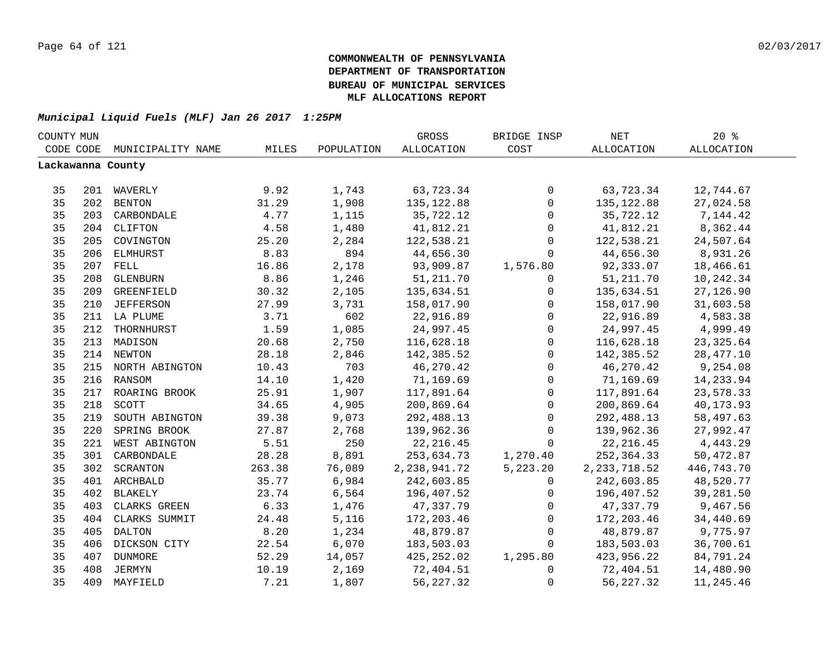| COUNTY MUN |     |                    |        |            | GROSS           | BRIDGE INSP    | NET               | $20*$             |
|------------|-----|--------------------|--------|------------|-----------------|----------------|-------------------|-------------------|
| CODE CODE  |     | MUNICIPALITY NAME  | MILES  | POPULATION | ALLOCATION      | COST           | <b>ALLOCATION</b> | <b>ALLOCATION</b> |
|            |     | Lackawanna County  |        |            |                 |                |                   |                   |
|            |     |                    |        |            |                 |                |                   |                   |
| 35         |     | 201 WAVERLY        | 9.92   | 1,743      | 63,723.34       | $\mathsf{O}$   | 63,723.34         | 12,744.67         |
| 35         |     | 202 BENTON         | 31.29  | 1,908      | 135, 122.88     | $\mathsf{O}$   | 135, 122.88       | 27,024.58         |
| 35         | 203 | CARBONDALE         | 4.77   | 1,115      | 35,722.12       | $\mathsf{O}$   | 35,722.12         | 7,144.42          |
| 35         |     | 204 CLIFTON        | 4.58   | 1,480      | 41,812.21       | 0              | 41,812.21         | 8,362.44          |
| 35         | 205 | COVINGTON          | 25.20  | 2,284      | 122,538.21      | 0              | 122,538.21        | 24,507.64         |
| 35         | 206 | ELMHURST           | 8.83   | 894        | 44,656.30       | $\mathbf 0$    | 44,656.30         | 8,931.26          |
| 35         | 207 | FELL               | 16.86  | 2,178      | 93,909.87       | 1,576.80       | 92,333.07         | 18,466.61         |
| 35         | 208 | <b>GLENBURN</b>    | 8.86   | 1,246      | 51, 211.70      | $\mathbf{0}$   | 51,211.70         | 10,242.34         |
| 35         | 209 | GREENFIELD         | 30.32  | 2,105      | 135,634.51      | $\mathsf{O}$   | 135,634.51        | 27,126.90         |
| 35         | 210 | JEFFERSON          | 27.99  | 3,731      | 158,017.90      | $\mathsf{O}$   | 158,017.90        | 31,603.58         |
| 35         |     | 211 LA PLUME       | 3.71   | 602        | 22,916.89       | $\mathsf{O}$   | 22,916.89         | 4,583.38          |
| 35         | 212 | THORNHURST         | 1.59   | 1,085      | 24,997.45       | $\mathsf{O}$   | 24,997.45         | 4,999.49          |
| 35         | 213 | MADISON            | 20.68  | 2,750      | 116,628.18      | $\mathsf{O}$   | 116,628.18        | 23, 325.64        |
| 35         |     | 214 NEWTON         | 28.18  | 2,846      | 142,385.52      | $\mathsf 0$    | 142,385.52        | 28, 477.10        |
| 35         |     | 215 NORTH ABINGTON | 10.43  | 703        | 46,270.42       | $\mathsf{O}$   | 46,270.42         | 9,254.08          |
| 35         |     | 216 RANSOM         | 14.10  | 1,420      | 71,169.69       | $\mathsf{O}$   | 71,169.69         | 14,233.94         |
| 35         |     | 217 ROARING BROOK  | 25.91  | 1,907      | 117,891.64      | $\mathsf{O}$   | 117,891.64        | 23,578.33         |
| 35         | 218 | SCOTT              | 34.65  | 4,905      | 200,869.64      | $\mathsf{O}$   | 200,869.64        | 40,173.93         |
| 35         | 219 | SOUTH ABINGTON     | 39.38  | 9,073      | 292,488.13      | $\mathbf 0$    | 292,488.13        | 58,497.63         |
| 35         | 220 | SPRING BROOK       | 27.87  | 2,768      | 139,962.36      | $\mathbf 0$    | 139,962.36        | 27,992.47         |
| 35         | 221 | WEST ABINGTON      | 5.51   | 250        | 22, 216.45      | $\Omega$       | 22, 216.45        | 4,443.29          |
| 35         | 301 | CARBONDALE         | 28.28  | 8,891      | 253,634.73      | 1,270.40       | 252,364.33        | 50,472.87         |
| 35         | 302 | SCRANTON           | 263.38 | 76,089     | 2, 238, 941. 72 | 5,223.20       | 2, 233, 718.52    | 446,743.70        |
| 35         |     | 401 ARCHBALD       | 35.77  | 6,984      | 242,603.85      | $\overline{0}$ | 242,603.85        | 48,520.77         |
| 35         | 402 | BLAKELY            | 23.74  | 6,564      | 196,407.52      | 0              | 196,407.52        | 39,281.50         |
| 35         | 403 | CLARKS GREEN       | 6.33   | 1,476      | 47,337.79       | $\mathbf 0$    | 47,337.79         | 9,467.56          |
| 35         | 404 | CLARKS SUMMIT      | 24.48  | 5,116      | 172,203.46      | $\mathbf 0$    | 172,203.46        | 34,440.69         |
| 35         | 405 | <b>DALTON</b>      | 8.20   | 1,234      | 48,879.87       | 0              | 48,879.87         | 9,775.97          |
| 35         | 406 | DICKSON CITY       | 22.54  | 6,070      | 183,503.03      | $\mathbf{0}$   | 183,503.03        | 36,700.61         |
| 35         | 407 | <b>DUNMORE</b>     | 52.29  | 14,057     | 425, 252.02     | 1,295.80       | 423,956.22        | 84,791.24         |
| 35         | 408 | JERMYN             | 10.19  | 2,169      | 72,404.51       | 0              | 72,404.51         | 14,480.90         |
| 35         | 409 | MAYFIELD           | 7.21   | 1,807      | 56, 227.32      | $\mathsf{O}$   | 56, 227.32        | 11,245.46         |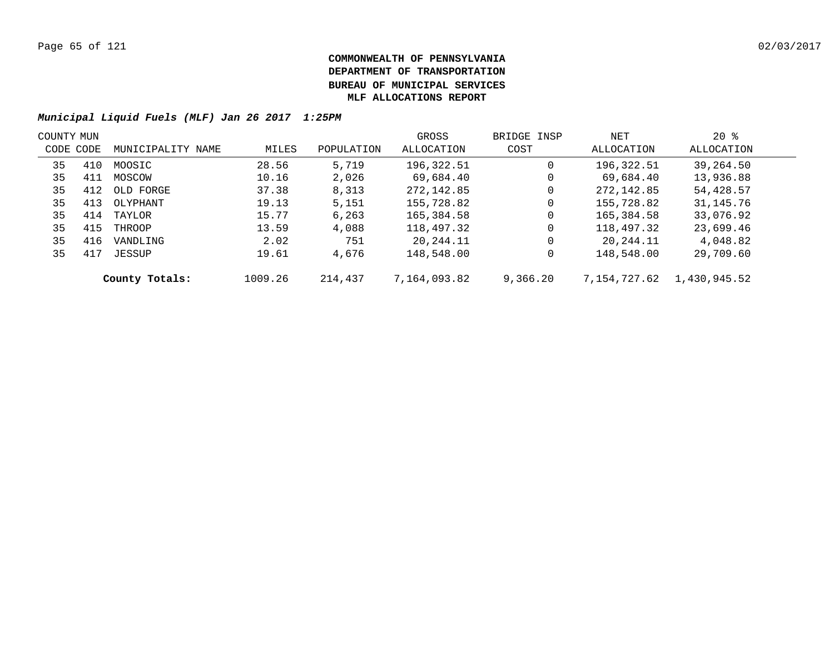|           | COUNTY MUN |                   |         |            | GROSS        | BRIDGE INSP | NET          | $20*$        |  |
|-----------|------------|-------------------|---------|------------|--------------|-------------|--------------|--------------|--|
| CODE CODE |            | MUNICIPALITY NAME | MILES   | POPULATION | ALLOCATION   | COST        | ALLOCATION   | ALLOCATION   |  |
| 35        | 410        | MOOSIC            | 28.56   | 5,719      | 196,322.51   | 0           | 196,322.51   | 39,264.50    |  |
| 35        | 411        | MOSCOW            | 10.16   | 2,026      | 69,684.40    | 0           | 69,684.40    | 13,936.88    |  |
| 35        | 412        | OLD FORGE         | 37.38   | 8,313      | 272, 142.85  | 0           | 272, 142.85  | 54,428.57    |  |
| 35        | 413        | OLYPHANT          | 19.13   | 5,151      | 155,728.82   | 0           | 155,728.82   | 31,145.76    |  |
| 35        | 414        | TAYLOR            | 15.77   | 6,263      | 165,384.58   | 0           | 165,384.58   | 33,076.92    |  |
| 35        | 415        | THROOP            | 13.59   | 4,088      | 118,497.32   | 0           | 118,497.32   | 23,699.46    |  |
| 35        | 416        | VANDLING          | 2.02    | 751        | 20,244.11    | 0           | 20,244.11    | 4,048.82     |  |
| 35        | 417        | JESSUP            | 19.61   | 4,676      | 148,548.00   | 0           | 148,548.00   | 29,709.60    |  |
|           |            | County Totals:    | 1009.26 | 214,437    | 7,164,093.82 | 9,366.20    | 7,154,727.62 | 1,430,945.52 |  |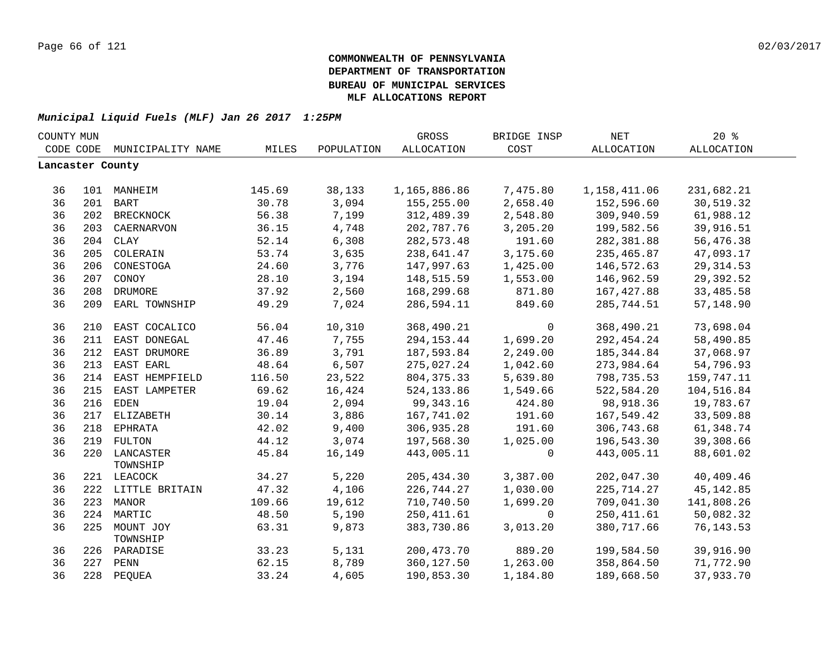| COUNTY MUN       |     |                             |        |            | GROSS        | BRIDGE INSP | <b>NET</b>        | $20*$      |  |
|------------------|-----|-----------------------------|--------|------------|--------------|-------------|-------------------|------------|--|
|                  |     | CODE CODE MUNICIPALITY NAME | MILES  | POPULATION | ALLOCATION   | COST        | <b>ALLOCATION</b> | ALLOCATION |  |
| Lancaster County |     |                             |        |            |              |             |                   |            |  |
|                  |     |                             |        |            |              |             |                   |            |  |
| 36               |     | 101 MANHEIM                 | 145.69 | 38,133     | 1,165,886.86 | 7,475.80    | 1,158,411.06      | 231,682.21 |  |
| 36               |     | 201 BART                    | 30.78  | 3,094      | 155,255.00   | 2,658.40    | 152,596.60        | 30,519.32  |  |
| 36               | 202 | <b>BRECKNOCK</b>            | 56.38  | 7,199      | 312,489.39   | 2,548.80    | 309,940.59        | 61,988.12  |  |
| 36               | 203 | CAERNARVON                  | 36.15  | 4,748      | 202,787.76   | 3,205.20    | 199,582.56        | 39,916.51  |  |
| 36               |     | 204 CLAY                    | 52.14  | 6,308      | 282,573.48   | 191.60      | 282,381.88        | 56,476.38  |  |
| 36               | 205 | COLERAIN                    | 53.74  | 3,635      | 238,641.47   | 3,175.60    | 235,465.87        | 47,093.17  |  |
| 36               | 206 | CONESTOGA                   | 24.60  | 3,776      | 147,997.63   | 1,425.00    | 146,572.63        | 29, 314.53 |  |
| 36               | 207 | CONOY                       | 28.10  | 3,194      | 148,515.59   | 1,553.00    | 146,962.59        | 29,392.52  |  |
| 36               | 208 | <b>DRUMORE</b>              | 37.92  | 2,560      | 168,299.68   | 871.80      | 167,427.88        | 33,485.58  |  |
| 36               | 209 | EARL TOWNSHIP               | 49.29  | 7,024      | 286,594.11   | 849.60      | 285,744.51        | 57,148.90  |  |
| 36               | 210 | EAST COCALICO               | 56.04  | 10,310     | 368,490.21   | $\mathbf 0$ | 368,490.21        | 73,698.04  |  |
| 36               | 211 | EAST DONEGAL                | 47.46  | 7,755      | 294, 153.44  | 1,699.20    | 292, 454.24       | 58,490.85  |  |
| 36               |     | 212 EAST DRUMORE            | 36.89  | 3,791      | 187,593.84   | 2,249.00    | 185, 344.84       | 37,068.97  |  |
| 36               |     | 213 EAST EARL               | 48.64  | 6,507      | 275,027.24   | 1,042.60    | 273,984.64        | 54,796.93  |  |
| 36               |     | 214 EAST HEMPFIELD          | 116.50 | 23,522     | 804, 375.33  | 5,639.80    | 798,735.53        | 159,747.11 |  |
| 36               |     | 215 EAST LAMPETER           | 69.62  | 16,424     | 524, 133.86  | 1,549.66    | 522,584.20        | 104,516.84 |  |
| 36               |     | 216 EDEN                    | 19.04  | 2,094      | 99,343.16    | 424.80      | 98,918.36         | 19,783.67  |  |
| 36               |     | 217 ELIZABETH               | 30.14  | 3,886      | 167,741.02   | 191.60      | 167,549.42        | 33,509.88  |  |
| 36               |     | 218 EPHRATA                 | 42.02  | 9,400      | 306,935.28   | 191.60      | 306,743.68        | 61,348.74  |  |
| 36               |     | 219 FULTON                  | 44.12  | 3,074      | 197,568.30   | 1,025.00    | 196,543.30        | 39,308.66  |  |
| 36               |     | 220 LANCASTER<br>TOWNSHIP   | 45.84  | 16,149     | 443,005.11   | $\mathbf 0$ | 443,005.11        | 88,601.02  |  |
| 36               |     | 221 LEACOCK                 | 34.27  | 5,220      | 205, 434.30  | 3,387.00    | 202,047.30        | 40,409.46  |  |
| 36               |     | 222 LITTLE BRITAIN          | 47.32  | 4,106      | 226,744.27   | 1,030.00    | 225,714.27        | 45, 142.85 |  |
| 36               |     | 223 MANOR                   | 109.66 | 19,612     | 710,740.50   | 1,699.20    | 709,041.30        | 141,808.26 |  |
| 36               | 224 | MARTIC                      | 48.50  | 5,190      | 250, 411.61  | $\mathbf 0$ | 250, 411.61       | 50,082.32  |  |
| 36               | 225 | MOUNT JOY<br>TOWNSHIP       | 63.31  | 9,873      | 383,730.86   | 3,013.20    | 380,717.66        | 76, 143.53 |  |
| 36               |     | 226 PARADISE                | 33.23  | 5,131      | 200, 473.70  | 889.20      | 199,584.50        | 39,916.90  |  |
| 36               | 227 | PENN                        | 62.15  | 8,789      | 360,127.50   | 1,263.00    | 358,864.50        | 71,772.90  |  |
| 36               |     | 228 PEQUEA                  | 33.24  | 4,605      | 190,853.30   | 1,184.80    | 189,668.50        | 37,933.70  |  |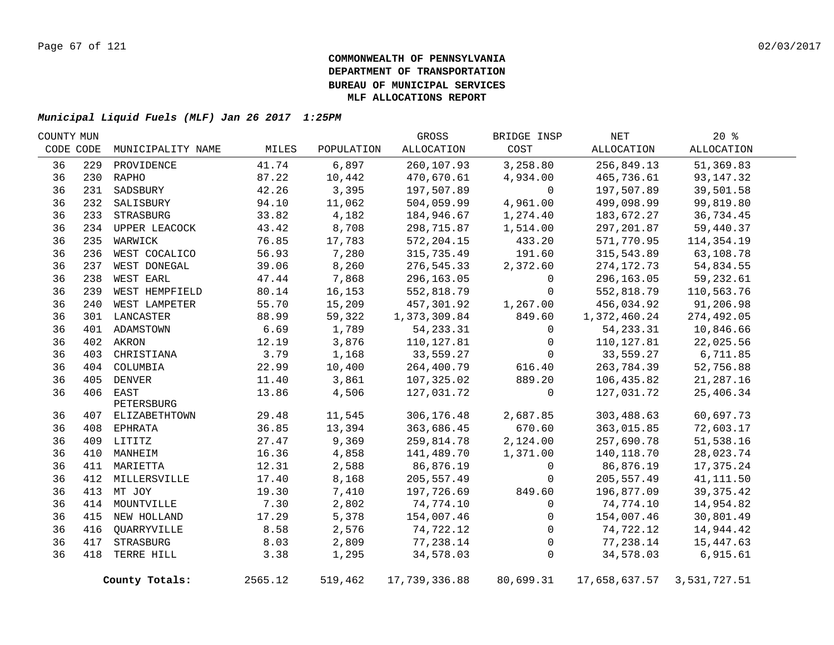| COUNTY MUN |     |                   |         |            | GROSS         | BRIDGE INSP | NET           | 20%          |  |
|------------|-----|-------------------|---------|------------|---------------|-------------|---------------|--------------|--|
| CODE CODE  |     | MUNICIPALITY NAME | MILES   | POPULATION | ALLOCATION    | COST        | ALLOCATION    | ALLOCATION   |  |
| 36         | 229 | PROVIDENCE        | 41.74   | 6,897      | 260,107.93    | 3,258.80    | 256,849.13    | 51,369.83    |  |
| 36         |     | 230 RAPHO         | 87.22   | 10,442     | 470,670.61    | 4,934.00    | 465,736.61    | 93, 147. 32  |  |
| 36         | 231 | SADSBURY          | 42.26   | 3,395      | 197,507.89    | $\mathbf 0$ | 197,507.89    | 39,501.58    |  |
| 36         | 232 | SALISBURY         | 94.10   | 11,062     | 504,059.99    | 4,961.00    | 499,098.99    | 99,819.80    |  |
| 36         |     | 233 STRASBURG     | 33.82   | 4,182      | 184,946.67    | 1,274.40    | 183,672.27    | 36,734.45    |  |
| 36         |     | 234 UPPER LEACOCK | 43.42   | 8,708      | 298,715.87    | 1,514.00    | 297, 201.87   | 59,440.37    |  |
| 36         | 235 | WARWICK           | 76.85   | 17,783     | 572, 204.15   | 433.20      | 571,770.95    | 114,354.19   |  |
| 36         | 236 | WEST COCALICO     | 56.93   | 7,280      | 315,735.49    | 191.60      | 315,543.89    | 63,108.78    |  |
| 36         | 237 | WEST DONEGAL      | 39.06   | 8,260      | 276,545.33    | 2,372.60    | 274, 172. 73  | 54,834.55    |  |
| 36         | 238 | WEST EARL         | 47.44   | 7,868      | 296,163.05    | 0           | 296,163.05    | 59,232.61    |  |
| 36         | 239 | WEST HEMPFIELD    | 80.14   | 16,153     | 552,818.79    | 0           | 552,818.79    | 110,563.76   |  |
| 36         | 240 | WEST LAMPETER     | 55.70   | 15,209     | 457,301.92    | 1,267.00    | 456,034.92    | 91,206.98    |  |
| 36         |     | 301 LANCASTER     | 88.99   | 59,322     | 1,373,309.84  | 849.60      | 1,372,460.24  | 274,492.05   |  |
| 36         |     | 401 ADAMSTOWN     | 6.69    | 1,789      | 54, 233. 31   | 0           | 54, 233.31    | 10,846.66    |  |
| 36         |     | 402 AKRON         | 12.19   | 3,876      | 110,127.81    | 0           | 110,127.81    | 22,025.56    |  |
| 36         | 403 | CHRISTIANA        | 3.79    | 1,168      | 33,559.27     | $\Omega$    | 33,559.27     | 6,711.85     |  |
| 36         |     | 404 COLUMBIA      | 22.99   | 10,400     | 264,400.79    | 616.40      | 263,784.39    | 52,756.88    |  |
| 36         |     | 405 DENVER        | 11.40   | 3,861      | 107,325.02    | 889.20      | 106,435.82    | 21,287.16    |  |
| 36         |     | 406 EAST          | 13.86   | 4,506      | 127,031.72    | $\mathbf 0$ | 127,031.72    | 25,406.34    |  |
|            |     | PETERSBURG        |         |            |               |             |               |              |  |
| 36         |     | 407 ELIZABETHTOWN | 29.48   | 11,545     | 306,176.48    | 2,687.85    | 303,488.63    | 60,697.73    |  |
| 36         |     | 408 EPHRATA       | 36.85   | 13,394     | 363,686.45    | 670.60      | 363,015.85    | 72,603.17    |  |
| 36         |     | 409 LITITZ        | 27.47   | 9,369      | 259,814.78    | 2,124.00    | 257,690.78    | 51,538.16    |  |
| 36         |     | 410 MANHEIM       | 16.36   | 4,858      | 141,489.70    | 1,371.00    | 140,118.70    | 28,023.74    |  |
| 36         |     | 411 MARIETTA      | 12.31   | 2,588      | 86,876.19     | 0           | 86,876.19     | 17,375.24    |  |
| 36         |     | 412 MILLERSVILLE  | 17.40   | 8,168      | 205,557.49    | 0           | 205,557.49    | 41, 111.50   |  |
| 36         |     | 413 MT JOY        | 19.30   | 7,410      | 197,726.69    | 849.60      | 196,877.09    | 39, 375. 42  |  |
| 36         |     | 414 MOUNTVILLE    | 7.30    | 2,802      | 74,774.10     | 0           | 74,774.10     | 14,954.82    |  |
| 36         |     | 415 NEW HOLLAND   | 17.29   | 5,378      | 154,007.46    | 0           | 154,007.46    | 30,801.49    |  |
| 36         | 416 | QUARRYVILLE       | 8.58    | 2,576      | 74,722.12     | $\Omega$    | 74,722.12     | 14,944.42    |  |
| 36         | 417 | STRASBURG         | 8.03    | 2,809      | 77,238.14     | 0           | 77,238.14     | 15,447.63    |  |
| 36         | 418 | TERRE HILL        | 3.38    | 1,295      | 34,578.03     | $\mathsf 0$ | 34,578.03     | 6,915.61     |  |
|            |     | County Totals:    | 2565.12 | 519,462    | 17,739,336.88 | 80,699.31   | 17,658,637.57 | 3,531,727.51 |  |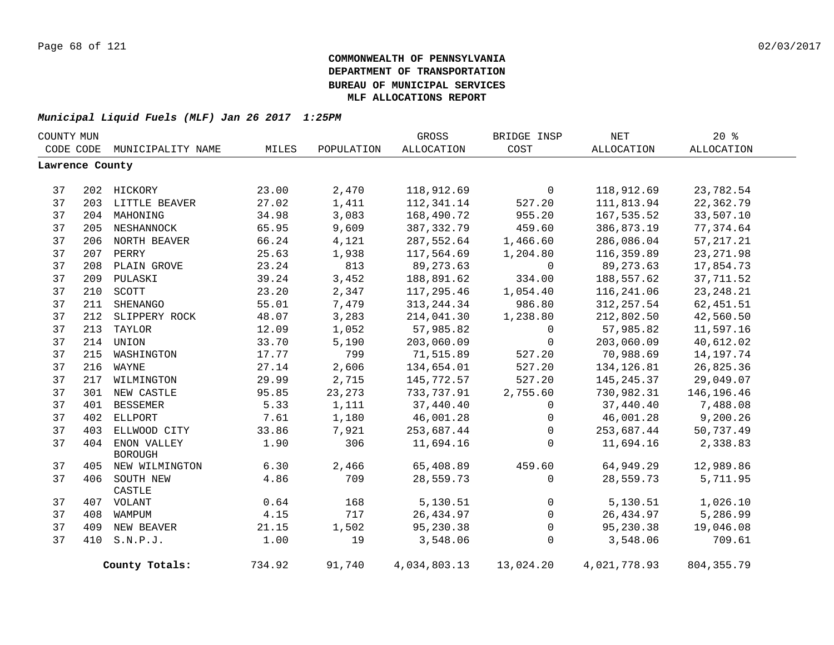| COUNTY MUN      |     |                    |        |            | GROSS        | BRIDGE INSP  | NET          | $20*$       |  |
|-----------------|-----|--------------------|--------|------------|--------------|--------------|--------------|-------------|--|
| CODE CODE       |     | MUNICIPALITY NAME  | MILES  | POPULATION | ALLOCATION   | COST         | ALLOCATION   | ALLOCATION  |  |
| Lawrence County |     |                    |        |            |              |              |              |             |  |
|                 |     |                    |        |            |              |              |              |             |  |
| 37              |     | 202 HICKORY        | 23.00  | 2,470      | 118,912.69   | 0            | 118,912.69   | 23,782.54   |  |
| 37              |     | 203 LITTLE BEAVER  | 27.02  | 1,411      | 112,341.14   | 527.20       | 111,813.94   | 22,362.79   |  |
| 37              |     | 204 MAHONING       | 34.98  | 3,083      | 168,490.72   | 955.20       | 167,535.52   | 33,507.10   |  |
| 37              |     | 205 NESHANNOCK     | 65.95  | 9,609      | 387, 332.79  | 459.60       | 386,873.19   | 77,374.64   |  |
| 37              |     | 206 NORTH BEAVER   | 66.24  | 4,121      | 287,552.64   | 1,466.60     | 286,086.04   | 57, 217. 21 |  |
| 37              |     | 207 PERRY          | 25.63  | 1,938      | 117,564.69   | 1,204.80     | 116,359.89   | 23, 271.98  |  |
| 37              |     | 208 PLAIN GROVE    | 23.24  | 813        | 89, 273.63   | $\mathbf 0$  | 89, 273.63   | 17,854.73   |  |
| 37              |     | 209 PULASKI        | 39.24  | 3,452      | 188,891.62   | 334.00       | 188,557.62   | 37,711.52   |  |
| 37              | 210 | SCOTT              | 23.20  | 2,347      | 117,295.46   | 1,054.40     | 116,241.06   | 23, 248. 21 |  |
| 37              | 211 | SHENANGO           | 55.01  | 7,479      | 313, 244.34  | 986.80       | 312, 257.54  | 62,451.51   |  |
| 37              | 212 | SLIPPERY ROCK      | 48.07  | 3,283      | 214,041.30   | 1,238.80     | 212,802.50   | 42,560.50   |  |
| 37              |     | 213 TAYLOR         | 12.09  | 1,052      | 57,985.82    | $\mathbf 0$  | 57,985.82    | 11,597.16   |  |
| 37              |     | 214 UNION          | 33.70  | 5,190      | 203,060.09   | $\mathbf 0$  | 203,060.09   | 40,612.02   |  |
| 37              |     | 215 WASHINGTON     | 17.77  | 799        | 71,515.89    | 527.20       | 70,988.69    | 14,197.74   |  |
| 37              | 216 | WAYNE              | 27.14  | 2,606      | 134,654.01   | 527.20       | 134, 126.81  | 26,825.36   |  |
| 37              |     | 217 WILMINGTON     | 29.99  | 2,715      | 145,772.57   | 527.20       | 145, 245.37  | 29,049.07   |  |
| 37              |     | 301 NEW CASTLE     | 95.85  | 23,273     | 733,737.91   | 2,755.60     | 730,982.31   | 146,196.46  |  |
| 37              | 401 | <b>BESSEMER</b>    | 5.33   | 1,111      | 37,440.40    | $\Omega$     | 37,440.40    | 7,488.08    |  |
| 37              | 402 | ELLPORT            | 7.61   | 1,180      | 46,001.28    | $\mathbf 0$  | 46,001.28    | 9,200.26    |  |
| 37              | 403 | ELLWOOD CITY       | 33.86  | 7,921      | 253,687.44   | 0            | 253,687.44   | 50,737.49   |  |
| 37              |     | 404 ENON VALLEY    | 1.90   | 306        | 11,694.16    | $\mathbf 0$  | 11,694.16    | 2,338.83    |  |
|                 |     | <b>BOROUGH</b>     |        |            |              |              |              |             |  |
| 37              |     | 405 NEW WILMINGTON | 6.30   | 2,466      | 65,408.89    | 459.60       | 64,949.29    | 12,989.86   |  |
| 37              |     | 406 SOUTH NEW      | 4.86   | 709        | 28,559.73    | $\mathbf 0$  | 28,559.73    | 5,711.95    |  |
|                 |     | CASTLE             |        |            |              |              |              |             |  |
| 37              |     | 407 VOLANT         | 0.64   | 168        | 5,130.51     | $\mathsf{O}$ | 5,130.51     | 1,026.10    |  |
| 37              |     | 408 WAMPUM         | 4.15   | 717        | 26, 434.97   | $\mathbf 0$  | 26,434.97    | 5,286.99    |  |
| 37              |     | 409 NEW BEAVER     | 21.15  | 1,502      | 95,230.38    | 0            | 95,230.38    | 19,046.08   |  |
| 37              |     | 410 S.N.P.J.       | 1.00   | 19         | 3,548.06     | $\mathbf 0$  | 3,548.06     | 709.61      |  |
|                 |     | County Totals:     | 734.92 | 91,740     | 4,034,803.13 | 13,024.20    | 4,021,778.93 | 804, 355.79 |  |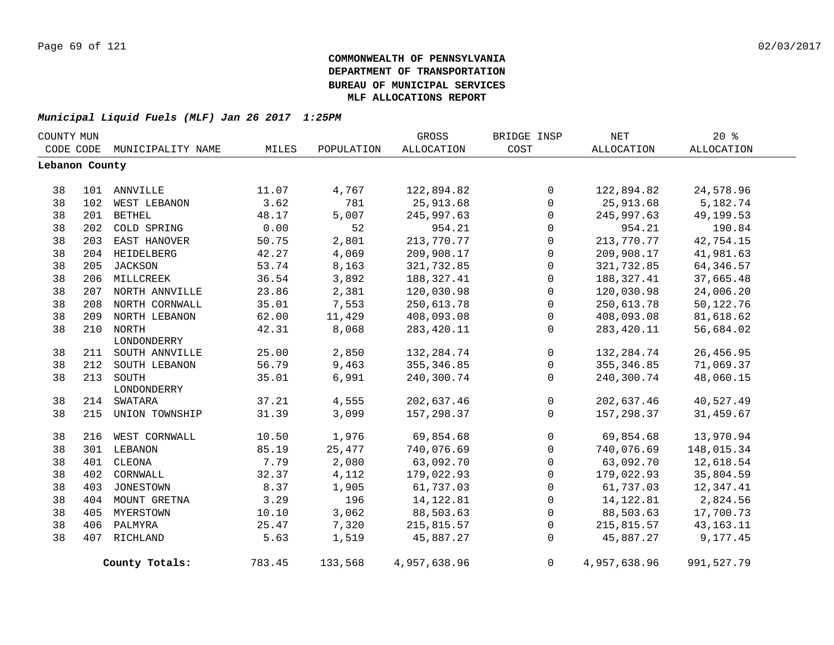|                | COUNTY MUN |                    |        |            | <b>GROSS</b>      | BRIDGE INSP  | <b>NET</b>   | 20%         |  |
|----------------|------------|--------------------|--------|------------|-------------------|--------------|--------------|-------------|--|
| CODE CODE      |            | MUNICIPALITY NAME  | MILES  | POPULATION | <b>ALLOCATION</b> | COST         | ALLOCATION   | ALLOCATION  |  |
| Lebanon County |            |                    |        |            |                   |              |              |             |  |
|                |            |                    |        |            |                   |              |              |             |  |
| 38             |            | 101 ANNVILLE       | 11.07  | 4,767      | 122,894.82        | $\Omega$     | 122,894.82   | 24,578.96   |  |
| 38             | 102        | WEST LEBANON       | 3.62   | 781        | 25, 913.68        | $\Omega$     | 25,913.68    | 5,182.74    |  |
| 38             | 201        | <b>BETHEL</b>      | 48.17  | 5,007      | 245,997.63        | $\mathbf 0$  | 245,997.63   | 49,199.53   |  |
| 38             | 202        | COLD SPRING        | 0.00   | 52         | 954.21            | $\mathbf 0$  | 954.21       | 190.84      |  |
| 38             |            | 203 EAST HANOVER   | 50.75  | 2,801      | 213,770.77        | $\mathsf{O}$ | 213,770.77   | 42,754.15   |  |
| 38             |            | 204 HEIDELBERG     | 42.27  | 4,069      | 209,908.17        | $\mathbf 0$  | 209,908.17   | 41,981.63   |  |
| 38             |            | 205 JACKSON        | 53.74  | 8,163      | 321,732.85        | $\mathbf 0$  | 321,732.85   | 64, 346.57  |  |
| 38             |            | 206 MILLCREEK      | 36.54  | 3,892      | 188,327.41        | $\mathbf 0$  | 188,327.41   | 37,665.48   |  |
| 38             |            | 207 NORTH ANNVILLE | 23.86  | 2,381      | 120,030.98        | $\Omega$     | 120,030.98   | 24,006.20   |  |
| 38             |            | 208 NORTH CORNWALL | 35.01  | 7,553      | 250,613.78        | $\mathbf 0$  | 250,613.78   | 50,122.76   |  |
| 38             |            | 209 NORTH LEBANON  | 62.00  | 11,429     | 408,093.08        | 0            | 408,093.08   | 81,618.62   |  |
| 38             |            | 210 NORTH          | 42.31  | 8,068      | 283, 420.11       | $\mathbf 0$  | 283,420.11   | 56,684.02   |  |
|                |            | LONDONDERRY        |        |            |                   |              |              |             |  |
| 38             |            | 211 SOUTH ANNVILLE | 25.00  | 2,850      | 132, 284. 74      | $\mathsf{O}$ | 132,284.74   | 26,456.95   |  |
| 38             | 212        | SOUTH LEBANON      | 56.79  | 9,463      | 355, 346.85       | 0            | 355, 346.85  | 71,069.37   |  |
| 38             | 213        | SOUTH              | 35.01  | 6,991      | 240,300.74        | $\mathbf 0$  | 240,300.74   | 48,060.15   |  |
|                |            | LONDONDERRY        |        |            |                   |              |              |             |  |
| 38             | 214        | SWATARA            | 37.21  | 4,555      | 202,637.46        | $\mathbf 0$  | 202,637.46   | 40,527.49   |  |
| 38             | 215        | UNION TOWNSHIP     | 31.39  | 3,099      | 157,298.37        | $\Omega$     | 157, 298, 37 | 31,459.67   |  |
| 38             | 216        | WEST CORNWALL      | 10.50  | 1,976      | 69,854.68         | $\mathbf 0$  | 69,854.68    | 13,970.94   |  |
| 38             |            | 301 LEBANON        | 85.19  | 25,477     | 740,076.69        | $\mathbf 0$  | 740,076.69   | 148,015.34  |  |
| 38             | 401        | CLEONA             | 7.79   | 2,080      | 63,092.70         | $\mathbf 0$  | 63,092.70    | 12,618.54   |  |
| 38             | 402        | CORNWALL           | 32.37  | 4,112      | 179,022.93        | $\mathbf 0$  | 179,022.93   | 35,804.59   |  |
| 38             | 403        | <b>JONESTOWN</b>   | 8.37   | 1,905      | 61,737.03         | $\mathbf 0$  | 61,737.03    | 12,347.41   |  |
| 38             |            | 404 MOUNT GRETNA   | 3.29   | 196        | 14, 122.81        | $\mathbf 0$  | 14, 122.81   | 2,824.56    |  |
| 38             |            | 405 MYERSTOWN      | 10.10  | 3,062      | 88,503.63         | 0            | 88,503.63    | 17,700.73   |  |
| 38             | 406        | PALMYRA            | 25.47  | 7,320      | 215,815.57        | $\Omega$     | 215,815.57   | 43, 163. 11 |  |
| 38             |            | 407 RICHLAND       | 5.63   | 1,519      | 45,887.27         | $\mathbf 0$  | 45,887.27    | 9,177.45    |  |
|                |            |                    |        |            |                   |              |              |             |  |
|                |            | County Totals:     | 783.45 | 133,568    | 4,957,638.96      | $\Omega$     | 4,957,638.96 | 991,527.79  |  |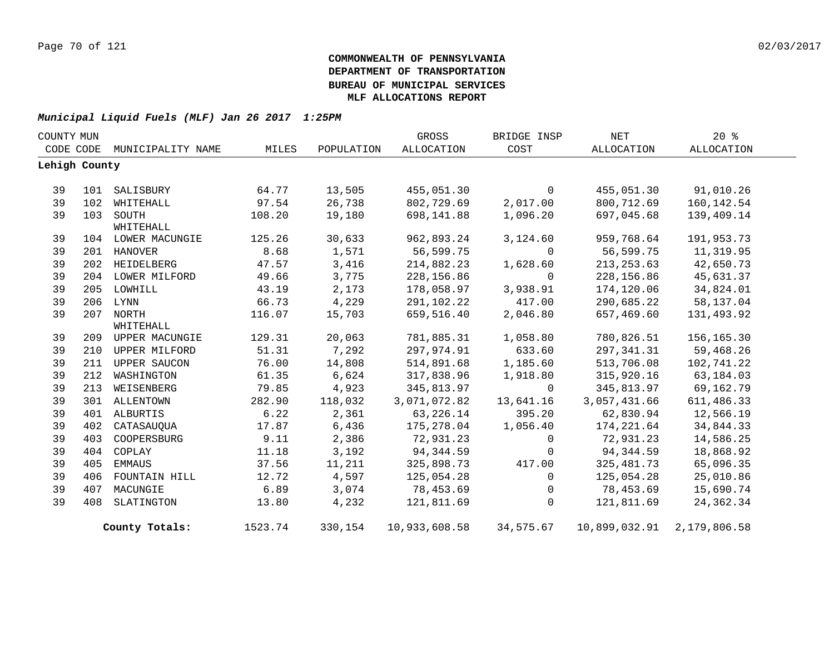| COUNTY MUN |               |                        |         |            | GROSS         | BRIDGE INSP  | <b>NET</b>    | 20%          |  |
|------------|---------------|------------------------|---------|------------|---------------|--------------|---------------|--------------|--|
|            | CODE CODE     | MUNICIPALITY NAME      | MILES   | POPULATION | ALLOCATION    | COST         | ALLOCATION    | ALLOCATION   |  |
|            | Lehigh County |                        |         |            |               |              |               |              |  |
|            |               |                        |         |            |               |              |               |              |  |
| 39         | 101           | SALISBURY              | 64.77   | 13,505     | 455,051.30    | $\mathbf 0$  | 455,051.30    | 91,010.26    |  |
| 39         | 102           | WHITEHALL              | 97.54   | 26,738     | 802,729.69    | 2,017.00     | 800,712.69    | 160,142.54   |  |
| 39         |               | 103 SOUTH<br>WHITEHALL | 108.20  | 19,180     | 698,141.88    | 1,096.20     | 697,045.68    | 139,409.14   |  |
| 39         |               | 104 LOWER MACUNGIE     | 125.26  | 30,633     | 962,893.24    | 3,124.60     | 959,768.64    | 191,953.73   |  |
| 39         |               | 201 HANOVER            | 8.68    | 1,571      | 56,599.75     | $\mathbf 0$  | 56,599.75     | 11,319.95    |  |
| 39         |               | 202 HEIDELBERG         | 47.57   | 3,416      | 214,882.23    | 1,628.60     | 213, 253.63   | 42,650.73    |  |
| 39         |               | 204 LOWER MILFORD      | 49.66   | 3,775      | 228, 156.86   | $\mathbf 0$  | 228,156.86    | 45,631.37    |  |
| 39         |               | 205 LOWHILL            | 43.19   | 2,173      | 178,058.97    | 3,938.91     | 174,120.06    | 34,824.01    |  |
| 39         |               | 206 LYNN               | 66.73   | 4,229      | 291,102.22    | 417.00       | 290,685.22    | 58,137.04    |  |
| 39         |               | 207 NORTH              | 116.07  | 15,703     | 659,516.40    | 2,046.80     | 657,469.60    | 131,493.92   |  |
|            |               | WHITEHALL              |         |            |               |              |               |              |  |
| 39         |               | 209 UPPER MACUNGIE     | 129.31  | 20,063     | 781,885.31    | 1,058.80     | 780,826.51    | 156,165.30   |  |
| 39         | 210           | UPPER MILFORD          | 51.31   | 7,292      | 297,974.91    | 633.60       | 297, 341.31   | 59,468.26    |  |
| 39         |               | 211 UPPER SAUCON       | 76.00   | 14,808     | 514,891.68    | 1,185.60     | 513,706.08    | 102,741.22   |  |
| 39         | 212           | WASHINGTON             | 61.35   | 6,624      | 317,838.96    | 1,918.80     | 315,920.16    | 63,184.03    |  |
| 39         | 213           | WEISENBERG             | 79.85   | 4,923      | 345,813.97    | $\mathbf{0}$ | 345,813.97    | 69,162.79    |  |
| 39         |               | 301 ALLENTOWN          | 282.90  | 118,032    | 3,071,072.82  | 13,641.16    | 3,057,431.66  | 611, 486.33  |  |
| 39         |               | 401 ALBURTIS           | 6.22    | 2,361      | 63,226.14     | 395.20       | 62,830.94     | 12,566.19    |  |
| 39         | 402           | CATASAUQUA             | 17.87   | 6,436      | 175,278.04    | 1,056.40     | 174,221.64    | 34,844.33    |  |
| 39         | 403           | COOPERSBURG            | 9.11    | 2,386      | 72,931.23     | 0            | 72,931.23     | 14,586.25    |  |
| 39         | 404           | COPLAY                 | 11.18   | 3,192      | 94,344.59     | 0            | 94,344.59     | 18,868.92    |  |
| 39         | 405           | EMMAUS                 | 37.56   | 11,211     | 325,898.73    | 417.00       | 325,481.73    | 65,096.35    |  |
| 39         | 406           | FOUNTAIN HILL          | 12.72   | 4,597      | 125,054.28    | 0            | 125,054.28    | 25,010.86    |  |
| 39         | 407           | MACUNGIE               | 6.89    | 3,074      | 78,453.69     | $\mathbf 0$  | 78,453.69     | 15,690.74    |  |
| 39         | 408           | SLATINGTON             | 13.80   | 4,232      | 121,811.69    | $\Omega$     | 121,811.69    | 24,362.34    |  |
|            |               | County Totals:         | 1523.74 | 330,154    | 10,933,608.58 | 34,575.67    | 10,899,032.91 | 2,179,806.58 |  |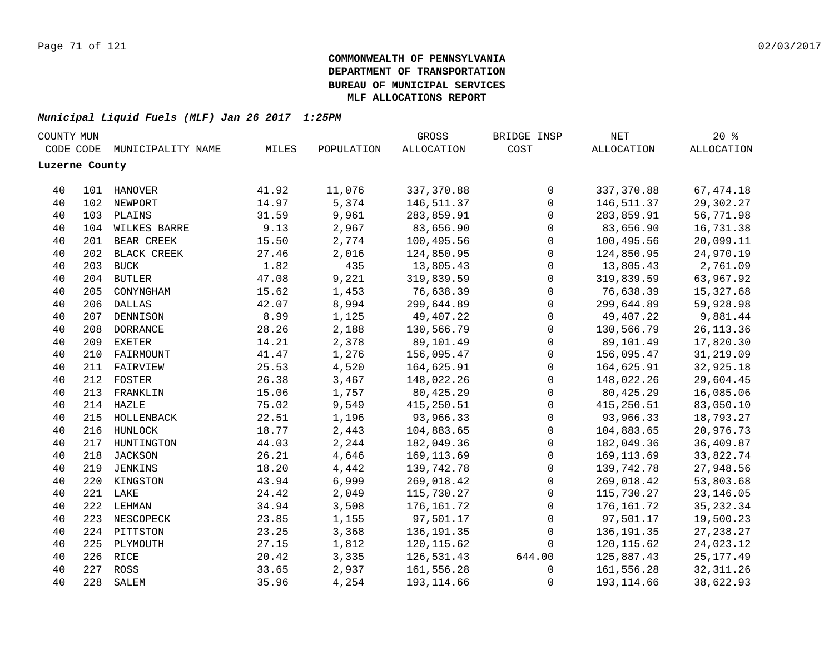| COUNTY MUN     |     |                   |       |            | GROSS             | BRIDGE INSP         | $\operatorname{NET}$ | 20%               |  |
|----------------|-----|-------------------|-------|------------|-------------------|---------------------|----------------------|-------------------|--|
| CODE CODE      |     | MUNICIPALITY NAME | MILES | POPULATION | <b>ALLOCATION</b> | COST                | <b>ALLOCATION</b>    | <b>ALLOCATION</b> |  |
| Luzerne County |     |                   |       |            |                   |                     |                      |                   |  |
|                |     |                   |       |            |                   |                     |                      |                   |  |
| 40             |     | 101 HANOVER       | 41.92 | 11,076     | 337,370.88        | $\mathsf{O}$        | 337,370.88           | 67, 474.18        |  |
| 40             |     | 102 NEWPORT       | 14.97 | 5,374      | 146,511.37        | $\mathbf 0$         | 146,511.37           | 29,302.27         |  |
| 40             |     | 103 PLAINS        | 31.59 | 9,961      | 283,859.91        | $\mathsf{O}\xspace$ | 283,859.91           | 56,771.98         |  |
| 40             |     | 104 WILKES BARRE  | 9.13  | 2,967      | 83,656.90         | $\mathbf 0$         | 83,656.90            | 16,731.38         |  |
| 40             | 201 | BEAR CREEK        | 15.50 | 2,774      | 100,495.56        | $\mathsf{O}\xspace$ | 100,495.56           | 20,099.11         |  |
| 40             | 202 | BLACK CREEK       | 27.46 | 2,016      | 124,850.95        | $\mathbf 0$         | 124,850.95           | 24,970.19         |  |
| 40             | 203 | <b>BUCK</b>       | 1.82  | 435        | 13,805.43         | $\mathbf 0$         | 13,805.43            | 2,761.09          |  |
| 40             | 204 | <b>BUTLER</b>     | 47.08 | 9,221      | 319,839.59        | $\mathbf 0$         | 319,839.59           | 63,967.92         |  |
| 40             | 205 | CONYNGHAM         | 15.62 | 1,453      | 76,638.39         | $\mathbf 0$         | 76,638.39            | 15,327.68         |  |
| 40             | 206 | <b>DALLAS</b>     | 42.07 | 8,994      | 299,644.89        | $\mathbf 0$         | 299,644.89           | 59,928.98         |  |
| 40             | 207 | DENNISON          | 8.99  | 1,125      | 49,407.22         | $\mathbf 0$         | 49,407.22            | 9,881.44          |  |
| 40             | 208 | <b>DORRANCE</b>   | 28.26 | 2,188      | 130,566.79        | $\mathbf 0$         | 130,566.79           | 26, 113.36        |  |
| 40             | 209 | <b>EXETER</b>     | 14.21 | 2,378      | 89,101.49         | $\mathbf 0$         | 89,101.49            | 17,820.30         |  |
| 40             |     | 210 FAIRMOUNT     | 41.47 | 1,276      | 156,095.47        | $\mathbf 0$         | 156,095.47           | 31,219.09         |  |
| 40             |     | 211 FAIRVIEW      | 25.53 | 4,520      | 164,625.91        | 0                   | 164,625.91           | 32,925.18         |  |
| 40             |     | 212 FOSTER        | 26.38 | 3,467      | 148,022.26        | 0                   | 148,022.26           | 29,604.45         |  |
| 40             |     | 213 FRANKLIN      | 15.06 | 1,757      | 80,425.29         | $\mathsf{O}\xspace$ | 80, 425.29           | 16,085.06         |  |
| 40             |     | 214 HAZLE         | 75.02 | 9,549      | 415,250.51        | $\mathsf{O}\xspace$ | 415,250.51           | 83,050.10         |  |
| 40             |     | 215 HOLLENBACK    | 22.51 | 1,196      | 93,966.33         | $\mathbf 0$         | 93,966.33            | 18,793.27         |  |
| 40             |     | 216 HUNLOCK       | 18.77 | 2,443      | 104,883.65        | $\mathbf 0$         | 104,883.65           | 20,976.73         |  |
| 40             |     | 217 HUNTINGTON    | 44.03 | 2,244      | 182,049.36        | $\mathbf 0$         | 182,049.36           | 36,409.87         |  |
| 40             | 218 | JACKSON           | 26.21 | 4,646      | 169, 113.69       | $\mathbf 0$         | 169,113.69           | 33,822.74         |  |
| 40             | 219 | JENKINS           | 18.20 | 4,442      | 139,742.78        | $\Omega$            | 139,742.78           | 27,948.56         |  |
| 40             | 220 | KINGSTON          | 43.94 | 6,999      | 269,018.42        | $\mathbf 0$         | 269,018.42           | 53,803.68         |  |
| 40             |     | 221 LAKE          | 24.42 | 2,049      | 115,730.27        | $\mathbf 0$         | 115,730.27           | 23, 146.05        |  |
| 40             | 222 | LEHMAN            | 34.94 | 3,508      | 176,161.72        | $\mathbf 0$         | 176,161.72           | 35, 232.34        |  |
| 40             | 223 | NESCOPECK         | 23.85 | 1,155      | 97,501.17         | 0                   | 97,501.17            | 19,500.23         |  |
| 40             | 224 | PITTSTON          | 23.25 | 3,368      | 136,191.35        | $\mathbf 0$         | 136,191.35           | 27, 238.27        |  |
| 40             | 225 | PLYMOUTH          | 27.15 | 1,812      | 120, 115.62       | $\mathbf 0$         | 120,115.62           | 24,023.12         |  |
| 40             |     | 226 RICE          | 20.42 | 3,335      | 126,531.43        | 644.00              | 125,887.43           | 25, 177.49        |  |
| 40             |     | 227 ROSS          | 33.65 | 2,937      | 161,556.28        | 0                   | 161,556.28           | 32, 311.26        |  |
| 40             | 228 | SALEM             | 35.96 | 4,254      | 193, 114.66       | $\mathbf 0$         | 193, 114.66          | 38,622.93         |  |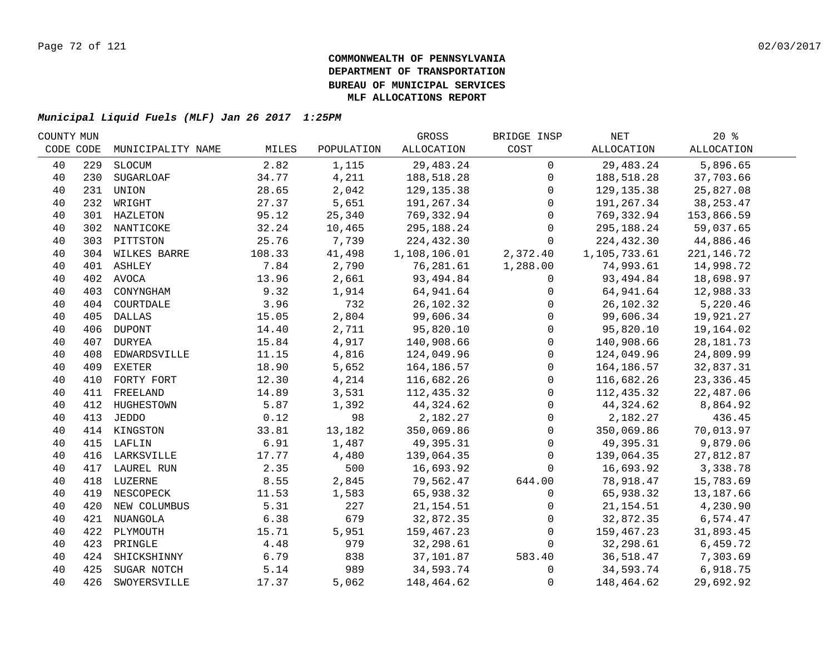| COUNTY MUN |     |                   |        |            | GROSS        | BRIDGE INSP    | NET          | $20*$       |  |
|------------|-----|-------------------|--------|------------|--------------|----------------|--------------|-------------|--|
| CODE CODE  |     | MUNICIPALITY NAME | MILES  | POPULATION | ALLOCATION   | COST           | ALLOCATION   | ALLOCATION  |  |
| 40         | 229 | SLOCUM            | 2.82   | 1,115      | 29,483.24    | $\mathbf 0$    | 29,483.24    | 5,896.65    |  |
| 40         | 230 | SUGARLOAF         | 34.77  | 4,211      | 188,518.28   | $\mathbf 0$    | 188,518.28   | 37,703.66   |  |
| 40         | 231 | UNION             | 28.65  | 2,042      | 129, 135.38  | 0              | 129, 135.38  | 25,827.08   |  |
| 40         |     | 232 WRIGHT        | 27.37  | 5,651      | 191,267.34   | $\Omega$       | 191,267.34   | 38, 253. 47 |  |
| 40         |     | 301 HAZLETON      | 95.12  | 25,340     | 769,332.94   | $\Omega$       | 769,332.94   | 153,866.59  |  |
| 40         |     | 302 NANTICOKE     | 32.24  | 10,465     | 295,188.24   | 0              | 295,188.24   | 59,037.65   |  |
| 40         |     | 303 PITTSTON      | 25.76  | 7,739      | 224,432.30   | $\overline{0}$ | 224,432.30   | 44,886.46   |  |
| 40         |     | 304 WILKES BARRE  | 108.33 | 41,498     | 1,108,106.01 | 2,372.40       | 1,105,733.61 | 221, 146.72 |  |
| 40         |     | 401 ASHLEY        | 7.84   | 2,790      | 76,281.61    | 1,288.00       | 74,993.61    | 14,998.72   |  |
| 40         | 402 | AVOCA             | 13.96  | 2,661      | 93,494.84    | 0              | 93,494.84    | 18,698.97   |  |
| 40         | 403 | CONYNGHAM         | 9.32   | 1,914      | 64,941.64    | 0              | 64,941.64    | 12,988.33   |  |
| 40         | 404 | COURTDALE         | 3.96   | 732        | 26,102.32    | 0              | 26,102.32    | 5,220.46    |  |
| 40         | 405 | DALLAS            | 15.05  | 2,804      | 99,606.34    | $\Omega$       | 99,606.34    | 19,921.27   |  |
| 40         | 406 | DUPONT            | 14.40  | 2,711      | 95,820.10    | $\mathbf 0$    | 95,820.10    | 19,164.02   |  |
| 40         |     | 407 DURYEA        | 15.84  | 4,917      | 140,908.66   | $\mathbf 0$    | 140,908.66   | 28, 181. 73 |  |
| 40         | 408 | EDWARDSVILLE      | 11.15  | 4,816      | 124,049.96   | $\mathbf{0}$   | 124,049.96   | 24,809.99   |  |
| 40         | 409 | EXETER            | 18.90  | 5,652      | 164,186.57   | $\Omega$       | 164,186.57   | 32,837.31   |  |
| 40         | 410 | FORTY FORT        | 12.30  | 4,214      | 116,682.26   | $\Omega$       | 116,682.26   | 23, 336.45  |  |
| 40         |     | 411 FREELAND      | 14.89  | 3,531      | 112,435.32   | 0              | 112,435.32   | 22,487.06   |  |
| 40         |     | 412 HUGHESTOWN    | 5.87   | 1,392      | 44,324.62    | 0              | 44,324.62    | 8,864.92    |  |
| 40         |     | 413 JEDDO         | 0.12   | 98         | 2,182.27     | $\mathsf 0$    | 2,182.27     | 436.45      |  |
| 40         |     | 414 KINGSTON      | 33.81  | 13,182     | 350,069.86   | $\mathbf 0$    | 350,069.86   | 70,013.97   |  |
| 40         |     | 415 LAFLIN        | 6.91   | 1,487      | 49,395.31    | $\mathbf 0$    | 49,395.31    | 9,879.06    |  |
| 40         |     | 416 LARKSVILLE    | 17.77  | 4,480      | 139,064.35   | $\mathbf 0$    | 139,064.35   | 27,812.87   |  |
| 40         |     | 417 LAUREL RUN    | 2.35   | 500        | 16,693.92    | $\Omega$       | 16,693.92    | 3,338.78    |  |
| 40         |     | 418 LUZERNE       | 8.55   | 2,845      | 79,562.47    | 644.00         | 78,918.47    | 15,783.69   |  |
| 40         |     | 419 NESCOPECK     | 11.53  | 1,583      | 65,938.32    | 0              | 65,938.32    | 13,187.66   |  |
| 40         | 420 | NEW COLUMBUS      | 5.31   | 227        | 21, 154.51   | 0              | 21,154.51    | 4,230.90    |  |
| 40         |     | 421 NUANGOLA      | 6.38   | 679        | 32,872.35    | 0              | 32,872.35    | 6,574.47    |  |
| 40         | 422 | PLYMOUTH          | 15.71  | 5,951      | 159,467.23   | $\mathbf 0$    | 159,467.23   | 31,893.45   |  |
| 40         | 423 | PRINGLE           | 4.48   | 979        | 32,298.61    | $\Omega$       | 32,298.61    | 6,459.72    |  |
| 40         | 424 | SHICKSHINNY       | 6.79   | 838        | 37,101.87    | 583.40         | 36,518.47    | 7,303.69    |  |
| 40         | 425 | SUGAR NOTCH       | 5.14   | 989        | 34,593.74    | $\overline{0}$ | 34,593.74    | 6,918.75    |  |
| 40         | 426 | SWOYERSVILLE      | 17.37  | 5,062      | 148,464.62   | $\mathsf 0$    | 148,464.62   | 29,692.92   |  |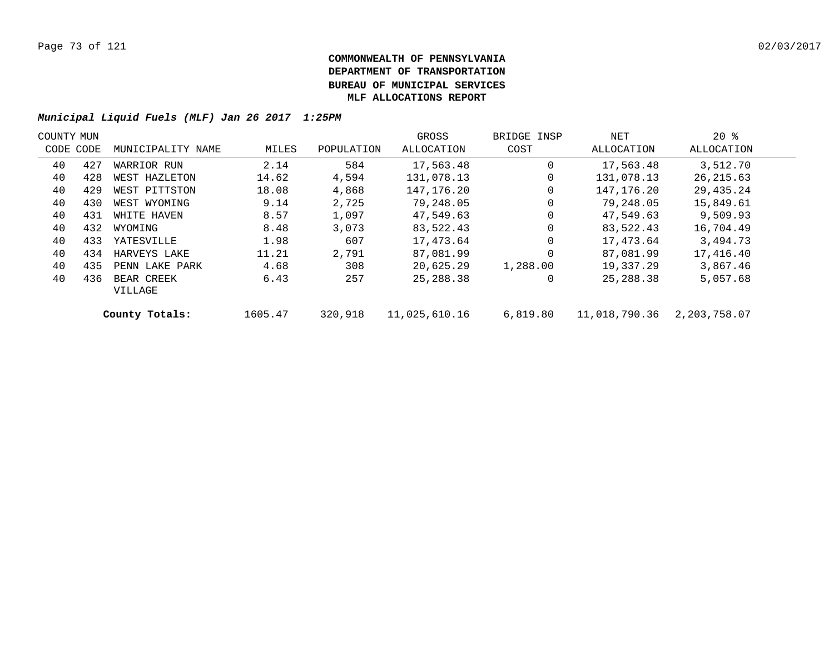| COUNTY MUN |           |                       |         |            | GROSS         | BRIDGE INSP | NET           | $20*$        |  |
|------------|-----------|-----------------------|---------|------------|---------------|-------------|---------------|--------------|--|
|            | CODE CODE | MUNICIPALITY NAME     | MILES   | POPULATION | ALLOCATION    | COST        | ALLOCATION    | ALLOCATION   |  |
| 40         | 427       | WARRIOR RUN           | 2.14    | 584        | 17,563.48     | $\Omega$    | 17,563.48     | 3,512.70     |  |
| 40         | 428       | WEST HAZLETON         | 14.62   | 4,594      | 131,078.13    | 0           | 131,078.13    | 26, 215.63   |  |
| 40         | 429       | WEST PITTSTON         | 18.08   | 4,868      | 147,176.20    | 0           | 147,176.20    | 29,435.24    |  |
| 40         | 430       | WEST WYOMING          | 9.14    | 2,725      | 79,248.05     | 0           | 79,248.05     | 15,849.61    |  |
| 40         | 431       | WHITE HAVEN           | 8.57    | 1,097      | 47,549.63     | $\mathbf 0$ | 47,549.63     | 9,509.93     |  |
| 40         | 432       | WYOMING               | 8.48    | 3,073      | 83,522.43     | $\Omega$    | 83,522.43     | 16,704.49    |  |
| 40         | 433       | YATESVILLE            | 1.98    | 607        | 17,473.64     | 0           | 17,473.64     | 3,494.73     |  |
| 40         | 434       | HARVEYS LAKE          | 11.21   | 2,791      | 87,081.99     | $\Omega$    | 87,081.99     | 17,416.40    |  |
| 40         | 435       | PENN LAKE PARK        | 4.68    | 308        | 20,625.29     | 1,288.00    | 19,337.29     | 3,867.46     |  |
| 40         | 436       | BEAR CREEK<br>VILLAGE | 6.43    | 257        | 25,288.38     | 0           | 25,288.38     | 5,057.68     |  |
|            |           | County Totals:        | 1605.47 | 320,918    | 11,025,610.16 | 6,819.80    | 11,018,790.36 | 2,203,758.07 |  |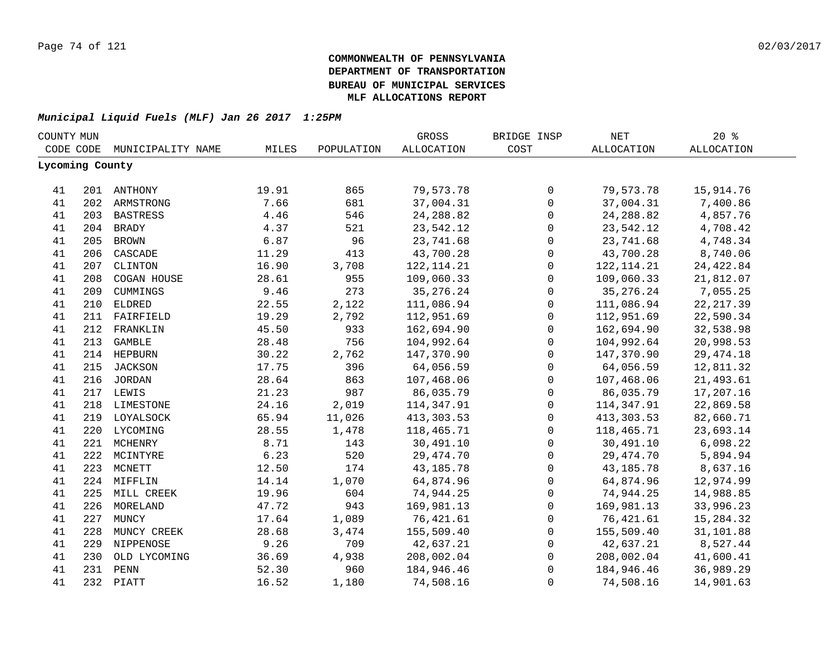| COUNTY MUN |                 |                   |       |            | GROSS             | BRIDGE INSP         | NET               | 20%               |  |
|------------|-----------------|-------------------|-------|------------|-------------------|---------------------|-------------------|-------------------|--|
|            | CODE CODE       | MUNICIPALITY NAME | MILES | POPULATION | <b>ALLOCATION</b> | COST                | <b>ALLOCATION</b> | <b>ALLOCATION</b> |  |
|            | Lycoming County |                   |       |            |                   |                     |                   |                   |  |
|            |                 |                   |       |            |                   |                     |                   |                   |  |
| 41         |                 | 201 ANTHONY       | 19.91 | 865        | 79,573.78         | $\mathbf 0$         | 79,573.78         | 15,914.76         |  |
| 41         |                 | 202 ARMSTRONG     | 7.66  | 681        | 37,004.31         | $\mathbf 0$         | 37,004.31         | 7,400.86          |  |
| 41         |                 | 203 BASTRESS      | 4.46  | 546        | 24, 288.82        | $\mathbf 0$         | 24, 288.82        | 4,857.76          |  |
| 41         |                 | 204 BRADY         | 4.37  | 521        | 23,542.12         | $\mathbf 0$         | 23,542.12         | 4,708.42          |  |
| 41         | 205             | <b>BROWN</b>      | 6.87  | 96         | 23,741.68         | $\mathsf{O}$        | 23,741.68         | 4,748.34          |  |
| 41         | 206             | CASCADE           | 11.29 | 413        | 43,700.28         | $\mathsf{O}$        | 43,700.28         | 8,740.06          |  |
| 41         | 207             | CLINTON           | 16.90 | 3,708      | 122, 114. 21      | $\mathbf 0$         | 122, 114. 21      | 24, 422.84        |  |
| 41         | 208             | COGAN HOUSE       | 28.61 | 955        | 109,060.33        | $\mathbf 0$         | 109,060.33        | 21,812.07         |  |
| 41         | 209             | CUMMINGS          | 9.46  | 273        | 35, 276. 24       | $\mathbf 0$         | 35, 276. 24       | 7,055.25          |  |
| 41         | 210             | <b>ELDRED</b>     | 22.55 | 2,122      | 111,086.94        | $\mathbf 0$         | 111,086.94        | 22, 217.39        |  |
| 41         | 211             | FAIRFIELD         | 19.29 | 2,792      | 112,951.69        | $\mathbf 0$         | 112,951.69        | 22,590.34         |  |
| 41         | 212             | FRANKLIN          | 45.50 | 933        | 162,694.90        | $\mathbf 0$         | 162,694.90        | 32,538.98         |  |
| 41         | 213             | <b>GAMBLE</b>     | 28.48 | 756        | 104,992.64        | $\mathsf 0$         | 104,992.64        | 20,998.53         |  |
| 41         |                 | 214 HEPBURN       | 30.22 | 2,762      | 147,370.90        | $\mathsf 0$         | 147,370.90        | 29, 474. 18       |  |
| 41         | 215             | JACKSON           | 17.75 | 396        | 64,056.59         | $\mathbf 0$         | 64,056.59         | 12,811.32         |  |
| 41         |                 | 216 JORDAN        | 28.64 | 863        | 107,468.06        | $\mathbf 0$         | 107,468.06        | 21,493.61         |  |
| 41         |                 | 217 LEWIS         | 21.23 | 987        | 86,035.79         | $\mathsf 0$         | 86,035.79         | 17,207.16         |  |
| 41         |                 | 218 LIMESTONE     | 24.16 | 2,019      | 114,347.91        | $\mathbf 0$         | 114,347.91        | 22,869.58         |  |
| 41         |                 | 219 LOYALSOCK     | 65.94 | 11,026     | 413, 303.53       | $\mathsf{O}$        | 413, 303.53       | 82,660.71         |  |
| 41         |                 | 220 LYCOMING      | 28.55 | 1,478      | 118,465.71        | $\mathbf 0$         | 118,465.71        | 23,693.14         |  |
| 41         |                 | 221 MCHENRY       | 8.71  | 143        | 30,491.10         | $\mathbf 0$         | 30,491.10         | 6,098.22          |  |
| 41         | 222             | MCINTYRE          | 6.23  | 520        | 29, 474.70        | $\mathbf{0}$        | 29,474.70         | 5,894.94          |  |
| 41         | 223             | MCNETT            | 12.50 | 174        | 43, 185. 78       | $\mathsf{O}$        | 43, 185. 78       | 8,637.16          |  |
| 41         | 224             | MIFFLIN           | 14.14 | 1,070      | 64,874.96         | $\mathbf 0$         | 64,874.96         | 12,974.99         |  |
| 41         | 225             | MILL CREEK        | 19.96 | 604        | 74,944.25         | $\mathbf 0$         | 74,944.25         | 14,988.85         |  |
| 41         | 226             | MORELAND          | 47.72 | 943        | 169,981.13        | $\mathbf 0$         | 169,981.13        | 33,996.23         |  |
| 41         | 227             | MUNCY             | 17.64 | 1,089      | 76,421.61         | $\mathbf{0}$        | 76,421.61         | 15,284.32         |  |
| 41         | 228             | MUNCY CREEK       | 28.68 | 3,474      | 155,509.40        | $\mathbf 0$         | 155,509.40        | 31,101.88         |  |
| 41         | 229             | NIPPENOSE         | 9.26  | 709        | 42,637.21         | $\mathbf 0$         | 42,637.21         | 8,527.44          |  |
| 41         | 230             | OLD LYCOMING      | 36.69 | 4,938      | 208,002.04        | $\mathsf{O}\xspace$ | 208,002.04        | 41,600.41         |  |
| 41         | 231             | PENN              | 52.30 | 960        | 184,946.46        | 0                   | 184,946.46        | 36,989.29         |  |
| 41         | 232             | PIATT             | 16.52 | 1,180      | 74,508.16         | $\mathbf 0$         | 74,508.16         | 14,901.63         |  |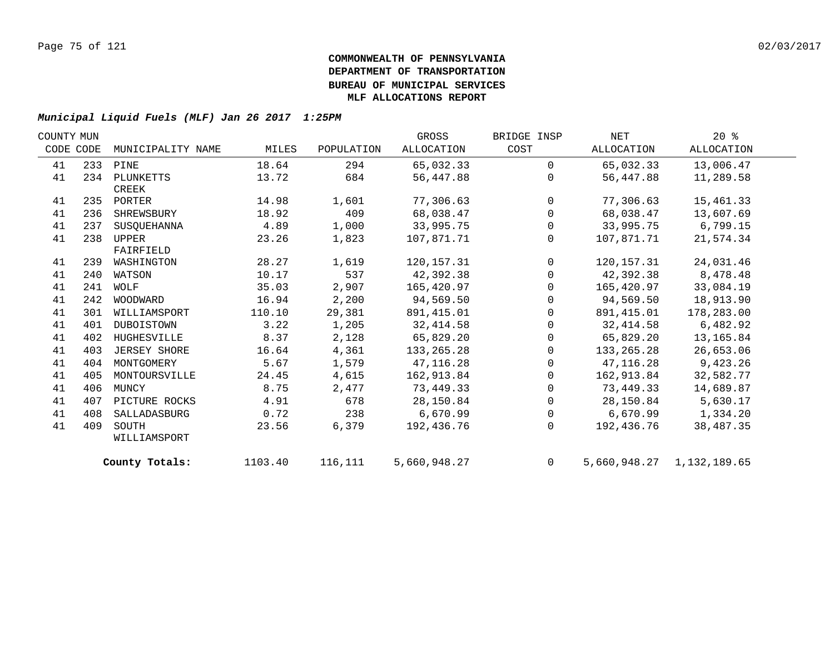| COUNTY MUN |     |                   |         |            | GROSS        | BRIDGE INSP    | NET        | $20*$                     |  |
|------------|-----|-------------------|---------|------------|--------------|----------------|------------|---------------------------|--|
| CODE CODE  |     | MUNICIPALITY NAME | MILES   | POPULATION | ALLOCATION   | COST           | ALLOCATION | ALLOCATION                |  |
| 41         |     | 233 PINE          | 18.64   | 294        | 65,032.33    | $\Omega$       | 65,032.33  | 13,006.47                 |  |
| 41         |     | 234 PLUNKETTS     | 13.72   | 684        | 56,447.88    | $\Omega$       | 56,447.88  | 11,289.58                 |  |
|            |     | CREEK             |         |            |              |                |            |                           |  |
| 41         |     | 235 PORTER        | 14.98   | 1,601      | 77,306.63    | $\Omega$       | 77,306.63  | 15,461.33                 |  |
| 41         | 236 | SHREWSBURY        | 18.92   | 409        | 68,038.47    | $\mathbf 0$    | 68,038.47  | 13,607.69                 |  |
| 41         | 237 | SUSOUEHANNA       | 4.89    | 1,000      | 33,995.75    | $\mathsf{O}$   | 33,995.75  | 6,799.15                  |  |
| 41         | 238 | UPPER             | 23.26   | 1,823      | 107,871.71   | 0              | 107,871.71 | 21,574.34                 |  |
|            |     | FAIRFIELD         |         |            |              |                |            |                           |  |
| 41         | 239 | WASHINGTON        | 28.27   | 1,619      | 120,157.31   | $\mathbf 0$    | 120,157.31 | 24,031.46                 |  |
| 41         | 240 | WATSON            | 10.17   | 537        | 42,392.38    | 0              | 42,392.38  | 8,478.48                  |  |
| 41         | 241 | WOLF              | 35.03   | 2,907      | 165,420.97   | $\Omega$       | 165,420.97 | 33,084.19                 |  |
| 41         |     | 242 WOODWARD      | 16.94   | 2,200      | 94,569.50    | $\Omega$       | 94,569.50  | 18,913.90                 |  |
| 41         | 301 | WILLIAMSPORT      | 110.10  | 29,381     | 891,415.01   | $\Omega$       | 891,415.01 | 178,283.00                |  |
| 41         | 401 | DUBOISTOWN        | 3.22    | 1,205      | 32,414.58    | 0              | 32,414.58  | 6,482.92                  |  |
| 41         | 402 | HUGHESVILLE       | 8.37    | 2,128      | 65,829.20    | 0              | 65,829.20  | 13,165.84                 |  |
| 41         | 403 | JERSEY SHORE      | 16.64   | 4,361      | 133, 265. 28 | 0              | 133,265.28 | 26,653.06                 |  |
| 41         | 404 | MONTGOMERY        | 5.67    | 1,579      | 47,116.28    | $\mathbf 0$    | 47,116.28  | 9,423.26                  |  |
| 41         | 405 | MONTOURSVILLE     | 24.45   | 4,615      | 162,913.84   | $\Omega$       | 162,913.84 | 32,582.77                 |  |
| 41         | 406 | MUNCY             | 8.75    | 2,477      | 73,449.33    | $\mathbf 0$    | 73,449.33  | 14,689.87                 |  |
| 41         | 407 | PICTURE ROCKS     | 4.91    | 678        | 28,150.84    | $\mathbf 0$    | 28,150.84  | 5,630.17                  |  |
| 41         | 408 | SALLADASBURG      | 0.72    | 238        | 6,670.99     | $\mathbf 0$    | 6,670.99   | 1,334.20                  |  |
| 41         | 409 | SOUTH             | 23.56   | 6,379      | 192,436.76   | 0              | 192,436.76 | 38,487.35                 |  |
|            |     | WILLIAMSPORT      |         |            |              |                |            |                           |  |
|            |     | County Totals:    | 1103.40 | 116,111    | 5,660,948.27 | $\overline{0}$ |            | 5,660,948.27 1,132,189.65 |  |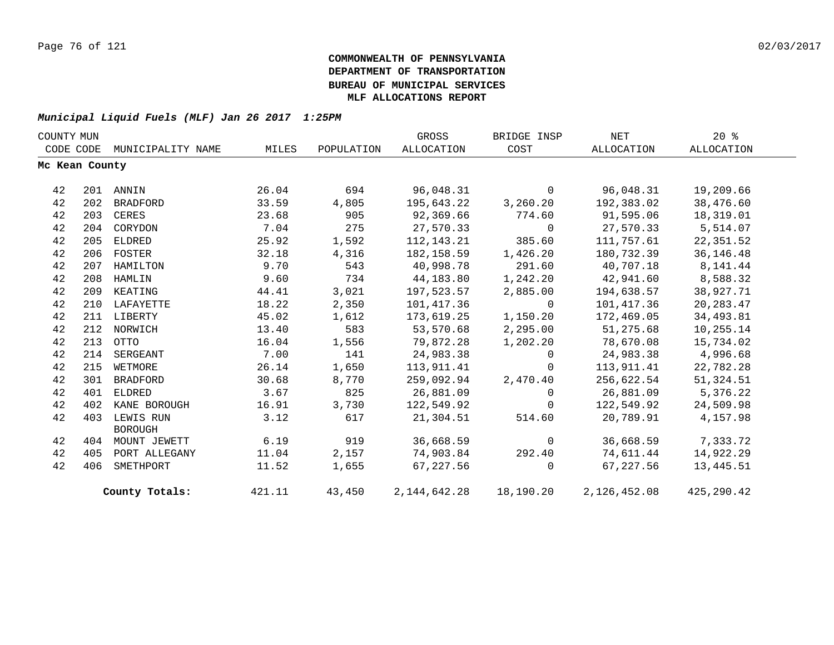| COUNTY MUN |                |                   |        |            | GROSS             | BRIDGE INSP  | <b>NET</b>   | 20%         |  |
|------------|----------------|-------------------|--------|------------|-------------------|--------------|--------------|-------------|--|
| CODE CODE  |                | MUNICIPALITY NAME | MILES  | POPULATION | <b>ALLOCATION</b> | COST         | ALLOCATION   | ALLOCATION  |  |
|            | Mc Kean County |                   |        |            |                   |              |              |             |  |
| 42         |                | 201 ANNIN         | 26.04  | 694        | 96,048.31         | $\mathbf{0}$ | 96,048.31    | 19,209.66   |  |
| 42         | 202            | BRADFORD          | 33.59  | 4,805      | 195,643.22        | 3,260.20     | 192,383.02   | 38,476.60   |  |
| 42         | 203            | CERES             | 23.68  | 905        | 92,369.66         | 774.60       | 91,595.06    | 18,319.01   |  |
| 42         | 204            | CORYDON           | 7.04   | 275        | 27,570.33         | $\mathbf 0$  | 27,570.33    | 5,514.07    |  |
| 42         | 205            | ELDRED            | 25.92  | 1,592      | 112,143.21        | 385.60       | 111,757.61   | 22,351.52   |  |
| 42         |                | 206 FOSTER        | 32.18  | 4,316      | 182,158.59        | 1,426.20     | 180,732.39   | 36, 146. 48 |  |
| 42         | 207            | HAMILTON          | 9.70   | 543        | 40,998.78         | 291.60       | 40,707.18    | 8,141.44    |  |
| 42         |                | 208 HAMLIN        | 9.60   | 734        | 44,183.80         | 1,242.20     | 42,941.60    | 8,588.32    |  |
| 42         | 209            | KEATING           | 44.41  | 3,021      | 197,523.57        | 2,885.00     | 194,638.57   | 38,927.71   |  |
| 42         |                | 210 LAFAYETTE     | 18.22  | 2,350      | 101,417.36        | $\Omega$     | 101,417.36   | 20, 283. 47 |  |
| 42         |                | 211 LIBERTY       | 45.02  | 1,612      | 173,619.25        | 1,150.20     | 172,469.05   | 34,493.81   |  |
| 42         |                | 212 NORWICH       | 13.40  | 583        | 53,570.68         | 2,295.00     | 51,275.68    | 10,255.14   |  |
| 42         | 213            | OTTO              | 16.04  | 1,556      | 79,872.28         | 1,202.20     | 78,670.08    | 15,734.02   |  |
| 42         | 214            | SERGEANT          | 7.00   | 141        | 24,983.38         | $\Omega$     | 24,983.38    | 4,996.68    |  |
| 42         | 215            | WETMORE           | 26.14  | 1,650      | 113,911.41        | $\Omega$     | 113,911.41   | 22,782.28   |  |
| 42         | 301            | BRADFORD          | 30.68  | 8,770      | 259,092.94        | 2,470.40     | 256,622.54   | 51,324.51   |  |
| 42         | 401            | ELDRED            | 3.67   | 825        | 26,881.09         | $\Omega$     | 26,881.09    | 5,376.22    |  |
| 42         | 402            | KANE BOROUGH      | 16.91  | 3,730      | 122,549.92        | $\Omega$     | 122,549.92   | 24,509.98   |  |
| 42         | 403            | LEWIS RUN         | 3.12   | 617        | 21,304.51         | 514.60       | 20,789.91    | 4,157.98    |  |
| 42         |                | <b>BOROUGH</b>    | 6.19   | 919        |                   |              |              |             |  |
|            | 404            | MOUNT JEWETT      |        |            | 36,668.59         | $\mathbf 0$  | 36,668.59    | 7,333.72    |  |
| 42         | 405            | PORT ALLEGANY     | 11.04  | 2,157      | 74,903.84         | 292.40       | 74,611.44    | 14,922.29   |  |
| 42         | 406            | SMETHPORT         | 11.52  | 1,655      | 67,227.56         | $\Omega$     | 67,227.56    | 13,445.51   |  |
|            |                | County Totals:    | 421.11 | 43,450     | 2,144,642.28      | 18,190.20    | 2,126,452.08 | 425,290.42  |  |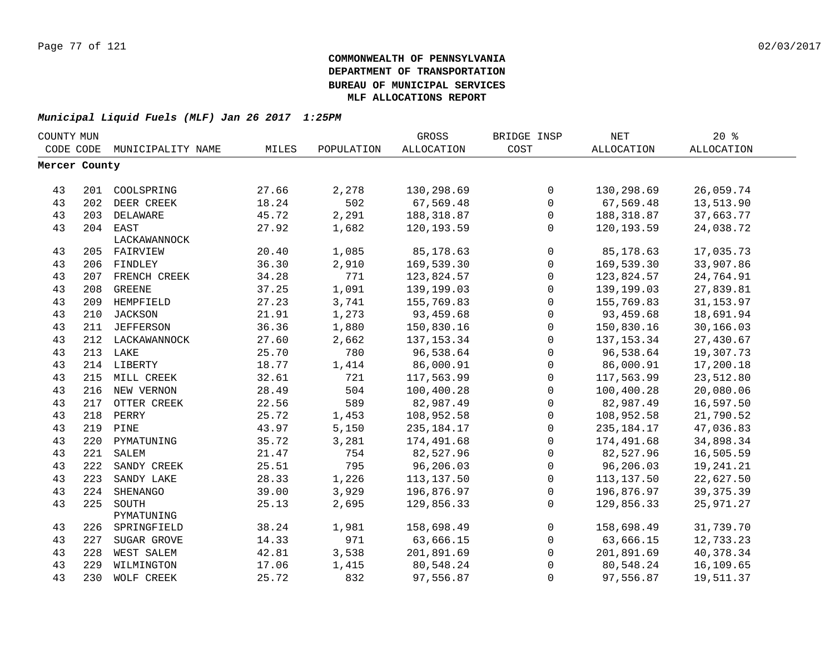| COUNTY MUN    |     |                   |       |            | GROSS        | BRIDGE INSP         | NET          | $20*$             |
|---------------|-----|-------------------|-------|------------|--------------|---------------------|--------------|-------------------|
| CODE CODE     |     | MUNICIPALITY NAME | MILES | POPULATION | ALLOCATION   | COST                | ALLOCATION   | <b>ALLOCATION</b> |
| Mercer County |     |                   |       |            |              |                     |              |                   |
|               |     |                   |       |            |              |                     |              |                   |
| 43            |     | 201 COOLSPRING    | 27.66 | 2,278      | 130,298.69   | $\mathsf{O}$        | 130,298.69   | 26,059.74         |
| 43            |     | 202 DEER CREEK    | 18.24 | 502        | 67,569.48    | $\mathsf{O}$        | 67,569.48    | 13,513.90         |
| 43            |     | 203 DELAWARE      | 45.72 | 2,291      | 188, 318.87  | $\mathsf{O}$        | 188,318.87   | 37,663.77         |
| 43            |     | 204 EAST          | 27.92 | 1,682      | 120, 193.59  | $\mathbf 0$         | 120,193.59   | 24,038.72         |
|               |     | LACKAWANNOCK      |       |            |              |                     |              |                   |
| 43            |     | 205 FAIRVIEW      | 20.40 | 1,085      | 85,178.63    | $\mathsf{O}$        | 85,178.63    | 17,035.73         |
| 43            |     | 206 FINDLEY       | 36.30 | 2,910      | 169,539.30   | $\mathsf{O}\xspace$ | 169,539.30   | 33,907.86         |
| 43            |     | 207 FRENCH CREEK  | 34.28 | 771        | 123,824.57   | $\mathbf 0$         | 123,824.57   | 24,764.91         |
| 43            | 208 | <b>GREENE</b>     | 37.25 | 1,091      | 139,199.03   | $\mathsf{O}$        | 139,199.03   | 27,839.81         |
| 43            | 209 | HEMPFIELD         | 27.23 | 3,741      | 155,769.83   | $\mathsf{O}$        | 155,769.83   | 31, 153.97        |
| 43            | 210 | <b>JACKSON</b>    | 21.91 | 1,273      | 93,459.68    | $\mathbf 0$         | 93,459.68    | 18,691.94         |
| 43            | 211 | JEFFERSON         | 36.36 | 1,880      | 150,830.16   | $\mathbf 0$         | 150,830.16   | 30,166.03         |
| 43            |     | 212 LACKAWANNOCK  | 27.60 | 2,662      | 137, 153.34  | $\mathbf 0$         | 137, 153.34  | 27,430.67         |
| 43            |     | 213 LAKE          | 25.70 | 780        | 96,538.64    | $\mathbf 0$         | 96,538.64    | 19,307.73         |
| 43            |     | 214 LIBERTY       | 18.77 | 1,414      | 86,000.91    | $\mathbf 0$         | 86,000.91    | 17,200.18         |
| 43            |     | 215 MILL CREEK    | 32.61 | 721        | 117,563.99   | $\mathbf 0$         | 117,563.99   | 23,512.80         |
| 43            |     | 216 NEW VERNON    | 28.49 | 504        | 100,400.28   | $\mathbf 0$         | 100,400.28   | 20,080.06         |
| 43            |     | 217 OTTER CREEK   | 22.56 | 589        | 82,987.49    | $\mathsf{O}$        | 82,987.49    | 16,597.50         |
| 43            |     | 218 PERRY         | 25.72 | 1,453      | 108,952.58   | 0                   | 108,952.58   | 21,790.52         |
| 43            |     | 219 PINE          | 43.97 | 5,150      | 235, 184. 17 | $\mathsf{O}$        | 235, 184. 17 | 47,036.83         |
| 43            |     | 220 PYMATUNING    | 35.72 | 3,281      | 174,491.68   | $\mathsf{O}$        | 174,491.68   | 34,898.34         |
| 43            | 221 | SALEM             | 21.47 | 754        | 82,527.96    | $\mathbf 0$         | 82,527.96    | 16,505.59         |
| 43            | 222 | SANDY CREEK       | 25.51 | 795        | 96,206.03    | $\mathbf 0$         | 96,206.03    | 19,241.21         |
| 43            | 223 | SANDY LAKE        | 28.33 | 1,226      | 113,137.50   | $\mathbf 0$         | 113,137.50   | 22,627.50         |
| 43            | 224 | SHENANGO          | 39.00 | 3,929      | 196,876.97   | $\mathsf{O}$        | 196,876.97   | 39, 375.39        |
| 43            | 225 | SOUTH             | 25.13 | 2,695      | 129,856.33   | $\Omega$            | 129,856.33   | 25,971.27         |
|               |     | PYMATUNING        |       |            |              |                     |              |                   |
| 43            | 226 | SPRINGFIELD       | 38.24 | 1,981      | 158,698.49   | $\mathbf{0}$        | 158,698.49   | 31,739.70         |
| 43            | 227 | SUGAR GROVE       | 14.33 | 971        | 63,666.15    | $\mathbf 0$         | 63,666.15    | 12,733.23         |
| 43            | 228 | WEST SALEM        | 42.81 | 3,538      | 201,891.69   | $\mathbf 0$         | 201,891.69   | 40,378.34         |
| 43            | 229 | WILMINGTON        | 17.06 | 1,415      | 80,548.24    | $\mathbf 0$         | 80,548.24    | 16,109.65         |
| 43            | 230 | WOLF CREEK        | 25.72 | 832        | 97,556.87    | 0                   | 97,556.87    | 19,511.37         |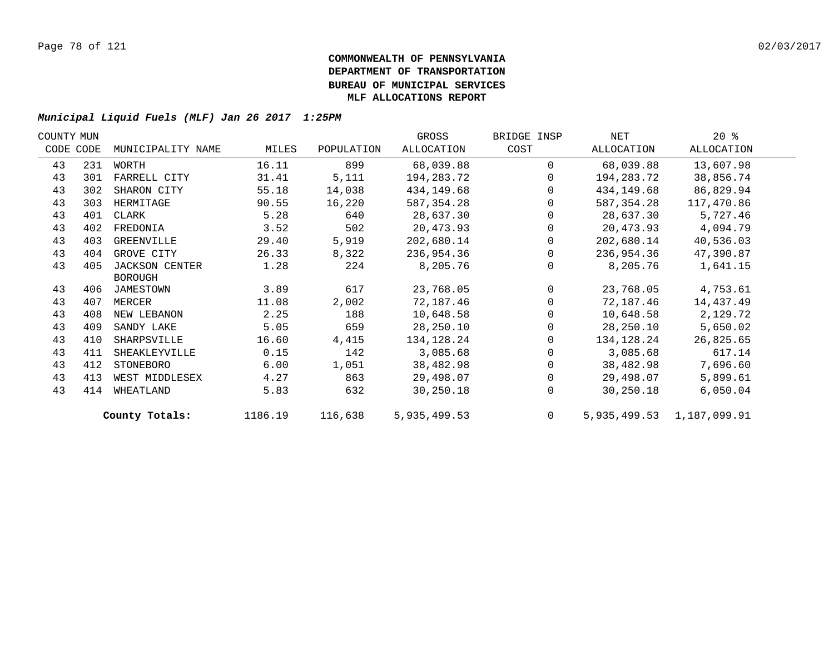| COUNTY MUN |           |                       |         |            | GROSS        | BRIDGE INSP    | NET        | $20*$                     |  |
|------------|-----------|-----------------------|---------|------------|--------------|----------------|------------|---------------------------|--|
|            | CODE CODE | MUNICIPALITY NAME     | MILES   | POPULATION | ALLOCATION   | COST           | ALLOCATION | ALLOCATION                |  |
| 43         | 231       | WORTH                 | 16.11   | 899        | 68,039.88    | $\Omega$       | 68,039.88  | 13,607.98                 |  |
| 43         | 301       | FARRELL CITY          | 31.41   | 5,111      | 194,283.72   | $\Omega$       | 194,283.72 | 38,856.74                 |  |
| 43         | 302       | SHARON CITY           | 55.18   | 14,038     | 434,149.68   | $\Omega$       | 434,149.68 | 86,829.94                 |  |
| 43         | 303       | HERMITAGE             | 90.55   | 16,220     | 587, 354.28  | $\Omega$       | 587,354.28 | 117,470.86                |  |
| 43         | 401       | CLARK                 | 5.28    | 640        | 28,637.30    | $\Omega$       | 28,637.30  | 5,727.46                  |  |
| 43         | 402       | FREDONIA              | 3.52    | 502        | 20,473.93    | $\Omega$       | 20,473.93  | 4,094.79                  |  |
| 43         | 403       | GREENVILLE            | 29.40   | 5,919      | 202,680.14   | $\mathbf{0}$   | 202,680.14 | 40,536.03                 |  |
| 43         | 404       | GROVE CITY            | 26.33   | 8,322      | 236,954.36   | $\Omega$       | 236,954.36 | 47,390.87                 |  |
| 43         | 405       | <b>JACKSON CENTER</b> | 1.28    | 224        | 8,205.76     | $\Omega$       | 8,205.76   | 1,641.15                  |  |
|            |           | <b>BOROUGH</b>        |         |            |              |                |            |                           |  |
| 43         |           | 406 JAMESTOWN         | 3.89    | 617        | 23,768.05    | $\Omega$       | 23,768.05  | 4,753.61                  |  |
| 43         | 407       | MERCER                | 11.08   | 2,002      | 72,187.46    | $\Omega$       | 72,187.46  | 14,437.49                 |  |
| 43         | 408       | NEW LEBANON           | 2.25    | 188        | 10,648.58    |                | 10,648.58  | 2,129.72                  |  |
| 43         | 409       | SANDY LAKE            | 5.05    | 659        | 28,250.10    | $\Omega$       | 28,250.10  | 5,650.02                  |  |
| 43         | 410       | SHARPSVILLE           | 16.60   | 4,415      | 134,128.24   | $\Omega$       | 134,128.24 | 26,825.65                 |  |
| 43         | 411       | SHEAKLEYVILLE         | 0.15    | 142        | 3,085.68     | $\Omega$       | 3,085.68   | 617.14                    |  |
| 43         | 412       | STONEBORO             | 6.00    | 1,051      | 38,482.98    |                | 38,482.98  | 7,696.60                  |  |
| 43         | 413       | WEST MIDDLESEX        | 4.27    | 863        | 29,498.07    | $\Omega$       | 29,498.07  | 5,899.61                  |  |
| 43         | 414       | WHEATLAND             | 5.83    | 632        | 30,250.18    | $\Omega$       | 30,250.18  | 6,050.04                  |  |
|            |           | County Totals:        | 1186.19 | 116,638    | 5,935,499.53 | $\overline{0}$ |            | 5,935,499.53 1,187,099.91 |  |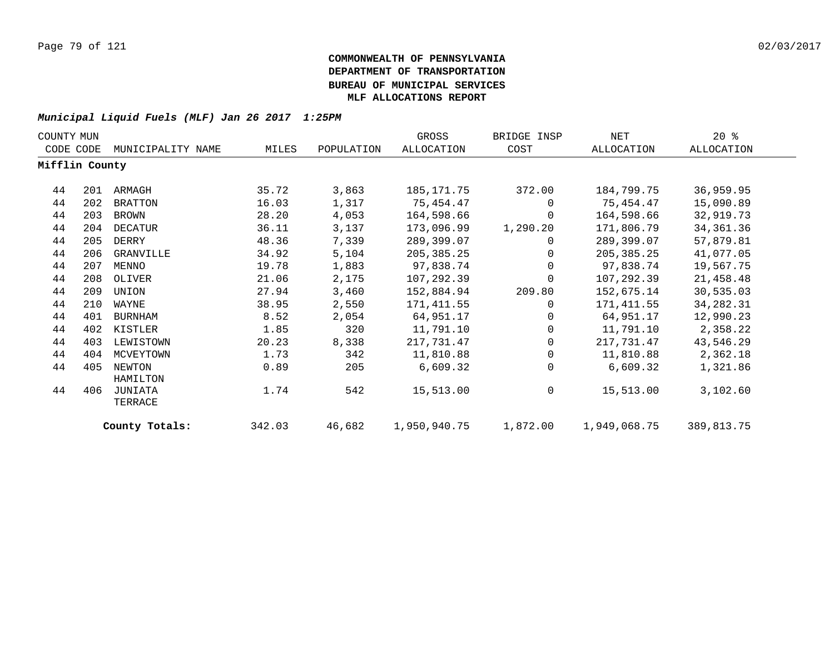| COUNTY MUN     |     |                    |        |            | GROSS        | BRIDGE INSP | NET          | $20*$       |
|----------------|-----|--------------------|--------|------------|--------------|-------------|--------------|-------------|
| CODE CODE      |     | MUNICIPALITY NAME  | MILES  | POPULATION | ALLOCATION   | COST        | ALLOCATION   | ALLOCATION  |
| Mifflin County |     |                    |        |            |              |             |              |             |
| 44             | 201 | ARMAGH             | 35.72  | 3,863      | 185,171.75   | 372.00      | 184,799.75   | 36,959.95   |
| 44             | 202 | <b>BRATTON</b>     | 16.03  | 1,317      | 75,454.47    | $\Omega$    | 75,454.47    | 15,090.89   |
| 44             | 203 | BROWN              | 28.20  | 4,053      | 164,598.66   | $\Omega$    | 164,598.66   | 32,919.73   |
| 44             | 204 | DECATUR            | 36.11  | 3,137      | 173,096.99   | 1,290.20    | 171,806.79   | 34, 361. 36 |
| 44             | 205 | DERRY              | 48.36  | 7,339      | 289,399.07   | 0           | 289,399.07   | 57,879.81   |
| 44             | 206 | GRANVILLE          | 34.92  | 5,104      | 205, 385. 25 | $\Omega$    | 205, 385. 25 | 41,077.05   |
| 44             | 207 | MENNO              | 19.78  | 1,883      | 97,838.74    | $\mathbf 0$ | 97,838.74    | 19,567.75   |
| 44             | 208 | OLIVER             | 21.06  | 2,175      | 107,292.39   | $\Omega$    | 107,292.39   | 21,458.48   |
| 44             | 209 | UNION              | 27.94  | 3,460      | 152,884.94   | 209.80      | 152,675.14   | 30,535.03   |
| 44             | 210 | WAYNE              | 38.95  | 2,550      | 171,411.55   | $\Omega$    | 171,411.55   | 34, 282. 31 |
| 44             | 401 | BURNHAM            | 8.52   | 2,054      | 64,951.17    | $\Omega$    | 64,951.17    | 12,990.23   |
| 44             | 402 | KISTLER            | 1.85   | 320        | 11,791.10    | $\Omega$    | 11,791.10    | 2,358.22    |
| 44             | 403 | LEWISTOWN          | 20.23  | 8,338      | 217,731.47   | $\Omega$    | 217,731.47   | 43,546.29   |
| 44             | 404 | MCVEYTOWN          | 1.73   | 342        | 11,810.88    | $\Omega$    | 11,810.88    | 2,362.18    |
| 44             | 405 | NEWTON<br>HAMILTON | 0.89   | 205        | 6,609.32     | $\Omega$    | 6,609.32     | 1,321.86    |
| 44             | 406 | JUNIATA<br>TERRACE | 1.74   | 542        | 15,513.00    | $\mathbf 0$ | 15,513.00    | 3,102.60    |
|                |     | County Totals:     | 342.03 | 46,682     | 1,950,940.75 | 1,872.00    | 1,949,068.75 | 389,813.75  |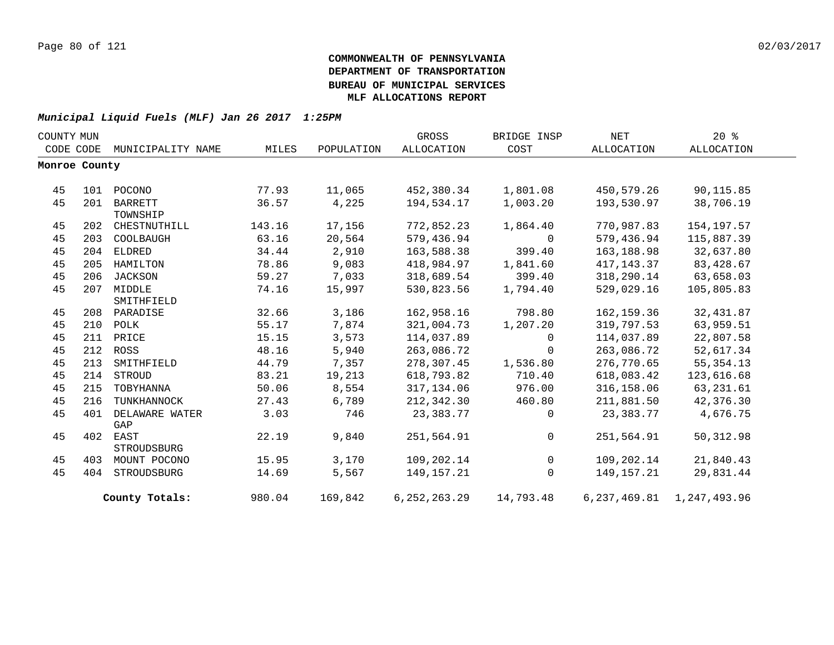| COUNTY MUN |               |                   |        |            | GROSS             | BRIDGE INSP    | NET         | $20*$                         |  |
|------------|---------------|-------------------|--------|------------|-------------------|----------------|-------------|-------------------------------|--|
|            | CODE CODE     | MUNICIPALITY NAME | MILES  | POPULATION | <b>ALLOCATION</b> | COST           | ALLOCATION  | ALLOCATION                    |  |
|            | Monroe County |                   |        |            |                   |                |             |                               |  |
|            |               |                   |        |            |                   |                |             |                               |  |
| 45         | 101           | POCONO            | 77.93  | 11,065     | 452,380.34        | 1,801.08       | 450,579.26  | 90,115.85                     |  |
| 45         | 201           | <b>BARRETT</b>    | 36.57  | 4,225      | 194,534.17        | 1,003.20       | 193,530.97  | 38,706.19                     |  |
|            |               | TOWNSHIP          |        |            |                   |                |             |                               |  |
| 45         | 202           | CHESTNUTHILL      | 143.16 | 17,156     | 772,852.23        | 1,864.40       | 770,987.83  | 154, 197.57                   |  |
| 45         | 203           | COOLBAUGH         | 63.16  | 20,564     | 579,436.94        | $\Omega$       | 579,436.94  | 115,887.39                    |  |
| 45         | 204           | ELDRED            | 34.44  | 2,910      | 163,588.38        | 399.40         | 163, 188.98 | 32,637.80                     |  |
| 45         | 205           | HAMILTON          | 78.86  | 9,083      | 418,984.97        | 1,841.60       | 417, 143.37 | 83,428.67                     |  |
| 45         | 206           | JACKSON           | 59.27  | 7,033      | 318,689.54        | 399.40         | 318,290.14  | 63,658.03                     |  |
| 45         | 207           | MIDDLE            | 74.16  | 15,997     | 530,823.56        | 1,794.40       | 529,029.16  | 105,805.83                    |  |
|            |               | SMITHFIELD        |        |            |                   |                |             |                               |  |
| 45         | 208           | PARADISE          | 32.66  | 3,186      | 162,958.16        | 798.80         | 162, 159.36 | 32,431.87                     |  |
| 45         | 210           | POLK              | 55.17  | 7,874      | 321,004.73        | 1,207.20       | 319,797.53  | 63,959.51                     |  |
| 45         | 211           | PRICE             | 15.15  | 3,573      | 114,037.89        | $\Omega$       | 114,037.89  | 22,807.58                     |  |
| 45         | 212           | ROSS              | 48.16  | 5,940      | 263,086.72        | $\mathbf 0$    | 263,086.72  | 52,617.34                     |  |
| 45         | 213           | SMITHFIELD        | 44.79  | 7,357      | 278,307.45        | 1,536.80       | 276,770.65  | 55, 354. 13                   |  |
| 45         | 214           | STROUD            | 83.21  | 19,213     | 618,793.82        | 710.40         | 618,083.42  | 123,616.68                    |  |
| 45         | 215           | TOBYHANNA         | 50.06  | 8,554      | 317,134.06        | 976.00         | 316,158.06  | 63, 231.61                    |  |
| 45         | 216           | TUNKHANNOCK       | 27.43  | 6,789      | 212,342.30        | 460.80         | 211,881.50  | 42,376.30                     |  |
| 45         | 401           | DELAWARE WATER    | 3.03   | 746        | 23,383.77         | $\Omega$       | 23,383.77   | 4,676.75                      |  |
|            |               | GAP               |        |            |                   |                |             |                               |  |
| 45         | 402           | EAST              | 22.19  | 9,840      | 251,564.91        | $\Omega$       | 251,564.91  | 50, 312.98                    |  |
|            |               | STROUDSBURG       |        |            |                   |                |             |                               |  |
| 45         | 403           | MOUNT POCONO      | 15.95  | 3,170      | 109,202.14        | $\overline{0}$ | 109,202.14  | 21,840.43                     |  |
| 45         | 404           | STROUDSBURG       | 14.69  | 5,567      | 149,157.21        | $\Omega$       | 149,157.21  | 29,831.44                     |  |
|            |               | County Totals:    | 980.04 | 169,842    | 6, 252, 263. 29   | 14,793.48      |             | 6, 237, 469.81 1, 247, 493.96 |  |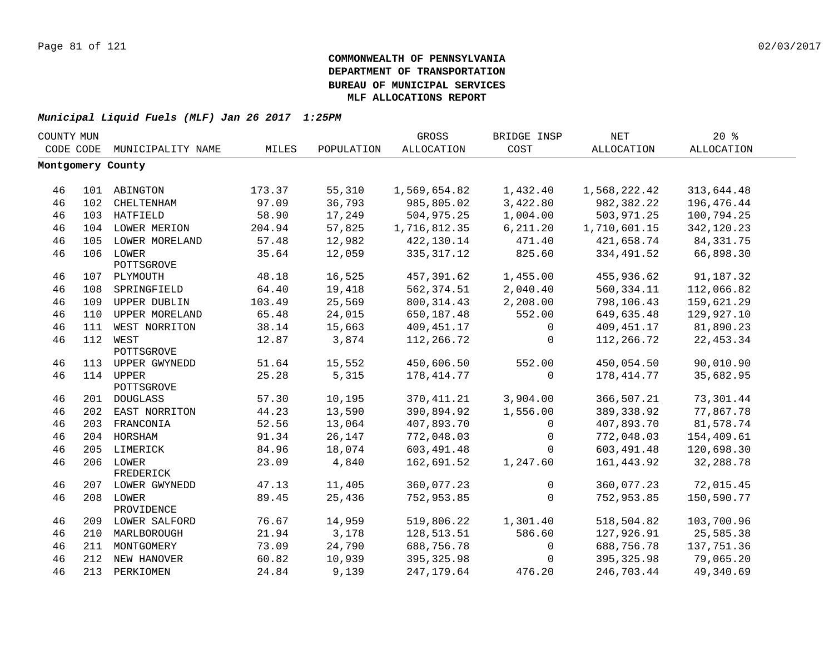| COUNTY MUN |     |                         |        |            | GROSS        | BRIDGE INSP | $\operatorname{NET}$ | 20%               |  |
|------------|-----|-------------------------|--------|------------|--------------|-------------|----------------------|-------------------|--|
| CODE CODE  |     | MUNICIPALITY NAME       | MILES  | POPULATION | ALLOCATION   | COST        | <b>ALLOCATION</b>    | <b>ALLOCATION</b> |  |
|            |     | Montgomery County       |        |            |              |             |                      |                   |  |
|            |     |                         |        |            |              |             |                      |                   |  |
| 46         |     | 101 ABINGTON            | 173.37 | 55,310     | 1,569,654.82 | 1,432.40    | 1,568,222.42         | 313,644.48        |  |
| 46         | 102 | CHELTENHAM              | 97.09  | 36,793     | 985,805.02   | 3,422.80    | 982,382.22           | 196,476.44        |  |
| 46         |     | 103 HATFIELD            | 58.90  | 17,249     | 504,975.25   | 1,004.00    | 503,971.25           | 100,794.25        |  |
| 46         |     | 104 LOWER MERION        | 204.94 | 57,825     | 1,716,812.35 | 6, 211.20   | 1,710,601.15         | 342,120.23        |  |
| 46         | 105 | LOWER MORELAND          | 57.48  | 12,982     | 422,130.14   | 471.40      | 421,658.74           | 84, 331. 75       |  |
| 46         | 106 | LOWER<br>POTTSGROVE     | 35.64  | 12,059     | 335, 317.12  | 825.60      | 334,491.52           | 66,898.30         |  |
| 46         |     | 107 PLYMOUTH            | 48.18  | 16,525     | 457,391.62   | 1,455.00    | 455,936.62           | 91,187.32         |  |
| 46         | 108 | SPRINGFIELD             | 64.40  | 19,418     | 562,374.51   | 2,040.40    | 560, 334. 11         | 112,066.82        |  |
| 46         | 109 | UPPER DUBLIN            | 103.49 | 25,569     | 800, 314.43  | 2,208.00    | 798,106.43           | 159,621.29        |  |
| 46         | 110 | UPPER MORELAND          | 65.48  | 24,015     | 650,187.48   | 552.00      | 649,635.48           | 129,927.10        |  |
| 46         | 111 | WEST NORRITON           | 38.14  | 15,663     | 409, 451.17  | 0           | 409, 451.17          | 81,890.23         |  |
| 46         |     | 112 WEST<br>POTTSGROVE  | 12.87  | 3,874      | 112,266.72   | $\mathbf 0$ | 112,266.72           | 22, 453.34        |  |
| 46         |     | 113 UPPER GWYNEDD       | 51.64  | 15,552     | 450,606.50   | 552.00      | 450,054.50           | 90,010.90         |  |
| 46         |     | 114 UPPER<br>POTTSGROVE | 25.28  | 5,315      | 178, 414.77  | 0           | 178, 414.77          | 35,682.95         |  |
| 46         |     | 201 DOUGLASS            | 57.30  | 10,195     | 370, 411.21  | 3,904.00    | 366,507.21           | 73,301.44         |  |
| 46         |     | 202 EAST NORRITON       | 44.23  | 13,590     | 390,894.92   | 1,556.00    | 389, 338.92          | 77,867.78         |  |
| 46         |     | 203 FRANCONIA           | 52.56  | 13,064     | 407,893.70   | 0           | 407,893.70           | 81,578.74         |  |
| 46         |     | 204 HORSHAM             | 91.34  | 26,147     | 772,048.03   | 0           | 772,048.03           | 154,409.61        |  |
| 46         |     | 205 LIMERICK            | 84.96  | 18,074     | 603,491.48   | $\mathbf 0$ | 603,491.48           | 120,698.30        |  |
| 46         |     | 206 LOWER<br>FREDERICK  | 23.09  | 4,840      | 162,691.52   | 1,247.60    | 161,443.92           | 32,288.78         |  |
| 46         |     | 207 LOWER GWYNEDD       | 47.13  | 11,405     | 360,077.23   | 0           | 360,077.23           | 72,015.45         |  |
| 46         |     | 208 LOWER<br>PROVIDENCE | 89.45  | 25,436     | 752,953.85   | $\Omega$    | 752,953.85           | 150,590.77        |  |
| 46         |     | 209 LOWER SALFORD       | 76.67  | 14,959     | 519,806.22   | 1,301.40    | 518,504.82           | 103,700.96        |  |
| 46         |     | 210 MARLBOROUGH         | 21.94  | 3,178      | 128,513.51   | 586.60      | 127,926.91           | 25,585.38         |  |
| 46         | 211 | MONTGOMERY              | 73.09  | 24,790     | 688,756.78   | $\mathbf 0$ | 688,756.78           | 137,751.36        |  |
| 46         |     | 212 NEW HANOVER         | 60.82  | 10,939     | 395, 325.98  | $\mathbf 0$ | 395, 325.98          | 79,065.20         |  |
| 46         | 213 | PERKIOMEN               | 24.84  | 9,139      | 247, 179.64  | 476.20      | 246,703.44           | 49,340.69         |  |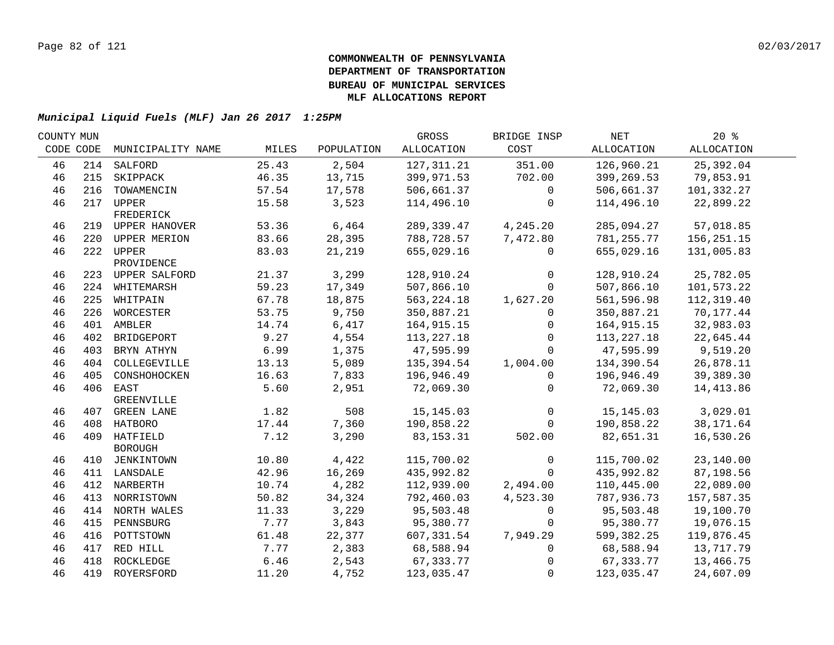| COUNTY MUN |     |                   |       |            | GROSS        | BRIDGE INSP  | NET          | $20*$      |  |
|------------|-----|-------------------|-------|------------|--------------|--------------|--------------|------------|--|
| CODE CODE  |     | MUNICIPALITY NAME | MILES | POPULATION | ALLOCATION   | COST         | ALLOCATION   | ALLOCATION |  |
| 46         |     | 214 SALFORD       | 25.43 | 2,504      | 127, 311.21  | 351.00       | 126,960.21   | 25,392.04  |  |
| 46         | 215 | SKIPPACK          | 46.35 | 13,715     | 399,971.53   | 702.00       | 399,269.53   | 79,853.91  |  |
| 46         | 216 | TOWAMENCIN        | 57.54 | 17,578     | 506,661.37   | $\mathbf{0}$ | 506,661.37   | 101,332.27 |  |
| 46         |     | 217 UPPER         | 15.58 | 3,523      | 114,496.10   | 0            | 114,496.10   | 22,899.22  |  |
|            |     | FREDERICK         |       |            |              |              |              |            |  |
| 46         |     | 219 UPPER HANOVER | 53.36 | 6,464      | 289,339.47   | 4,245.20     | 285,094.27   | 57,018.85  |  |
| 46         |     | 220 UPPER MERION  | 83.66 | 28,395     | 788,728.57   | 7,472.80     | 781,255.77   | 156,251.15 |  |
| 46         |     | 222 UPPER         | 83.03 | 21,219     | 655,029.16   | 0            | 655,029.16   | 131,005.83 |  |
|            |     | PROVIDENCE        |       |            |              |              |              |            |  |
| 46         |     | 223 UPPER SALFORD | 21.37 | 3,299      | 128,910.24   | 0            | 128,910.24   | 25,782.05  |  |
| 46         |     | 224 WHITEMARSH    | 59.23 | 17,349     | 507,866.10   | $\mathbf 0$  | 507,866.10   | 101,573.22 |  |
| 46         |     | 225 WHITPAIN      | 67.78 | 18,875     | 563, 224. 18 | 1,627.20     | 561,596.98   | 112,319.40 |  |
| 46         |     | 226 WORCESTER     | 53.75 | 9,750      | 350,887.21   | $\mathbf{0}$ | 350,887.21   | 70,177.44  |  |
| 46         |     | 401 AMBLER        | 14.74 | 6,417      | 164, 915. 15 | $\mathbf{0}$ | 164,915.15   | 32,983.03  |  |
| 46         | 402 | BRIDGEPORT        | 9.27  | 4,554      | 113, 227. 18 | 0            | 113, 227. 18 | 22,645.44  |  |
| 46         | 403 | BRYN ATHYN        | 6.99  | 1,375      | 47,595.99    | $\Omega$     | 47,595.99    | 9,519.20   |  |
| 46         | 404 | COLLEGEVILLE      | 13.13 | 5,089      | 135,394.54   | 1,004.00     | 134,390.54   | 26,878.11  |  |
| 46         | 405 | CONSHOHOCKEN      | 16.63 | 7,833      | 196,946.49   | $\mathbf{0}$ | 196,946.49   | 39,389.30  |  |
| 46         |     | 406 EAST          | 5.60  | 2,951      | 72,069.30    | $\Omega$     | 72,069.30    | 14, 413.86 |  |
|            |     | GREENVILLE        |       |            |              |              |              |            |  |
| 46         |     | 407 GREEN LANE    | 1.82  | 508        | 15, 145.03   | $\mathbf 0$  | 15, 145.03   | 3,029.01   |  |
| 46         |     | 408 HATBORO       | 17.44 | 7,360      | 190,858.22   | $\Omega$     | 190,858.22   | 38,171.64  |  |
| 46         |     | 409 HATFIELD      | 7.12  | 3,290      | 83, 153. 31  | 502.00       | 82,651.31    | 16,530.26  |  |
|            |     | <b>BOROUGH</b>    |       |            |              |              |              |            |  |
| 46         |     | 410 JENKINTOWN    | 10.80 | 4,422      | 115,700.02   | $\mathbf 0$  | 115,700.02   | 23,140.00  |  |
| 46         |     | 411 LANSDALE      | 42.96 | 16,269     | 435,992.82   | $\Omega$     | 435,992.82   | 87,198.56  |  |
| 46         |     | 412 NARBERTH      | 10.74 | 4,282      | 112,939.00   | 2,494.00     | 110,445.00   | 22,089.00  |  |
| 46         |     | 413 NORRISTOWN    | 50.82 | 34,324     | 792,460.03   | 4,523.30     | 787,936.73   | 157,587.35 |  |
| 46         |     | 414 NORTH WALES   | 11.33 | 3,229      | 95,503.48    | 0            | 95,503.48    | 19,100.70  |  |
| 46         | 415 | PENNSBURG         | 7.77  | 3,843      | 95,380.77    | $\mathbf 0$  | 95,380.77    | 19,076.15  |  |
| 46         | 416 | POTTSTOWN         | 61.48 | 22,377     | 607,331.54   | 7,949.29     | 599,382.25   | 119,876.45 |  |
| 46         | 417 | RED HILL          | 7.77  | 2,383      | 68,588.94    | 0            | 68,588.94    | 13,717.79  |  |
| 46         | 418 | ROCKLEDGE         | 6.46  | 2,543      | 67,333.77    | $\Omega$     | 67,333.77    | 13,466.75  |  |
| 46         |     | 419 ROYERSFORD    | 11.20 | 4,752      | 123,035.47   | $\mathbf 0$  | 123,035.47   | 24,607.09  |  |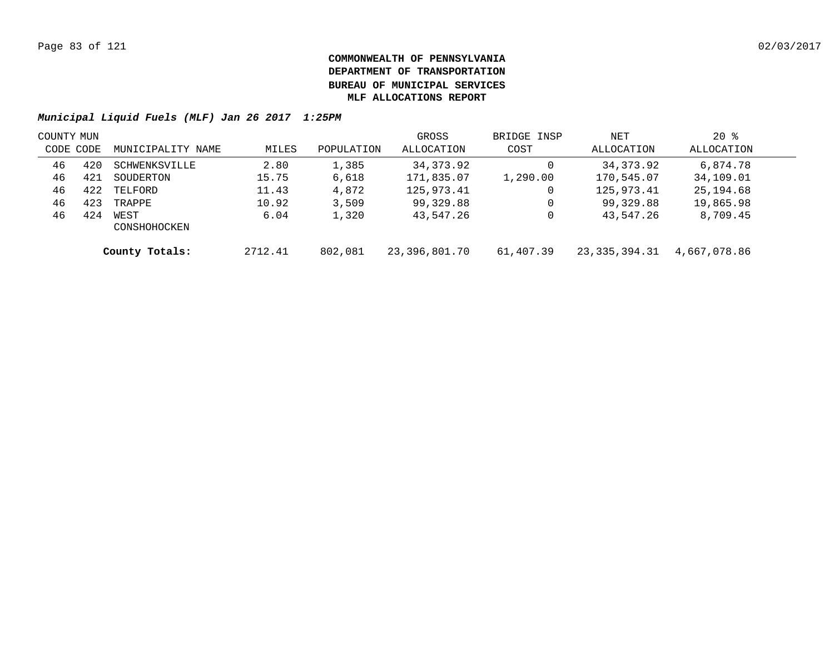| COUNTY MUN |     |                      |         |            | GROSS         | BRIDGE INSP | NET           | $20*$        |  |
|------------|-----|----------------------|---------|------------|---------------|-------------|---------------|--------------|--|
| CODE CODE  |     | MUNICIPALITY NAME    | MILES   | POPULATION | ALLOCATION    | COST        | ALLOCATION    | ALLOCATION   |  |
| 46         | 420 | SCHWENKSVILLE        | 2.80    | 1,385      | 34, 373.92    |             | 34, 373. 92   | 6,874.78     |  |
| 46         | 421 | SOUDERTON            | 15.75   | 6,618      | 171,835.07    | 1,290.00    | 170,545.07    | 34,109.01    |  |
| 46         | 422 | TELFORD              | 11.43   | 4,872      | 125,973.41    |             | 125,973.41    | 25,194.68    |  |
| 46         | 423 | TRAPPE               | 10.92   | 3,509      | 99,329.88     |             | 99,329.88     | 19,865.98    |  |
| 46         | 424 | WEST<br>CONSHOHOCKEN | 6.04    | 1,320      | 43,547.26     |             | 43,547.26     | 8,709.45     |  |
|            |     | County Totals:       | 2712.41 | 802,081    | 23,396,801.70 | 61,407.39   | 23,335,394.31 | 4,667,078.86 |  |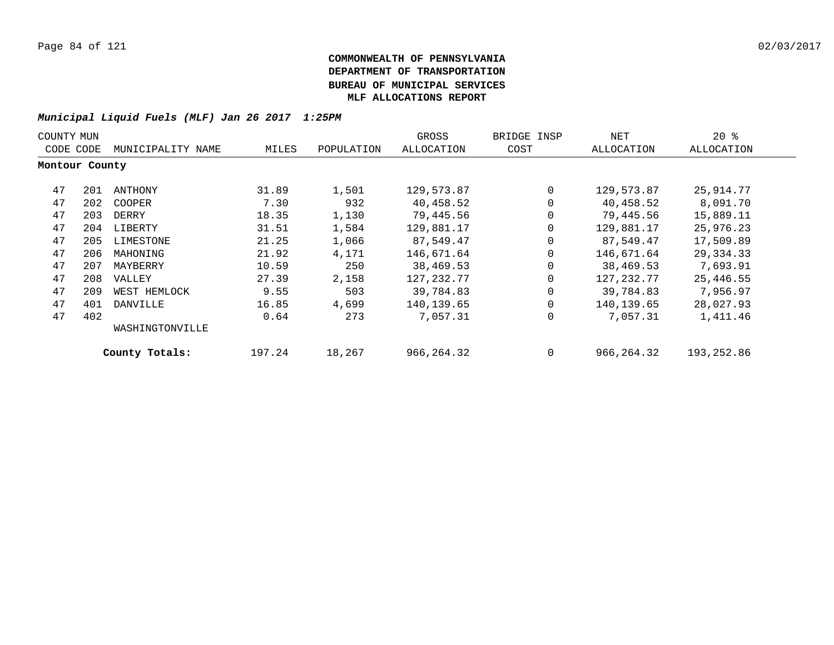| COUNTY MUN     |     |                   |        |            | GROSS        | BRIDGE INSP | NET        | $20*$      |
|----------------|-----|-------------------|--------|------------|--------------|-------------|------------|------------|
| CODE CODE      |     | MUNICIPALITY NAME | MILES  | POPULATION | ALLOCATION   | COST        | ALLOCATION | ALLOCATION |
| Montour County |     |                   |        |            |              |             |            |            |
| 47             | 201 | ANTHONY           | 31.89  | 1,501      | 129,573.87   | $\Omega$    | 129,573.87 | 25,914.77  |
| 47             | 202 | COOPER            | 7.30   | 932        | 40,458.52    | 0           | 40,458.52  | 8,091.70   |
| 47             | 203 | DERRY             | 18.35  | 1,130      | 79,445.56    | 0           | 79,445.56  | 15,889.11  |
| 47             | 204 | LIBERTY           | 31.51  | 1,584      | 129,881.17   | 0           | 129,881.17 | 25,976.23  |
| 47             | 205 | LIMESTONE         | 21.25  | 1,066      | 87,549.47    | 0           | 87,549.47  | 17,509.89  |
| 47             | 206 | MAHONING          | 21.92  | 4,171      | 146,671.64   | 0           | 146,671.64 | 29,334.33  |
| 47             | 207 | MAYBERRY          | 10.59  | 250        | 38,469.53    | 0           | 38,469.53  | 7,693.91   |
| 47             | 208 | VALLEY            | 27.39  | 2,158      | 127,232.77   | 0           | 127,232.77 | 25,446.55  |
| 47             | 209 | WEST HEMLOCK      | 9.55   | 503        | 39,784.83    | 0           | 39,784.83  | 7,956.97   |
| 47             | 401 | DANVILLE          | 16.85  | 4,699      | 140,139.65   | 0           | 140,139.65 | 28,027.93  |
| 47             | 402 |                   | 0.64   | 273        | 7,057.31     | $\mathbf 0$ | 7,057.31   | 1,411.46   |
|                |     | WASHINGTONVILLE   |        |            |              |             |            |            |
|                |     | County Totals:    | 197.24 | 18,267     | 966, 264. 32 | 0           | 966,264.32 | 193,252.86 |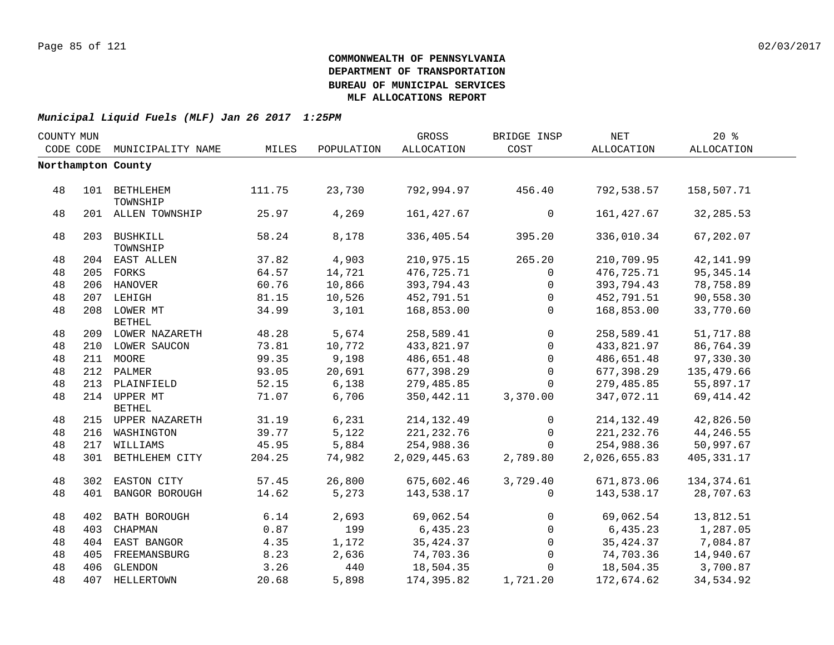| COUNTY MUN |     |                               |        |            | GROSS        | BRIDGE INSP  | $\operatorname{NET}$ | 20%        |  |
|------------|-----|-------------------------------|--------|------------|--------------|--------------|----------------------|------------|--|
| CODE CODE  |     | MUNICIPALITY NAME             | MILES  | POPULATION | ALLOCATION   | COST         | ALLOCATION           | ALLOCATION |  |
|            |     | Northampton County            |        |            |              |              |                      |            |  |
|            |     |                               |        |            |              |              |                      |            |  |
| 48         |     | 101 BETHLEHEM<br>TOWNSHIP     | 111.75 | 23,730     | 792,994.97   | 456.40       | 792,538.57           | 158,507.71 |  |
| 48         |     | 201 ALLEN TOWNSHIP            | 25.97  | 4,269      | 161, 427.67  | $\mathbf 0$  | 161,427.67           | 32, 285.53 |  |
| 48         |     | 203 BUSHKILL<br>TOWNSHIP      | 58.24  | 8,178      | 336,405.54   | 395.20       | 336,010.34           | 67,202.07  |  |
| 48         |     | 204 EAST ALLEN                | 37.82  | 4,903      | 210,975.15   | 265.20       | 210,709.95           | 42, 141.99 |  |
| 48         |     | 205 FORKS                     | 64.57  | 14,721     | 476,725.71   | $\mathbf 0$  | 476,725.71           | 95,345.14  |  |
| 48         |     | 206 HANOVER                   | 60.76  | 10,866     | 393,794.43   | $\mathbf{0}$ | 393,794.43           | 78,758.89  |  |
| 48         |     | 207 LEHIGH                    | 81.15  | 10,526     | 452,791.51   | $\Omega$     | 452,791.51           | 90,558.30  |  |
| 48         |     | 208 LOWER MT<br><b>BETHEL</b> | 34.99  | 3,101      | 168,853.00   | $\Omega$     | 168,853.00           | 33,770.60  |  |
| 48         |     | 209 LOWER NAZARETH            | 48.28  | 5,674      | 258,589.41   | $\Omega$     | 258,589.41           | 51,717.88  |  |
| 48         |     | 210 LOWER SAUCON              | 73.81  | 10,772     | 433,821.97   | $\Omega$     | 433,821.97           | 86,764.39  |  |
| 48         |     | 211 MOORE                     | 99.35  | 9,198      | 486,651.48   | $\Omega$     | 486,651.48           | 97,330.30  |  |
| 48         |     | 212 PALMER                    | 93.05  | 20,691     | 677,398.29   | 0            | 677,398.29           | 135,479.66 |  |
| 48         |     | 213 PLAINFIELD                | 52.15  | 6,138      | 279,485.85   | $\Omega$     | 279,485.85           | 55,897.17  |  |
| 48         |     | 214 UPPER MT                  | 71.07  | 6,706      | 350,442.11   | 3,370.00     | 347,072.11           | 69,414.42  |  |
|            |     | <b>BETHEL</b>                 |        |            |              |              |                      |            |  |
| 48         |     | 215 UPPER NAZARETH            | 31.19  | 6,231      | 214, 132.49  | $\mathbf{0}$ | 214, 132.49          | 42,826.50  |  |
| 48         |     | 216 WASHINGTON                | 39.77  | 5,122      | 221, 232.76  | $\mathbf 0$  | 221, 232.76          | 44,246.55  |  |
| 48         |     | 217 WILLIAMS                  | 45.95  | 5,884      | 254,988.36   | $\mathbf 0$  | 254,988.36           | 50,997.67  |  |
| 48         |     | 301 BETHLEHEM CITY            | 204.25 | 74,982     | 2,029,445.63 | 2,789.80     | 2,026,655.83         | 405,331.17 |  |
| 48         |     | 302 EASTON CITY               | 57.45  | 26,800     | 675,602.46   | 3,729.40     | 671,873.06           | 134,374.61 |  |
| 48         |     | 401 BANGOR BOROUGH            | 14.62  | 5,273      | 143,538.17   | $\Omega$     | 143,538.17           | 28,707.63  |  |
|            |     |                               |        |            |              |              |                      |            |  |
| 48         |     | 402 BATH BOROUGH              | 6.14   | 2,693      | 69,062.54    | $\Omega$     | 69,062.54            | 13,812.51  |  |
| 48         | 403 | CHAPMAN                       | 0.87   | 199        | 6,435.23     | $\mathbf{0}$ | 6,435.23             | 1,287.05   |  |
| 48         |     | 404 EAST BANGOR               | 4.35   | 1,172      | 35, 424.37   | $\Omega$     | 35,424.37            | 7,084.87   |  |
| 48         |     | 405 FREEMANSBURG              | 8.23   | 2,636      | 74,703.36    | $\Omega$     | 74,703.36            | 14,940.67  |  |
| 48         | 406 | GLENDON                       | 3.26   | 440        | 18,504.35    | $\Omega$     | 18,504.35            | 3,700.87   |  |
| 48         |     | 407 HELLERTOWN                | 20.68  | 5,898      | 174,395.82   | 1,721.20     | 172,674.62           | 34,534.92  |  |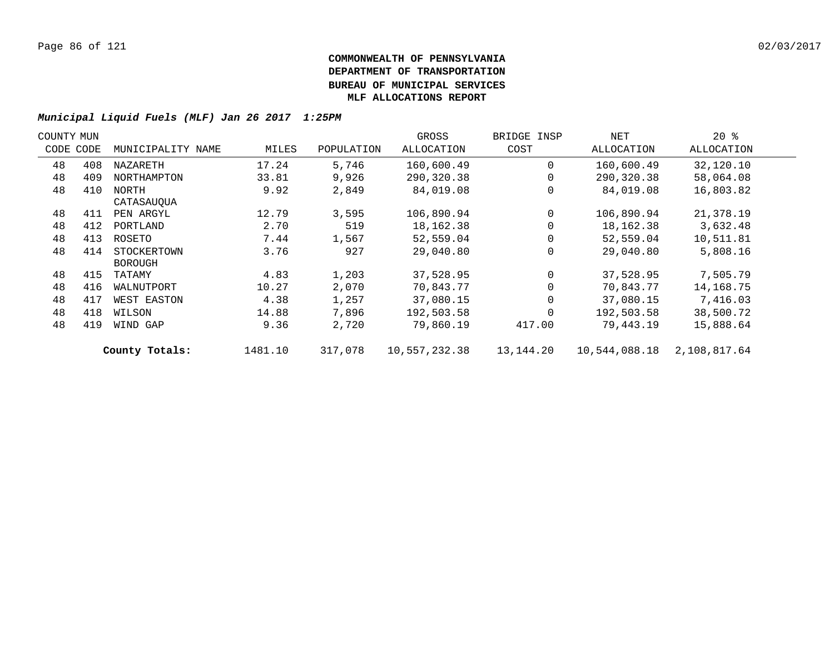| COUNTY MUN |           |                   |         |            | GROSS         | BRIDGE INSP | NET           | $20*$        |  |
|------------|-----------|-------------------|---------|------------|---------------|-------------|---------------|--------------|--|
|            | CODE CODE | MUNICIPALITY NAME | MILES   | POPULATION | ALLOCATION    | COST        | ALLOCATION    | ALLOCATION   |  |
| 48         | 408       | NAZARETH          | 17.24   | 5,746      | 160,600.49    | $\Omega$    | 160,600.49    | 32,120.10    |  |
| 48         | 409       | NORTHAMPTON       | 33.81   | 9,926      | 290,320.38    |             | 290,320.38    | 58,064.08    |  |
| 48         | 410       | NORTH             | 9.92    | 2,849      | 84,019.08     |             | 84,019.08     | 16,803.82    |  |
|            |           | CATASAUQUA        |         |            |               |             |               |              |  |
| 48         | 411       | PEN ARGYL         | 12.79   | 3,595      | 106,890.94    | $\Omega$    | 106,890.94    | 21,378.19    |  |
| 48         | 412       | PORTLAND          | 2.70    | 519        | 18,162.38     |             | 18,162.38     | 3,632.48     |  |
| 48         | 413       | ROSETO            | 7.44    | 1,567      | 52,559.04     |             | 52,559.04     | 10,511.81    |  |
| 48         | 414       | STOCKERTOWN       | 3.76    | 927        | 29,040.80     |             | 29,040.80     | 5,808.16     |  |
|            |           | <b>BOROUGH</b>    |         |            |               |             |               |              |  |
| 48         | 415       | TATAMY            | 4.83    | 1,203      | 37,528.95     |             | 37,528.95     | 7,505.79     |  |
| 48         | 416       | WALNUTPORT        | 10.27   | 2,070      | 70,843.77     |             | 70,843.77     | 14,168.75    |  |
| 48         | 417       | WEST EASTON       | 4.38    | 1,257      | 37,080.15     |             | 37,080.15     | 7,416.03     |  |
| 48         | 418       | WILSON            | 14.88   | 7,896      | 192,503.58    |             | 192,503.58    | 38,500.72    |  |
| 48         | 419       | WIND GAP          | 9.36    | 2,720      | 79,860.19     | 417.00      | 79,443.19     | 15,888.64    |  |
|            |           | County Totals:    | 1481.10 | 317,078    | 10,557,232.38 | 13,144.20   | 10,544,088.18 | 2,108,817.64 |  |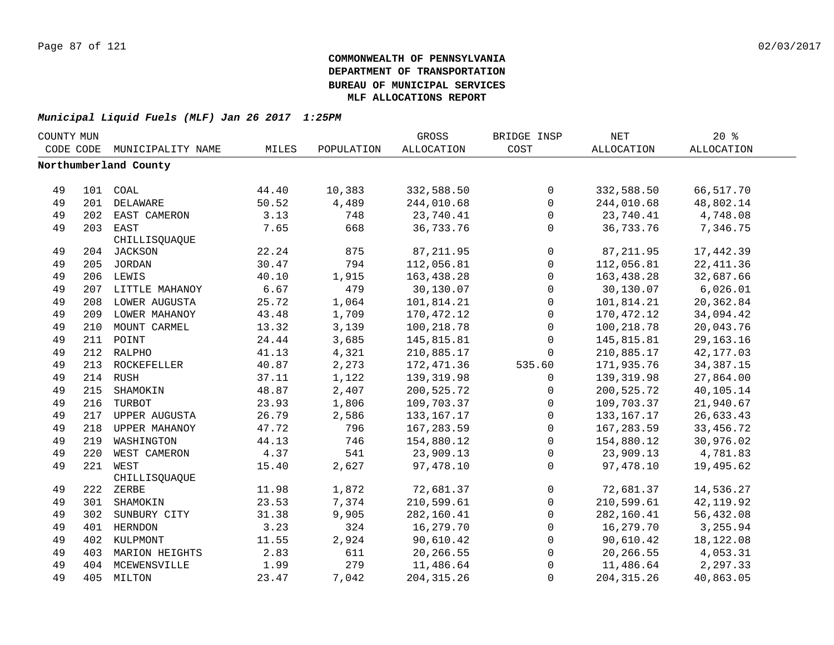| COUNTY MUN |     |                       |       |            | <b>GROSS</b>      | BRIDGE INSP         | <b>NET</b>   | $20*$             |  |
|------------|-----|-----------------------|-------|------------|-------------------|---------------------|--------------|-------------------|--|
| CODE CODE  |     | MUNICIPALITY NAME     | MILES | POPULATION | <b>ALLOCATION</b> | COST                | ALLOCATION   | <b>ALLOCATION</b> |  |
|            |     | Northumberland County |       |            |                   |                     |              |                   |  |
|            |     |                       |       |            |                   |                     |              |                   |  |
| 49         |     | 101 COAL              | 44.40 | 10,383     | 332,588.50        | $\mathsf{O}$        | 332,588.50   | 66,517.70         |  |
| 49         |     | 201 DELAWARE          | 50.52 | 4,489      | 244,010.68        | $\mathbf 0$         | 244,010.68   | 48,802.14         |  |
| 49         |     | 202 EAST CAMERON      | 3.13  | 748        | 23,740.41         | $\mathsf{O}$        | 23,740.41    | 4,748.08          |  |
| 49         |     | 203 EAST              | 7.65  | 668        | 36, 733. 76       | $\mathbf 0$         | 36,733.76    | 7,346.75          |  |
|            |     | CHILLISQUAQUE         |       |            |                   |                     |              |                   |  |
| 49         |     | 204 JACKSON           | 22.24 | 875        | 87, 211.95        | $\mathbf 0$         | 87, 211.95   | 17,442.39         |  |
| 49         |     | 205 JORDAN            | 30.47 | 794        | 112,056.81        | $\mathsf{O}\xspace$ | 112,056.81   | 22, 411.36        |  |
| 49         |     | 206 LEWIS             | 40.10 | 1,915      | 163,438.28        | $\mathsf{O}$        | 163,438.28   | 32,687.66         |  |
| 49         |     | 207 LITTLE MAHANOY    | 6.67  | 479        | 30,130.07         | $\mathbf 0$         | 30,130.07    | 6,026.01          |  |
| 49         | 208 | LOWER AUGUSTA         | 25.72 | 1,064      | 101,814.21        | $\mathsf{O}$        | 101,814.21   | 20,362.84         |  |
| 49         | 209 | LOWER MAHANOY         | 43.48 | 1,709      | 170,472.12        | $\mathbf 0$         | 170,472.12   | 34,094.42         |  |
| 49         | 210 | MOUNT CARMEL          | 13.32 | 3,139      | 100,218.78        | $\mathbf 0$         | 100,218.78   | 20,043.76         |  |
| 49         |     | 211 POINT             | 24.44 | 3,685      | 145,815.81        | $\mathbf 0$         | 145,815.81   | 29, 163. 16       |  |
| 49         |     | 212 RALPHO            | 41.13 | 4,321      | 210,885.17        | $\mathbf 0$         | 210,885.17   | 42,177.03         |  |
| 49         |     | 213 ROCKEFELLER       | 40.87 | 2,273      | 172, 471.36       | 535.60              | 171,935.76   | 34, 387. 15       |  |
| 49         |     | 214 RUSH              | 37.11 | 1,122      | 139, 319.98       | 0                   | 139, 319.98  | 27,864.00         |  |
| 49         |     | 215 SHAMOKIN          | 48.87 | 2,407      | 200,525.72        | 0                   | 200,525.72   | 40,105.14         |  |
| 49         |     | 216 TURBOT            | 23.93 | 1,806      | 109,703.37        | $\mathbf 0$         | 109,703.37   | 21,940.67         |  |
| 49         |     | 217 UPPER AUGUSTA     | 26.79 | 2,586      | 133, 167. 17      | $\mathbf 0$         | 133, 167. 17 | 26,633.43         |  |
| 49         |     | 218 UPPER MAHANOY     | 47.72 | 796        | 167,283.59        | $\mathsf{O}$        | 167, 283.59  | 33, 456. 72       |  |
| 49         |     | 219 WASHINGTON        | 44.13 | 746        | 154,880.12        | $\mathsf{O}$        | 154,880.12   | 30,976.02         |  |
| 49         | 220 | WEST CAMERON          | 4.37  | 541        | 23,909.13         | $\mathbf 0$         | 23,909.13    | 4,781.83          |  |
| 49         | 221 | WEST                  | 15.40 | 2,627      | 97,478.10         | $\Omega$            | 97,478.10    | 19,495.62         |  |
|            |     | CHILLISQUAQUE         |       |            |                   |                     |              |                   |  |
| 49         |     | 222 ZERBE             | 11.98 | 1,872      | 72,681.37         | 0                   | 72,681.37    | 14,536.27         |  |
| 49         |     | 301 SHAMOKIN          | 23.53 | 7,374      | 210,599.61        | $\mathsf{O}$        | 210,599.61   | 42, 119.92        |  |
| 49         |     | 302 SUNBURY CITY      | 31.38 | 9,905      | 282,160.41        | $\mathbf 0$         | 282,160.41   | 56,432.08         |  |
| 49         |     | 401 HERNDON           | 3.23  | 324        | 16,279.70         | $\mathbf 0$         | 16,279.70    | 3,255.94          |  |
| 49         |     | 402 KULPMONT          | 11.55 | 2,924      | 90,610.42         | $\mathbf 0$         | 90,610.42    | 18,122.08         |  |
| 49         |     | 403 MARION HEIGHTS    | 2.83  | 611        | 20,266.55         | $\mathbf 0$         | 20,266.55    | 4,053.31          |  |
| 49         |     | 404 MCEWENSVILLE      | 1.99  | 279        | 11,486.64         | 0                   | 11,486.64    | 2,297.33          |  |
| 49         |     | 405 MILTON            | 23.47 | 7,042      | 204, 315.26       | $\Omega$            | 204, 315.26  | 40,863.05         |  |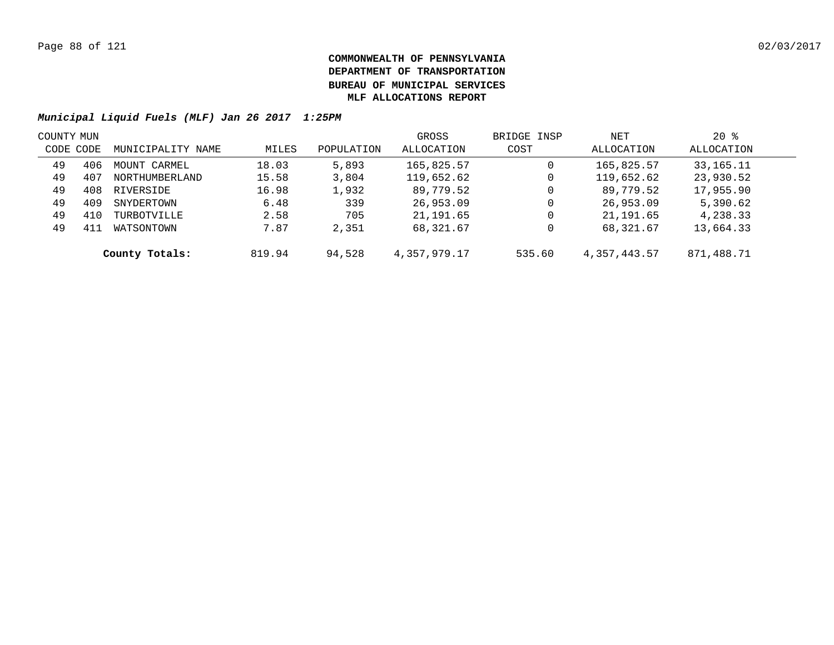|           | COUNTY MUN |                   |        |            | GROSS        | BRIDGE INSP | NET          | $20*$      |  |
|-----------|------------|-------------------|--------|------------|--------------|-------------|--------------|------------|--|
| CODE CODE |            | MUNICIPALITY NAME | MILES  | POPULATION | ALLOCATION   | COST        | ALLOCATION   | ALLOCATION |  |
| 49        | 406        | MOUNT CARMEL      | 18.03  | 5,893      | 165,825.57   | 0           | 165,825.57   | 33,165.11  |  |
| 49        | 407        | NORTHUMBERLAND    | 15.58  | 3,804      | 119,652.62   | 0           | 119,652.62   | 23,930.52  |  |
| 49        | 408        | RIVERSIDE         | 16.98  | 1,932      | 89,779.52    | 0           | 89,779.52    | 17,955.90  |  |
| 49        | 409        | SNYDERTOWN        | 6.48   | 339        | 26,953.09    | 0           | 26,953.09    | 5,390.62   |  |
| 49        | 410        | TURBOTVILLE       | 2.58   | 705        | 21,191.65    | 0           | 21,191.65    | 4,238.33   |  |
| 49        |            | WATSONTOWN        | 7.87   | 2,351      | 68,321.67    | 0           | 68,321.67    | 13,664.33  |  |
|           |            | County Totals:    | 819.94 | 94,528     | 4,357,979.17 | 535.60      | 4,357,443.57 | 871,488.71 |  |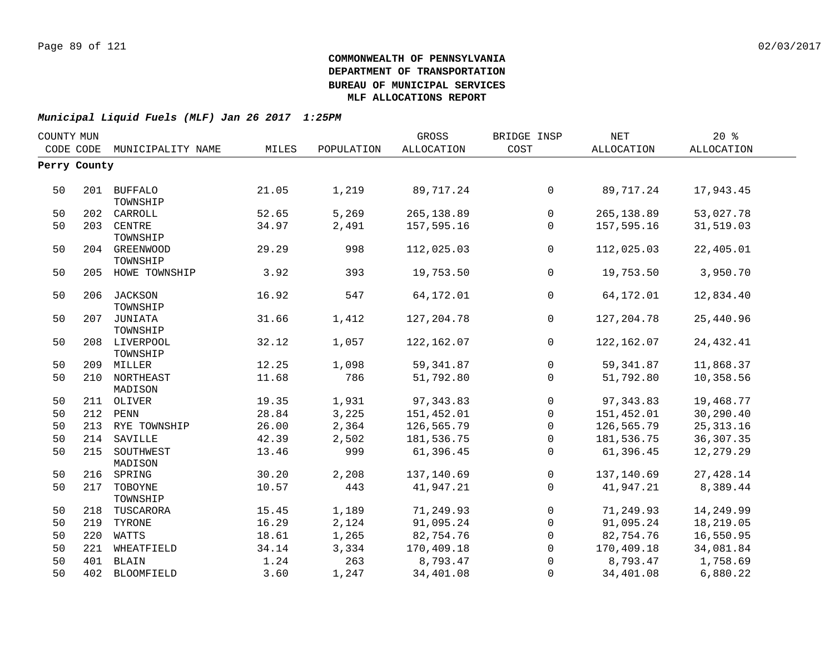| COUNTY MUN |              |                             |       |            | GROSS             | BRIDGE INSP    | NET          | 20%               |  |
|------------|--------------|-----------------------------|-------|------------|-------------------|----------------|--------------|-------------------|--|
|            |              | CODE CODE MUNICIPALITY NAME | MILES | POPULATION | <b>ALLOCATION</b> | COST           | ALLOCATION   | <b>ALLOCATION</b> |  |
|            | Perry County |                             |       |            |                   |                |              |                   |  |
| 50         |              | 201 BUFFALO<br>TOWNSHIP     | 21.05 | 1,219      | 89,717.24         | $\overline{0}$ | 89,717.24    | 17,943.45         |  |
| 50         |              | 202 CARROLL                 | 52.65 | 5,269      | 265,138.89        | $\mathsf{O}$   | 265, 138.89  | 53,027.78         |  |
| 50         | 203          | <b>CENTRE</b><br>TOWNSHIP   | 34.97 | 2,491      | 157,595.16        | 0              | 157,595.16   | 31,519.03         |  |
| 50         | 204          | GREENWOOD<br>TOWNSHIP       | 29.29 | 998        | 112,025.03        | $\mathsf{O}$   | 112,025.03   | 22,405.01         |  |
| 50         |              | 205 HOWE TOWNSHIP           | 3.92  | 393        | 19,753.50         | $\mathbf{0}$   | 19,753.50    | 3,950.70          |  |
| 50         |              | 206 JACKSON<br>TOWNSHIP     | 16.92 | 547        | 64,172.01         | $\mathbf{0}$   | 64,172.01    | 12,834.40         |  |
| 50         |              | 207 JUNIATA<br>TOWNSHIP     | 31.66 | 1,412      | 127,204.78        | $\mathbf 0$    | 127, 204. 78 | 25,440.96         |  |
| 50         |              | 208 LIVERPOOL<br>TOWNSHIP   | 32.12 | 1,057      | 122,162.07        | $\overline{0}$ | 122, 162.07  | 24, 432.41        |  |
| 50         |              | 209 MILLER                  | 12.25 | 1,098      | 59, 341.87        | $\mathsf{O}$   | 59, 341.87   | 11,868.37         |  |
| 50         |              | 210 NORTHEAST<br>MADISON    | 11.68 | 786        | 51,792.80         | $\mathbf{0}$   | 51,792.80    | 10,358.56         |  |
| 50         |              | 211 OLIVER                  | 19.35 | 1,931      | 97, 343.83        | $\mathsf{O}$   | 97, 343.83   | 19,468.77         |  |
| 50         |              | 212 PENN                    | 28.84 | 3,225      | 151,452.01        | 0              | 151,452.01   | 30,290.40         |  |
| 50         |              | 213 RYE TOWNSHIP            | 26.00 | 2,364      | 126,565.79        | $\mathbf 0$    | 126,565.79   | 25, 313.16        |  |
| 50         |              | 214 SAVILLE                 | 42.39 | 2,502      | 181,536.75        | $\mathbf 0$    | 181,536.75   | 36, 307. 35       |  |
| 50         |              | 215 SOUTHWEST<br>MADISON    | 13.46 | 999        | 61,396.45         | $\mathbf 0$    | 61,396.45    | 12,279.29         |  |
| 50         |              | 216 SPRING                  | 30.20 | 2,208      | 137,140.69        | 0              | 137,140.69   | 27,428.14         |  |
| 50         | 217          | TOBOYNE<br>TOWNSHIP         | 10.57 | 443        | 41,947.21         | $\Omega$       | 41,947.21    | 8,389.44          |  |
| 50         | 218          | TUSCARORA                   | 15.45 | 1,189      | 71,249.93         | $\overline{0}$ | 71,249.93    | 14,249.99         |  |
| 50         | 219          | TYRONE                      | 16.29 | 2,124      | 91,095.24         | 0              | 91,095.24    | 18,219.05         |  |
| 50         | 220          | WATTS                       | 18.61 | 1,265      | 82,754.76         | $\mathbf 0$    | 82,754.76    | 16,550.95         |  |
| 50         | 221          | WHEATFIELD                  | 34.14 | 3,334      | 170,409.18        | $\mathbf 0$    | 170,409.18   | 34,081.84         |  |
| 50         | 401          | BLAIN                       | 1.24  | 263        | 8,793.47          | $\mathbf 0$    | 8,793.47     | 1,758.69          |  |
| 50         |              | 402 BLOOMFIELD              | 3.60  | 1,247      | 34,401.08         | $\mathbf 0$    | 34,401.08    | 6,880.22          |  |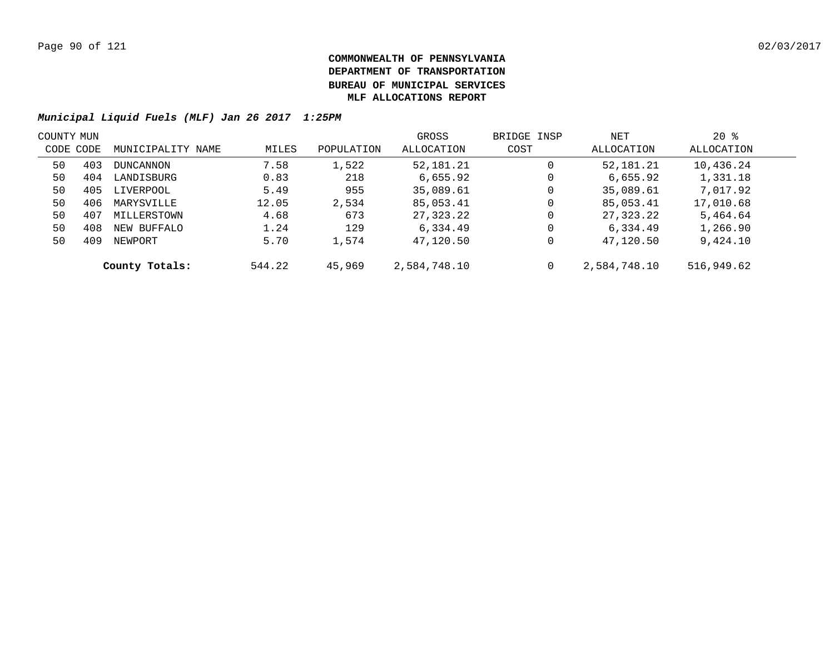| COUNTY MUN |     |                   |        |            | GROSS        | BRIDGE INSP | NET          | $20*$      |  |
|------------|-----|-------------------|--------|------------|--------------|-------------|--------------|------------|--|
| CODE CODE  |     | MUNICIPALITY NAME | MILES  | POPULATION | ALLOCATION   | COST        | ALLOCATION   | ALLOCATION |  |
| 50         | 403 | DUNCANNON         | 7.58   | 1,522      | 52,181.21    | 0           | 52,181.21    | 10,436.24  |  |
| 50         | 404 | LANDISBURG        | 0.83   | 218        | 6,655.92     | 0           | 6,655.92     | 1,331.18   |  |
| 50         | 405 | LIVERPOOL         | 5.49   | 955        | 35,089.61    | 0           | 35,089.61    | 7,017.92   |  |
| 50         | 406 | MARYSVILLE        | 12.05  | 2,534      | 85,053.41    | 0           | 85,053.41    | 17,010.68  |  |
| 50         | 407 | MILLERSTOWN       | 4.68   | 673        | 27,323.22    | $\mathbf 0$ | 27,323.22    | 5,464.64   |  |
| 50         | 408 | NEW BUFFALO       | 1.24   | 129        | 6,334.49     | 0           | 6,334.49     | 1,266.90   |  |
| 50         | 409 | NEWPORT           | 5.70   | 1,574      | 47,120.50    | 0           | 47,120.50    | 9,424.10   |  |
|            |     | County Totals:    | 544.22 | 45,969     | 2,584,748.10 | 0           | 2,584,748.10 | 516,949.62 |  |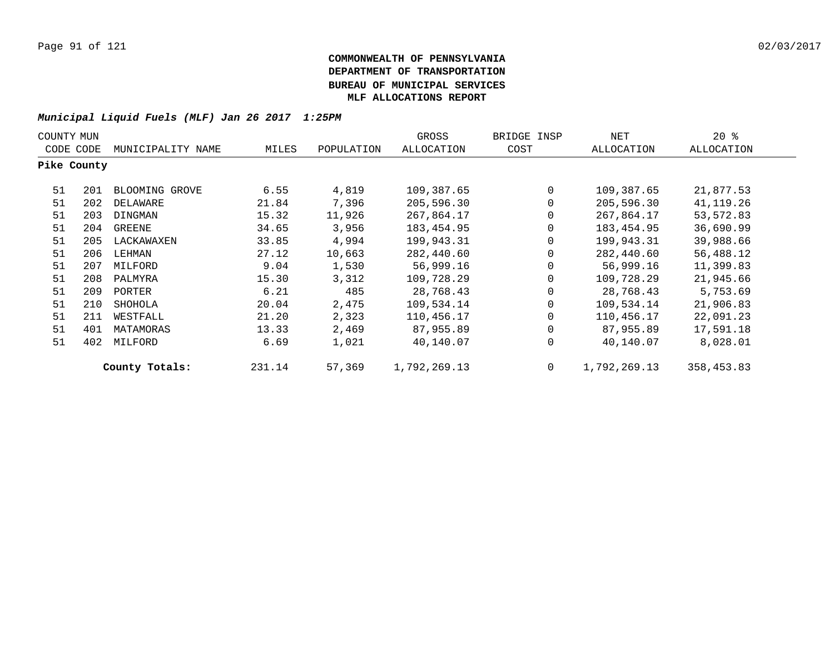| COUNTY MUN  |           |                   |        |            | GROSS        | BRIDGE INSP | NET          | $20*$      |
|-------------|-----------|-------------------|--------|------------|--------------|-------------|--------------|------------|
|             | CODE CODE | MUNICIPALITY NAME | MILES  | POPULATION | ALLOCATION   | COST        | ALLOCATION   | ALLOCATION |
| Pike County |           |                   |        |            |              |             |              |            |
| 51          | 201       | BLOOMING GROVE    | 6.55   | 4,819      | 109,387.65   | $\mathbf 0$ | 109,387.65   | 21,877.53  |
| 51          | 202       | DELAWARE          | 21.84  | 7,396      | 205,596.30   | 0           | 205,596.30   | 41,119.26  |
| 51          | 203       | DINGMAN           | 15.32  | 11,926     | 267,864.17   | 0           | 267,864.17   | 53,572.83  |
| 51          | 204       | GREENE            | 34.65  | 3,956      | 183, 454.95  | 0           | 183,454.95   | 36,690.99  |
| 51          | 205       | LACKAWAXEN        | 33.85  | 4,994      | 199,943.31   | 0           | 199,943.31   | 39,988.66  |
| 51          | 206       | LEHMAN            | 27.12  | 10,663     | 282,440.60   | 0           | 282,440.60   | 56,488.12  |
| 51          | 207       | MILFORD           | 9.04   | 1,530      | 56,999.16    | 0           | 56,999.16    | 11,399.83  |
| 51          | 208       | PALMYRA           | 15.30  | 3,312      | 109,728.29   | 0           | 109,728.29   | 21,945.66  |
| 51          | 209       | PORTER            | 6.21   | 485        | 28,768.43    | 0           | 28,768.43    | 5,753.69   |
| 51          | 210       | SHOHOLA           | 20.04  | 2,475      | 109,534.14   | $\Omega$    | 109,534.14   | 21,906.83  |
| 51          | 211       | WESTFALL          | 21.20  | 2,323      | 110,456.17   | $\Omega$    | 110,456.17   | 22,091.23  |
| 51          | 401       | MATAMORAS         | 13.33  | 2,469      | 87,955.89    | 0           | 87,955.89    | 17,591.18  |
| 51          | 402       | MILFORD           | 6.69   | 1,021      | 40,140.07    | 0           | 40,140.07    | 8,028.01   |
|             |           | County Totals:    | 231.14 | 57,369     | 1,792,269.13 | 0           | 1,792,269.13 | 358,453.83 |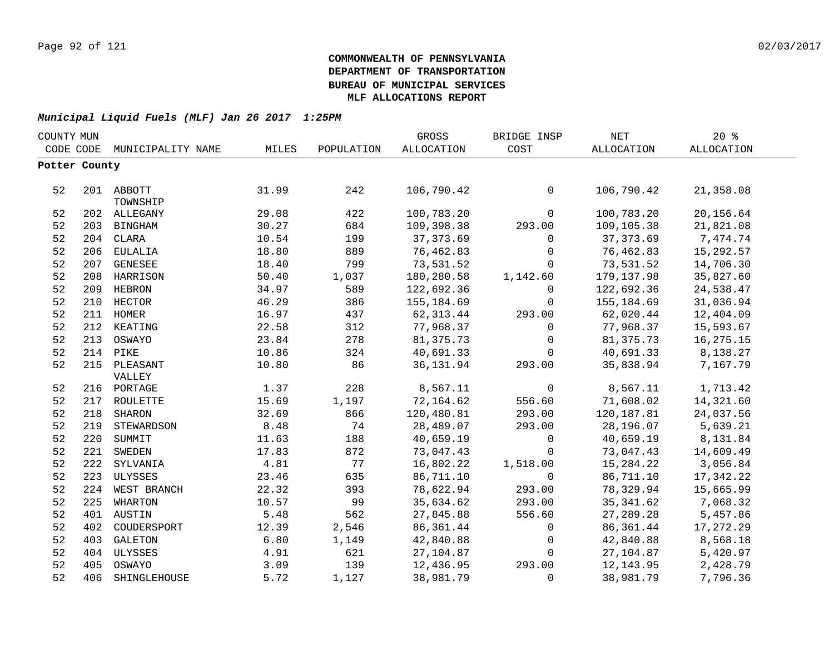| COUNTY MUN |               |                   |       |            | GROSS             | BRIDGE INSP  | $\operatorname{NET}$ | 20%        |  |
|------------|---------------|-------------------|-------|------------|-------------------|--------------|----------------------|------------|--|
|            | CODE CODE     | MUNICIPALITY NAME | MILES | POPULATION | <b>ALLOCATION</b> | COST         | ALLOCATION           | ALLOCATION |  |
|            | Potter County |                   |       |            |                   |              |                      |            |  |
|            |               |                   |       |            |                   |              |                      |            |  |
| 52         |               | 201 ABBOTT        | 31.99 | 242        | 106,790.42        | $\mathsf{O}$ | 106,790.42           | 21,358.08  |  |
|            |               | TOWNSHIP          |       |            |                   |              |                      |            |  |
| 52         |               | 202 ALLEGANY      | 29.08 | 422        | 100,783.20        | $\mathbf 0$  | 100,783.20           | 20,156.64  |  |
| 52         |               | 203 BINGHAM       | 30.27 | 684        | 109,398.38        | 293.00       | 109,105.38           | 21,821.08  |  |
| 52         |               | 204 CLARA         | 10.54 | 199        | 37, 373.69        | $\mathsf{O}$ | 37, 373.69           | 7,474.74   |  |
| 52         | 206           | EULALIA           | 18.80 | 889        | 76,462.83         | $\mathsf{O}$ | 76,462.83            | 15,292.57  |  |
| 52         | 207           | GENESEE           | 18.40 | 799        | 73,531.52         | $\mathbf 0$  | 73,531.52            | 14,706.30  |  |
| 52         | 208           | HARRISON          | 50.40 | 1,037      | 180,280.58        | 1,142.60     | 179, 137.98          | 35,827.60  |  |
| 52         | 209           | HEBRON            | 34.97 | 589        | 122,692.36        | $\mathbf 0$  | 122,692.36           | 24,538.47  |  |
| 52         | 210           | HECTOR            | 46.29 | 386        | 155,184.69        | $\mathsf{O}$ | 155,184.69           | 31,036.94  |  |
| 52         | 211           | <b>HOMER</b>      | 16.97 | 437        | 62, 313.44        | 293.00       | 62,020.44            | 12,404.09  |  |
| 52         | 212           | KEATING           | 22.58 | 312        | 77,968.37         | $\mathbf 0$  | 77,968.37            | 15,593.67  |  |
| 52         | 213           | OSWAYO            | 23.84 | 278        | 81, 375.73        | $\mathbf 0$  | 81,375.73            | 16,275.15  |  |
| 52         | 214           | PIKE              | 10.86 | 324        | 40,691.33         | $\mathsf{O}$ | 40,691.33            | 8,138.27   |  |
| 52         | 215           | PLEASANT          | 10.80 | 86         | 36, 131.94        | 293.00       | 35,838.94            | 7,167.79   |  |
|            |               | VALLEY            |       |            |                   |              |                      |            |  |
| 52         |               | 216 PORTAGE       | 1.37  | 228        | 8,567.11          | 0            | 8,567.11             | 1,713.42   |  |
| 52         | 217           | ROULETTE          | 15.69 | 1,197      | 72,164.62         | 556.60       | 71,608.02            | 14,321.60  |  |
| 52         | 218           | <b>SHARON</b>     | 32.69 | 866        | 120,480.81        | 293.00       | 120,187.81           | 24,037.56  |  |
| 52         | 219           | STEWARDSON        | 8.48  | 74         | 28,489.07         | 293.00       | 28,196.07            | 5,639.21   |  |
| 52         |               | 220 SUMMIT        | 11.63 | 188        | 40,659.19         | $\mathbf 0$  | 40,659.19            | 8,131.84   |  |
| 52         |               | 221 SWEDEN        | 17.83 | 872        | 73,047.43         | $\mathbf 0$  | 73,047.43            | 14,609.49  |  |
| 52         |               | 222 SYLVANIA      | 4.81  | 77         | 16,802.22         | 1,518.00     | 15,284.22            | 3,056.84   |  |
| 52         |               | 223 ULYSSES       | 23.46 | 635        | 86,711.10         | $\mathbf 0$  | 86,711.10            | 17,342.22  |  |
| 52         |               | 224 WEST BRANCH   | 22.32 | 393        | 78,622.94         | 293.00       | 78,329.94            | 15,665.99  |  |
| 52         | 225           | WHARTON           | 10.57 | 99         | 35,634.62         | 293.00       | 35, 341.62           | 7,068.32   |  |
| 52         |               | 401 AUSTIN        | 5.48  | 562        | 27,845.88         | 556.60       | 27,289.28            | 5,457.86   |  |
| 52         | 402           | COUDERSPORT       | 12.39 | 2,546      | 86,361.44         | $\mathbf 0$  | 86,361.44            | 17,272.29  |  |
| 52         | 403           | GALETON           | 6.80  | 1,149      | 42,840.88         | $\mathsf{O}$ | 42,840.88            | 8,568.18   |  |
| 52         | 404           | ULYSSES           | 4.91  | 621        | 27,104.87         | $\mathbf 0$  | 27,104.87            | 5,420.97   |  |
| 52         | 405           | OSWAYO            | 3.09  | 139        | 12,436.95         | 293.00       | 12, 143.95           | 2,428.79   |  |
| 52         | 406           | SHINGLEHOUSE      | 5.72  | 1,127      | 38,981.79         | $\mathbf 0$  | 38,981.79            | 7,796.36   |  |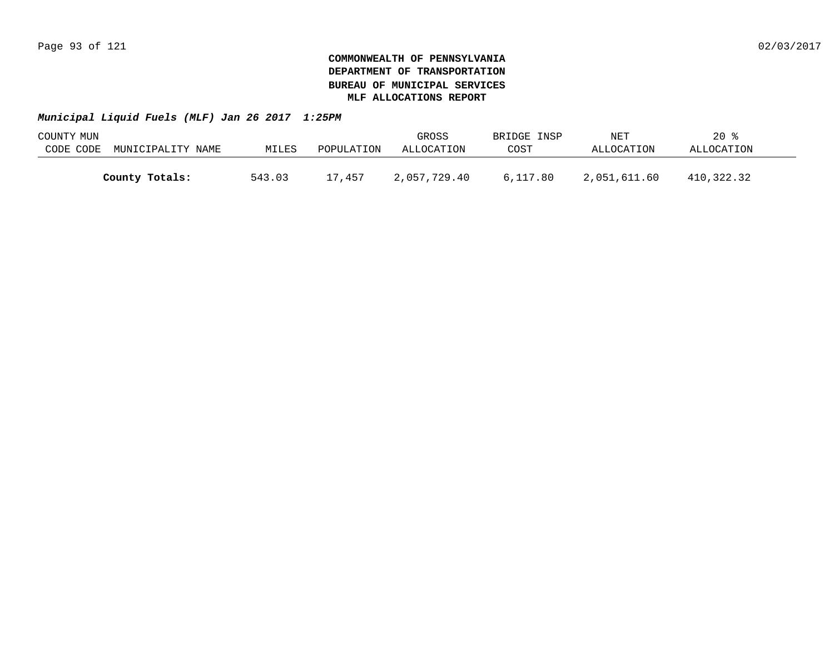| COUNTY MUN |                   |        |            | GROSS        | BRIDGE INSP | NET          | $20*$      |  |
|------------|-------------------|--------|------------|--------------|-------------|--------------|------------|--|
| CODE CODE  | MUNICIPALITY NAME | MILES  | POPULATION | ALLOCATION   | COST        | ALLOCATION   | ALLOCATION |  |
|            |                   |        |            |              |             |              |            |  |
|            | County Totals:    | 543.03 | 17,457     | 2,057,729.40 | 6,117.80    | 2,051,611.60 | 410,322.32 |  |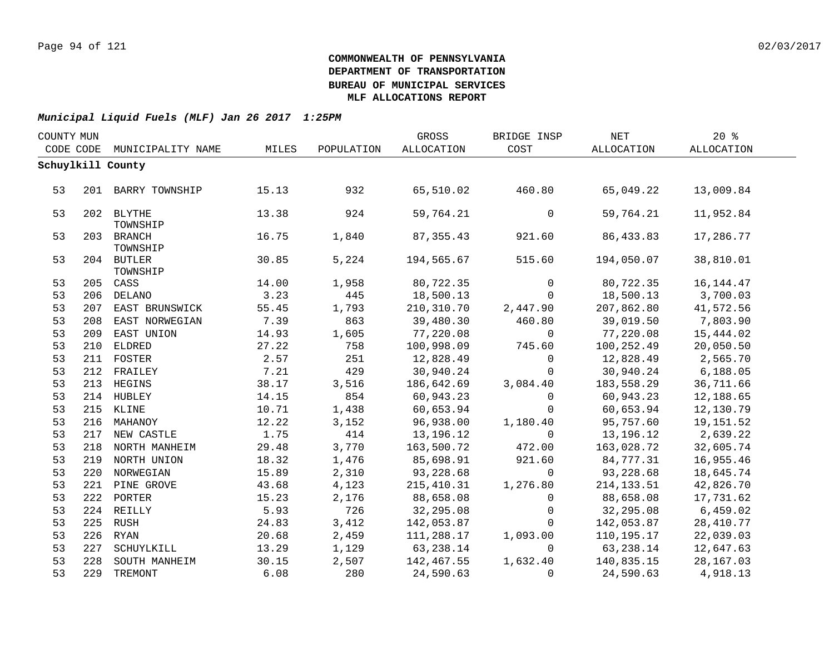| COUNTY MUN |           |                        |       |            | GROSS       | BRIDGE INSP    | <b>NET</b>  | 20%         |  |
|------------|-----------|------------------------|-------|------------|-------------|----------------|-------------|-------------|--|
|            | CODE CODE | MUNICIPALITY NAME      | MILES | POPULATION | ALLOCATION  | COST           | ALLOCATION  | ALLOCATION  |  |
|            |           | Schuylkill County      |       |            |             |                |             |             |  |
|            |           |                        |       |            |             |                |             |             |  |
| 53         |           | 201 BARRY TOWNSHIP     | 15.13 | 932        | 65,510.02   | 460.80         | 65,049.22   | 13,009.84   |  |
|            |           |                        |       |            |             |                |             |             |  |
| 53         |           | 202 BLYTHE             | 13.38 | 924        | 59,764.21   | 0              | 59,764.21   | 11,952.84   |  |
|            |           | TOWNSHIP               |       |            |             |                |             |             |  |
| 53         |           | 203 BRANCH<br>TOWNSHIP | 16.75 | 1,840      | 87, 355.43  | 921.60         | 86, 433.83  | 17,286.77   |  |
| 53         |           | 204 BUTLER             | 30.85 | 5,224      | 194,565.67  | 515.60         | 194,050.07  | 38,810.01   |  |
|            |           | TOWNSHIP               |       |            |             |                |             |             |  |
| 53         |           | 205 CASS               | 14.00 | 1,958      | 80,722.35   | $\Omega$       | 80,722.35   | 16, 144. 47 |  |
| 53         |           | 206 DELANO             | 3.23  | 445        | 18,500.13   | $\mathbf 0$    | 18,500.13   | 3,700.03    |  |
| 53         |           | 207 EAST BRUNSWICK     | 55.45 | 1,793      | 210,310.70  | 2,447.90       | 207,862.80  | 41,572.56   |  |
| 53         | 208       | EAST NORWEGIAN         | 7.39  | 863        | 39,480.30   | 460.80         | 39,019.50   | 7,803.90    |  |
| 53         |           | 209 EAST UNION         | 14.93 | 1,605      | 77,220.08   | $\overline{0}$ | 77,220.08   | 15,444.02   |  |
| 53         |           | 210 ELDRED             | 27.22 | 758        | 100,998.09  | 745.60         | 100,252.49  | 20,050.50   |  |
| 53         |           | 211 FOSTER             | 2.57  | 251        | 12,828.49   | $\mathbf 0$    | 12,828.49   | 2,565.70    |  |
| 53         |           | 212 FRAILEY            | 7.21  | 429        | 30,940.24   | $\overline{0}$ | 30,940.24   | 6, 188.05   |  |
| 53         | 213       | HEGINS                 | 38.17 | 3,516      | 186,642.69  | 3,084.40       | 183,558.29  | 36,711.66   |  |
| 53         |           | 214 HUBLEY             | 14.15 | 854        | 60,943.23   | $\Omega$       | 60,943.23   | 12,188.65   |  |
| 53         |           | 215 KLINE              | 10.71 | 1,438      | 60,653.94   | $\mathbf 0$    | 60,653.94   | 12,130.79   |  |
| 53         |           | 216 MAHANOY            | 12.22 | 3,152      | 96,938.00   | 1,180.40       | 95,757.60   | 19,151.52   |  |
| 53         |           | 217 NEW CASTLE         | 1.75  | 414        | 13,196.12   | $\mathbf 0$    | 13,196.12   | 2,639.22    |  |
| 53         |           | 218 NORTH MANHEIM      | 29.48 | 3,770      | 163,500.72  | 472.00         | 163,028.72  | 32,605.74   |  |
| 53         |           | 219 NORTH UNION        | 18.32 | 1,476      | 85,698.91   | 921.60         | 84,777.31   | 16,955.46   |  |
| 53         |           | 220 NORWEGIAN          | 15.89 | 2,310      | 93,228.68   | $\overline{0}$ | 93,228.68   | 18,645.74   |  |
| 53         |           | 221 PINE GROVE         | 43.68 | 4,123      | 215, 410.31 | 1,276.80       | 214, 133.51 | 42,826.70   |  |
| 53         |           | 222 PORTER             | 15.23 | 2,176      | 88,658.08   | $\Omega$       | 88,658.08   | 17,731.62   |  |
| 53         |           | 224 REILLY             | 5.93  | 726        | 32,295.08   | $\mathbf 0$    | 32,295.08   | 6,459.02    |  |
| 53         |           | 225 RUSH               | 24.83 | 3,412      | 142,053.87  | $\Omega$       | 142,053.87  | 28,410.77   |  |
| 53         |           | 226 RYAN               | 20.68 | 2,459      | 111,288.17  | 1,093.00       | 110,195.17  | 22,039.03   |  |
| 53         | 227       | SCHUYLKILL             | 13.29 | 1,129      | 63,238.14   | $\Omega$       | 63,238.14   | 12,647.63   |  |
| 53         | 228       | SOUTH MANHEIM          | 30.15 | 2,507      | 142,467.55  | 1,632.40       | 140,835.15  | 28,167.03   |  |
| 53         |           | 229 TREMONT            | 6.08  | 280        | 24,590.63   | $\Omega$       | 24,590.63   | 4,918.13    |  |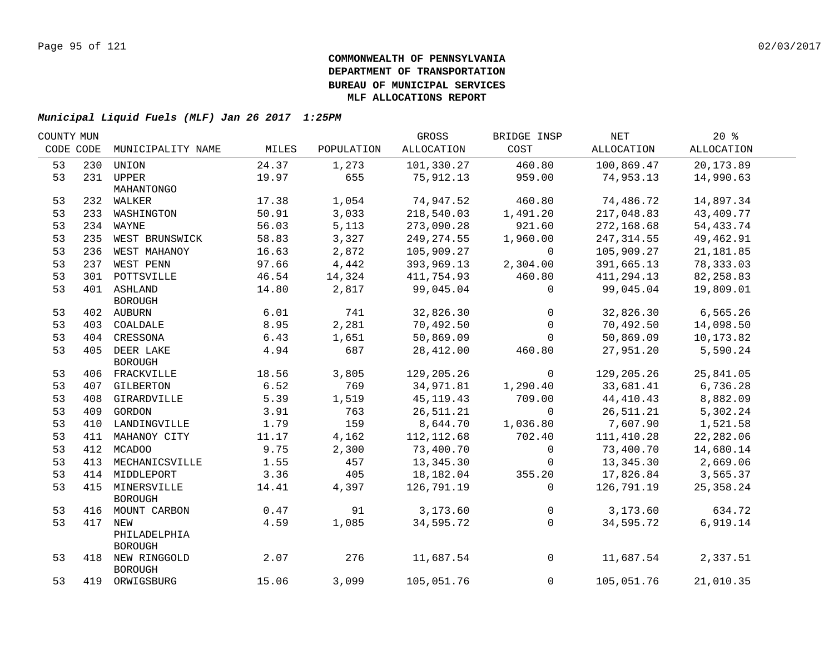| COUNTY MUN |     |                    |       |            | GROSS       | BRIDGE INSP    | NET         | $20*$      |  |
|------------|-----|--------------------|-------|------------|-------------|----------------|-------------|------------|--|
| CODE CODE  |     | MUNICIPALITY NAME  | MILES | POPULATION | ALLOCATION  | COST           | ALLOCATION  | ALLOCATION |  |
| 53         | 230 | UNION              | 24.37 | 1,273      | 101,330.27  | 460.80         | 100,869.47  | 20,173.89  |  |
| 53         |     | 231 UPPER          | 19.97 | 655        | 75,912.13   | 959.00         | 74,953.13   | 14,990.63  |  |
|            |     | MAHANTONGO         |       |            |             |                |             |            |  |
| 53         |     | 232 WALKER         | 17.38 | 1,054      | 74,947.52   | 460.80         | 74,486.72   | 14,897.34  |  |
| 53         |     | 233 WASHINGTON     | 50.91 | 3,033      | 218,540.03  | 1,491.20       | 217,048.83  | 43,409.77  |  |
| 53         |     | 234 WAYNE          | 56.03 | 5,113      | 273,090.28  | 921.60         | 272,168.68  | 54,433.74  |  |
| 53         |     | 235 WEST BRUNSWICK | 58.83 | 3,327      | 249,274.55  | 1,960.00       | 247, 314.55 | 49,462.91  |  |
| 53         | 236 | WEST MAHANOY       | 16.63 | 2,872      | 105,909.27  | $\overline{0}$ | 105,909.27  | 21,181.85  |  |
| 53         |     | 237 WEST PENN      | 97.66 | 4,442      | 393,969.13  | 2,304.00       | 391,665.13  | 78,333.03  |  |
| 53         |     | 301 POTTSVILLE     | 46.54 | 14,324     | 411,754.93  | 460.80         | 411,294.13  | 82,258.83  |  |
| 53         |     | 401 ASHLAND        | 14.80 | 2,817      | 99,045.04   | 0              | 99,045.04   | 19,809.01  |  |
|            |     | <b>BOROUGH</b>     |       |            |             |                |             |            |  |
| 53         |     | 402 AUBURN         | 6.01  | 741        | 32,826.30   | $\mathbf 0$    | 32,826.30   | 6,565.26   |  |
| 53         |     | 403 COALDALE       | 8.95  | 2,281      | 70,492.50   | $\mathsf{O}$   | 70,492.50   | 14,098.50  |  |
| 53         |     | 404 CRESSONA       | 6.43  | 1,651      | 50,869.09   | $\Omega$       | 50,869.09   | 10,173.82  |  |
| 53         |     | 405 DEER LAKE      | 4.94  | 687        | 28,412.00   | 460.80         | 27,951.20   | 5,590.24   |  |
|            |     | <b>BOROUGH</b>     |       |            |             |                |             |            |  |
| 53         |     | 406 FRACKVILLE     | 18.56 | 3,805      | 129,205.26  | $\circ$        | 129,205.26  | 25,841.05  |  |
| 53         |     | 407 GILBERTON      | 6.52  | 769        | 34,971.81   | 1,290.40       | 33,681.41   | 6,736.28   |  |
| 53         |     | 408 GIRARDVILLE    | 5.39  | 1,519      | 45, 119. 43 | 709.00         | 44,410.43   | 8,882.09   |  |
| 53         |     | 409 GORDON         | 3.91  | 763        | 26,511.21   | $\mathbf 0$    | 26,511.21   | 5,302.24   |  |
| 53         |     | 410 LANDINGVILLE   | 1.79  | 159        | 8,644.70    | 1,036.80       | 7,607.90    | 1,521.58   |  |
| 53         |     | 411 MAHANOY CITY   | 11.17 | 4,162      | 112, 112.68 | 702.40         | 111, 410.28 | 22,282.06  |  |
| 53         |     | 412 MCADOO         | 9.75  | 2,300      | 73,400.70   | $\mathsf{O}$   | 73,400.70   | 14,680.14  |  |
| 53         | 413 | MECHANICSVILLE     | 1.55  | 457        | 13,345.30   | 0              | 13,345.30   | 2,669.06   |  |
| 53         |     | 414 MIDDLEPORT     | 3.36  | 405        | 18,182.04   | 355.20         | 17,826.84   | 3,565.37   |  |
| 53         |     | 415 MINERSVILLE    | 14.41 | 4,397      | 126,791.19  | $\Omega$       | 126,791.19  | 25,358.24  |  |
|            |     | <b>BOROUGH</b>     |       |            |             |                |             |            |  |
| 53         | 416 | MOUNT CARBON       | 0.47  | 91         | 3,173.60    | 0              | 3,173.60    | 634.72     |  |
| 53         |     | 417 NEW            | 4.59  | 1,085      | 34,595.72   | $\Omega$       | 34,595.72   | 6,919.14   |  |
|            |     | PHILADELPHIA       |       |            |             |                |             |            |  |
|            |     | <b>BOROUGH</b>     |       |            |             |                |             |            |  |
| 53         |     | 418 NEW RINGGOLD   | 2.07  | 276        | 11,687.54   | $\mathsf{O}$   | 11,687.54   | 2,337.51   |  |
|            |     | <b>BOROUGH</b>     |       |            |             | $\mathbf 0$    | 105,051.76  |            |  |
| 53         |     | 419 ORWIGSBURG     | 15.06 | 3,099      | 105,051.76  |                |             | 21,010.35  |  |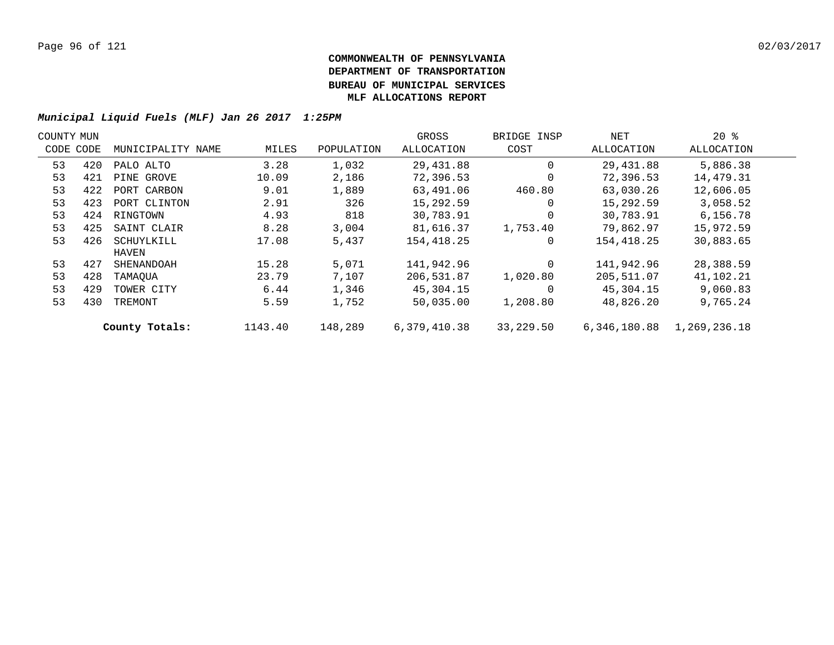| COUNTY MUN |     |                   |         |            | GROSS        | BRIDGE INSP | NET          | $20*$        |  |
|------------|-----|-------------------|---------|------------|--------------|-------------|--------------|--------------|--|
| CODE CODE  |     | MUNICIPALITY NAME | MILES   | POPULATION | ALLOCATION   | COST        | ALLOCATION   | ALLOCATION   |  |
| 53         | 420 | PALO ALTO         | 3.28    | 1,032      | 29,431.88    | $\Omega$    | 29,431.88    | 5,886.38     |  |
| 53         | 421 | PINE GROVE        | 10.09   | 2,186      | 72,396.53    | $\Omega$    | 72,396.53    | 14,479.31    |  |
| 53         | 422 | PORT CARBON       | 9.01    | 1,889      | 63,491.06    | 460.80      | 63,030.26    | 12,606.05    |  |
| 53         | 423 | PORT CLINTON      | 2.91    | 326        | 15,292.59    | $\Omega$    | 15,292.59    | 3,058.52     |  |
| 53         | 424 | RINGTOWN          | 4.93    | 818        | 30,783.91    | $\Omega$    | 30,783.91    | 6,156.78     |  |
| 53         | 425 | SAINT CLAIR       | 8.28    | 3,004      | 81,616.37    | 1,753.40    | 79,862.97    | 15,972.59    |  |
| 53         | 426 | SCHUYLKILL        | 17.08   | 5,437      | 154, 418.25  | 0           | 154,418.25   | 30,883.65    |  |
|            |     | HAVEN             |         |            |              |             |              |              |  |
| 53         | 427 | SHENANDOAH        | 15.28   | 5,071      | 141,942.96   | $\Omega$    | 141,942.96   | 28,388.59    |  |
| 53         | 428 | TAMAOUA           | 23.79   | 7,107      | 206,531.87   | 1,020.80    | 205,511.07   | 41,102.21    |  |
| 53         | 429 | TOWER CITY        | 6.44    | 1,346      | 45,304.15    | $\Omega$    | 45,304.15    | 9,060.83     |  |
| 53         | 430 | TREMONT           | 5.59    | 1,752      | 50,035.00    | 1,208.80    | 48,826.20    | 9,765.24     |  |
|            |     | County Totals:    | 1143.40 | 148,289    | 6,379,410.38 | 33,229.50   | 6,346,180.88 | 1,269,236.18 |  |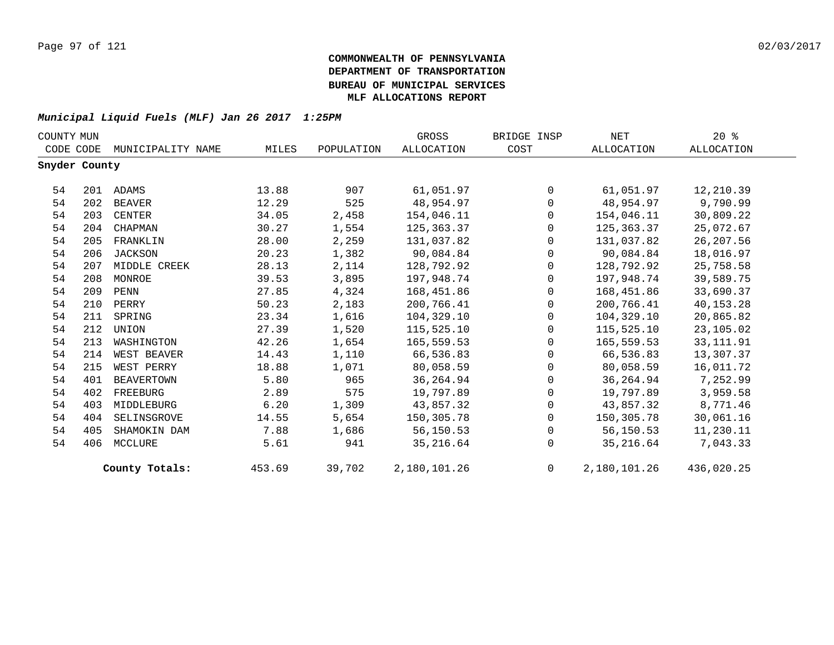| COUNTY MUN    |     |                   |        |            | GROSS             | BRIDGE INSP | NET          | $20*$      |  |
|---------------|-----|-------------------|--------|------------|-------------------|-------------|--------------|------------|--|
| CODE CODE     |     | MUNICIPALITY NAME | MILES  | POPULATION | <b>ALLOCATION</b> | COST        | ALLOCATION   | ALLOCATION |  |
| Snyder County |     |                   |        |            |                   |             |              |            |  |
| 54            |     | 201 ADAMS         | 13.88  | 907        | 61,051.97         | $\Omega$    | 61,051.97    | 12,210.39  |  |
| 54            | 202 | BEAVER            | 12.29  | 525        | 48,954.97         | $\mathbf 0$ | 48,954.97    | 9,790.99   |  |
| 54            | 203 | CENTER            | 34.05  | 2,458      | 154,046.11        | $\mathbf 0$ | 154,046.11   | 30,809.22  |  |
| 54            | 204 | CHAPMAN           | 30.27  | 1,554      | 125,363.37        | $\Omega$    | 125,363.37   | 25,072.67  |  |
| 54            | 205 | FRANKLIN          | 28.00  | 2,259      | 131,037.82        | $\Omega$    | 131,037.82   | 26, 207.56 |  |
| 54            | 206 | <b>JACKSON</b>    | 20.23  | 1,382      | 90,084.84         | $\mathbf 0$ | 90,084.84    | 18,016.97  |  |
| 54            | 207 | MIDDLE CREEK      | 28.13  | 2,114      | 128,792.92        | 0           | 128,792.92   | 25,758.58  |  |
| 54            | 208 | MONROE            | 39.53  | 3,895      | 197,948.74        | $\mathbf 0$ | 197,948.74   | 39,589.75  |  |
| 54            | 209 | PENN              | 27.85  | 4,324      | 168,451.86        | $\Omega$    | 168,451.86   | 33,690.37  |  |
| 54            | 210 | PERRY             | 50.23  | 2,183      | 200,766.41        | $\mathbf 0$ | 200,766.41   | 40,153.28  |  |
| 54            | 211 | SPRING            | 23.34  | 1,616      | 104,329.10        | $\mathbf 0$ | 104,329.10   | 20,865.82  |  |
| 54            | 212 | UNION             | 27.39  | 1,520      | 115,525.10        | $\mathbf 0$ | 115,525.10   | 23,105.02  |  |
| 54            | 213 | WASHINGTON        | 42.26  | 1,654      | 165,559.53        | $\Omega$    | 165,559.53   | 33, 111.91 |  |
| 54            | 214 | WEST BEAVER       | 14.43  | 1,110      | 66,536.83         | $\mathbf 0$ | 66,536.83    | 13,307.37  |  |
| 54            | 215 | WEST PERRY        | 18.88  | 1,071      | 80,058.59         | $\mathbf 0$ | 80,058.59    | 16,011.72  |  |
| 54            | 401 | <b>BEAVERTOWN</b> | 5.80   | 965        | 36, 264.94        | $\mathbf 0$ | 36,264.94    | 7,252.99   |  |
| 54            | 402 | FREEBURG          | 2.89   | 575        | 19,797.89         | $\Omega$    | 19,797.89    | 3,959.58   |  |
| 54            | 403 | MIDDLEBURG        | 6.20   | 1,309      | 43,857.32         | $\mathbf 0$ | 43,857.32    | 8,771.46   |  |
| 54            | 404 | SELINSGROVE       | 14.55  | 5,654      | 150,305.78        | $\mathbf 0$ | 150,305.78   | 30,061.16  |  |
| 54            | 405 | SHAMOKIN DAM      | 7.88   | 1,686      | 56,150.53         | $\mathbf 0$ | 56,150.53    | 11,230.11  |  |
| 54            | 406 | MCCLURE           | 5.61   | 941        | 35,216.64         | $\Omega$    | 35,216.64    | 7,043.33   |  |
|               |     | County Totals:    | 453.69 | 39,702     | 2,180,101.26      | $\Omega$    | 2,180,101.26 | 436,020.25 |  |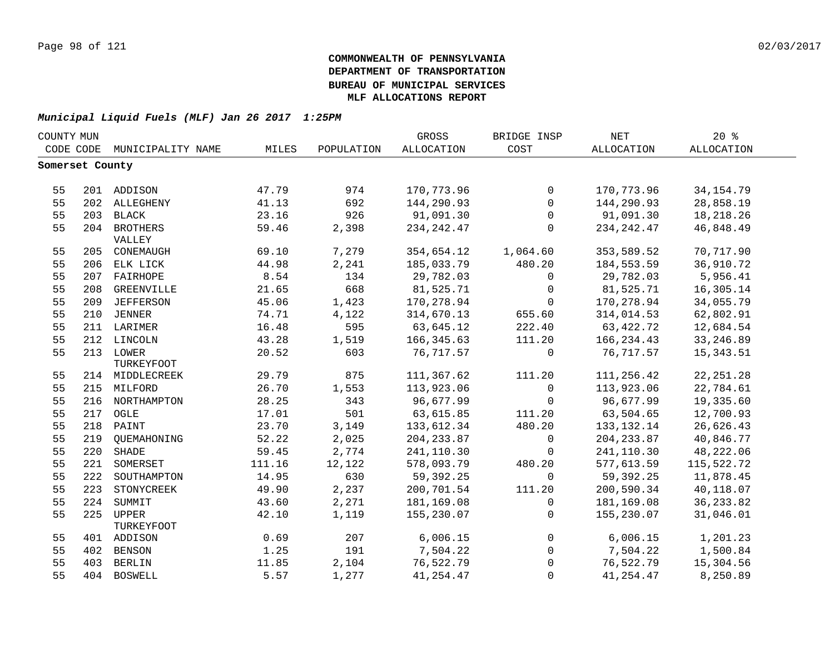| COUNTY MUN      |     |                   |        |            | <b>GROSS</b> | BRIDGE INSP  | <b>NET</b>        | 20%               |  |
|-----------------|-----|-------------------|--------|------------|--------------|--------------|-------------------|-------------------|--|
| CODE CODE       |     | MUNICIPALITY NAME | MILES  | POPULATION | ALLOCATION   | COST         | <b>ALLOCATION</b> | <b>ALLOCATION</b> |  |
| Somerset County |     |                   |        |            |              |              |                   |                   |  |
|                 |     |                   |        |            |              |              |                   |                   |  |
| 55              |     | 201 ADDISON       | 47.79  | 974        | 170,773.96   | $\mathsf{O}$ | 170,773.96        | 34, 154. 79       |  |
| 55              |     | 202 ALLEGHENY     | 41.13  | 692        | 144,290.93   | $\mathbf 0$  | 144,290.93        | 28,858.19         |  |
| 55              | 203 | BLACK             | 23.16  | 926        | 91,091.30    | $\mathbf 0$  | 91,091.30         | 18, 218. 26       |  |
| 55              |     | 204 BROTHERS      | 59.46  | 2,398      | 234, 242. 47 | $\mathbf 0$  | 234, 242.47       | 46,848.49         |  |
|                 |     | VALLEY            |        |            |              |              |                   |                   |  |
| 55              |     | 205 CONEMAUGH     | 69.10  | 7,279      | 354,654.12   | 1,064.60     | 353,589.52        | 70,717.90         |  |
| 55              |     | 206 ELK LICK      | 44.98  | 2,241      | 185,033.79   | 480.20       | 184,553.59        | 36,910.72         |  |
| 55              | 207 | FAIRHOPE          | 8.54   | 134        | 29,782.03    | $\mathbf 0$  | 29,782.03         | 5,956.41          |  |
| 55              | 208 | GREENVILLE        | 21.65  | 668        | 81,525.71    | $\mathbf 0$  | 81,525.71         | 16,305.14         |  |
| 55              | 209 | <b>JEFFERSON</b>  | 45.06  | 1,423      | 170,278.94   | $\mathbf 0$  | 170,278.94        | 34,055.79         |  |
| 55              | 210 | <b>JENNER</b>     | 74.71  | 4,122      | 314,670.13   | 655.60       | 314,014.53        | 62,802.91         |  |
| 55              |     | 211 LARIMER       | 16.48  | 595        | 63,645.12    | 222.40       | 63,422.72         | 12,684.54         |  |
| 55              |     | 212 LINCOLN       | 43.28  | 1,519      | 166, 345.63  | 111.20       | 166, 234.43       | 33, 246.89        |  |
| 55              |     | 213 LOWER         | 20.52  | 603        | 76, 717.57   | $\mathbf 0$  | 76,717.57         | 15, 343.51        |  |
|                 |     | TURKEYFOOT        |        |            |              |              |                   |                   |  |
| 55              |     | 214 MIDDLECREEK   | 29.79  | 875        | 111,367.62   | 111.20       | 111,256.42        | 22, 251.28        |  |
| 55              |     | 215 MILFORD       | 26.70  | 1,553      | 113,923.06   | $\mathbf 0$  | 113,923.06        | 22,784.61         |  |
| 55              |     | 216 NORTHAMPTON   | 28.25  | 343        | 96,677.99    | $\Omega$     | 96,677.99         | 19,335.60         |  |
| 55              |     | 217 OGLE          | 17.01  | 501        | 63,615.85    | 111.20       | 63,504.65         | 12,700.93         |  |
| 55              |     | 218 PAINT         | 23.70  | 3,149      | 133,612.34   | 480.20       | 133, 132. 14      | 26,626.43         |  |
| 55              |     | 219 QUEMAHONING   | 52.22  | 2,025      | 204, 233.87  | $\mathbf 0$  | 204, 233.87       | 40,846.77         |  |
| 55              | 220 | <b>SHADE</b>      | 59.45  | 2,774      | 241,110.30   | $\mathbf 0$  | 241,110.30        | 48,222.06         |  |
| 55              | 221 | SOMERSET          | 111.16 | 12,122     | 578,093.79   | 480.20       | 577,613.59        | 115,522.72        |  |
| 55              | 222 | SOUTHAMPTON       | 14.95  | 630        | 59,392.25    | $\Omega$     | 59,392.25         | 11,878.45         |  |
| 55              | 223 | STONYCREEK        | 49.90  | 2,237      | 200,701.54   | 111.20       | 200,590.34        | 40,118.07         |  |
| 55              | 224 | SUMMIT            | 43.60  | 2,271      | 181,169.08   | $\mathbf 0$  | 181,169.08        | 36, 233.82        |  |
| 55              | 225 | UPPER             | 42.10  | 1,119      | 155,230.07   | $\mathbf 0$  | 155,230.07        | 31,046.01         |  |
|                 |     | TURKEYFOOT        |        |            |              |              |                   |                   |  |
| 55              |     | 401 ADDISON       | 0.69   | 207        | 6,006.15     | $\mathbf 0$  | 6,006.15          | 1,201.23          |  |
| 55              |     | 402 BENSON        | 1.25   | 191        | 7,504.22     | $\mathsf{O}$ | 7,504.22          | 1,500.84          |  |
| 55              | 403 | BERLIN            | 11.85  | 2,104      | 76,522.79    | $\Omega$     | 76,522.79         | 15,304.56         |  |
| 55              |     | 404 BOSWELL       | 5.57   | 1,277      | 41, 254.47   | $\Omega$     | 41, 254.47        | 8,250.89          |  |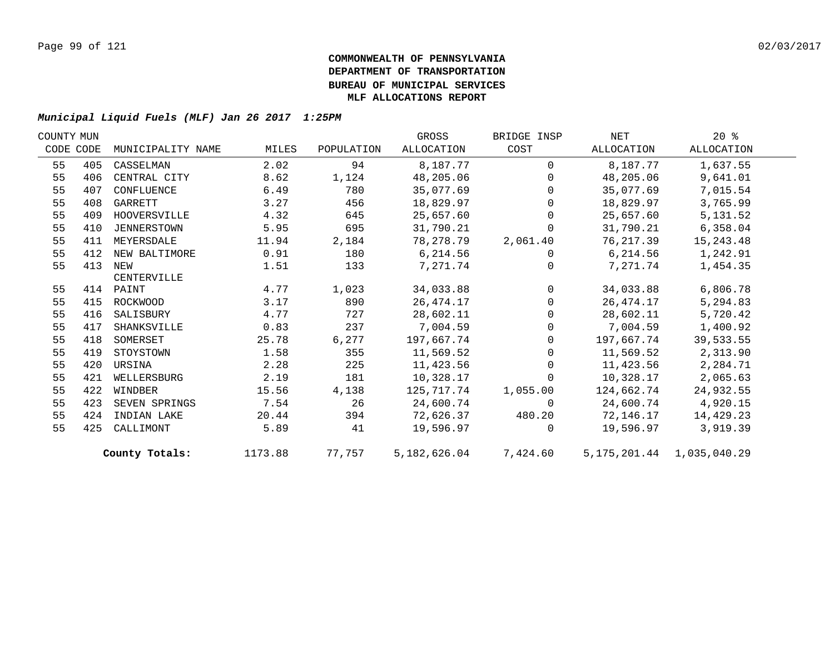| COUNTY MUN |           |                   |         |            | GROSS               | BRIDGE INSP    | NET                           | $20*$      |  |
|------------|-----------|-------------------|---------|------------|---------------------|----------------|-------------------------------|------------|--|
|            | CODE CODE | MUNICIPALITY NAME | MILES   | POPULATION | ALLOCATION          | COST           | ALLOCATION                    | ALLOCATION |  |
| 55         | 405       | CASSELMAN         | 2.02    | 94         | 8,187.77            | $\Omega$       | 8,187.77                      | 1,637.55   |  |
| 55         | 406       | CENTRAL CITY      | 8.62    | 1,124      | 48,205.06           | $\Omega$       | 48,205.06                     | 9,641.01   |  |
| 55         | 407       | CONFLUENCE        | 6.49    | 780        | 35,077.69           | $\Omega$       | 35,077.69                     | 7,015.54   |  |
| 55         | 408       | GARRETT           | 3.27    | 456        | 18,829.97           | $\mathbf{0}$   | 18,829.97                     | 3,765.99   |  |
| 55         | 409       | HOOVERSVILLE      | 4.32    | 645        | 25,657.60           | $\overline{0}$ | 25,657.60                     | 5,131.52   |  |
| 55         | 410       | JENNERSTOWN       | 5.95    | 695        | 31,790.21           | $\mathbf 0$    | 31,790.21                     | 6,358.04   |  |
| 55         | 411       | MEYERSDALE        | 11.94   | 2,184      | 78,278.79           | 2,061.40       | 76,217.39                     | 15, 243.48 |  |
| 55         | 412       | NEW BALTIMORE     | 0.91    | 180        | 6,214.56            | $\mathbf 0$    | 6,214.56                      | 1,242.91   |  |
| 55         | 413       | NEW               | 1.51    | 133        | 7,271.74            | $\Omega$       | 7,271.74                      | 1,454.35   |  |
|            |           | CENTERVILLE       |         |            |                     |                |                               |            |  |
| 55         |           | 414 PAINT         | 4.77    | 1,023      | 34,033.88           | $\mathbf{0}$   | 34,033.88                     | 6,806.78   |  |
| 55         | 415       | ROCKWOOD          | 3.17    | 890        | 26, 474. 17         | $\mathbf 0$    | 26,474.17                     | 5,294.83   |  |
| 55         | 416       | SALISBURY         | 4.77    | 727        | 28,602.11           | $\mathsf{O}$   | 28,602.11                     | 5,720.42   |  |
| 55         | 417       | SHANKSVILLE       | 0.83    | 237        | 7,004.59            | $\Omega$       | 7,004.59                      | 1,400.92   |  |
| 55         | 418       | SOMERSET          | 25.78   | 6,277      | 197,667.74          | $\Omega$       | 197,667.74                    | 39,533.55  |  |
| 55         | 419       | STOYSTOWN         | 1.58    | 355        | 11,569.52           | $\mathbf 0$    | 11,569.52                     | 2,313.90   |  |
| 55         | 420       | URSINA            | 2.28    | 225        | 11,423.56           | $\mathbf 0$    | 11,423.56                     | 2,284.71   |  |
| 55         | 421       | WELLERSBURG       | 2.19    | 181        | 10,328.17           | $\overline{0}$ | 10,328.17                     | 2,065.63   |  |
| 55         |           | 422 WINDBER       | 15.56   | 4,138      | 125,717.74          | 1,055.00       | 124,662.74                    | 24,932.55  |  |
| 55         | 423       | SEVEN SPRINGS     | 7.54    | 26         | 24,600.74           | $\Omega$       | 24,600.74                     | 4,920.15   |  |
| 55         | 424       | INDIAN LAKE       | 20.44   | 394        | 72,626.37           | 480.20         | 72,146.17                     | 14,429.23  |  |
| 55         | 425       | CALLIMONT         | 5.89    | 41         | 19,596.97           | $\Omega$       | 19,596.97                     | 3,919.39   |  |
|            |           | County Totals:    | 1173.88 |            | 77,757 5,182,626.04 | 7,424.60       | 5, 175, 201.44 1, 035, 040.29 |            |  |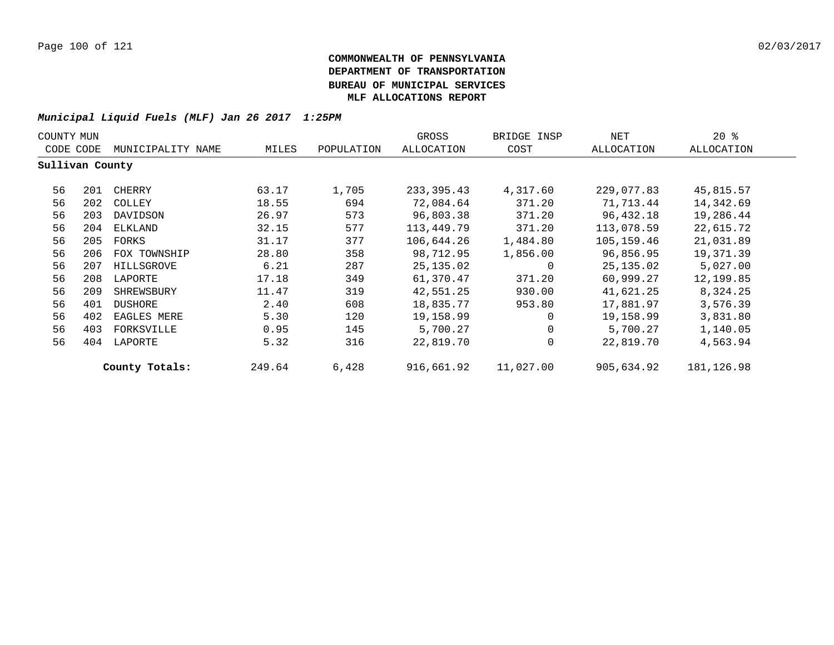| COUNTY MUN      |     |                   |        |            | GROSS       | BRIDGE INSP | NET        | $20*$       |  |
|-----------------|-----|-------------------|--------|------------|-------------|-------------|------------|-------------|--|
| CODE CODE       |     | MUNICIPALITY NAME | MILES  | POPULATION | ALLOCATION  | COST        | ALLOCATION | ALLOCATION  |  |
| Sullivan County |     |                   |        |            |             |             |            |             |  |
| 56              | 201 | CHERRY            | 63.17  | 1,705      | 233, 395.43 | 4,317.60    | 229,077.83 | 45,815.57   |  |
| 56              | 202 | COLLEY            | 18.55  | 694        | 72,084.64   | 371.20      | 71,713.44  | 14,342.69   |  |
| 56              | 203 | DAVIDSON          | 26.97  | 573        | 96,803.38   | 371.20      | 96,432.18  | 19,286.44   |  |
| 56              | 204 | ELKLAND           | 32.15  | 577        | 113,449.79  | 371.20      | 113,078.59 | 22,615.72   |  |
| 56              | 205 | FORKS             | 31.17  | 377        | 106,644.26  | 1,484.80    | 105,159.46 | 21,031.89   |  |
| 56              | 206 | FOX TOWNSHIP      | 28.80  | 358        | 98,712.95   | 1,856.00    | 96,856.95  | 19,371.39   |  |
| 56              | 207 | HILLSGROVE        | 6.21   | 287        | 25,135.02   | 0           | 25,135.02  | 5,027.00    |  |
| 56              | 208 | LAPORTE           | 17.18  | 349        | 61,370.47   | 371.20      | 60,999.27  | 12,199.85   |  |
| 56              | 209 | SHREWSBURY        | 11.47  | 319        | 42,551.25   | 930.00      | 41,621.25  | 8,324.25    |  |
| 56              | 401 | DUSHORE           | 2.40   | 608        | 18,835.77   | 953.80      | 17,881.97  | 3,576.39    |  |
| 56              | 402 | EAGLES MERE       | 5.30   | 120        | 19,158.99   | $\mathbf 0$ | 19,158.99  | 3,831.80    |  |
| 56              | 403 | FORKSVILLE        | 0.95   | 145        | 5,700.27    | 0           | 5,700.27   | 1,140.05    |  |
| 56              | 404 | LAPORTE           | 5.32   | 316        | 22,819.70   | 0           | 22,819.70  | 4,563.94    |  |
|                 |     | County Totals:    | 249.64 | 6,428      | 916,661.92  | 11,027.00   | 905,634.92 | 181, 126.98 |  |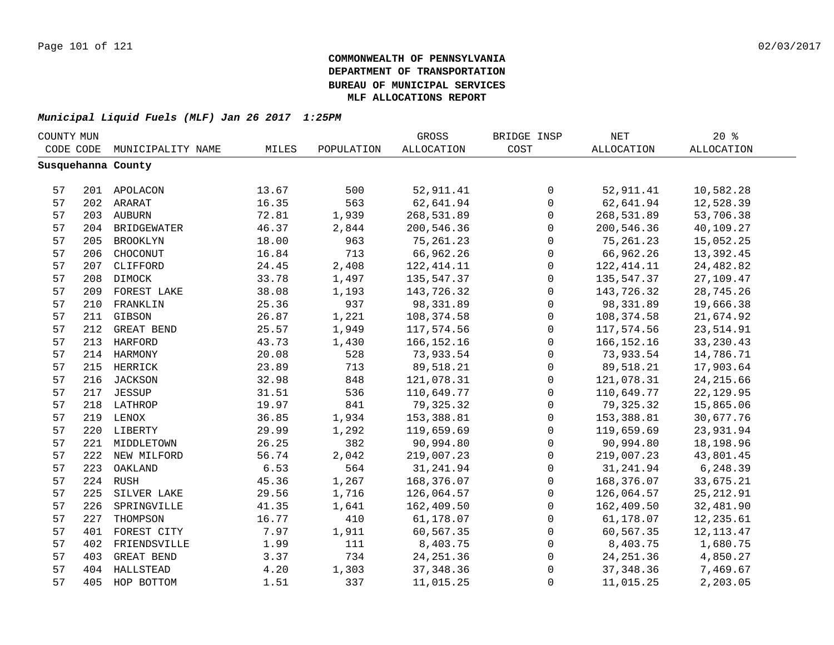| COUNTY MUN |     |                    |       |            | GROSS             | BRIDGE INSP  | $\operatorname{NET}$ | 20%         |
|------------|-----|--------------------|-------|------------|-------------------|--------------|----------------------|-------------|
| CODE CODE  |     | MUNICIPALITY NAME  | MILES | POPULATION | <b>ALLOCATION</b> | COST         | <b>ALLOCATION</b>    | ALLOCATION  |
|            |     | Susquehanna County |       |            |                   |              |                      |             |
|            |     |                    |       |            |                   |              |                      |             |
| 57         |     | 201 APOLACON       | 13.67 | 500        | 52,911.41         | 0            | 52,911.41            | 10,582.28   |
| 57         |     | 202 ARARAT         | 16.35 | 563        | 62,641.94         | $\mathsf{O}$ | 62,641.94            | 12,528.39   |
| 57         |     | 203 AUBURN         | 72.81 | 1,939      | 268,531.89        | 0            | 268,531.89           | 53,706.38   |
| 57         |     | 204 BRIDGEWATER    | 46.37 | 2,844      | 200,546.36        | $\mathbf 0$  | 200,546.36           | 40,109.27   |
| 57         | 205 | <b>BROOKLYN</b>    | 18.00 | 963        | 75,261.23         | $\mathbf 0$  | 75, 261.23           | 15,052.25   |
| 57         | 206 | CHOCONUT           | 16.84 | 713        | 66,962.26         | $\mathbf 0$  | 66,962.26            | 13,392.45   |
| 57         | 207 | CLIFFORD           | 24.45 | 2,408      | 122, 414.11       | $\mathbf 0$  | 122, 414.11          | 24,482.82   |
| 57         | 208 | DIMOCK             | 33.78 | 1,497      | 135,547.37        | $\mathbf 0$  | 135,547.37           | 27,109.47   |
| 57         | 209 | FOREST LAKE        | 38.08 | 1,193      | 143,726.32        | $\mathbf 0$  | 143,726.32           | 28,745.26   |
| 57         | 210 | FRANKLIN           | 25.36 | 937        | 98,331.89         | $\mathbf 0$  | 98,331.89            | 19,666.38   |
| 57         | 211 | GIBSON             | 26.87 | 1,221      | 108,374.58        | $\mathbf 0$  | 108, 374.58          | 21,674.92   |
| 57         | 212 | GREAT BEND         | 25.57 | 1,949      | 117,574.56        | $\mathsf 0$  | 117,574.56           | 23,514.91   |
| 57         | 213 | <b>HARFORD</b>     | 43.73 | 1,430      | 166, 152. 16      | $\mathsf 0$  | 166, 152. 16         | 33, 230.43  |
| 57         |     | 214 HARMONY        | 20.08 | 528        | 73,933.54         | 0            | 73,933.54            | 14,786.71   |
| 57         |     | 215 HERRICK        | 23.89 | 713        | 89,518.21         | $\mathbf 0$  | 89,518.21            | 17,903.64   |
| 57         |     | 216 JACKSON        | 32.98 | 848        | 121,078.31        | $\mathsf 0$  | 121,078.31           | 24, 215.66  |
| 57         |     | 217 JESSUP         | 31.51 | 536        | 110,649.77        | $\mathsf{O}$ | 110,649.77           | 22, 129.95  |
| 57         |     | 218 LATHROP        | 19.97 | 841        | 79,325.32         | 0            | 79, 325.32           | 15,865.06   |
| 57         |     | 219 LENOX          | 36.85 | 1,934      | 153,388.81        | $\mathbf 0$  | 153,388.81           | 30,677.76   |
| 57         |     | 220 LIBERTY        | 29.99 | 1,292      | 119,659.69        | $\mathbf 0$  | 119,659.69           | 23,931.94   |
| 57         |     | 221 MIDDLETOWN     | 26.25 | 382        | 90,994.80         | $\Omega$     | 90,994.80            | 18,198.96   |
| 57         |     | 222 NEW MILFORD    | 56.74 | 2,042      | 219,007.23        | $\Omega$     | 219,007.23           | 43,801.45   |
| 57         | 223 | OAKLAND            | 6.53  | 564        | 31, 241.94        | $\Omega$     | 31,241.94            | 6,248.39    |
| 57         |     | 224 RUSH           | 45.36 | 1,267      | 168,376.07        | $\mathbf 0$  | 168,376.07           | 33,675.21   |
| 57         | 225 | SILVER LAKE        | 29.56 | 1,716      | 126,064.57        | 0            | 126,064.57           | 25, 212.91  |
| 57         | 226 | SPRINGVILLE        | 41.35 | 1,641      | 162,409.50        | $\mathbf 0$  | 162,409.50           | 32,481.90   |
| 57         | 227 | THOMPSON           | 16.77 | 410        | 61,178.07         | 0            | 61,178.07            | 12,235.61   |
| 57         | 401 | FOREST CITY        | 7.97  | 1,911      | 60,567.35         | 0            | 60,567.35            | 12, 113. 47 |
| 57         | 402 | FRIENDSVILLE       | 1.99  | 111        | 8,403.75          | $\mathsf{O}$ | 8,403.75             | 1,680.75    |
| 57         | 403 | GREAT BEND         | 3.37  | 734        | 24, 251.36        | $\mathsf{O}$ | 24, 251.36           | 4,850.27    |
| 57         | 404 | HALLSTEAD          | 4.20  | 1,303      | 37, 348.36        | 0            | 37, 348.36           | 7,469.67    |
| 57         | 405 | HOP BOTTOM         | 1.51  | 337        | 11,015.25         | $\mathsf 0$  | 11,015.25            | 2,203.05    |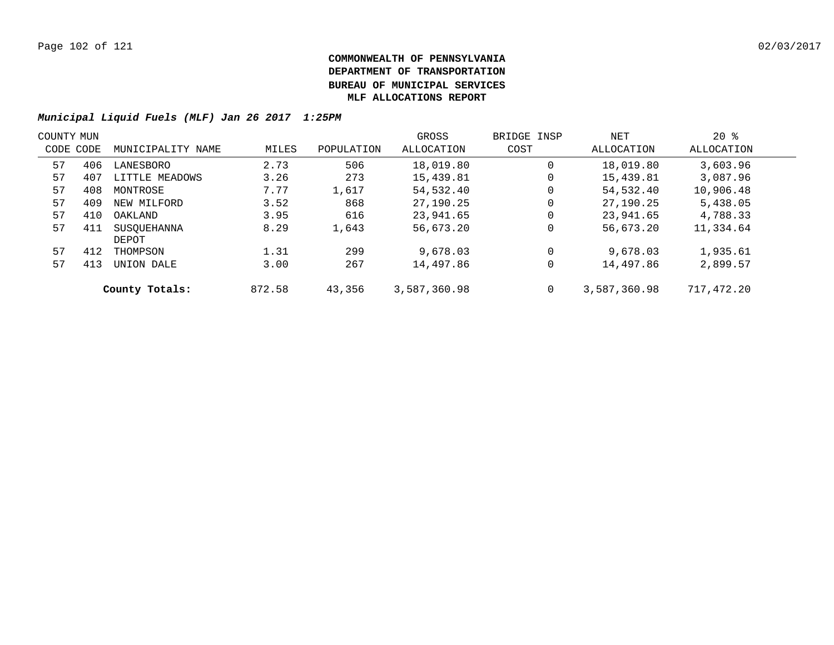| COUNTY MUN |     |                   |        |            | GROSS        | BRIDGE INSP | NET          | $20*$      |  |
|------------|-----|-------------------|--------|------------|--------------|-------------|--------------|------------|--|
| CODE CODE  |     | MUNICIPALITY NAME | MILES  | POPULATION | ALLOCATION   | COST        | ALLOCATION   | ALLOCATION |  |
| 57         | 406 | LANESBORO         | 2.73   | 506        | 18,019.80    | $\mathbf 0$ | 18,019.80    | 3,603.96   |  |
| 57         | 407 | LITTLE MEADOWS    | 3.26   | 273        | 15,439.81    | 0           | 15,439.81    | 3,087.96   |  |
| 57         | 408 | MONTROSE          | 7.77   | 1,617      | 54,532.40    | 0           | 54,532.40    | 10,906.48  |  |
| 57         | 409 | NEW MILFORD       | 3.52   | 868        | 27,190.25    | 0           | 27,190.25    | 5,438.05   |  |
| 57         | 410 | OAKLAND           | 3.95   | 616        | 23,941.65    | 0           | 23,941.65    | 4,788.33   |  |
| 57         | 411 | SUSOUEHANNA       | 8.29   | 1,643      | 56,673.20    | 0           | 56,673.20    | 11,334.64  |  |
|            |     | DEPOT             |        |            |              |             |              |            |  |
| 57         | 412 | THOMPSON          | 1.31   | 299        | 9,678.03     | $\mathbf 0$ | 9,678.03     | 1,935.61   |  |
| 57         | 413 | UNION DALE        | 3.00   | 267        | 14,497.86    | 0           | 14,497.86    | 2,899.57   |  |
|            |     | County Totals:    | 872.58 | 43,356     | 3,587,360.98 | 0           | 3,587,360.98 | 717,472.20 |  |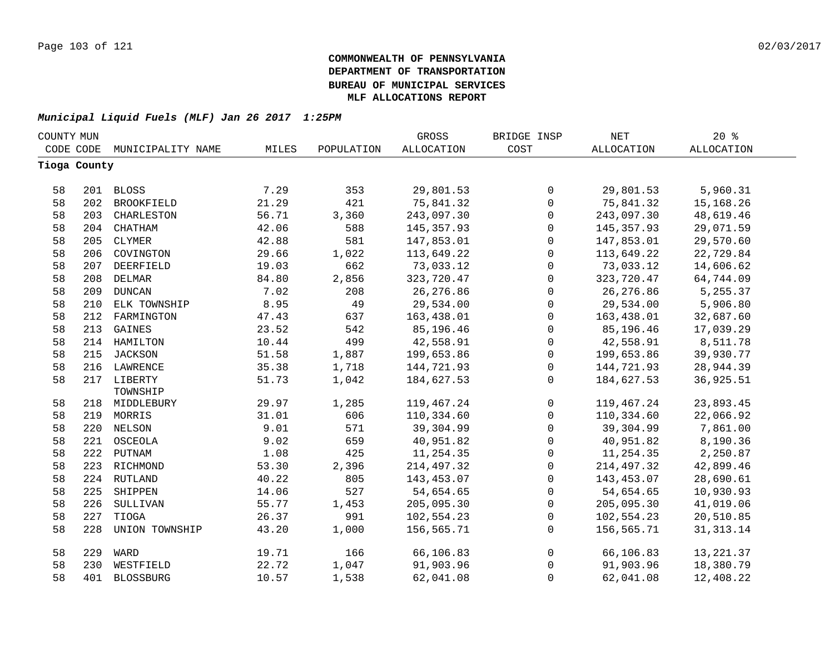| COUNTY MUN |              |                   |       |            | GROSS             | BRIDGE INSP    | NET         | 20%        |  |
|------------|--------------|-------------------|-------|------------|-------------------|----------------|-------------|------------|--|
|            | CODE CODE    | MUNICIPALITY NAME | MILES | POPULATION | <b>ALLOCATION</b> | COST           | ALLOCATION  | ALLOCATION |  |
|            | Tioga County |                   |       |            |                   |                |             |            |  |
|            |              |                   |       |            |                   |                |             |            |  |
| 58         |              | 201 BLOSS         | 7.29  | 353        | 29,801.53         | 0              | 29,801.53   | 5,960.31   |  |
| 58         | 202          | <b>BROOKFIELD</b> | 21.29 | 421        | 75,841.32         | $\mathsf{O}$   | 75,841.32   | 15,168.26  |  |
| 58         | 203          | CHARLESTON        | 56.71 | 3,360      | 243,097.30        | $\mathsf{O}$   | 243,097.30  | 48,619.46  |  |
| 58         | 204          | CHATHAM           | 42.06 | 588        | 145, 357.93       | $\mathsf{O}$   | 145, 357.93 | 29,071.59  |  |
| 58         | 205          | CLYMER            | 42.88 | 581        | 147,853.01        | 0              | 147,853.01  | 29,570.60  |  |
| 58         | 206          | COVINGTON         | 29.66 | 1,022      | 113,649.22        | $\mathsf{O}$   | 113,649.22  | 22,729.84  |  |
| 58         | 207          | DEERFIELD         | 19.03 | 662        | 73,033.12         | $\mathsf{O}$   | 73,033.12   | 14,606.62  |  |
| 58         | 208          | DELMAR            | 84.80 | 2,856      | 323,720.47        | $\mathsf{O}$   | 323,720.47  | 64,744.09  |  |
| 58         | 209          | <b>DUNCAN</b>     | 7.02  | 208        | 26, 276.86        | $\mathsf{O}$   | 26, 276.86  | 5,255.37   |  |
| 58         | 210          | ELK TOWNSHIP      | 8.95  | 49         | 29,534.00         | $\mathsf{O}$   | 29,534.00   | 5,906.80   |  |
| 58         | 212          | FARMINGTON        | 47.43 | 637        | 163,438.01        | $\mathsf 0$    | 163,438.01  | 32,687.60  |  |
| 58         | 213          | GAINES            | 23.52 | 542        | 85,196.46         | $\mathsf 0$    | 85,196.46   | 17,039.29  |  |
| 58         |              | 214 HAMILTON      | 10.44 | 499        | 42,558.91         | $\mathsf{O}$   | 42,558.91   | 8,511.78   |  |
| 58         |              | 215 JACKSON       | 51.58 | 1,887      | 199,653.86        | $\mathsf{O}$   | 199,653.86  | 39,930.77  |  |
| 58         |              | 216 LAWRENCE      | 35.38 | 1,718      | 144,721.93        | $\mathsf{O}$   | 144,721.93  | 28,944.39  |  |
| 58         |              | 217 LIBERTY       | 51.73 | 1,042      | 184,627.53        | $\overline{0}$ | 184,627.53  | 36,925.51  |  |
|            |              | TOWNSHIP          |       |            |                   |                |             |            |  |
| 58         |              | 218 MIDDLEBURY    | 29.97 | 1,285      | 119,467.24        | $\mathsf{O}$   | 119,467.24  | 23,893.45  |  |
| 58         |              | 219 MORRIS        | 31.01 | 606        | 110,334.60        | $\mathsf{O}$   | 110,334.60  | 22,066.92  |  |
| 58         |              | 220 NELSON        | 9.01  | 571        | 39,304.99         | $\mathsf{O}$   | 39,304.99   | 7,861.00   |  |
| 58         |              | 221 OSCEOLA       | 9.02  | 659        | 40,951.82         | $\mathsf{O}$   | 40,951.82   | 8,190.36   |  |
| 58         |              | 222 PUTNAM        | 1.08  | 425        | 11,254.35         | $\mathsf{O}$   | 11,254.35   | 2,250.87   |  |
| 58         |              | 223 RICHMOND      | 53.30 | 2,396      | 214,497.32        | $\mathsf{O}$   | 214,497.32  | 42,899.46  |  |
| 58         |              | 224 RUTLAND       | 40.22 | 805        | 143,453.07        | $\mathsf{O}$   | 143,453.07  | 28,690.61  |  |
| 58         | 225          | SHIPPEN           | 14.06 | 527        | 54,654.65         | $\mathsf{O}$   | 54,654.65   | 10,930.93  |  |
| 58         | 226          | SULLIVAN          | 55.77 | 1,453      | 205,095.30        | $\mathsf{O}$   | 205,095.30  | 41,019.06  |  |
| 58         | 227          | TIOGA             | 26.37 | 991        | 102,554.23        | 0              | 102,554.23  | 20,510.85  |  |
| 58         | 228          | UNION TOWNSHIP    | 43.20 | 1,000      | 156,565.71        | 0              | 156,565.71  | 31, 313.14 |  |
| 58         | 229          | WARD              | 19.71 | 166        | 66,106.83         | $\overline{0}$ | 66,106.83   | 13, 221.37 |  |
| 58         | 230          | WESTFIELD         | 22.72 | 1,047      | 91,903.96         | 0              | 91,903.96   | 18,380.79  |  |
| 58         | 401          | <b>BLOSSBURG</b>  | 10.57 | 1,538      | 62,041.08         | 0              | 62,041.08   | 12,408.22  |  |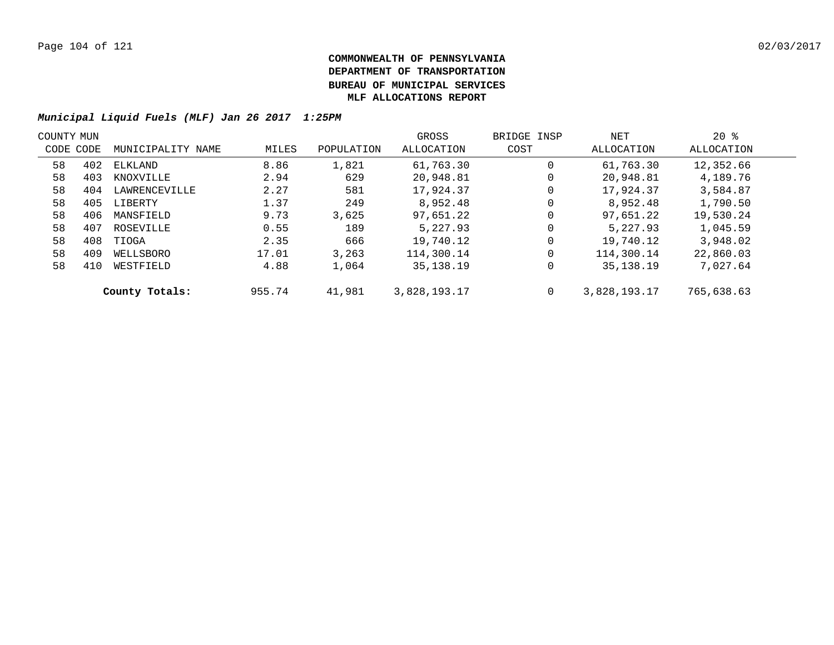| COUNTY MUN |     |                   |        |            | GROSS        | BRIDGE INSP | NET          | $20*$      |  |
|------------|-----|-------------------|--------|------------|--------------|-------------|--------------|------------|--|
| CODE CODE  |     | MUNICIPALITY NAME | MILES  | POPULATION | ALLOCATION   | COST        | ALLOCATION   | ALLOCATION |  |
| 58         | 402 | ELKLAND           | 8.86   | 1,821      | 61,763.30    | $\mathbf 0$ | 61,763.30    | 12,352.66  |  |
| 58         | 403 | KNOXVILLE         | 2.94   | 629        | 20,948.81    | 0           | 20,948.81    | 4,189.76   |  |
| 58         | 404 | LAWRENCEVILLE     | 2.27   | 581        | 17,924.37    | 0           | 17,924.37    | 3,584.87   |  |
| 58         | 405 | LIBERTY           | 1.37   | 249        | 8,952.48     | $\mathbf 0$ | 8,952.48     | 1,790.50   |  |
| 58         | 406 | MANSFIELD         | 9.73   | 3.625      | 97,651.22    | $\mathbf 0$ | 97,651.22    | 19,530.24  |  |
| 58         | 407 | ROSEVILLE         | 0.55   | 189        | 5,227.93     | $\mathbf 0$ | 5,227.93     | 1,045.59   |  |
| 58         | 408 | TIOGA             | 2.35   | 666        | 19,740.12    | $\mathbf 0$ | 19,740.12    | 3,948.02   |  |
| 58         | 409 | WELLSBORO         | 17.01  | 3,263      | 114,300.14   | $\mathbf 0$ | 114,300.14   | 22,860.03  |  |
| 58         | 410 | WESTFIELD         | 4.88   | 1,064      | 35, 138. 19  | 0           | 35, 138. 19  | 7,027.64   |  |
|            |     | County Totals:    | 955.74 | 41,981     | 3,828,193.17 | $\mathbf 0$ | 3,828,193.17 | 765,638.63 |  |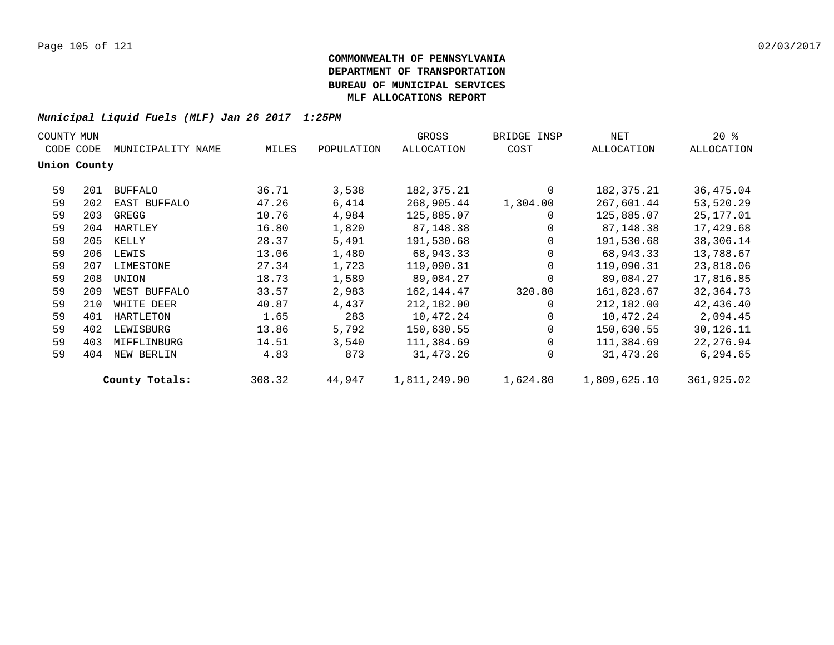| $20*$<br>GROSS<br>NET<br>COUNTY MUN<br>BRIDGE INSP |              |                   |        |            |              |                |              |            |  |
|----------------------------------------------------|--------------|-------------------|--------|------------|--------------|----------------|--------------|------------|--|
|                                                    | CODE CODE    | MUNICIPALITY NAME | MILES  | POPULATION | ALLOCATION   | COST           | ALLOCATION   | ALLOCATION |  |
|                                                    | Union County |                   |        |            |              |                |              |            |  |
| 59                                                 | 201          | <b>BUFFALO</b>    | 36.71  | 3,538      | 182,375.21   | $\Omega$       | 182,375.21   | 36,475.04  |  |
| 59                                                 | 202          | EAST BUFFALO      | 47.26  | 6,414      | 268,905.44   | 1,304.00       | 267,601.44   | 53,520.29  |  |
| 59                                                 | 203          | GREGG             | 10.76  | 4,984      | 125,885.07   | $\overline{0}$ | 125,885.07   | 25,177.01  |  |
| 59                                                 | 204          | HARTLEY           | 16.80  | 1,820      | 87,148.38    | $\overline{0}$ | 87,148.38    | 17,429.68  |  |
| 59                                                 | 205          | KELLY             | 28.37  | 5,491      | 191,530.68   | $\mathbf{0}$   | 191,530.68   | 38,306.14  |  |
| 59                                                 | 206          | LEWIS             | 13.06  | 1,480      | 68,943.33    | $\mathbf{0}$   | 68,943.33    | 13,788.67  |  |
| 59                                                 | 207          | LIMESTONE         | 27.34  | 1,723      | 119,090.31   | $\Omega$       | 119,090.31   | 23,818.06  |  |
| 59                                                 | 208          | UNION             | 18.73  | 1,589      | 89,084.27    | $\Omega$       | 89,084.27    | 17,816.85  |  |
| 59                                                 | 209          | WEST BUFFALO      | 33.57  | 2,983      | 162,144.47   | 320.80         | 161,823.67   | 32,364.73  |  |
| 59                                                 | 210          | WHITE DEER        | 40.87  | 4,437      | 212,182.00   | $\Omega$       | 212,182.00   | 42,436.40  |  |
| 59                                                 | 401          | HARTLETON         | 1.65   | 283        | 10,472.24    | $\Omega$       | 10,472.24    | 2,094.45   |  |
| 59                                                 | 402          | LEWISBURG         | 13.86  | 5,792      | 150,630.55   | $\overline{0}$ | 150,630.55   | 30,126.11  |  |
| 59                                                 | 403          | MIFFLINBURG       | 14.51  | 3,540      | 111,384.69   | $\Omega$       | 111,384.69   | 22, 276.94 |  |
| 59                                                 | 404          | NEW BERLIN        | 4.83   | 873        | 31,473.26    | $\Omega$       | 31,473.26    | 6,294.65   |  |
|                                                    |              | County Totals:    | 308.32 | 44,947     | 1,811,249.90 | 1,624.80       | 1,809,625.10 | 361,925.02 |  |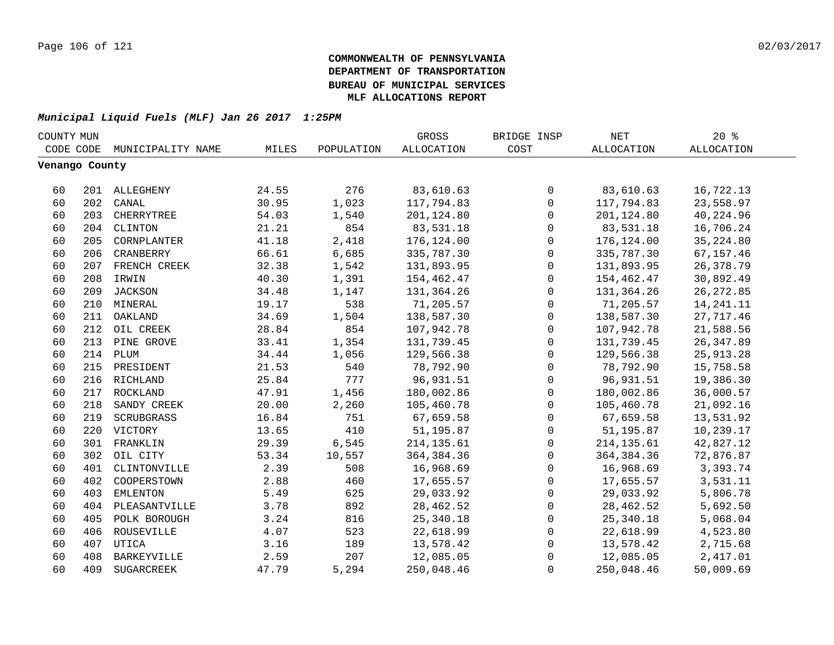| COUNTY MUN     |     |                   |       |            | GROSS             | BRIDGE INSP  | NET         | $20*$             |  |
|----------------|-----|-------------------|-------|------------|-------------------|--------------|-------------|-------------------|--|
| CODE CODE      |     | MUNICIPALITY NAME | MILES | POPULATION | <b>ALLOCATION</b> | COST         | ALLOCATION  | <b>ALLOCATION</b> |  |
| Venango County |     |                   |       |            |                   |              |             |                   |  |
|                |     |                   |       |            |                   |              |             |                   |  |
| 60             |     | 201 ALLEGHENY     | 24.55 | 276        | 83,610.63         | 0            | 83,610.63   | 16,722.13         |  |
| 60             | 202 | CANAL             | 30.95 | 1,023      | 117,794.83        | $\mathbf 0$  | 117,794.83  | 23,558.97         |  |
| 60             | 203 | CHERRYTREE        | 54.03 | 1,540      | 201,124.80        | $\mathbf 0$  | 201,124.80  | 40,224.96         |  |
| 60             | 204 | CLINTON           | 21.21 | 854        | 83,531.18         | $\mathbf 0$  | 83,531.18   | 16,706.24         |  |
| 60             | 205 | CORNPLANTER       | 41.18 | 2,418      | 176,124.00        | 0            | 176,124.00  | 35, 224.80        |  |
| 60             | 206 | CRANBERRY         | 66.61 | 6,685      | 335,787.30        | 0            | 335,787.30  | 67,157.46         |  |
| 60             |     | 207 FRENCH CREEK  | 32.38 | 1,542      | 131,893.95        | 0            | 131,893.95  | 26,378.79         |  |
| 60             | 208 | IRWIN             | 40.30 | 1,391      | 154,462.47        | 0            | 154,462.47  | 30,892.49         |  |
| 60             |     | 209 JACKSON       | 34.48 | 1,147      | 131,364.26        | 0            | 131,364.26  | 26, 272.85        |  |
| 60             |     | 210 MINERAL       | 19.17 | 538        | 71,205.57         | $\mathbf 0$  | 71,205.57   | 14, 241. 11       |  |
| 60             | 211 | OAKLAND           | 34.69 | 1,504      | 138,587.30        | $\mathbf 0$  | 138,587.30  | 27,717.46         |  |
| 60             | 212 | OIL CREEK         | 28.84 | 854        | 107,942.78        | $\mathbf 0$  | 107,942.78  | 21,588.56         |  |
| 60             | 213 | PINE GROVE        | 33.41 | 1,354      | 131,739.45        | $\mathbf 0$  | 131,739.45  | 26, 347.89        |  |
| 60             | 214 | PLUM              | 34.44 | 1,056      | 129,566.38        | $\mathbf 0$  | 129,566.38  | 25, 913. 28       |  |
| 60             | 215 | PRESIDENT         | 21.53 | 540        | 78,792.90         | $\mathbf{0}$ | 78,792.90   | 15,758.58         |  |
| 60             |     | 216 RICHLAND      | 25.84 | 777        | 96,931.51         | $\mathsf 0$  | 96,931.51   | 19,386.30         |  |
| 60             | 217 | ROCKLAND          | 47.91 | 1,456      | 180,002.86        | $\mathsf{O}$ | 180,002.86  | 36,000.57         |  |
| 60             | 218 | SANDY CREEK       | 20.00 | 2,260      | 105,460.78        | $\mathbf 0$  | 105,460.78  | 21,092.16         |  |
| 60             | 219 | SCRUBGRASS        | 16.84 | 751        | 67,659.58         | $\mathbf 0$  | 67,659.58   | 13,531.92         |  |
| 60             | 220 | VICTORY           | 13.65 | 410        | 51,195.87         | $\mathbf 0$  | 51,195.87   | 10,239.17         |  |
| 60             | 301 | FRANKLIN          | 29.39 | 6,545      | 214, 135.61       | 0            | 214, 135.61 | 42,827.12         |  |
| 60             | 302 | OIL CITY          | 53.34 | 10,557     | 364, 384. 36      | $\mathbf 0$  | 364,384.36  | 72,876.87         |  |
| 60             | 401 | CLINTONVILLE      | 2.39  | 508        | 16,968.69         | 0            | 16,968.69   | 3,393.74          |  |
| 60             | 402 | COOPERSTOWN       | 2.88  | 460        | 17,655.57         | 0            | 17,655.57   | 3,531.11          |  |
| 60             | 403 | EMLENTON          | 5.49  | 625        | 29,033.92         | 0            | 29,033.92   | 5,806.78          |  |
| 60             | 404 | PLEASANTVILLE     | 3.78  | 892        | 28, 462.52        | $\mathbf 0$  | 28,462.52   | 5,692.50          |  |
| 60             | 405 | POLK BOROUGH      | 3.24  | 816        | 25, 340.18        | $\mathbf 0$  | 25,340.18   | 5,068.04          |  |
| 60             | 406 | ROUSEVILLE        | 4.07  | 523        | 22,618.99         | $\mathbf 0$  | 22,618.99   | 4,523.80          |  |
| 60             | 407 | UTICA             | 3.16  | 189        | 13,578.42         | 0            | 13,578.42   | 2,715.68          |  |
| 60             | 408 | BARKEYVILLE       | 2.59  | 207        | 12,085.05         | $\mathbf 0$  | 12,085.05   | 2,417.01          |  |
| 60             | 409 | SUGARCREEK        | 47.79 | 5,294      | 250,048.46        | $\mathbf 0$  | 250,048.46  | 50,009.69         |  |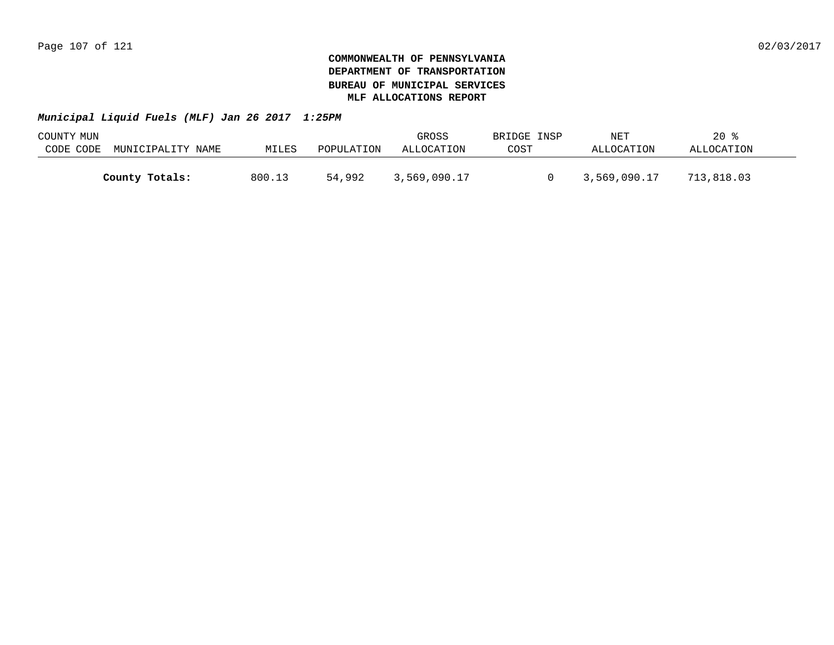| COUNTY MUN |                   |        |            | GROSS        | BRIDGE INSP | NET          | $20*$      |  |
|------------|-------------------|--------|------------|--------------|-------------|--------------|------------|--|
| CODE CODE  | MUNICIPALITY NAME | MILES  | POPULATION | ALLOCATION   | COST        | ALLOCATION   | ALLOCATION |  |
|            |                   |        |            |              |             |              |            |  |
|            | County Totals:    | 800.13 | 54,992     | 3,569,090.17 |             | 3,569,090.17 | 713,818.03 |  |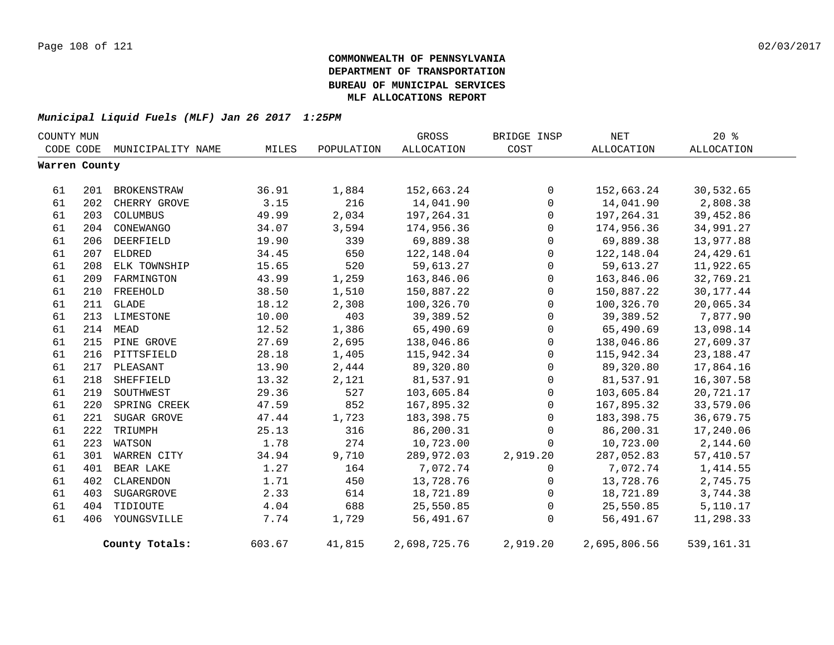| COUNTY MUN    |     |                             |        |            | GROSS        | BRIDGE INSP  | <b>NET</b>   | $20*$        |
|---------------|-----|-----------------------------|--------|------------|--------------|--------------|--------------|--------------|
|               |     | CODE CODE MUNICIPALITY NAME | MILES  | POPULATION | ALLOCATION   | COST         | ALLOCATION   | ALLOCATION   |
| Warren County |     |                             |        |            |              |              |              |              |
| 61            | 201 | BROKENSTRAW                 | 36.91  | 1,884      | 152,663.24   | $\mathbf 0$  | 152,663.24   | 30,532.65    |
| 61            | 202 | CHERRY GROVE                | 3.15   | 216        | 14,041.90    | $\mathbf 0$  | 14,041.90    | 2,808.38     |
| 61            | 203 | COLUMBUS                    | 49.99  | 2,034      | 197,264.31   | $\Omega$     | 197,264.31   | 39,452.86    |
| 61            | 204 | CONEWANGO                   | 34.07  | 3,594      | 174,956.36   | $\mathbf 0$  | 174,956.36   | 34,991.27    |
| 61            | 206 | DEERFIELD                   | 19.90  | 339        | 69,889.38    | 0            | 69,889.38    | 13,977.88    |
| 61            | 207 | ELDRED                      | 34.45  | 650        | 122,148.04   | 0            | 122,148.04   | 24,429.61    |
| 61            | 208 | ELK TOWNSHIP                | 15.65  | 520        | 59,613.27    | 0            | 59,613.27    | 11,922.65    |
| 61            | 209 | FARMINGTON                  | 43.99  | 1,259      | 163,846.06   | $\mathbf 0$  | 163,846.06   | 32,769.21    |
| 61            | 210 | FREEHOLD                    | 38.50  | 1,510      | 150,887.22   | 0            | 150,887.22   | 30, 177. 44  |
| 61            |     | 211 GLADE                   | 18.12  | 2,308      | 100,326.70   | $\mathsf{O}$ | 100,326.70   | 20,065.34    |
| 61            |     | 213 LIMESTONE               | 10.00  | 403        | 39,389.52    | 0            | 39,389.52    | 7,877.90     |
| 61            |     | 214 MEAD                    | 12.52  | 1,386      | 65,490.69    | 0            | 65,490.69    | 13,098.14    |
| 61            |     | 215 PINE GROVE              | 27.69  | 2,695      | 138,046.86   | 0            | 138,046.86   | 27,609.37    |
| 61            |     | 216 PITTSFIELD              | 28.18  | 1,405      | 115,942.34   | $\mathsf{O}$ | 115,942.34   | 23, 188. 47  |
| 61            |     | 217 PLEASANT                | 13.90  | 2,444      | 89,320.80    | 0            | 89,320.80    | 17,864.16    |
| 61            | 218 | SHEFFIELD                   | 13.32  | 2,121      | 81,537.91    | $\mathbf 0$  | 81,537.91    | 16,307.58    |
| 61            | 219 | SOUTHWEST                   | 29.36  | 527        | 103,605.84   | $\mathsf{O}$ | 103,605.84   | 20,721.17    |
| 61            | 220 | SPRING CREEK                | 47.59  | 852        | 167,895.32   | $\mathsf{O}$ | 167,895.32   | 33,579.06    |
| 61            | 221 | SUGAR GROVE                 | 47.44  | 1,723      | 183, 398. 75 | $\Omega$     | 183,398.75   | 36,679.75    |
| 61            | 222 | TRIUMPH                     | 25.13  | 316        | 86,200.31    | $\mathbf 0$  | 86,200.31    | 17,240.06    |
| 61            | 223 | WATSON                      | 1.78   | 274        | 10,723.00    | $\Omega$     | 10,723.00    | 2,144.60     |
| 61            | 301 | WARREN CITY                 | 34.94  | 9,710      | 289,972.03   | 2,919.20     | 287,052.83   | 57,410.57    |
| 61            | 401 | BEAR LAKE                   | 1.27   | 164        | 7,072.74     | $\Omega$     | 7,072.74     | 1,414.55     |
| 61            | 402 | CLARENDON                   | 1.71   | 450        | 13,728.76    | $\mathbf 0$  | 13,728.76    | 2,745.75     |
| 61            | 403 | SUGARGROVE                  | 2.33   | 614        | 18,721.89    | 0            | 18,721.89    | 3,744.38     |
| 61            | 404 | TIDIOUTE                    | 4.04   | 688        | 25,550.85    | 0            | 25,550.85    | 5,110.17     |
| 61            | 406 | YOUNGSVILLE                 | 7.74   | 1,729      | 56,491.67    | $\mathbf 0$  | 56,491.67    | 11,298.33    |
|               |     | County Totals:              | 603.67 | 41,815     | 2,698,725.76 | 2,919.20     | 2,695,806.56 | 539, 161. 31 |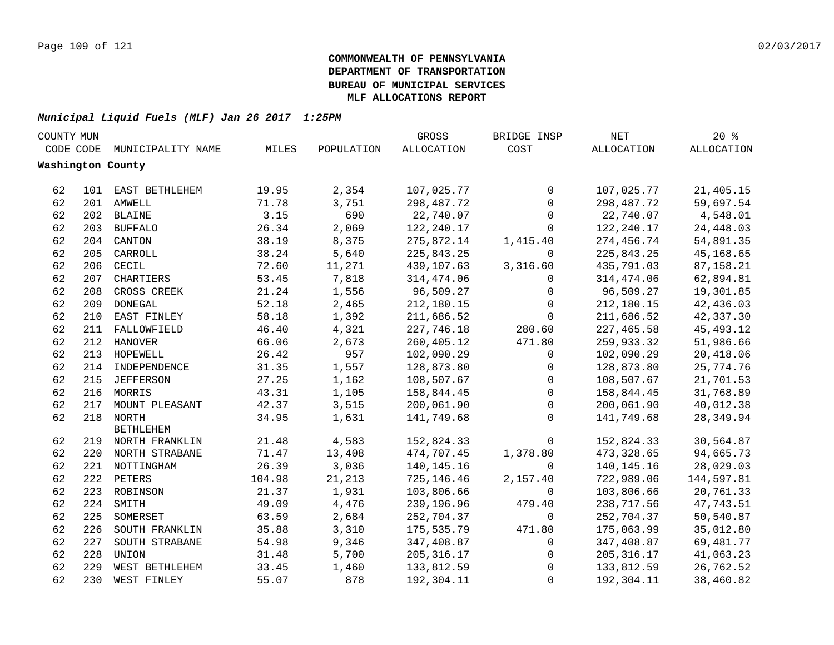| COUNTY MUN |     |                    |        |            | GROSS             | BRIDGE INSP  | <b>NET</b>        | 20%               |  |
|------------|-----|--------------------|--------|------------|-------------------|--------------|-------------------|-------------------|--|
| CODE CODE  |     | MUNICIPALITY NAME  | MILES  | POPULATION | <b>ALLOCATION</b> | COST         | <b>ALLOCATION</b> | <b>ALLOCATION</b> |  |
|            |     | Washington County  |        |            |                   |              |                   |                   |  |
|            |     |                    |        |            |                   |              |                   |                   |  |
| 62         |     | 101 EAST BETHLEHEM | 19.95  | 2,354      | 107,025.77        | $\mathbf 0$  | 107,025.77        | 21,405.15         |  |
| 62         |     | 201 AMWELL         | 71.78  | 3,751      | 298,487.72        | $\mathbf 0$  | 298,487.72        | 59,697.54         |  |
| 62         |     | 202 BLAINE         | 3.15   | 690        | 22,740.07         | $\mathbf 0$  | 22,740.07         | 4,548.01          |  |
| 62         | 203 | <b>BUFFALO</b>     | 26.34  | 2,069      | 122,240.17        | $\mathbf 0$  | 122,240.17        | 24,448.03         |  |
| 62         | 204 | CANTON             | 38.19  | 8,375      | 275,872.14        | 1,415.40     | 274,456.74        | 54,891.35         |  |
| 62         | 205 | CARROLL            | 38.24  | 5,640      | 225,843.25        | $\Omega$     | 225,843.25        | 45,168.65         |  |
| 62         | 206 | CECIL              | 72.60  | 11,271     | 439,107.63        | 3,316.60     | 435,791.03        | 87, 158. 21       |  |
| 62         | 207 | CHARTIERS          | 53.45  | 7,818      | 314,474.06        | 0            | 314,474.06        | 62,894.81         |  |
| 62         | 208 | CROSS CREEK        | 21.24  | 1,556      | 96,509.27         | $\mathbf 0$  | 96,509.27         | 19,301.85         |  |
| 62         | 209 | <b>DONEGAL</b>     | 52.18  | 2,465      | 212,180.15        | 0            | 212,180.15        | 42,436.03         |  |
| 62         | 210 | EAST FINLEY        | 58.18  | 1,392      | 211,686.52        | $\mathbf 0$  | 211,686.52        | 42,337.30         |  |
| 62         |     | 211 FALLOWFIELD    | 46.40  | 4,321      | 227,746.18        | 280.60       | 227,465.58        | 45, 493. 12       |  |
| 62         |     | 212 HANOVER        | 66.06  | 2,673      | 260,405.12        | 471.80       | 259,933.32        | 51,986.66         |  |
| 62         |     | 213 HOPEWELL       | 26.42  | 957        | 102,090.29        | 0            | 102,090.29        | 20,418.06         |  |
| 62         |     | 214 INDEPENDENCE   | 31.35  | 1,557      | 128,873.80        | 0            | 128,873.80        | 25,774.76         |  |
| 62         | 215 | <b>JEFFERSON</b>   | 27.25  | 1,162      | 108,507.67        | 0            | 108,507.67        | 21,701.53         |  |
| 62         |     | 216 MORRIS         | 43.31  | 1,105      | 158,844.45        | $\mathbf 0$  | 158,844.45        | 31,768.89         |  |
| 62         | 217 | MOUNT PLEASANT     | 42.37  | 3,515      | 200,061.90        | $\Omega$     | 200,061.90        | 40,012.38         |  |
| 62         |     | 218 NORTH          | 34.95  | 1,631      | 141,749.68        | $\Omega$     | 141,749.68        | 28, 349.94        |  |
|            |     | <b>BETHLEHEM</b>   |        |            |                   |              |                   |                   |  |
| 62         |     | 219 NORTH FRANKLIN | 21.48  | 4,583      | 152,824.33        | 0            | 152,824.33        | 30,564.87         |  |
| 62         |     | 220 NORTH STRABANE | 71.47  | 13,408     | 474,707.45        | 1,378.80     | 473, 328.65       | 94,665.73         |  |
| 62         |     | 221 NOTTINGHAM     | 26.39  | 3,036      | 140, 145. 16      | $\mathbf 0$  | 140, 145. 16      | 28,029.03         |  |
| 62         |     | 222 PETERS         | 104.98 | 21,213     | 725,146.46        | 2,157.40     | 722,989.06        | 144,597.81        |  |
| 62         |     | 223 ROBINSON       | 21.37  | 1,931      | 103,806.66        | $\Omega$     | 103,806.66        | 20,761.33         |  |
| 62         | 224 | SMITH              | 49.09  | 4,476      | 239,196.96        | 479.40       | 238,717.56        | 47,743.51         |  |
| 62         | 225 | SOMERSET           | 63.59  | 2,684      | 252,704.37        | $\mathbf 0$  | 252,704.37        | 50,540.87         |  |
| 62         | 226 | SOUTH FRANKLIN     | 35.88  | 3,310      | 175,535.79        | 471.80       | 175,063.99        | 35,012.80         |  |
| 62         | 227 | SOUTH STRABANE     | 54.98  | 9,346      | 347,408.87        | $\mathbf 0$  | 347,408.87        | 69,481.77         |  |
| 62         | 228 | UNION              | 31.48  | 5,700      | 205, 316.17       | 0            | 205, 316.17       | 41,063.23         |  |
| 62         | 229 | WEST BETHLEHEM     | 33.45  | 1,460      | 133,812.59        | $\mathbf 0$  | 133,812.59        | 26,762.52         |  |
| 62         | 230 | WEST FINLEY        | 55.07  | 878        | 192,304.11        | $\mathbf{0}$ | 192,304.11        | 38,460.82         |  |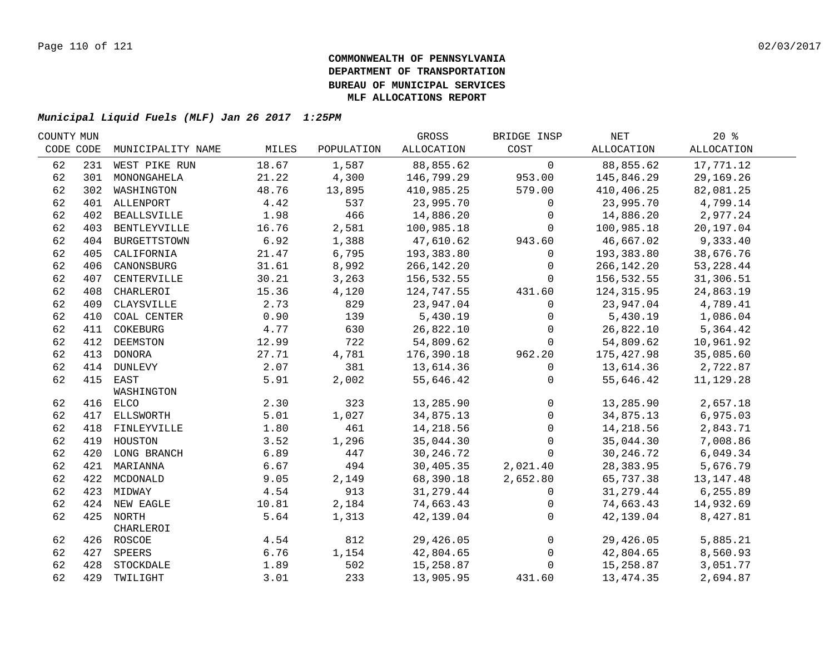| COUNTY MUN |                   |                                                                                                                                                                                                                                                                                                                                                                       |              |            | BRIDGE INSP    | NET        | $20*$       |
|------------|-------------------|-----------------------------------------------------------------------------------------------------------------------------------------------------------------------------------------------------------------------------------------------------------------------------------------------------------------------------------------------------------------------|--------------|------------|----------------|------------|-------------|
| CODE CODE  | MUNICIPALITY NAME | MILES                                                                                                                                                                                                                                                                                                                                                                 | POPULATION   | ALLOCATION | COST           | ALLOCATION | ALLOCATION  |
|            |                   | 18.67                                                                                                                                                                                                                                                                                                                                                                 | 1,587        | 88,855.62  | $\mathsf{O}$   | 88,855.62  | 17,771.12   |
|            | MONONGAHELA       | 21.22                                                                                                                                                                                                                                                                                                                                                                 | 4,300        | 146,799.29 | 953.00         | 145,846.29 | 29,169.26   |
|            | WASHINGTON        | 48.76                                                                                                                                                                                                                                                                                                                                                                 | 13,895       | 410,985.25 | 579.00         | 410,406.25 | 82,081.25   |
|            |                   | 4.42                                                                                                                                                                                                                                                                                                                                                                  | 537          | 23,995.70  | $\mathbf 0$    | 23,995.70  | 4,799.14    |
|            |                   | 1.98                                                                                                                                                                                                                                                                                                                                                                  | 466          | 14,886.20  | $\mathbf 0$    | 14,886.20  | 2,977.24    |
|            |                   | 16.76                                                                                                                                                                                                                                                                                                                                                                 | 2,581        | 100,985.18 | $\mathbf 0$    | 100,985.18 | 20,197.04   |
|            |                   | 6.92                                                                                                                                                                                                                                                                                                                                                                  | 1,388        | 47,610.62  | 943.60         | 46,667.02  | 9,333.40    |
| 405        | CALIFORNIA        | 21.47                                                                                                                                                                                                                                                                                                                                                                 | 6,795        | 193,383.80 | 0              | 193,383.80 | 38,676.76   |
| 406        | CANONSBURG        | 31.61                                                                                                                                                                                                                                                                                                                                                                 | 8,992        | 266,142.20 | $\mathbf 0$    | 266,142.20 | 53, 228.44  |
| 407        | CENTERVILLE       | 30.21                                                                                                                                                                                                                                                                                                                                                                 | 3,263        | 156,532.55 | $\Omega$       | 156,532.55 | 31,306.51   |
| 408        | CHARLEROI         | 15.36                                                                                                                                                                                                                                                                                                                                                                 | 4,120        | 124,747.55 | 431.60         | 124,315.95 | 24,863.19   |
| 409        | CLAYSVILLE        | 2.73                                                                                                                                                                                                                                                                                                                                                                  | 829          | 23,947.04  | $\Omega$       | 23,947.04  | 4,789.41    |
| 410        | COAL CENTER       | 0.90                                                                                                                                                                                                                                                                                                                                                                  | 139          | 5,430.19   | $\mathbf 0$    | 5,430.19   | 1,086.04    |
| 411        | COKEBURG          | 4.77                                                                                                                                                                                                                                                                                                                                                                  | 630          | 26,822.10  | $\Omega$       | 26,822.10  | 5,364.42    |
|            | DEEMSTON          | 12.99                                                                                                                                                                                                                                                                                                                                                                 | 722          | 54,809.62  | $\Omega$       | 54,809.62  | 10,961.92   |
|            |                   | 27.71                                                                                                                                                                                                                                                                                                                                                                 | 4,781        | 176,390.18 | 962.20         | 175,427.98 | 35,085.60   |
|            |                   | 2.07                                                                                                                                                                                                                                                                                                                                                                  | 381          | 13,614.36  | $\mathbf 0$    | 13,614.36  | 2,722.87    |
|            |                   | 5.91                                                                                                                                                                                                                                                                                                                                                                  | 2,002        | 55,646.42  | 0              | 55,646.42  | 11,129.28   |
|            | WASHINGTON        |                                                                                                                                                                                                                                                                                                                                                                       |              |            |                |            |             |
|            |                   |                                                                                                                                                                                                                                                                                                                                                                       |              | 13,285.90  | $\mathbf 0$    | 13,285.90  | 2,657.18    |
|            |                   | 5.01                                                                                                                                                                                                                                                                                                                                                                  | 1,027        | 34,875.13  | $\mathsf{O}$   | 34,875.13  | 6,975.03    |
|            |                   |                                                                                                                                                                                                                                                                                                                                                                       |              | 14,218.56  | $\mathbf 0$    |            | 2,843.71    |
|            |                   | 3.52                                                                                                                                                                                                                                                                                                                                                                  | 1,296        | 35,044.30  | $\mathbf{0}$   | 35,044.30  | 7,008.86    |
|            |                   | 6.89                                                                                                                                                                                                                                                                                                                                                                  | 447          | 30, 246.72 | $\mathbf 0$    | 30,246.72  | 6,049.34    |
|            |                   | 6.67                                                                                                                                                                                                                                                                                                                                                                  | 494          | 30,405.35  | 2,021.40       | 28,383.95  | 5,676.79    |
|            |                   | 9.05                                                                                                                                                                                                                                                                                                                                                                  | 2,149        | 68,390.18  | 2,652.80       | 65,737.38  | 13, 147. 48 |
|            |                   | 4.54                                                                                                                                                                                                                                                                                                                                                                  | 913          | 31,279.44  | $\mathbf{0}$   | 31,279.44  | 6,255.89    |
|            |                   | 10.81                                                                                                                                                                                                                                                                                                                                                                 | 2,184        | 74,663.43  | $\mathbf 0$    | 74,663.43  | 14,932.69   |
|            |                   | 5.64                                                                                                                                                                                                                                                                                                                                                                  | 1,313        | 42,139.04  | $\mathbf 0$    | 42,139.04  | 8,427.81    |
|            | CHARLEROI         |                                                                                                                                                                                                                                                                                                                                                                       |              |            |                |            |             |
|            |                   | 4.54                                                                                                                                                                                                                                                                                                                                                                  | 812          | 29,426.05  | $\overline{0}$ | 29,426.05  | 5,885.21    |
|            | SPEERS            | 6.76                                                                                                                                                                                                                                                                                                                                                                  | 1,154        | 42,804.65  | $\overline{0}$ | 42,804.65  | 8,560.93    |
|            | STOCKDALE         | 1.89                                                                                                                                                                                                                                                                                                                                                                  | 502          | 15,258.87  | $\mathbf 0$    | 15,258.87  | 3,051.77    |
|            |                   | 3.01                                                                                                                                                                                                                                                                                                                                                                  | 233          | 13,905.95  | 431.60         | 13,474.35  | 2,694.87    |
|            |                   | 231 WEST PIKE RUN<br>301<br>302<br>401 ALLENPORT<br>402 BEALLSVILLE<br>403 BENTLEYVILLE<br>404 BURGETTSTOWN<br>412<br>413 DONORA<br>414 DUNLEVY<br>415 EAST<br>416 ELCO<br>417 ELLSWORTH<br>418 FINLEYVILLE<br>419 HOUSTON<br>420 LONG BRANCH<br>421 MARIANNA<br>422 MCDONALD<br>423 MIDWAY<br>424 NEW EAGLE<br>425 NORTH<br>426 ROSCOE<br>427<br>428<br>429 TWILIGHT | 2.30<br>1.80 | 323<br>461 | GROSS          |            | 14,218.56   |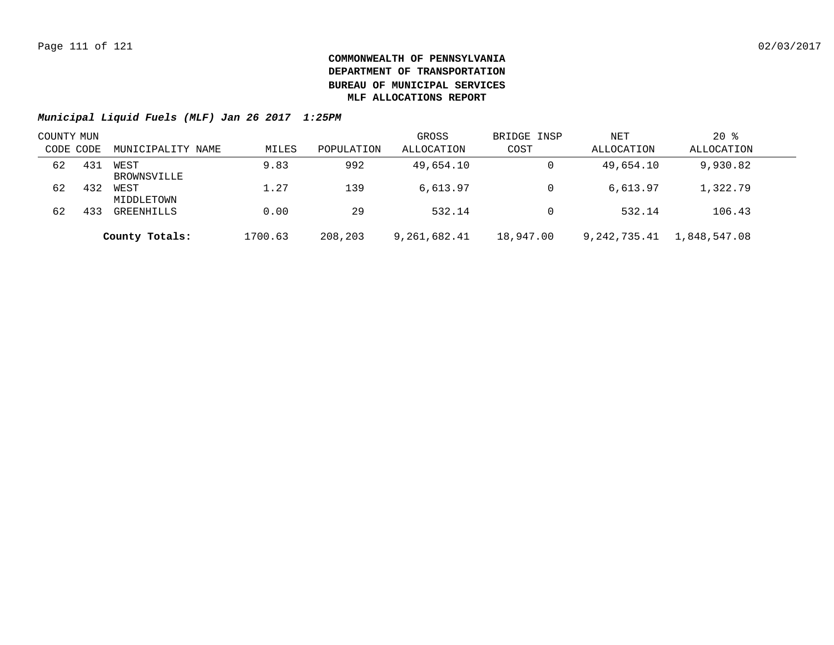| COUNTY MUN |     |                     |         |            | GROSS        | BRIDGE INSP | NET          | $20*$        |  |
|------------|-----|---------------------|---------|------------|--------------|-------------|--------------|--------------|--|
| CODE CODE  |     | MUNICIPALITY NAME   | MILES   | POPULATION | ALLOCATION   | COST        | ALLOCATION   | ALLOCATION   |  |
| 62         | 431 | WEST<br>BROWNSVILLE | 9.83    | 992        | 49,654.10    | 0           | 49,654.10    | 9,930.82     |  |
| 62         | 432 | WEST<br>MIDDLETOWN  | 1.27    | 139        | 6,613.97     | 0           | 6,613.97     | 1,322.79     |  |
| 62         | 433 | GREENHILLS          | 0.00    | 29         | 532.14       | 0           | 532.14       | 106.43       |  |
|            |     | County Totals:      | 1700.63 | 208,203    | 9,261,682.41 | 18,947.00   | 9,242,735.41 | 1,848,547.08 |  |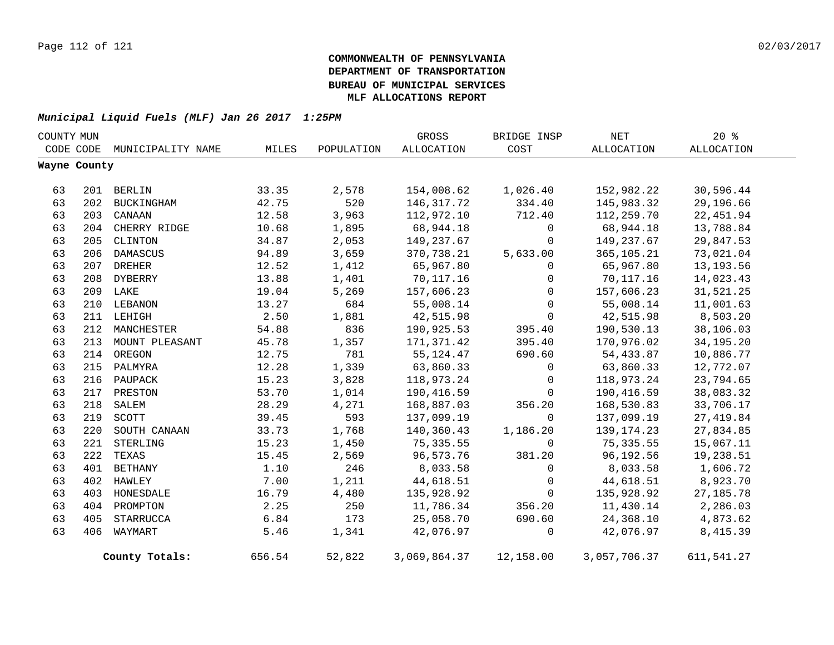| COUNTY MUN |              |                   |        |            | GROSS        | BRIDGE INSP  | NET          | $20*$       |
|------------|--------------|-------------------|--------|------------|--------------|--------------|--------------|-------------|
|            | CODE CODE    | MUNICIPALITY NAME | MILES  | POPULATION | ALLOCATION   | COST         | ALLOCATION   | ALLOCATION  |
|            | Wayne County |                   |        |            |              |              |              |             |
|            |              |                   |        |            |              |              |              |             |
| 63         |              | 201 BERLIN        | 33.35  | 2,578      | 154,008.62   | 1,026.40     | 152,982.22   | 30,596.44   |
| 63         | 202          | BUCKINGHAM        | 42.75  | 520        | 146, 317. 72 | 334.40       | 145,983.32   | 29,196.66   |
| 63         | 203          | CANAAN            | 12.58  | 3,963      | 112,972.10   | 712.40       | 112,259.70   | 22, 451.94  |
| 63         |              | 204 CHERRY RIDGE  | 10.68  | 1,895      | 68,944.18    | $\mathsf{O}$ | 68,944.18    | 13,788.84   |
| 63         | 205          | CLINTON           | 34.87  | 2,053      | 149,237.67   | $\mathsf{O}$ | 149,237.67   | 29,847.53   |
| 63         | 206          | DAMASCUS          | 94.89  | 3,659      | 370,738.21   | 5,633.00     | 365,105.21   | 73,021.04   |
| 63         | 207          | <b>DREHER</b>     | 12.52  | 1,412      | 65,967.80    | 0            | 65,967.80    | 13, 193.56  |
| 63         | 208          | DYBERRY           | 13.88  | 1,401      | 70,117.16    | 0            | 70,117.16    | 14,023.43   |
| 63         |              | 209 LAKE          | 19.04  | 5,269      | 157,606.23   | $\mathbf 0$  | 157,606.23   | 31,521.25   |
| 63         | 210          | LEBANON           | 13.27  | 684        | 55,008.14    | $\mathbf 0$  | 55,008.14    | 11,001.63   |
| 63         |              | 211 LEHIGH        | 2.50   | 1,881      | 42,515.98    | $\mathbf{0}$ | 42,515.98    | 8,503.20    |
| 63         | 212          | MANCHESTER        | 54.88  | 836        | 190,925.53   | 395.40       | 190,530.13   | 38,106.03   |
| 63         | 213          | MOUNT PLEASANT    | 45.78  | 1,357      | 171,371.42   | 395.40       | 170,976.02   | 34, 195. 20 |
| 63         |              | 214 OREGON        | 12.75  | 781        | 55, 124. 47  | 690.60       | 54,433.87    | 10,886.77   |
| 63         |              | 215 PALMYRA       | 12.28  | 1,339      | 63,860.33    | $\mathbf 0$  | 63,860.33    | 12,772.07   |
| 63         | 216          | PAUPACK           | 15.23  | 3,828      | 118,973.24   | $\mathbf 0$  | 118,973.24   | 23,794.65   |
| 63         | 217          | PRESTON           | 53.70  | 1,014      | 190,416.59   | $\Omega$     | 190,416.59   | 38,083.32   |
| 63         | 218          | SALEM             | 28.29  | 4,271      | 168,887.03   | 356.20       | 168,530.83   | 33,706.17   |
| 63         | 219          | SCOTT             | 39.45  | 593        | 137,099.19   | $\mathbf 0$  | 137,099.19   | 27, 419.84  |
| 63         | 220          | SOUTH CANAAN      | 33.73  | 1,768      | 140,360.43   | 1,186.20     | 139, 174. 23 | 27,834.85   |
| 63         | 221          | STERLING          | 15.23  | 1,450      | 75, 335.55   | $\mathbf 0$  | 75, 335.55   | 15,067.11   |
| 63         | 222          | TEXAS             | 15.45  | 2,569      | 96,573.76    | 381.20       | 96,192.56    | 19,238.51   |
| 63         | 401          | <b>BETHANY</b>    | 1.10   | 246        | 8,033.58     | $\mathbf 0$  | 8,033.58     | 1,606.72    |
| 63         | 402          | HAWLEY            | 7.00   | 1,211      | 44,618.51    | $\mathbf 0$  | 44,618.51    | 8,923.70    |
| 63         | 403          | HONESDALE         | 16.79  | 4,480      | 135,928.92   | $\mathsf{O}$ | 135,928.92   | 27, 185. 78 |
| 63         | 404          | PROMPTON          | 2.25   | 250        | 11,786.34    | 356.20       | 11,430.14    | 2,286.03    |
| 63         | 405          | STARRUCCA         | 6.84   | 173        | 25,058.70    | 690.60       | 24,368.10    | 4,873.62    |
| 63         | 406          | WAYMART           | 5.46   | 1,341      | 42,076.97    | 0            | 42,076.97    | 8,415.39    |
|            |              | County Totals:    | 656.54 | 52,822     | 3,069,864.37 | 12,158.00    | 3,057,706.37 | 611,541.27  |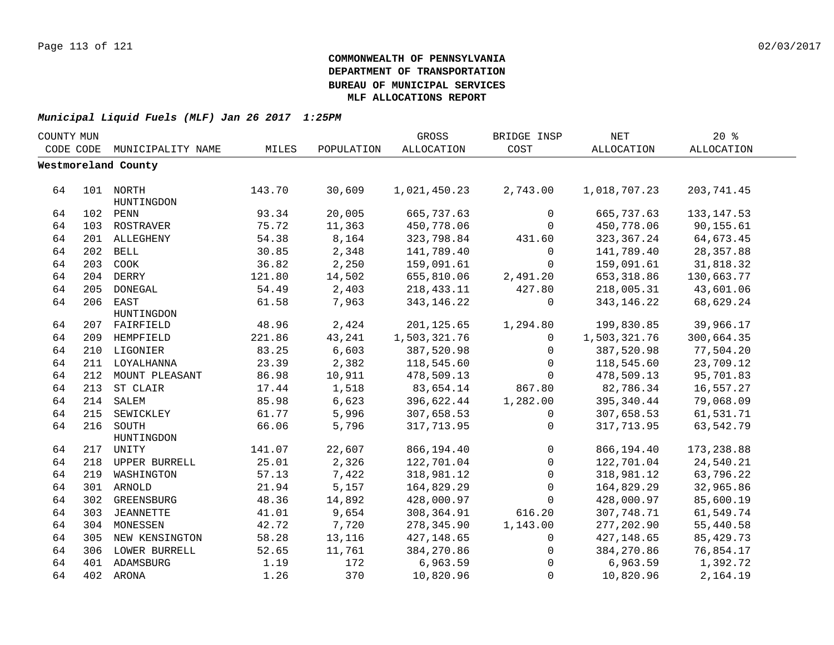| COUNTY MUN |     |                     |        |            | GROSS        | BRIDGE INSP  | NET          | 20%         |  |
|------------|-----|---------------------|--------|------------|--------------|--------------|--------------|-------------|--|
| CODE CODE  |     | MUNICIPALITY NAME   | MILES  | POPULATION | ALLOCATION   | COST         | ALLOCATION   | ALLOCATION  |  |
|            |     | Westmoreland County |        |            |              |              |              |             |  |
|            |     |                     |        |            |              |              |              |             |  |
| 64         |     | 101 NORTH           | 143.70 | 30,609     | 1,021,450.23 | 2,743.00     | 1,018,707.23 | 203,741.45  |  |
|            |     | HUNTINGDON          |        |            |              |              |              |             |  |
| 64         |     | 102 PENN            | 93.34  | 20,005     | 665,737.63   | 0            | 665,737.63   | 133, 147.53 |  |
| 64         |     | 103 ROSTRAVER       | 75.72  | 11,363     | 450,778.06   | $\mathbf 0$  | 450,778.06   | 90,155.61   |  |
| 64         |     | 201 ALLEGHENY       | 54.38  | 8,164      | 323,798.84   | 431.60       | 323, 367.24  | 64,673.45   |  |
| 64         |     | 202 BELL            | 30.85  | 2,348      | 141,789.40   | 0            | 141,789.40   | 28, 357.88  |  |
| 64         | 203 | COOK                | 36.82  | 2,250      | 159,091.61   | $\mathbf 0$  | 159,091.61   | 31,818.32   |  |
| 64         |     | 204 DERRY           | 121.80 | 14,502     | 655,810.06   | 2,491.20     | 653, 318.86  | 130,663.77  |  |
| 64         | 205 | DONEGAL             | 54.49  | 2,403      | 218, 433. 11 | 427.80       | 218,005.31   | 43,601.06   |  |
| 64         | 206 | EAST                | 61.58  | 7,963      | 343, 146. 22 | 0            | 343, 146. 22 | 68,629.24   |  |
|            |     | HUNTINGDON          |        |            |              |              |              |             |  |
| 64         |     | 207 FAIRFIELD       | 48.96  | 2,424      | 201, 125.65  | 1,294.80     | 199,830.85   | 39,966.17   |  |
| 64         | 209 | HEMPFIELD           | 221.86 | 43,241     | 1,503,321.76 | $\Omega$     | 1,503,321.76 | 300,664.35  |  |
| 64         | 210 | LIGONIER            | 83.25  | 6,603      | 387,520.98   | 0            | 387,520.98   | 77,504.20   |  |
| 64         | 211 | LOYALHANNA          | 23.39  | 2,382      | 118,545.60   | $\Omega$     | 118,545.60   | 23,709.12   |  |
| 64         | 212 | MOUNT PLEASANT      | 86.98  | 10,911     | 478,509.13   | $\Omega$     | 478,509.13   | 95,701.83   |  |
| 64         | 213 | ST CLAIR            | 17.44  | 1,518      | 83,654.14    | 867.80       | 82,786.34    | 16,557.27   |  |
| 64         |     | 214 SALEM           | 85.98  | 6,623      | 396,622.44   | 1,282.00     | 395, 340.44  | 79,068.09   |  |
| 64         |     | 215 SEWICKLEY       | 61.77  | 5,996      | 307,658.53   | 0            | 307,658.53   | 61,531.71   |  |
| 64         |     | 216 SOUTH           | 66.06  | 5,796      | 317,713.95   | $\mathbf{0}$ | 317,713.95   | 63,542.79   |  |
|            |     | HUNTINGDON          |        |            |              |              |              |             |  |
| 64         |     | 217 UNITY           | 141.07 | 22,607     | 866,194.40   | $\mathbf{0}$ | 866,194.40   | 173, 238.88 |  |
| 64         |     | 218 UPPER BURRELL   | 25.01  | 2,326      | 122,701.04   | $\mathbf 0$  | 122,701.04   | 24,540.21   |  |
| 64         | 219 | WASHINGTON          | 57.13  | 7,422      | 318,981.12   | $\mathbf 0$  | 318,981.12   | 63,796.22   |  |
| 64         |     | 301 ARNOLD          | 21.94  | 5,157      | 164,829.29   | 0            | 164,829.29   | 32,965.86   |  |
| 64         |     | 302 GREENSBURG      | 48.36  | 14,892     | 428,000.97   | $\Omega$     | 428,000.97   | 85,600.19   |  |
| 64         |     | 303 JEANNETTE       | 41.01  | 9,654      | 308,364.91   | 616.20       | 307,748.71   | 61,549.74   |  |
| 64         |     | 304 MONESSEN        | 42.72  | 7,720      | 278,345.90   | 1,143.00     | 277,202.90   | 55,440.58   |  |
| 64         | 305 | NEW KENSINGTON      | 58.28  | 13,116     | 427,148.65   | $\mathbf{0}$ | 427, 148.65  | 85, 429. 73 |  |
| 64         | 306 | LOWER BURRELL       | 52.65  | 11,761     | 384,270.86   | 0            | 384,270.86   | 76,854.17   |  |
| 64         |     | 401 ADAMSBURG       | 1.19   | 172        | 6,963.59     | $\mathbf 0$  | 6,963.59     | 1,392.72    |  |
| 64         |     | 402 ARONA           | 1.26   | 370        | 10,820.96    | $\mathbf 0$  | 10,820.96    | 2,164.19    |  |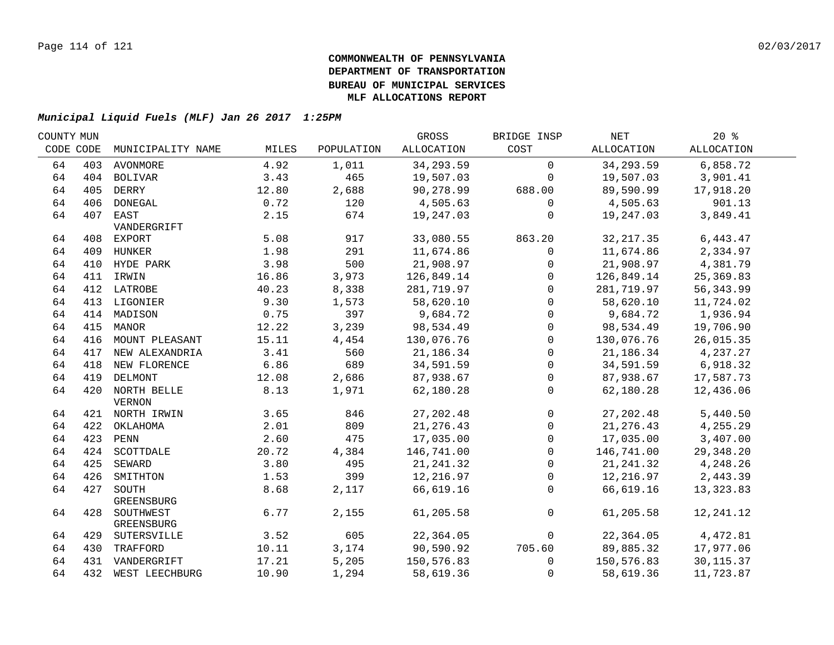| COUNTY MUN |           |                    |       |            | GROSS      | BRIDGE INSP  | NET        | $20*$                |  |
|------------|-----------|--------------------|-------|------------|------------|--------------|------------|----------------------|--|
|            | CODE CODE | MUNICIPALITY NAME  | MILES | POPULATION | ALLOCATION | COST         | ALLOCATION | ALLOCATION           |  |
| 64         |           | 403 AVONMORE       | 4.92  | 1,011      | 34,293.59  | $\mathbf 0$  | 34, 293.59 | 6,858.72             |  |
| 64         |           | 404 BOLIVAR        | 3.43  | 465        | 19,507.03  | $\mathbf 0$  | 19,507.03  | 3,901.41             |  |
| 64         |           | 405 DERRY          | 12.80 | 2,688      | 90,278.99  | 688.00       | 89,590.99  | 17,918.20            |  |
| 64         |           | 406 DONEGAL        | 0.72  | 120        | 4,505.63   | $\mathbf 0$  | 4,505.63   | 901.13               |  |
| 64         |           | 407 EAST           | 2.15  | 674        | 19,247.03  | 0            | 19,247.03  | 3,849.41             |  |
|            |           | VANDERGRIFT        |       |            |            |              |            |                      |  |
| 64         |           | 408 EXPORT         | 5.08  | 917        | 33,080.55  | 863.20       | 32, 217.35 | 6,443.47             |  |
| 64         |           | 409 HUNKER         | 1.98  | 291        | 11,674.86  | 0            | 11,674.86  | 2,334.97             |  |
| 64         |           | 410 HYDE PARK      | 3.98  | 500        | 21,908.97  | $\mathbf 0$  | 21,908.97  | 4,381.79             |  |
| 64         |           | 411 IRWIN          | 16.86 | 3,973      | 126,849.14 | 0            | 126,849.14 | 25,369.83            |  |
| 64         |           | 412 LATROBE        | 40.23 | 8,338      | 281,719.97 | $\mathbf{0}$ | 281,719.97 | 56, 343.99           |  |
| 64         | 413       | LIGONIER           | 9.30  | 1,573      | 58,620.10  | $\Omega$     | 58,620.10  | 11,724.02            |  |
| 64         | 414       | MADISON            | 0.75  | 397        | 9,684.72   | $\mathbf{0}$ | 9,684.72   | 1,936.94             |  |
| 64         | 415       | MANOR              | 12.22 | 3,239      | 98,534.49  | $\mathbf 0$  | 98,534.49  | 19,706.90            |  |
| 64         | 416       | MOUNT PLEASANT     | 15.11 | 4,454      | 130,076.76 | $\Omega$     | 130,076.76 | 26,015.35            |  |
| 64         |           | 417 NEW ALEXANDRIA | 3.41  | 560        | 21,186.34  | $\mathbf{0}$ | 21,186.34  | 4,237.27             |  |
| 64         |           | 418 NEW FLORENCE   | 6.86  | 689        | 34,591.59  | $\mathbf 0$  | 34,591.59  | 6,918.32             |  |
| 64         |           | 419 DELMONT        | 12.08 | 2,686      | 87,938.67  | $\mathbf 0$  | 87,938.67  | 17,587.73            |  |
| 64         |           | 420 NORTH BELLE    | 8.13  | 1,971      | 62,180.28  | $\mathbf 0$  | 62,180.28  | 12,436.06            |  |
|            |           | <b>VERNON</b>      |       |            |            |              |            |                      |  |
| 64         |           | 421 NORTH IRWIN    | 3.65  | 846        | 27, 202.48 | $\mathbf 0$  | 27, 202.48 | 5,440.50             |  |
| 64         |           | 422 OKLAHOMA       | 2.01  | 809        | 21, 276.43 | $\mathsf{O}$ | 21, 276.43 | 4,255.29             |  |
| 64         |           | 423 PENN           | 2.60  | 475        | 17,035.00  | $\mathbf 0$  | 17,035.00  | 3,407.00             |  |
| 64         |           | 424 SCOTTDALE      | 20.72 | 4,384      | 146,741.00 | $\Omega$     | 146,741.00 | 29,348.20            |  |
| 64         |           | 425 SEWARD         | 3.80  | 495        | 21, 241.32 | $\mathbf 0$  | 21, 241.32 | 4,248.26             |  |
| 64         | 426       | SMITHTON           | 1.53  | 399        | 12,216.97  | $\mathbf 0$  |            | 12, 216.97 2, 443.39 |  |
| 64         | 427       | SOUTH              | 8.68  | 2,117      | 66,619.16  | $\mathbf 0$  | 66,619.16  | 13, 323.83           |  |
|            |           | GREENSBURG         |       |            |            |              |            |                      |  |
| 64         |           | 428 SOUTHWEST      | 6.77  | 2,155      | 61,205.58  | $\mathbf 0$  | 61,205.58  | 12,241.12            |  |
|            |           | GREENSBURG         |       |            |            |              |            |                      |  |
| 64         |           | 429 SUTERSVILLE    | 3.52  | 605        | 22,364.05  | $\mathbf 0$  | 22,364.05  | 4,472.81             |  |
| 64         |           | 430 TRAFFORD       | 10.11 | 3,174      | 90,590.92  | 705.60       | 89,885.32  | 17,977.06            |  |
| 64         |           | 431 VANDERGRIFT    | 17.21 | 5,205      | 150,576.83 | $\mathbf 0$  | 150,576.83 | 30, 115.37           |  |
| 64         |           | 432 WEST LEECHBURG | 10.90 | 1,294      | 58,619.36  | 0            | 58,619.36  | 11,723.87            |  |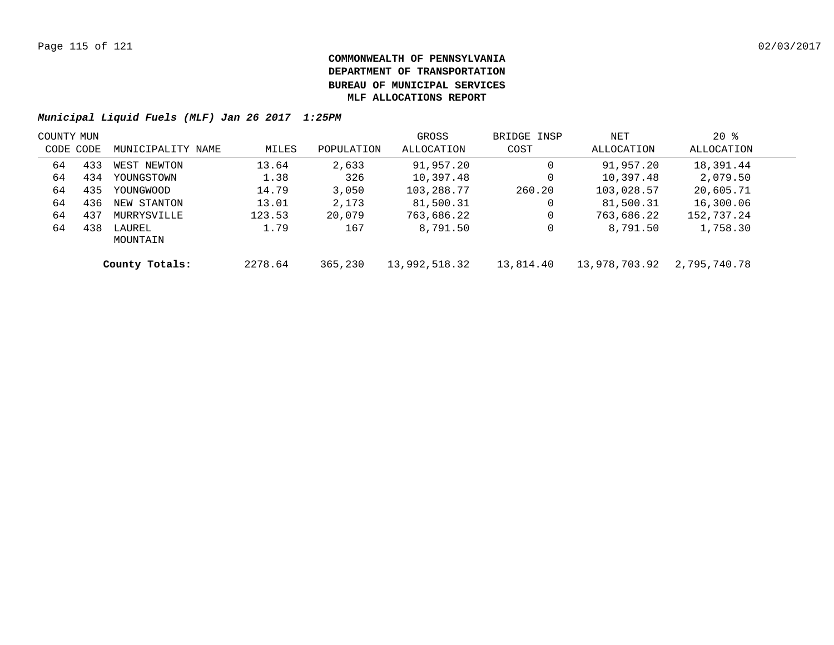| COUNTY MUN |     |                    |         |            | GROSS         | BRIDGE INSP | NET           | $20*$        |  |
|------------|-----|--------------------|---------|------------|---------------|-------------|---------------|--------------|--|
| CODE CODE  |     | MUNICIPALITY NAME  | MILES   | POPULATION | ALLOCATION    | COST        | ALLOCATION    | ALLOCATION   |  |
| 64         | 433 | WEST NEWTON        | 13.64   | 2,633      | 91,957.20     | 0           | 91,957.20     | 18,391.44    |  |
| 64         | 434 | YOUNGSTOWN         | 1.38    | 326        | 10,397.48     | 0           | 10,397.48     | 2,079.50     |  |
| 64         | 435 | YOUNGWOOD          | 14.79   | 3,050      | 103,288.77    | 260.20      | 103,028.57    | 20,605.71    |  |
| 64         | 436 | NEW STANTON        | 13.01   | 2,173      | 81,500.31     | 0           | 81,500.31     | 16,300.06    |  |
| 64         | 437 | MURRYSVILLE        | 123.53  | 20,079     | 763,686.22    | 0           | 763,686.22    | 152,737.24   |  |
| 64         | 438 | LAUREL<br>MOUNTAIN | 1.79    | 167        | 8,791.50      | 0           | 8,791.50      | 1,758.30     |  |
|            |     | County Totals:     | 2278.64 | 365,230    | 13,992,518.32 | 13,814.40   | 13,978,703.92 | 2,795,740.78 |  |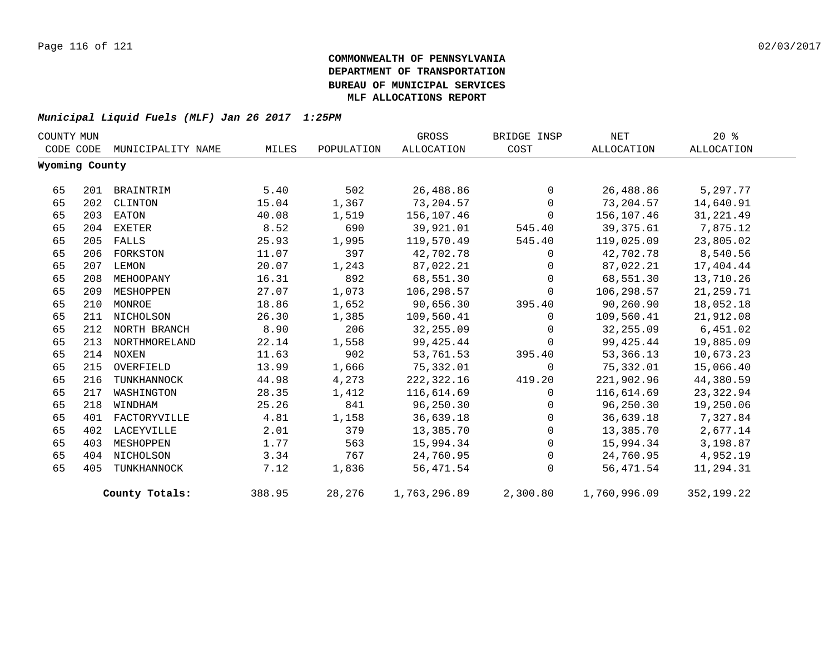| COUNTY MUN |                |                   |        |            | GROSS        | BRIDGE INSP | $\operatorname{NET}$ | 20%        |
|------------|----------------|-------------------|--------|------------|--------------|-------------|----------------------|------------|
|            | CODE CODE      | MUNICIPALITY NAME | MILES  | POPULATION | ALLOCATION   | COST        | ALLOCATION           | ALLOCATION |
|            | Wyoming County |                   |        |            |              |             |                      |            |
| 65         | 201            | BRAINTRIM         | 5.40   | 502        | 26,488.86    | $\Omega$    | 26,488.86            | 5,297.77   |
| 65         | 202            | CLINTON           | 15.04  | 1,367      | 73,204.57    | $\Omega$    | 73,204.57            | 14,640.91  |
| 65         | 203            | EATON             | 40.08  | 1,519      | 156,107.46   | $\Omega$    | 156,107.46           | 31, 221.49 |
| 65         | 204            | EXETER            | 8.52   | 690        | 39,921.01    | 545.40      | 39,375.61            | 7,875.12   |
| 65         | 205            | FALLS             | 25.93  | 1,995      | 119,570.49   | 545.40      | 119,025.09           | 23,805.02  |
| 65         | 206            | FORKSTON          | 11.07  | 397        | 42,702.78    | $\mathbf 0$ | 42,702.78            | 8,540.56   |
| 65         | 207            | LEMON             | 20.07  | 1,243      | 87,022.21    | 0           | 87,022.21            | 17,404.44  |
| 65         | 208            | MEHOOPANY         | 16.31  | 892        | 68,551.30    | $\Omega$    | 68,551.30            | 13,710.26  |
| 65         | 209            | MESHOPPEN         | 27.07  | 1,073      | 106,298.57   | $\Omega$    | 106,298.57           | 21,259.71  |
| 65         | 210            | MONROE            | 18.86  | 1,652      | 90,656.30    | 395.40      | 90,260.90            | 18,052.18  |
| 65         | 211            | NICHOLSON         | 26.30  | 1,385      | 109,560.41   | $\Omega$    | 109,560.41           | 21,912.08  |
| 65         |                | 212 NORTH BRANCH  | 8.90   | 206        | 32,255.09    | $\Omega$    | 32,255.09            | 6,451.02   |
| 65         |                | 213 NORTHMORELAND | 22.14  | 1,558      | 99,425.44    | $\mathbf 0$ | 99,425.44            | 19,885.09  |
| 65         |                | 214 NOXEN         | 11.63  | 902        | 53,761.53    | 395.40      | 53,366.13            | 10,673.23  |
| 65         | 215            | OVERFIELD         | 13.99  | 1,666      | 75,332.01    | $\mathbf 0$ | 75,332.01            | 15,066.40  |
| 65         | 216            | TUNKHANNOCK       | 44.98  | 4,273      | 222,322.16   | 419.20      | 221,902.96           | 44,380.59  |
| 65         | 217            | WASHINGTON        | 28.35  | 1,412      | 116,614.69   | $\Omega$    | 116,614.69           | 23,322.94  |
| 65         | 218            | WINDHAM           | 25.26  | 841        | 96,250.30    | 0           | 96,250.30            | 19,250.06  |
| 65         | 401            | FACTORYVILLE      | 4.81   | 1,158      | 36,639.18    | $\Omega$    | 36,639.18            | 7,327.84   |
| 65         | 402            | LACEYVILLE        | 2.01   | 379        | 13,385.70    | $\mathbf 0$ | 13,385.70            | 2,677.14   |
| 65         | 403            | MESHOPPEN         | 1.77   | 563        | 15,994.34    | $\mathbf 0$ | 15,994.34            | 3,198.87   |
| 65         |                | 404 NICHOLSON     | 3.34   | 767        | 24,760.95    | 0           | 24,760.95            | 4,952.19   |
| 65         | 405            | TUNKHANNOCK       | 7.12   | 1,836      | 56,471.54    | $\Omega$    | 56,471.54            | 11,294.31  |
|            |                | County Totals:    | 388.95 | 28,276     | 1,763,296.89 | 2,300.80    | 1,760,996.09         | 352,199.22 |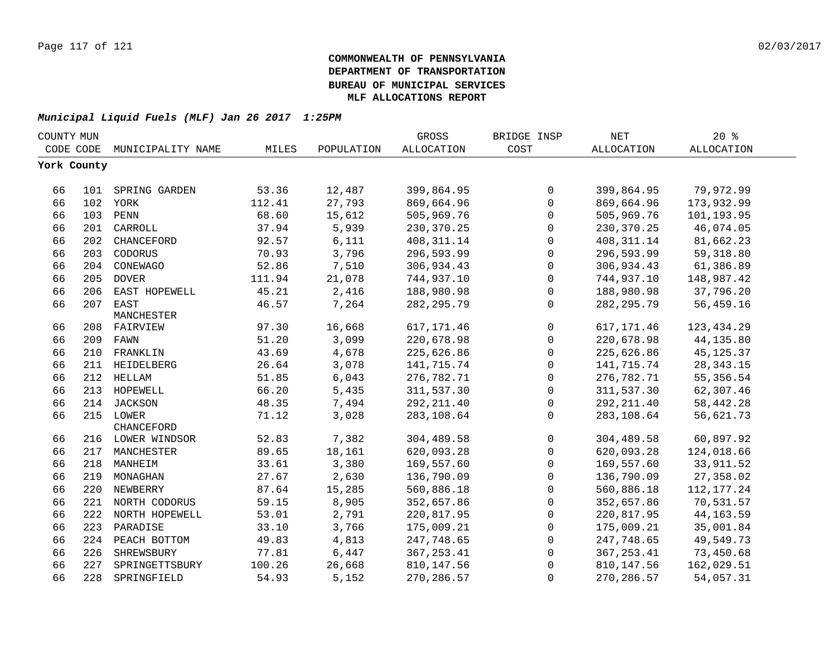| COUNTY MUN  |     |                    |        |            | <b>GROSS</b>      | BRIDGE INSP  | NET               | $20*$             |  |
|-------------|-----|--------------------|--------|------------|-------------------|--------------|-------------------|-------------------|--|
| CODE CODE   |     | MUNICIPALITY NAME  | MILES  | POPULATION | <b>ALLOCATION</b> | COST         | <b>ALLOCATION</b> | <b>ALLOCATION</b> |  |
| York County |     |                    |        |            |                   |              |                   |                   |  |
|             |     |                    |        |            |                   |              |                   |                   |  |
| 66          |     | 101 SPRING GARDEN  | 53.36  | 12,487     | 399,864.95        | $\mathbf 0$  | 399,864.95        | 79,972.99         |  |
| 66          |     | 102 YORK           | 112.41 | 27,793     | 869,664.96        | $\mathbf 0$  | 869,664.96        | 173,932.99        |  |
| 66          |     | 103 PENN           | 68.60  | 15,612     | 505,969.76        | $\mathbf 0$  | 505,969.76        | 101,193.95        |  |
| 66          | 201 | CARROLL            | 37.94  | 5,939      | 230, 370. 25      | $\mathbf 0$  | 230, 370. 25      | 46,074.05         |  |
| 66          | 202 | CHANCEFORD         | 92.57  | 6,111      | 408, 311.14       | $\mathbf{0}$ | 408, 311.14       | 81,662.23         |  |
| 66          | 203 | CODORUS            | 70.93  | 3,796      | 296,593.99        | $\mathbf 0$  | 296,593.99        | 59, 318.80        |  |
| 66          | 204 | CONEWAGO           | 52.86  | 7,510      | 306,934.43        | $\mathbf 0$  | 306,934.43        | 61,386.89         |  |
| 66          | 205 | <b>DOVER</b>       | 111.94 | 21,078     | 744,937.10        | $\mathbf 0$  | 744,937.10        | 148,987.42        |  |
| 66          | 206 | EAST HOPEWELL      | 45.21  | 2,416      | 188,980.98        | $\mathbf 0$  | 188,980.98        | 37,796.20         |  |
| 66          | 207 | EAST               | 46.57  | 7,264      | 282, 295.79       | $\Omega$     | 282, 295.79       | 56,459.16         |  |
|             |     | MANCHESTER         |        |            |                   |              |                   |                   |  |
| 66          |     | 208 FAIRVIEW       | 97.30  | 16,668     | 617, 171.46       | $\mathbf 0$  | 617, 171.46       | 123, 434.29       |  |
| 66          |     | 209 FAWN           | 51.20  | 3,099      | 220,678.98        | $\mathbf 0$  | 220,678.98        | 44, 135.80        |  |
| 66          | 210 | FRANKLIN           | 43.69  | 4,678      | 225,626.86        | 0            | 225,626.86        | 45, 125.37        |  |
| 66          |     | 211 HEIDELBERG     | 26.64  | 3,078      | 141,715.74        | $\mathbf 0$  | 141,715.74        | 28, 343. 15       |  |
| 66          |     | 212 HELLAM         | 51.85  | 6,043      | 276,782.71        | 0            | 276,782.71        | 55, 356.54        |  |
| 66          |     | 213 HOPEWELL       | 66.20  | 5,435      | 311,537.30        | $\mathbf 0$  | 311,537.30        | 62,307.46         |  |
| 66          |     | 214 JACKSON        | 48.35  | 7,494      | 292, 211.40       | $\mathbf 0$  | 292, 211.40       | 58, 442. 28       |  |
| 66          |     | 215 LOWER          | 71.12  | 3,028      | 283,108.64        | $\mathbf 0$  | 283,108.64        | 56,621.73         |  |
|             |     | CHANCEFORD         |        |            |                   |              |                   |                   |  |
| 66          |     | 216 LOWER WINDSOR  | 52.83  | 7,382      | 304,489.58        | $\mathbf 0$  | 304,489.58        | 60,897.92         |  |
| 66          |     | 217 MANCHESTER     | 89.65  | 18,161     | 620,093.28        | $\mathbf 0$  | 620,093.28        | 124,018.66        |  |
| 66          |     | 218 MANHEIM        | 33.61  | 3,380      | 169,557.60        | $\mathbf 0$  | 169,557.60        | 33, 911.52        |  |
| 66          |     | 219 MONAGHAN       | 27.67  | 2,630      | 136,790.09        | $\mathbf 0$  | 136,790.09        | 27,358.02         |  |
| 66          |     | 220 NEWBERRY       | 87.64  | 15,285     | 560,886.18        | $\mathbf 0$  | 560,886.18        | 112, 177.24       |  |
| 66          |     | 221 NORTH CODORUS  | 59.15  | 8,905      | 352,657.86        | $\mathbf 0$  | 352,657.86        | 70,531.57         |  |
| 66          |     | 222 NORTH HOPEWELL | 53.01  | 2,791      | 220,817.95        | $\mathbf 0$  | 220,817.95        | 44, 163.59        |  |
| 66          | 223 | PARADISE           | 33.10  | 3,766      | 175,009.21        | $\Omega$     | 175,009.21        | 35,001.84         |  |
| 66          | 224 | PEACH BOTTOM       | 49.83  | 4,813      | 247,748.65        | 0            | 247,748.65        | 49,549.73         |  |
| 66          | 226 | SHREWSBURY         | 77.81  | 6,447      | 367, 253.41       | 0            | 367, 253.41       | 73,450.68         |  |
| 66          | 227 | SPRINGETTSBURY     | 100.26 | 26,668     | 810, 147.56       | $\Omega$     | 810,147.56        | 162,029.51        |  |
| 66          | 228 | SPRINGFIELD        | 54.93  | 5,152      | 270, 286.57       | 0            | 270, 286.57       | 54,057.31         |  |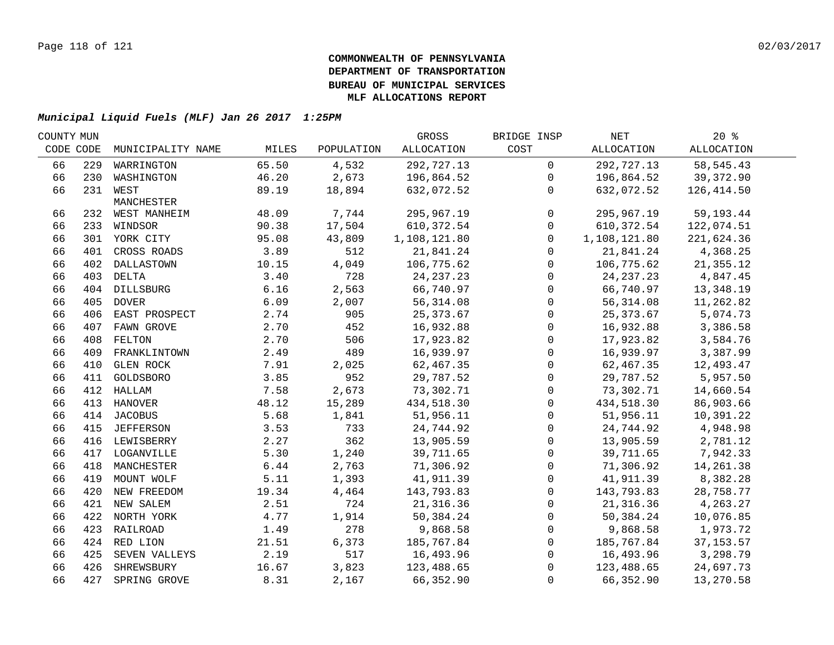| COUNTY MUN |                   |                                                                                                                                                                                                                                                                                                                                                                                                                                                                      |                                         | GROSS                                     | BRIDGE INSP                              | NET         | 20%                                       |                                                                                                            |
|------------|-------------------|----------------------------------------------------------------------------------------------------------------------------------------------------------------------------------------------------------------------------------------------------------------------------------------------------------------------------------------------------------------------------------------------------------------------------------------------------------------------|-----------------------------------------|-------------------------------------------|------------------------------------------|-------------|-------------------------------------------|------------------------------------------------------------------------------------------------------------|
| CODE CODE  | MUNICIPALITY NAME | MILES                                                                                                                                                                                                                                                                                                                                                                                                                                                                | POPULATION                              | ALLOCATION                                | COST                                     | ALLOCATION  | <b>ALLOCATION</b>                         |                                                                                                            |
| 229        | WARRINGTON        | 65.50                                                                                                                                                                                                                                                                                                                                                                                                                                                                | 4,532                                   | 292,727.13                                | $\overline{0}$                           | 292,727.13  | 58, 545.43                                |                                                                                                            |
|            |                   | 46.20                                                                                                                                                                                                                                                                                                                                                                                                                                                                | 2,673                                   | 196,864.52                                | $\mathbf 0$                              | 196,864.52  | 39,372.90                                 |                                                                                                            |
|            |                   | 89.19                                                                                                                                                                                                                                                                                                                                                                                                                                                                | 18,894                                  | 632,072.52                                | $\mathbf 0$                              | 632,072.52  | 126,414.50                                |                                                                                                            |
|            | MANCHESTER        |                                                                                                                                                                                                                                                                                                                                                                                                                                                                      |                                         |                                           |                                          |             |                                           |                                                                                                            |
|            |                   |                                                                                                                                                                                                                                                                                                                                                                                                                                                                      |                                         |                                           |                                          |             |                                           |                                                                                                            |
|            |                   |                                                                                                                                                                                                                                                                                                                                                                                                                                                                      |                                         |                                           | $\mathbf 0$                              |             |                                           |                                                                                                            |
|            |                   |                                                                                                                                                                                                                                                                                                                                                                                                                                                                      |                                         |                                           | $\Omega$                                 |             |                                           |                                                                                                            |
|            | CROSS ROADS       |                                                                                                                                                                                                                                                                                                                                                                                                                                                                      |                                         | 21,841.24                                 | $\mathbf{0}$                             | 21,841.24   | 4,368.25                                  |                                                                                                            |
|            |                   | 10.15                                                                                                                                                                                                                                                                                                                                                                                                                                                                |                                         | 106,775.62                                | $\mathbf 0$                              | 106,775.62  | 21,355.12                                 |                                                                                                            |
|            |                   | 3.40                                                                                                                                                                                                                                                                                                                                                                                                                                                                 | 728                                     | 24, 237. 23                               | 0                                        | 24, 237. 23 | 4,847.45                                  |                                                                                                            |
|            |                   | 6.16                                                                                                                                                                                                                                                                                                                                                                                                                                                                 | 2,563                                   | 66,740.97                                 | 0                                        |             | 13,348.19                                 |                                                                                                            |
|            |                   |                                                                                                                                                                                                                                                                                                                                                                                                                                                                      | 2,007                                   | 56, 314.08                                | $\mathsf{O}\xspace$                      | 56,314.08   |                                           |                                                                                                            |
|            |                   | 2.74                                                                                                                                                                                                                                                                                                                                                                                                                                                                 | 905                                     | 25, 373.67                                | $\mathsf{O}$                             | 25, 373.67  | 5,074.73                                  |                                                                                                            |
| 407        |                   | 2.70                                                                                                                                                                                                                                                                                                                                                                                                                                                                 | 452                                     | 16,932.88                                 | $\mathsf{O}$                             | 16,932.88   | 3,386.58                                  |                                                                                                            |
| 408        | FELTON            | 2.70                                                                                                                                                                                                                                                                                                                                                                                                                                                                 | 506                                     | 17,923.82                                 | $\mathsf{O}$                             | 17,923.82   | 3,584.76                                  |                                                                                                            |
| 409        | FRANKLINTOWN      | 2.49                                                                                                                                                                                                                                                                                                                                                                                                                                                                 | 489                                     | 16,939.97                                 | $\mathbf 0$                              | 16,939.97   | 3,387.99                                  |                                                                                                            |
| 410        | <b>GLEN ROCK</b>  | 7.91                                                                                                                                                                                                                                                                                                                                                                                                                                                                 | 2,025                                   | 62,467.35                                 | 0                                        | 62,467.35   | 12,493.47                                 |                                                                                                            |
| 411        | GOLDSBORO         | 3.85                                                                                                                                                                                                                                                                                                                                                                                                                                                                 | 952                                     | 29,787.52                                 | 0                                        | 29,787.52   | 5,957.50                                  |                                                                                                            |
|            | HALLAM            | 7.58                                                                                                                                                                                                                                                                                                                                                                                                                                                                 | 2,673                                   | 73,302.71                                 | $\mathbf 0$                              | 73,302.71   | 14,660.54                                 |                                                                                                            |
|            |                   | 48.12                                                                                                                                                                                                                                                                                                                                                                                                                                                                | 15,289                                  | 434,518.30                                | $\mathbf 0$                              | 434,518.30  | 86,903.66                                 |                                                                                                            |
|            |                   | 5.68                                                                                                                                                                                                                                                                                                                                                                                                                                                                 | 1,841                                   | 51,956.11                                 | $\mathsf{O}$                             | 51,956.11   | 10,391.22                                 |                                                                                                            |
|            |                   | 3.53                                                                                                                                                                                                                                                                                                                                                                                                                                                                 | 733                                     | 24,744.92                                 | 0                                        | 24,744.92   | 4,948.98                                  |                                                                                                            |
|            |                   | 2.27                                                                                                                                                                                                                                                                                                                                                                                                                                                                 | 362                                     | 13,905.59                                 | $\mathsf{O}$                             | 13,905.59   | 2,781.12                                  |                                                                                                            |
|            |                   | 5.30                                                                                                                                                                                                                                                                                                                                                                                                                                                                 | 1,240                                   | 39,711.65                                 | 0                                        | 39,711.65   | 7,942.33                                  |                                                                                                            |
|            |                   | 6.44                                                                                                                                                                                                                                                                                                                                                                                                                                                                 | 2,763                                   | 71,306.92                                 | $\mathsf{O}\xspace$                      | 71,306.92   | 14,261.38                                 |                                                                                                            |
|            |                   | 5.11                                                                                                                                                                                                                                                                                                                                                                                                                                                                 | 1,393                                   | 41,911.39                                 | $\mathbf 0$                              | 41,911.39   | 8,382.28                                  |                                                                                                            |
|            |                   | 19.34                                                                                                                                                                                                                                                                                                                                                                                                                                                                | 4,464                                   | 143,793.83                                | $\mathbf 0$                              | 143,793.83  | 28,758.77                                 |                                                                                                            |
|            |                   | 2.51                                                                                                                                                                                                                                                                                                                                                                                                                                                                 | 724                                     | 21, 316.36                                | $\mathbf 0$                              | 21,316.36   | 4,263.27                                  |                                                                                                            |
|            |                   | 4.77                                                                                                                                                                                                                                                                                                                                                                                                                                                                 | 1,914                                   | 50,384.24                                 | $\mathbf 0$                              | 50,384.24   | 10,076.85                                 |                                                                                                            |
|            |                   | 1.49                                                                                                                                                                                                                                                                                                                                                                                                                                                                 | 278                                     | 9,868.58                                  | $\mathbf 0$                              | 9,868.58    | 1,973.72                                  |                                                                                                            |
|            |                   | 21.51                                                                                                                                                                                                                                                                                                                                                                                                                                                                | 6,373                                   | 185,767.84                                | 0                                        |             | 37, 153.57                                |                                                                                                            |
|            |                   | 2.19                                                                                                                                                                                                                                                                                                                                                                                                                                                                 | 517                                     | 16,493.96                                 | $\mathbf 0$                              |             | 3,298.79                                  |                                                                                                            |
|            |                   | 16.67                                                                                                                                                                                                                                                                                                                                                                                                                                                                | 3,823                                   | 123,488.65                                | $\Omega$                                 |             | 24,697.73                                 |                                                                                                            |
|            |                   | 8.31                                                                                                                                                                                                                                                                                                                                                                                                                                                                 | 2,167                                   | 66,352.90                                 | $\Omega$                                 | 66,352.90   | 13,270.58                                 |                                                                                                            |
|            |                   | 230 WASHINGTON<br>231 WEST<br>232 WEST MANHEIM<br>233 WINDSOR<br>301 YORK CITY<br>401<br>402 DALLASTOWN<br>403 DELTA<br>404 DILLSBURG<br>405 DOVER<br>406 EAST PROSPECT<br>FAWN GROVE<br>412<br>413 HANOVER<br>414 JACOBUS<br>415 JEFFERSON<br>416 LEWISBERRY<br>417 LOGANVILLE<br>418 MANCHESTER<br>419 MOUNT WOLF<br>420 NEW FREEDOM<br>421 NEW SALEM<br>422 NORTH YORK<br>423 RAILROAD<br>424 RED LION<br>425 SEVEN VALLEYS<br>426 SHREWSBURY<br>427 SPRING GROVE | 48.09<br>90.38<br>95.08<br>3.89<br>6.09 | 7,744<br>17,504<br>43,809<br>512<br>4,049 | 295,967.19<br>610,372.54<br>1,108,121.80 | $\mathbf 0$ | 295,967.19<br>610, 372.54<br>1,108,121.80 | 59, 193. 44<br>122,074.51<br>221,624.36<br>66,740.97<br>11,262.82<br>185,767.84<br>16,493.96<br>123,488.65 |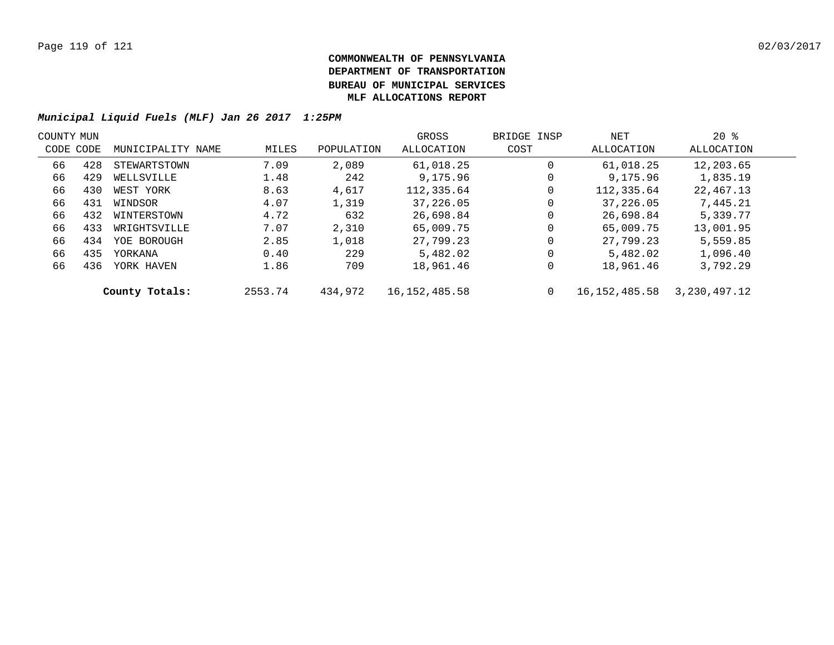| COUNTY MUN |           |                   |         |            | GROSS            | BRIDGE INSP | NET           | $20*$        |  |
|------------|-----------|-------------------|---------|------------|------------------|-------------|---------------|--------------|--|
|            | CODE CODE | MUNICIPALITY NAME | MILES   | POPULATION | ALLOCATION       | COST        | ALLOCATION    | ALLOCATION   |  |
| 66         | 428       | STEWARTSTOWN      | 7.09    | 2,089      | 61,018.25        | 0           | 61,018.25     | 12,203.65    |  |
| 66         | 429       | WELLSVILLE        | 1.48    | 242        | 9,175.96         | 0           | 9,175.96      | 1,835.19     |  |
| 66         | 430       | WEST YORK         | 8.63    | 4,617      | 112,335.64       | 0           | 112,335.64    | 22,467.13    |  |
| 66         | 431       | WINDSOR           | 4.07    | 1,319      | 37,226.05        | 0           | 37,226.05     | 7,445.21     |  |
| 66         | 432       | WINTERSTOWN       | 4.72    | 632        | 26,698.84        | 0           | 26,698.84     | 5,339.77     |  |
| 66         | 433       | WRIGHTSVILLE      | 7.07    | 2,310      | 65,009.75        | 0           | 65,009.75     | 13,001.95    |  |
| 66         | 434       | YOE BOROUGH       | 2.85    | 1,018      | 27,799.23        | 0           | 27,799.23     | 5,559.85     |  |
| 66         | 435       | YORKANA           | 0.40    | 229        | 5,482.02         | 0           | 5,482.02      | 1,096.40     |  |
| 66         | 436       | YORK HAVEN        | 1.86    | 709        | 18,961.46        | 0           | 18,961.46     | 3,792.29     |  |
|            |           | County Totals:    | 2553.74 | 434,972    | 16, 152, 485. 58 | 0           | 16,152,485.58 | 3,230,497.12 |  |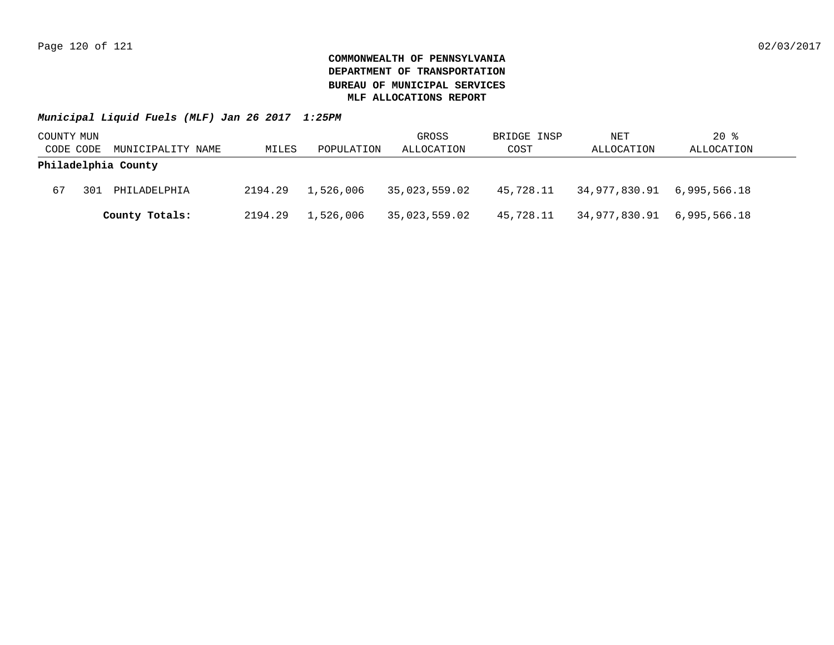| COUNTY MUN |     |                     |         |            | GROSS         | BRIDGE INSP | NET                         | $20$ %     |
|------------|-----|---------------------|---------|------------|---------------|-------------|-----------------------------|------------|
| CODE CODE  |     | MUNICIPALITY NAME   | MILES   | POPULATION | ALLOCATION    | COST        | ALLOCATION                  | ALLOCATION |
|            |     | Philadelphia County |         |            |               |             |                             |            |
| 67         | 301 | PHILADELPHIA        | 2194.29 | 1,526,006  | 35,023,559.02 | 45,728.11   | 34,977,830.91  6,995,566.18 |            |
|            |     | County Totals:      | 2194.29 | 1,526,006  | 35,023,559.02 | 45,728.11   | 34,977,830.91  6,995,566.18 |            |